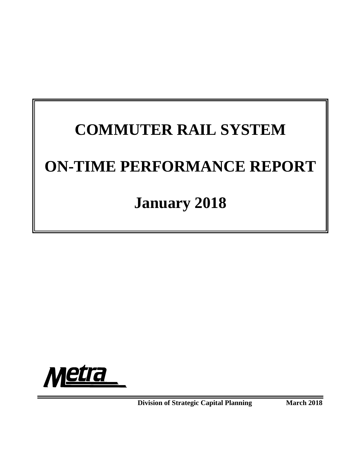# **COMMUTER RAIL SYSTEM ON-TIME PERFORMANCE REPORT**

# **January 2018**



**Division of Strategic Capital Planning March 2018**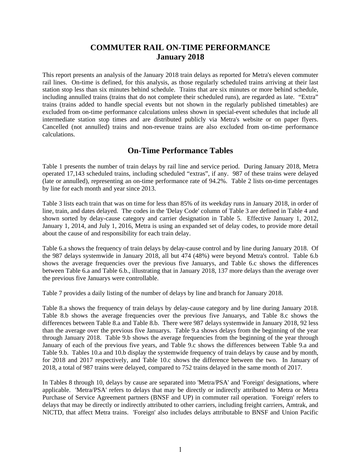# **COMMUTER RAIL ON-TIME PERFORMANCE January 2018**

This report presents an analysis of the January 2018 train delays as reported for Metra's eleven commuter rail lines. On-time is defined, for this analysis, as those regularly scheduled trains arriving at their last station stop less than six minutes behind schedule. Trains that are six minutes or more behind schedule, including annulled trains (trains that do not complete their scheduled runs), are regarded as late. "Extra" trains (trains added to handle special events but not shown in the regularly published timetables) are excluded from on-time performance calculations unless shown in special-event schedules that include all intermediate station stop times and are distributed publicly via Metra's website or on paper flyers. Cancelled (not annulled) trains and non-revenue trains are also excluded from on-time performance calculations.

# **On-Time Performance Tables**

Table 1 presents the number of train delays by rail line and service period. During January 2018, Metra operated 17,143 scheduled trains, including scheduled "extras", if any. 987 of these trains were delayed (late or annulled), representing an on-time performance rate of 94.2%. Table 2 lists on-time percentages by line for each month and year since 2013.

Table 3 lists each train that was on time for less than 85% of its weekday runs in January 2018, in order of line, train, and dates delayed. The codes in the 'Delay Code' column of Table 3 are defined in Table 4 and shown sorted by delay-cause category and carrier designation in Table 5. Effective January 1, 2012, January 1, 2014, and July 1, 2016, Metra is using an expanded set of delay codes, to provide more detail about the cause of and responsibility for each train delay.

Table 6.a shows the frequency of train delays by delay-cause control and by line during January 2018. Of the 987 delays systemwide in January 2018, all but 474 (48%) were beyond Metra's control. Table 6.b shows the average frequencies over the previous five Januarys, and Table 6.c shows the differences between Table 6.a and Table 6.b., illustrating that in January 2018, 137 more delays than the average over the previous five Januarys were controllable.

Table 7 provides a daily listing of the number of delays by line and branch for January 2018.

Table 8.a shows the frequency of train delays by delay-cause category and by line during January 2018. Table 8.b shows the average frequencies over the previous five Januarys, and Table 8.c shows the differences between Table 8.a and Table 8.b. There were 987 delays systemwide in January 2018, 92 less than the average over the previous five Januarys. Table 9.a shows delays from the beginning of the year through January 2018. Table 9.b shows the average frequencies from the beginning of the year through January of each of the previous five years, and Table 9.c shows the differences between Table 9.a and Table 9.b. Tables 10.a and 10.b display the systemwide frequency of train delays by cause and by month, for 2018 and 2017 respectively, and Table 10.c shows the difference between the two. In January of 2018, a total of 987 trains were delayed, compared to 752 trains delayed in the same month of 2017.

In Tables 8 through 10, delays by cause are separated into 'Metra/PSA' and 'Foreign' designations, where applicable. 'Metra/PSA' refers to delays that may be directly or indirectly attributed to Metra or Metra Purchase of Service Agreement partners (BNSF and UP) in commuter rail operation. 'Foreign' refers to delays that may be directly or indirectly attributed to other carriers, including freight carriers, Amtrak, and NICTD, that affect Metra trains. 'Foreign' also includes delays attributable to BNSF and Union Pacific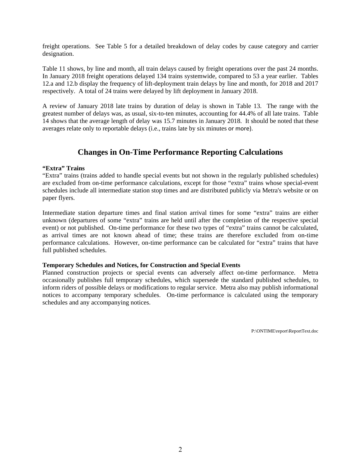freight operations. See Table 5 for a detailed breakdown of delay codes by cause category and carrier designation.

Table 11 shows, by line and month, all train delays caused by freight operations over the past 24 months. In January 2018 freight operations delayed 134 trains systemwide, compared to 53 a year earlier. Tables 12.a and 12.b display the frequency of lift-deployment train delays by line and month, for 2018 and 2017 respectively. A total of 24 trains were delayed by lift deployment in January 2018.

A review of January 2018 late trains by duration of delay is shown in Table 13. The range with the greatest number of delays was, as usual, six-to-ten minutes, accounting for 44.4% of all late trains. Table 14 shows that the average length of delay was 15.7 minutes in January 2018. It should be noted that these averages relate only to reportable delays (i.e., trains late by six minutes or more).

# **Changes in On-Time Performance Reporting Calculations**

#### **"Extra" Trains**

"Extra" trains (trains added to handle special events but not shown in the regularly published schedules) are excluded from on-time performance calculations, except for those "extra" trains whose special-event schedules include all intermediate station stop times and are distributed publicly via Metra's website or on paper flyers.

Intermediate station departure times and final station arrival times for some "extra" trains are either unknown (departures of some "extra" trains are held until after the completion of the respective special event) or not published. On-time performance for these two types of "extra" trains cannot be calculated, as arrival times are not known ahead of time; these trains are therefore excluded from on-time performance calculations. However, on-time performance can be calculated for "extra" trains that have full published schedules.

#### **Temporary Schedules and Notices, for Construction and Special Events**

Planned construction projects or special events can adversely affect on-time performance. Metra occasionally publishes full temporary schedules, which supersede the standard published schedules, to inform riders of possible delays or modifications to regular service. Metra also may publish informational notices to accompany temporary schedules. On-time performance is calculated using the temporary schedules and any accompanying notices.

P:\ONTIME\report\ReportText.doc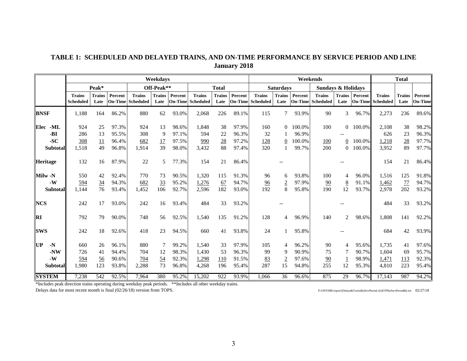# **TABLE 1: SCHEDULED AND DELAYED TRAINS, AND ON-TIME PERFORMANCE BY SERVICE PERIOD AND LINE January 2018**

|               |                 |                                   | Weekdavs              |         |                                    |                       |         |                                    |                       |         | Weekends                                  |                       |         |                                           |                       |                           | <b>Total</b>                      |                       |                           |
|---------------|-----------------|-----------------------------------|-----------------------|---------|------------------------------------|-----------------------|---------|------------------------------------|-----------------------|---------|-------------------------------------------|-----------------------|---------|-------------------------------------------|-----------------------|---------------------------|-----------------------------------|-----------------------|---------------------------|
|               |                 |                                   | Peak*                 |         |                                    | Off-Peak**            |         |                                    | <b>Total</b>          |         |                                           | <b>Saturdays</b>      |         | <b>Sundays &amp; Holidays</b>             |                       |                           |                                   |                       |                           |
|               |                 | <b>Trains</b><br><b>Scheduled</b> | <b>Trains</b><br>Late | Percent | <b>Trains</b><br>On-Time Scheduled | <b>Trains</b><br>Late | Percent | <b>Trains</b><br>On-Time Scheduled | <b>Trains</b><br>Late | Percent | <b>Trains</b><br><b>On-Time</b> Scheduled | <b>Trains</b><br>Late | Percent | <b>Trains</b><br><b>On-Time Scheduled</b> | <b>Trains</b><br>Late | Percent<br><b>On-Time</b> | <b>Trains</b><br><b>Scheduled</b> | <b>Trains</b><br>Late | Percent<br><b>On-Time</b> |
| <b>BNSF</b>   |                 | 1,188                             | 164                   | 86.2%   | 880                                | 62                    | 93.0%   | 2,068                              | 226                   | 89.1%   | 115                                       | 7                     | 93.9%   | 90                                        | 3                     | 96.7%                     | 2,273                             | 236                   | 89.6%                     |
| Elec          | -ML             | 924                               | 25                    | 97.3%   | 924                                | 13                    | 98.6%   | 1,848                              | 38                    | 97.9%   | 160                                       | $\Omega$              | 100.0%  | 100                                       |                       | $0.100.0\%$               | 2.108                             | 38                    | 98.2%                     |
|               | -BI             | 286                               | 13                    | 95.5%   | 308                                | 9                     | 97.1%   | 594                                | 22                    | 96.3%   | 32                                        |                       | 96.9%   |                                           |                       |                           | 626                               | 23                    | 96.3%                     |
|               | $-SC$           | 308                               | 11                    | 96.4%   | 682                                | 17                    | 97.5%   | 990                                | 28                    | 97.2%   | 128                                       | 0                     | 100.0%  | 100                                       | $\overline{0}$        | 100.0%                    | 1,218                             | $\underline{28}$      | 97.7%                     |
|               | <b>Subtotal</b> | 1,518                             | 49                    | 96.8%   | 1,914                              | 39                    | 98.0%   | 3,432                              | 88                    | 97.4%   | 320                                       |                       | 99.7%   | 200                                       | $\Omega$              | 100.0%                    | 3,952                             | 89                    | 97.7%                     |
| Heritage      |                 | 132                               | 16                    | 87.9%   | 22                                 | 5                     | 77.3%   | 154                                | 21                    | 86.4%   |                                           |                       |         |                                           |                       |                           | 154                               | 21                    | 86.4%                     |
| Milw -N       |                 | 550                               | 42                    | 92.4%   | 770                                | 73                    | 90.5%   | 1,320                              | 115                   | 91.3%   | 96                                        | 6                     | 93.8%   | 100                                       | $\overline{4}$        | 96.0%                     | 1,516                             | 125                   | 91.8%                     |
|               | $-W$            | 594                               | $\frac{34}{5}$        | 94.3%   | 682                                | 33                    | 95.2%   | 1,276                              | 67                    | 94.7%   | $\frac{96}{9}$                            | $\overline{2}$        | 97.9%   | 90                                        | $8\overline{8}$       | 91.1%                     | 1,462                             | 77                    | 94.7%                     |
|               | <b>Subtotal</b> | 1,144                             | 76                    | 93.4%   | 1,452                              | 106                   | 92.7%   | 2,596                              | 182                   | 93.0%   | 192                                       | 8                     | 95.8%   | 190                                       | 12                    | 93.7%                     | 2,978                             | 202                   | 93.2%                     |
| <b>NCS</b>    |                 | 242                               | 17                    | 93.0%   | 242                                | 16                    | 93.4%   | 484                                | 33                    | 93.2%   |                                           |                       |         |                                           |                       |                           | 484                               | 33                    | 93.2%                     |
| <b>RI</b>     |                 | 792                               | 79                    | 90.0%   | 748                                | 56                    | 92.5%   | 1,540                              | 135                   | 91.2%   | 128                                       | 4                     | 96.9%   | 140                                       | 2                     | 98.6%                     | 1,808                             | 141                   | 92.2%                     |
| <b>ISWS</b>   |                 | 242                               | 18                    | 92.6%   | 418                                | 23                    | 94.5%   | 660                                | 41                    | 93.8%   | 24                                        |                       | 95.8%   |                                           |                       |                           | 684                               | 42                    | 93.9%                     |
| UP            | $-N$            | 660                               | 26                    | 96.1%   | 880                                |                       | 99.2%   | 1,540                              | 33                    | 97.9%   | 105                                       | 4                     | 96.2%   | 90                                        | 4                     | 95.6%                     | 1,735                             | 41                    | 97.6%                     |
|               | $-NW$           | 726                               | 41                    | 94.4%   | 704                                | 12                    | 98.3%   | 1,430                              | 53                    | 96.3%   | 99                                        | 9                     | 90.9%   | 75                                        |                       | 90.7%                     | 1.604                             | 69                    | 95.7%                     |
|               | $-W$            | 594                               | $\frac{56}{9}$        | 90.6%   | 704                                | 54                    | 92.3%   | 1,298                              | 110                   | 91.5%   | 83                                        |                       | 97.6%   | 90                                        |                       | 98.9%                     | 1,471                             | 113                   | 92.3%                     |
|               | <b>Subtotal</b> | 1,980                             | 123                   | 93.8%   | 2,288                              | 73                    | 96.8%   | 4,268                              | 196                   | 95.4%   | 287                                       | 15                    | 94.8%   | 255                                       | 12                    | 95.3%                     | 4,810                             | 223                   | 95.4%                     |
| <b>SYSTEM</b> |                 | 7,238                             | 542                   | 92.5%   | 7,964                              | 380                   | 95.2%   | 15,202                             | 922                   | 93.9%   | 1,066                                     | 36                    | 96.6%   | 875                                       | 29                    | 96.7%                     | 17,143                            | 987                   | 94.2%                     |

\*Includes peak direction trains operating during weekday peak periods. \*\*Includes all other weekday trains.

Delays data for most recent month is final (02/26/18) version from TOPS. P:\ONTIME\report\[Delays&TrainsByServPeriod.xls]OTPbyServPeriod&Line 02/27/18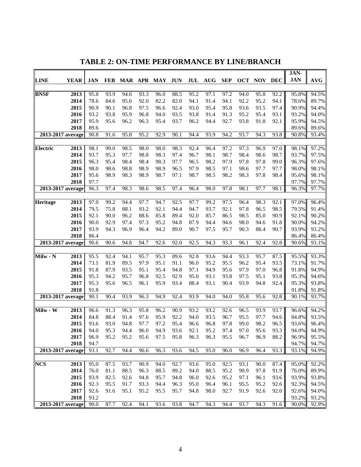|                            |              |              |              |              |              |              |              |              |            |              |              |              | JAN-           |                |
|----------------------------|--------------|--------------|--------------|--------------|--------------|--------------|--------------|--------------|------------|--------------|--------------|--------------|----------------|----------------|
| <b>LINE</b><br><b>YEAR</b> | <b>JAN</b>   | <b>FEB</b>   |              |              | MAR APR MAY  | <b>JUN</b>   | JUL          | <b>AUG</b>   | <b>SEP</b> | <b>OCT</b>   | <b>NOV</b>   | <b>DEC</b>   | <b>JAN</b>     | <b>AVG</b>     |
|                            |              |              |              |              |              |              |              |              |            |              |              |              |                |                |
| 2013<br><b>BNSF</b>        | 95.8         | 93.9         | 94.6         | 93.3         | 96.0         | 88.5         | 95.2         | 97.1         | 97.2       | 94.0         | 95.8         | 92.2         | 95.8%          | 94.5%          |
| 2014                       | 78.6         | 84.6         | 95.6         | 92.0         | 82.2         | 82.0         | 94.1         | 91.4         | 94.1       | 92.2         | 95.2         | 94.1         | 78.6%          | 89.7%          |
| 2015                       | 90.9         | 90.1         | 96.8         | 97.5         | 96.6         | 92.4         | 93.0         | 95.4         | 95.8       | 93.6         | 93.5         | 97.4         | 90.9%          | 94.4%          |
| 2016                       | 93.2         | 93.8         | 95.9         | 96.8         | 94.0         | 93.5         | 93.8         | 91.4         | 91.3       | 95.2         | 95.4         | 93.1         | 93.2%          | 94.0%          |
| 2017                       | 95.9         | 95.6         | 96.2         | 96.3         | 95.4         | 93.7         | 96.2         | 94.4         | 92.7       | 93.8         | 91.8         | 92.1         | 95.9%          | 94.5%          |
| 2018                       | 89.6         |              |              |              |              |              |              |              |            |              |              |              | 89.6%          | 89.6%          |
| $2013 - 2017$ average      | 90.8         | 91.6         | 95.8         | 95.2         | 92.9         | 90.1         | 94.4         | 93.9         | 94.2       | 93.7         | 94.3         | 93.8         | 90.8%          | 93.4%          |
|                            | 98.1         |              |              |              |              |              |              |              | 97.2       | 97.3         |              |              |                |                |
| 2013<br><b>Electric</b>    | 93.7         | 99.0<br>95.3 | 98.5         | 98.0         | 98.0         | 98.3         | 92.4<br>96.7 | 96.4<br>98.1 | 98.7       |              | 96.9         | 97.0         | 98.1%<br>93.7% | 97.2%          |
| 2014<br>2015               | 96.3         |              | 97.7<br>98.4 | 98.8<br>98.4 | 98.3<br>98.3 | 97.4<br>97.7 |              | 98.2         | 97.9       | 98.4<br>97.8 | 98.6<br>97.8 | 98.7         |                | 97.5%          |
| 2016                       | 98.0         | 95.4<br>98.6 | 98.8         | 98.9         | 98.9         | 96.5         | 96.5<br>97.9 | 98.5         | 97.1       | 98.6         | 97.7         | 99.0<br>97.7 | 96.3%<br>98.0% | 97.6%          |
|                            |              |              |              |              |              |              |              | 98.5         | 98.2       |              |              |              |                | 98.1%          |
| 2017<br>2018               | 95.6<br>97.7 | 98.9         | 98.3         | 98.9         | 98.7         | 97.1         | 98.7         |              |            | 98.3         | 97.8         | 98.4         | 95.6%<br>97.7% | 98.1%<br>97.7% |
| $2013 - 2017$ average      | 96.3         | 97.4         | 98.3         | 98.6         | 98.5         | 97.4         | 96.4         | 98.0         | 97.8       | 98.1         | 97.7         | 98.1         | 96.3%          | 97.7%          |
|                            |              |              |              |              |              |              |              |              |            |              |              |              |                |                |
| <b>Heritage</b><br>2013    | 97.0         | 99.2         | 94.4         | 97.7         | 94.7         | 92.5         | 97.7         | 99.2         | 97.5       | 96.4         | 98.3         | 92.1         | 97.0%          | 96.4%          |
| 2014                       | 79.5         | 75.8         | 88.1         | 93.2         | 92.1         | 94.4         | 94.7         | 93.7         | 92.1       | 97.8         | 96.5         | 98.5         | 79.5%          | 91.4%          |
| 2015                       | 92.1         | 90.0         | 96.2         | 88.6         | 85.8         | 89.4         | 92.0         | 85.7         | 86.5       | 98.5         | 85.0         | 90.9         | 92.1%          | 90.2%          |
| 2016                       | 90.0         | 92.9         | 97.4         | 97.3         | 95.2         | 94.8         | 87.9         | 94.4         | 94.6       | 98.0         | 94.6         | 91.8         | 90.0%          | 94.2%          |
| 2017                       | 93.9         | 94.3         | 96.9         | 96.4         | 94.2         | 89.0         | 90.7         | 97.5         | 95.7       | 90.3         | 88.4         | 90.7         | 93.9%          | 93.2%          |
| 2018                       | 86.4         |              |              |              |              |              |              |              |            |              |              |              | 86.4%          | 86.4%          |
| 2013-2017 average          | 90.6         | 90.6         | 94.8         | 94.7         | 92.6         | 92.0         | 92.5         | 94.3         | 93.3       | 96.1         | 92.4         | 92.8         | 90.6%          | 93.1%          |
|                            |              |              |              |              |              |              |              |              |            |              |              |              |                |                |
| 2013<br>Milw - N           | 95.5         | 92.4         | 94.1         | 95.7         | 95.3         | 89.6         | 92.8         | 93.6         | 94.4       | 93.3         | 95.7         | 87.5         | 95.5%          | 93.3%          |
| 2014                       | 73.1         | 81.9         | 89.5         | 97.9         | 95.1         | 91.1         | 96.0         | 95.2         | 95.5       | 96.2         | 95.4         | 93.5         | 73.1%          | 91.7%          |
| 2015                       | 91.8         | 87.9         | 93.5         | 95.1         | 95.4         | 94.8         | 97.1         | 94.9         | 95.6       | 97.9         | 97.0         | 96.8         | 91.8%          | 94.9%          |
| 2016                       | 95.3         | 94.2         | 95.7         | 96.8         | 92.5         | 92.9         | 95.0         | 93.1         | 93.8       | 97.5         | 95.1         | 93.8         | 95.3%          | 94.6%          |
| 2017                       | 95.3         | 95.6         | 96.5         | 96.1         | 95.9         | 93.4         | 88.4         | 93.1         | 90.4       | 93.9         | 94.8         | 92.4         | 95.3%          | 93.8%          |
| 2018                       | 91.8         |              |              |              |              |              |              |              |            |              |              |              | 91.8%          | 91.8%          |
| 2013-2017 average          | 90.1         | 90.4         | 93.9         | 96.3         | 94.9         | 92.4         | 93.9         | 94.0         | 94.0       | 95.8         | 95.6         | 92.8         | 90.1%          | 93.7%          |
|                            |              |              |              |              |              |              |              |              |            |              |              |              |                |                |
| 2013<br>Milw - W           | 96.6         | 91.3         | 96.3         | 95.8         | 96.2         | 90.9         | 93.2         | 93.2         | 92.6       | 96.5         | 93.9         | 93.7         | 96.6%          | 94.2%          |
| 2014                       | 84.8         | 88.4         | 91.4         | 97.6         | 95.9         | 92.2         | 94.0         | 93.5         | 96.7       | 95.5         | 97.7         | 94.6         | 84.8%          | 93.5%          |
| 2015                       | 93.6         | 93.0         | 94.8         | 97.7         | 97.2         | 95.4         | 96.6         | 96.8         | 97.8       | 99.0         | 98.2         | 96.5         | 93.6%          | 96.4%          |
| 2016                       | 94.0         | 95.3         | 94.4         | 96.0         | 94.9         | 93.6         | 92.1         | 95.2         | 97.4       | 97.0         | 95.6         | 93.3         | 94.0%          | 94.9%          |
| 2017                       | 96.9         | 95.2         | 95.2         | 95.6         | 97.5         | 95.8         | 96.3         | 96.3         | 95.5       | 96.7         | 96.9         | 88.2         | 96.9%          | 95.5%          |
| 2018                       | 94.7<br>93.1 |              |              |              |              |              |              |              |            | 96.9         |              |              | 94.7%<br>93.1% | 94.7%          |
| 2013-2017 average          |              | 92.7         | 94.4         | 96.6         | 96.3         | 93.6         | 94.5         | 95.0         | 96.0       |              | 96.4         | 93.3         |                | 94.9%          |
| <b>NCS</b><br>2013         | 95.0         | 87.5         | 93.7         | 90.9         | 94.0         | 92.7         | 93.6         | 95.0         | 92.5       | 93.1         | 90.0         | 87.4         | 95.0%          | 92.2%          |
| 2014                       | 76.0         | 81.1         | 88.5         | 96.3         | 88.5         | 89.2         | 94.0         | 88.5         | 95.2       | 90.9         | 97.8         | 91.9         | 76.0%          | 89.9%          |
| 2015                       | 93.9         | 82.5         | 92.6         | 94.8         | 95.7         | 94.8         | 96.0         | 92.6         | 95.2       | 97.1         | 96.1         | 93.6         | 93.9%          | 93.8%          |
| 2016                       | 92.3         | 95.5         | 91.7         | 93.3         | 94.4         | 96.3         | 95.0         | 96.4         | 96.1       | 95.5         | 95.2         | 92.6         | 92.3%          | 94.5%          |
| 2017                       | 92.6         | 91.6         | 95.1         | 95.2         | 95.5         | 95.7         | 94.8         | 98.0         | 92.7       | 91.9         | 92.6         | 92.0         | 92.6%          | 94.0%          |
| 2018                       | 93.2         |              |              |              |              |              |              |              |            |              |              |              | 93.2%          | 93.2%          |
| $2013 - 2017$ average      | 90.0         | 87.7         | 92.4         | 94.1         | 93.6         | 93.8         | 94.7         | 94.3         | 94.4       | 93.7         | 94.3         | 91.6         | 90.0%          | 92.9%          |
|                            |              |              |              |              |              |              |              |              |            |              |              |              |                |                |

**TABLE 2: ON-TIME PERFORMANCE BY LINE/BRANCH**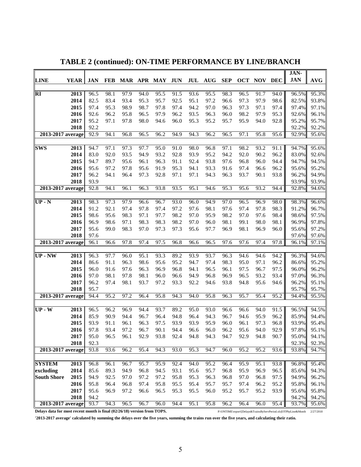|                                                                          |               |              |            |         |              |              |            |      |            |            |            |            |            | JAN-                                                            |                |
|--------------------------------------------------------------------------|---------------|--------------|------------|---------|--------------|--------------|------------|------|------------|------------|------------|------------|------------|-----------------------------------------------------------------|----------------|
| <b>LINE</b>                                                              | <b>YEAR</b>   | <b>JAN</b>   | <b>FEB</b> | MAR APR |              | MAY          | <b>JUN</b> | JUL  | <b>AUG</b> | <b>SEP</b> | <b>OCT</b> | <b>NOV</b> | <b>DEC</b> | <b>JAN</b>                                                      | <b>AVG</b>     |
|                                                                          |               |              |            |         |              |              |            |      |            |            |            |            |            |                                                                 |                |
| <b>RI</b>                                                                | 2013          | 96.5         | 98.1       | 97.9    | 94.0         | 95.5         | 91.5       | 93.6 | 95.5       | 98.3       | 96.5       | 91.7       | 94.0       | 96.5%                                                           | 95.3%          |
|                                                                          | 2014          | 82.5         | 83.4       | 93.4    | 95.3         | 95.7         | 92.5       | 95.1 | 97.2       | 96.6       | 97.3       | 97.9       | 98.6       | 82.5%                                                           | 93.8%          |
|                                                                          | 2015          | 97.4         | 95.3       | 98.9    | 98.7         | 97.8         | 97.4       | 94.2 | 97.0       | 96.3       | 97.3       | 97.1       | 97.4       | 97.4%                                                           | 97.1%          |
|                                                                          | 2016          | 92.6         | 96.2       | 95.8    | 96.5         | 97.9         | 96.2       | 93.5 | 96.3       | 96.0       | 98.2       | 97.9       | 95.3       | 92.6%                                                           | 96.1%          |
|                                                                          | 2017          | 95.2         | 97.1       | 97.8    | 98.0         | 94.6         | 96.0       | 95.3 | 95.2       | 95.7       | 95.9       | 94.0       | 92.8       | 95.2%                                                           | 95.7%          |
|                                                                          | 2018          | 92.2         |            |         |              |              |            |      |            |            |            |            |            | 92.2%                                                           | 92.2%          |
| 2013-2017 average                                                        |               | 92.9         | 94.1       | 96.8    | 96.5         | 96.2         | 94.9       | 94.3 | 96.2       | 96.5       | 97.1       | 95.8       | 95.6       | 92.9%                                                           | 95.6%          |
|                                                                          |               |              |            |         |              |              |            |      |            |            |            |            |            |                                                                 |                |
| <b>SWS</b>                                                               | 2013          | 94.7         | 97.1       | 97.3    | 97.7         | 95.0         | 91.0       | 98.0 | 96.8       | 97.1       | 98.2       | 93.2       | 91.1       | 94.7%                                                           | 95.6%          |
|                                                                          | 2014          | 83.0         | 92.0       | 93.5    | 94.9         | 93.2         | 92.8       | 93.9 | 95.2       | 94.2       | 92.0       | 90.2       | 96.2       | 83.0%                                                           | 92.6%          |
|                                                                          | 2015          | 94.7         | 89.7       | 95.6    | 96.1         | 96.3         | 91.1       | 92.4 | 93.8       | 97.6       | 96.8       | 96.0       | 94.4       | 94.7%                                                           | 94.5%          |
|                                                                          | 2016          | 95.6         | 97.2       | 97.8    | 95.6         | 91.9         | 95.3       | 94.1 | 93.3       | 91.6       | 97.4       | 96.6       | 96.2       | 95.6%                                                           | 95.2%          |
|                                                                          | 2017          | 96.2         | 94.1       | 96.4    | 97.3         | 92.8         | 97.1       | 97.1 | 94.3       | 96.3       | 93.7       | 90.1       | 93.8       | 96.2%                                                           | 94.9%          |
|                                                                          | 2018          | 93.9         |            |         |              |              |            |      |            |            |            |            |            | 93.9%                                                           | 93.9%          |
| $2013 - 2017$ average                                                    |               | 92.8         | 94.1       | 96.1    | 96.3         | 93.8         | 93.5       | 95.1 | 94.6       | 95.3       | 95.6       | 93.2       | 94.4       | 92.8%                                                           | 94.6%          |
|                                                                          |               |              |            |         |              |              |            |      |            |            |            |            |            |                                                                 |                |
| $UP - N$                                                                 | 2013          | 98.3         | 97.3       | 97.9    | 96.6         | 96.7         | 93.0       | 96.0 | 94.9       | 97.0       | 96.5       | 96.9       | 98.0       | 98.3%                                                           | 96.6%          |
|                                                                          | 2014          | 91.2         | 92.1       | 97.4    | 97.8         | 97.4         | 97.2       | 97.6 | 98.1       | 97.6       | 97.4       | 97.8       | 98.3       | 91.2%                                                           | 96.7%          |
|                                                                          | 2015          | 98.6         | 95.6       | 98.3    | 97.1<br>98.3 | 97.7<br>98.3 | 98.2       | 97.0 | 95.9       | 98.2       | 97.0       | 97.6       | 98.4       | 98.6%                                                           | 97.5%          |
|                                                                          | 2016          | 96.9         | 98.6       | 97.1    |              |              | 98.2       | 97.0 | 96.0       | 98.1       | 99.1       | 98.0       | 98.1       | 96.9%                                                           | 97.8%          |
|                                                                          | 2017          | 95.6         | 99.0       | 98.3    | 97.0         | 97.3         | 97.3       | 95.6 | 97.7       | 96.9       | 98.1       | 96.9       | 96.0       | 95.6%<br>97.6%                                                  | 97.2%          |
| 2013-2017 average                                                        | 2018          | 97.6<br>96.1 | 96.6       | 97.8    | 97.4         | 97.5         | 96.8       | 96.6 | 96.5       | 97.6       | 97.6       | 97.4       | 97.8       | 96.1%                                                           | 97.6%<br>97.1% |
|                                                                          |               |              |            |         |              |              |            |      |            |            |            |            |            |                                                                 |                |
| $UP$ - $NW$                                                              | $\sqrt{2013}$ | 96.3         | 97.7       | 96.0    | 95.1         | 93.3         | 89.2       | 93.9 | 93.7       | 96.3       | 94.6       | 94.6       | 94.2       | 96.3%                                                           | 94.6%          |
|                                                                          | 2014          | 86.6         | 91.1       | 96.3    | 98.6         | 95.6         | 95.2       | 94.7 | 97.4       | 98.3       | 95.0       | 97.1       | 96.2       | 86.6%                                                           | 95.2%          |
|                                                                          | 2015          | 96.0         | 91.6       | 97.6    | 96.3         | 96.9         | 96.8       | 94.1 | 96.5       | 96.1       | 97.5       | 96.7       | 97.5       | 96.0%                                                           | 96.2%          |
|                                                                          | 2016          | 97.0         | 98.1       | 97.8    | 98.1         | 96.0         | 96.6       | 94.9 | 96.8       | 96.9       | 96.5       | 93.2       | 93.4       | 97.0%                                                           | 96.3%          |
|                                                                          | 2017          | 96.2         | 97.4       | 98.1    | 93.7         | 97.2         | 93.3       | 92.2 | 94.6       | 93.8       | 94.8       | 95.6       | 94.6       | 96.2%                                                           | 95.1%          |
|                                                                          | 2018          | 95.7         |            |         |              |              |            |      |            |            |            |            |            | 95.7%                                                           | 95.7%          |
| 2013-2017 average                                                        |               | 94.4         | 95.2       | 97.2    | 96.4         | 95.8         | 94.3       | 94.0 | 95.8       | 96.3       | 95.7       | 95.4       | 95.2       | 94.4%                                                           | 95.5%          |
|                                                                          |               |              |            |         |              |              |            |      |            |            |            |            |            |                                                                 |                |
| $UP-W$                                                                   | 2013          | 96.5         | 96.2       | 96.9    | 94.4         | 93.7         | 89.2       | 95.0 | 93.0       | 96.6       | 96.6       | 94.0       | 91.5       | 96.5%                                                           | 94.5%          |
|                                                                          | 2014          | 85.9         | 90.9       | 94.4    | 96.7         | 96.4         | 94.8       | 96.4 | 94.3       | 96.7       | 94.6       | 95.9       | 96.2       | 85.9%                                                           | 94.4%          |
|                                                                          | 2015          | 93.9         | 91.1       | 96.1    | 96.3         | 97.5         | 93.9       | 93.9 | 95.9       | 96.0       | 96.1       | 97.3       | 96.8       | 93.9%                                                           | 95.4%          |
|                                                                          | 2016          | 97.8         | 93.4       | 97.2    | 96.7         | 90.1         | 94.4       | 96.6 | 96.0       | 96.2       | 95.6       | 94.0       | 92.9       | 97.8%                                                           | 95.1%          |
|                                                                          | 2017          | 95.0         | 96.5       | 96.1    | 92.9         | 93.8         | 92.4       | 94.8 | 94.3       | 94.7       | 92.9       | 94.8       | 90.7       | 95.0%                                                           | 94.1%          |
|                                                                          | 2018          | 92.3         |            |         |              |              |            |      |            |            |            |            |            | 92.3%                                                           | 92.3%          |
| 2013-2017 average                                                        |               | 93.8         | 93.6       | 96.2    | 95.4         | 94.3         | 93.0       | 95.3 | 94.7       | 96.0       | 95.2       | 95.2       | 93.6       | 93.8%                                                           | 94.7%          |
|                                                                          |               |              |            |         |              |              |            |      |            |            |            |            |            |                                                                 |                |
| <b>SYSTEM</b>                                                            | 2013          | 96.8         | 96.1       | 96.7    | 95.7         | 95.9         | 92.4       | 94.0 | 95.2       | 96.4       | 95.9       | 95.1       | 93.8       | 96.8%                                                           | 95.4%          |
| excluding                                                                | 2014          | 85.6         | 89.3       | 94.9    | 96.8         | 94.5         | 93.1       | 95.6 | 95.7       | 96.8       | 95.9       | 96.9       | 96.5       | 85.6%                                                           | 94.3%          |
| <b>South Shore</b>                                                       | 2015          | 94.9         | 92.5       | 97.0    | 97.2         | 97.2         | 95.8       | 95.3 | 96.3       | 96.8       | 97.0       | 96.8       | 97.5       | 94.9%                                                           | 96.2%          |
|                                                                          | 2016          | 95.8         | 96.4       | 96.8    | 97.4         | 95.8         | 95.5       | 95.4 | 95.7       | 95.7       | 97.4       | 96.2       | 95.2       | 95.8%                                                           | 96.1%          |
|                                                                          | 2017          | 95.6         | 96.9       | 97.2    | 96.6         | 96.5         | 95.3       | 95.5 | 96.0       | 95.2       | 95.7       | 95.2       | 93.9       | 95.6%                                                           | 95.8%          |
|                                                                          | 2018          | 94.2         |            |         |              |              |            |      |            |            |            |            |            | 94.2%                                                           | 94.2%          |
| 2013-2017 average                                                        |               | 93.7         | 94.3       | 96.5    | 96.7         | 96.0         | 94.4       | 95.1 | 95.8       | 96.2       | 96.4       | 96.0       | 95.4       | 93.7%                                                           | 95.6%          |
| Delays data for most recent month is final (02/26/18) version from TOPS. |               |              |            |         |              |              |            |      |            |            |            |            |            | P:\ONTIME\report\[Delays&TrainsByServPeriod.xls]OTPbyLine&Month | 2/27/2018      |

**TABLE 2 (continued): ON-TIME PERFORMANCE BY LINE/BRANCH**

**'2013-2017 average' calculated by summing the delays over the five years, summing the trains run over the five years, and calculating their ratio.**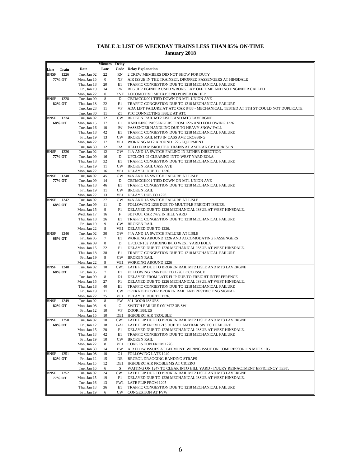|                     |                            | <b>Minutes</b>   | <b>Delay</b>         |                                                                                                         |
|---------------------|----------------------------|------------------|----------------------|---------------------------------------------------------------------------------------------------------|
| Train<br>Line       | Date                       | Late             |                      | <b>Code</b> Delay Explanation                                                                           |
| BNSF<br>1226        | Tue, Jan 02                | 22               | RN                   | 2 CREW MEMBERS DID NOT SHOW FOR DUTY                                                                    |
| 77% OT              | Mon, Jan 15                | $\boldsymbol{0}$ | XF                   | AIR ISSUE IN THE TRAINSET. DROPPED PASSENGERS AT HINSDALE                                               |
|                     | Thu, Jan 18                | 20               | E1<br>RN             | TRAFFIC CONGESTION DUE TO 1218 MECHANICAL FAILURE                                                       |
|                     | Fri, Jan 19<br>Mon, Jan 22 | 14<br>0          |                      | REGULR EGINEER USED WRONG LAY OFF TIME AND NO ENGINEER CALLED<br>XVE LOCOMOTIVE METX193 NO POWER OR HEP |
| 1228<br><b>BNSF</b> | Tue, Jan 09                | $\,$ 8 $\,$      | D                    | CBTMCGK001 TIED DOWN ON MT1 UNION AVE                                                                   |
| 82% OT              | Thu, Jan 18                | 22               | E1                   | TRAFFIC CONGESTION DUE TO 1218 MECHANICAL FAILURE                                                       |
|                     | Tue, Jan 23                | 11               | VF                   | ADA LIFT FAILURE AT ATC CAR 8438 - MECHANICAL; TESTED AT 1TH ST COULD NOT DUPLICATE                     |
|                     | Tue, Jan 30                | 11               | ZT                   | PTC CONNECTING ISSUE AT ATC                                                                             |
| 1234<br>BNSF        | Tue, Jan 02                | 12               | CW                   | BROKEN RAIL MT2 LISLE AND MT3 LAVERGNE                                                                  |
| 68% OT              | Mon, Jan 15                | 17               | F1                   | HANDLING PASSENGERS FROM 1226 AND FOLLOWING 1226                                                        |
|                     | Tue, Jan 16<br>Thu, Jan 18 | 10<br>42         | IW<br>E1             | PASSENGER HANDLING DUE TO HEAVY SNOW FALL<br>TRAFFIC CONGESTION DUE TO 1218 MECHANICAL FAILURE          |
|                     | Fri, Jan 19                | 13               | $_{\text{CW}}$       | BROKEN RAIL MT3 IN CASS AVE CROSSING                                                                    |
|                     | Mon, Jan 22                | 17               | VE1                  | WORKING MT2 AROUND 1226 EQUIPMENT                                                                       |
|                     | Tue, Jan 30                | 12               | RA                   | HELD FOR MISROUTED TRAINS AT AMTRAK CP HARRISON                                                         |
| <b>BNSF</b><br>1236 | Tue, Jan 02                | 12               | GW                   | #4A AND 1A SWITCH FAILING IN EITHER DIRECTION                                                           |
| 77% OT              | Tue, Jan 09                | 16               | D                    | UFCLCN1 02 CLEARING INTO WEST YARD EOLA                                                                 |
|                     | Thu, Jan 18                | 32               | E1                   | TRAFFIC CONGESTION DUE TO 1218 MECHANICAL FAILURE                                                       |
|                     | Fri, Jan 19                | 11               | CW.                  | <b>BROKEN RAIL CASS AVE</b>                                                                             |
| 1240<br>BNSF        | Mon, Jan 22<br>Tue, Jan 02 | 16<br>45         | VE1<br>GW            | DELAYED DUE TO 1226.<br>#4A AND 1A SWITCH FAILURE AT LISLE                                              |
| 77% OT              | Tue, Jan 09                | 14               | D                    | CBTMCGK001 TIED DOWN ON MT1 UNION AVE                                                                   |
|                     | Thu, Jan 18                | 46               | E1                   | TRAFFIC CONGESTION DUE TO 1218 MECHANICAL FAILURE                                                       |
|                     | Fri, Jan 19                | 11               | CW                   | <b>BROKEN RAIL</b>                                                                                      |
|                     | Mon, Jan 22                | 13               | VE1                  | DELAYE DUE TO 1226.                                                                                     |
| 1242<br><b>BNSF</b> | Tue, Jan 02                | 27               | GW                   | #4A AND 1A SWITCH FAILURE AT LISLE                                                                      |
| 68% OT              | Tue, Jan 09                | 11               | D                    | FOLLOWING 1236 DUE TO MULTIPLE FREIGHT ISSUES.                                                          |
|                     | Mon, Jan 15                | 9                | F1                   | DELAYED DUE TO 1226 MECHANICAL ISSUE AT WEST HINSDALE.                                                  |
|                     | Wed, Jan 17<br>Thu, Jan 18 | 16<br>26         | F<br>E1              | SET OUT CAR 7472 IN HILL YARD<br>TRAFFIC CONGESTION DUE TO 1218 MECHANICAL FAILURE                      |
|                     | Fri, Jan 19                | 9                | $_{\text{CW}}$       | <b>BROKEN RAIL</b>                                                                                      |
|                     | Mon, Jan 22                | 8                | VE1                  | DELAYED DUE TO 1226.                                                                                    |
| <b>BNSF</b><br>1246 | Tue, Jan 02                | 30               | GW                   | #4A AND 1A SWITCH FAILURE AT LISLE                                                                      |
| 68% OT              | Fri, Jan 05                | 7                | E1                   | WORKING AROUND 1226 AND ACCOMODATING PASSENGERS                                                         |
|                     | Tue, Jan 09                | 8                | D                    | UFCLCN102 YARDING INTO WEST YARD EOLA                                                                   |
|                     | Mon, Jan 15                | 22               | F1                   | DELAYED DUE TO 1226 MECHANICAL ISSUE AT WEST HINSDALE.                                                  |
|                     | Thu, Jan 18                | 38<br>9          | E1<br>$_{\text{CW}}$ | TRAFFIC CONGESTION DUE TO 1218 MECHANICAL FAILURE                                                       |
|                     | Fri, Jan 19<br>Mon, Jan 22 | 9                | VE1                  | <b>BROKEN RAIL</b><br><b>WORKING AROUND 1226</b>                                                        |
| 1248<br><b>BNSF</b> | Tue, Jan 02                | 10               | CW1                  | LATE FLIP DUE TO BROKEN RAIL MT2 LISLE AND MT3 LAVERGNE                                                 |
| 68% OT              | Fri, Jan 05                | 7                | E1                   | FOLLOWING 1246 DUE TO 1226 LOCO ISSUE                                                                   |
|                     | Tue, Jan 09                | 8                | D1                   | DELAYED FROM LATE FLIP DUE TO FREIGHT INTERFERENCE                                                      |
|                     | Mon, Jan 15                | 27               | F1                   | DELAYED DUE TO 1226 MECHANICAL ISSUE AT WEST HINSDALE.                                                  |
|                     | Thu, Jan 18                | 40               | E1                   | TRAFFIC CONGESTION DUE TO 1218 MECHANICAL FAILURE                                                       |
|                     | Fri, Jan 19                | 11               | CW                   | OPERATED OVER BROKEN RAIL AND RESTRICTING SIGNAL                                                        |
| 1249<br>BNSF        | Mon, Jan 22<br>Tue, Jan 02 | 25<br>8          | VE1<br><b>FW</b>     | DELAYED DUE TO 1226.<br>801 DOOR ISSUES                                                                 |
| 82% OT              | Mon, Jan 08                | 9                | G                    | SWITCH FAILURE ON MT2 3B SW                                                                             |
|                     | Fri, Jan 12                | 10               | VF                   | <b>DOOR ISSUES</b>                                                                                      |
|                     | Mon, Jan 15                | 10               | DE1                  | HGFDBRC AIR TROUBLE                                                                                     |
| <b>BNSF</b> 1250    | Tue, Jan 02                | 10               |                      | CW1 LATE FLIP DUE TO BROKEN RAIL MT2 LISLE AND MT3 LAVERGNE                                             |
| 68% OT              | Fri, Jan 12                | 18               |                      | GA1 LATE FLIP FROM 1213 DUE TO AMTRAK SWITCH FAILURE                                                    |
|                     | Mon, Jan 15                | 20               | F1                   | DELAYED DUE TO 1226 MECHANICAL ISSUE AT WEST HINSDALE.                                                  |
|                     | Thu, Jan 18<br>Fri, Jan 19 | 42<br>10         | E1<br>CW.            | TRAFFIC CONGESTION DUE TO 1218 MECHANICAL FAILURE                                                       |
|                     | Mon, Jan 22                | 8                | VE1                  | <b>BROKEN RAIL</b><br><b>CONGESTION FROM 1226</b>                                                       |
|                     | Tue, Jan 30                | 14               | EW                   | AIR FLOW ISSUES AT BELMONT. WIRING ISSUE ON COMPRESSOR ON METX 105                                      |
| BNSF 1251           | Mon, Jan 08                | 10               | G1                   | FOLLOWING LATE 1249                                                                                     |
| 82% OT              | Fri, Jan 12                | 15               | DE                   | BRCEOL DRAGGING BANDING STRAPS                                                                          |
|                     | Mon, Jan 15                | 12               | DE1                  | HGFDBRC AIR PROBLEMS AT CICERO                                                                          |
|                     | Tue, Jan 16                | 6                | S                    | WAITING ON 1247 TO CLEAR INTO HILL YARD - INJURY REINACTMENT EFFICIENCY TEST.                           |
| 1252<br>BNSF        | Tue, Jan 02                | 24               | CW1                  | LATE FLIP DUE TO BROKEN RAIL MT2 LISLE AND MT3 LAVERGNE                                                 |
| 77% OT              | Mon, Jan 15<br>Tue, Jan 16 | 19<br>13         | F1                   | DELAYED DUE TO 1226 MECHANICAL ISSUE AT WEST HINSDALE.<br>FW1 LATE FLIP FROM 1205                       |
|                     | Thu, Jan 18                | 36               | E1                   | TRAFFIC CONGESTION DUE TO 1218 MECHANICAL FAILURE                                                       |
|                     | Fri, Jan 19                | 6                | CW                   | <b>CONGESTION AT FVW</b>                                                                                |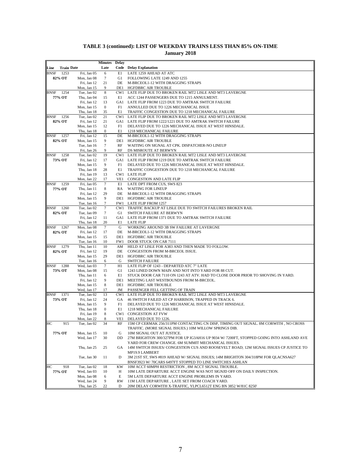| Late<br><b>Code</b> Delay Explanation<br><b>Train Date</b><br>Line<br>BNSF<br>1253<br>Fri, Jan 05<br>E1<br>LATE 1259 AHEAD AT ATC<br>6<br>$\tau$<br>82% OT<br>FOLLOWING LATE 1249 AND 1255<br>Mon, Jan 08<br>G1<br>21<br>Fri, Jan 12<br>DE<br>M-BRCEOL1-12 WITH DRAGGING STRAPS<br>9<br>Mon, Jan 15<br>DE1<br>HGFDBRC AIR TROUBLE<br>8<br><b>BNSF</b><br>1254<br>Tue, Jan 02<br>CW1 LATE FLIP DUE TO BROKEN RAIL MT2 LISLE AND MT3 LAVERGNE<br>77% OT<br>Thu, Jan 04<br>ACC 1244 PASSENGERS DUE TO 1215 ANNULMENT.<br>15<br>E1<br>Fri, Jan 12<br>13<br>GA1 LATE FLIP FROM 1223 DUE TO AMTRAK SWITCH FAILURE<br>$\boldsymbol{0}$<br>ANNULLED DUE TO 1226 MECHANICAL ISSUE<br>Mon, Jan 15<br>F1 |  |
|-----------------------------------------------------------------------------------------------------------------------------------------------------------------------------------------------------------------------------------------------------------------------------------------------------------------------------------------------------------------------------------------------------------------------------------------------------------------------------------------------------------------------------------------------------------------------------------------------------------------------------------------------------------------------------------------------|--|
|                                                                                                                                                                                                                                                                                                                                                                                                                                                                                                                                                                                                                                                                                               |  |
|                                                                                                                                                                                                                                                                                                                                                                                                                                                                                                                                                                                                                                                                                               |  |
|                                                                                                                                                                                                                                                                                                                                                                                                                                                                                                                                                                                                                                                                                               |  |
|                                                                                                                                                                                                                                                                                                                                                                                                                                                                                                                                                                                                                                                                                               |  |
|                                                                                                                                                                                                                                                                                                                                                                                                                                                                                                                                                                                                                                                                                               |  |
|                                                                                                                                                                                                                                                                                                                                                                                                                                                                                                                                                                                                                                                                                               |  |
|                                                                                                                                                                                                                                                                                                                                                                                                                                                                                                                                                                                                                                                                                               |  |
|                                                                                                                                                                                                                                                                                                                                                                                                                                                                                                                                                                                                                                                                                               |  |
| Thu, Jan 18<br>35<br>E1<br>TRAFFIC CONGESTION DUE TO 1218 MECHANICAL FAILURE                                                                                                                                                                                                                                                                                                                                                                                                                                                                                                                                                                                                                  |  |
| 21<br>BNSF<br>1256<br>Tue, Jan 02<br>CW1<br>LATE FLIP DUE TO BROKEN RAIL MT2 LISLE AND MT3 LAVERGNE<br>GA1                                                                                                                                                                                                                                                                                                                                                                                                                                                                                                                                                                                    |  |
| 82% OT<br>Fri, Jan 12<br>21<br>LATE FLIP FROM 1222/1221 DUE TO AMTRAK SWITCH FAILURE<br>12<br>F1<br>DELAYED DUE TO 1226 MECHANICAL ISSUE AT WEST HINSDALE.<br>Mon, Jan 15                                                                                                                                                                                                                                                                                                                                                                                                                                                                                                                     |  |
| $\boldsymbol{0}$<br>Thu, Jan 18<br>E1<br>1218 MECHANICAL FAILURE                                                                                                                                                                                                                                                                                                                                                                                                                                                                                                                                                                                                                              |  |
| BNSF<br>1257<br>Fri, Jan 12<br>15<br>DE<br>M-BRCEOL1-12 WITH DRAGGING STRAPS                                                                                                                                                                                                                                                                                                                                                                                                                                                                                                                                                                                                                  |  |
| 82% OT<br>Mon, Jan 15<br>9<br>DE1<br><b>HGFDBRC AIR TROUBLE</b>                                                                                                                                                                                                                                                                                                                                                                                                                                                                                                                                                                                                                               |  |
| 7<br>Tue, Jan 16<br>RF<br>WAITING ON SIGNAL AT CPK. DISPATCHER-NO LINEUP                                                                                                                                                                                                                                                                                                                                                                                                                                                                                                                                                                                                                      |  |
| 9<br>Fri, Jan 26<br>RF<br>DS MISROUTE AT BERWYN                                                                                                                                                                                                                                                                                                                                                                                                                                                                                                                                                                                                                                               |  |
| 1258<br>Tue, Jan 02<br>19<br>BNSF<br>CW1<br>LATE FLIP DUE TO BROKEN RAIL MT2 LISLE AND MT3 LAVERGNE                                                                                                                                                                                                                                                                                                                                                                                                                                                                                                                                                                                           |  |
| 73% OT<br>17<br>GA1 LATE FLIP FROM 1219 DUE TO AMTRAK SWITCH FAILURE<br>Fri, Jan 12                                                                                                                                                                                                                                                                                                                                                                                                                                                                                                                                                                                                           |  |
| 9<br>Mon, Jan 15<br>F1<br>DELAYED DUE TO 1226 MECHANICAL ISSUE AT WEST HINSDALE.                                                                                                                                                                                                                                                                                                                                                                                                                                                                                                                                                                                                              |  |
| Thu, Jan 18<br>28<br>E1<br>TRAFFIC CONGESTION DUE TO 1218 MECHANICAL FAILURE<br>CW1 LATE FLIP<br>Fri, Jan 19<br>13                                                                                                                                                                                                                                                                                                                                                                                                                                                                                                                                                                            |  |
| Mon, Jan 22<br>17<br>VE1<br>CONGESTION AND LATE FLIP                                                                                                                                                                                                                                                                                                                                                                                                                                                                                                                                                                                                                                          |  |
| $7\phantom{.0}$<br><b>BNSF</b><br>1259<br>Fri, Jan 05<br>E1<br>LATE DPT FROM CUS, SWS 823                                                                                                                                                                                                                                                                                                                                                                                                                                                                                                                                                                                                     |  |
| 77% OT<br>Thu, Jan 11<br>8<br>RA<br><b>WAITING FOR LINEUP</b>                                                                                                                                                                                                                                                                                                                                                                                                                                                                                                                                                                                                                                 |  |
| 29<br>Fri, Jan 12<br>DE<br>M-BRCEOL1-12 WITH DRAGGING STRAPS                                                                                                                                                                                                                                                                                                                                                                                                                                                                                                                                                                                                                                  |  |
| 9<br>Mon, Jan 15<br>DE1 HGFDBRC AIR TROUBLE                                                                                                                                                                                                                                                                                                                                                                                                                                                                                                                                                                                                                                                   |  |
| 7<br>Tue, Jan 16<br>FW1 LATE FLIP FROM 1257                                                                                                                                                                                                                                                                                                                                                                                                                                                                                                                                                                                                                                                   |  |
| 1260<br>7<br>TRAFFIC BACKUP AT LISLE DUE TO SWITCH FAILURES BROKEN RAIL<br>BNSF<br>Tue, Jan 02<br>CW1                                                                                                                                                                                                                                                                                                                                                                                                                                                                                                                                                                                         |  |
| 82% OT<br>Tue, Jan 09<br>7<br>G1<br>SWITCH FAILURE AT BERWYN                                                                                                                                                                                                                                                                                                                                                                                                                                                                                                                                                                                                                                  |  |
| 11<br>GA1 LATE FLIP FROM 1371 DUE TO AMTRAK SWITCH FAILURE<br>Fri, Jan 12<br>Thu, Jan 18<br>20<br>E1<br>LATE FLIP                                                                                                                                                                                                                                                                                                                                                                                                                                                                                                                                                                             |  |
| $\tau$<br><b>BNSF</b><br>1267<br>Mon, Jan 08<br>G<br>WORKING AROUND 3B SW FAILURE AT LAVERGNE                                                                                                                                                                                                                                                                                                                                                                                                                                                                                                                                                                                                 |  |
| 82% OT<br>Fri, Jan 12<br>17<br>DE<br>M-BRCEOL1-12 WITH DRAGGING STRAPS                                                                                                                                                                                                                                                                                                                                                                                                                                                                                                                                                                                                                        |  |
| 15<br><b>HGFDBRC AIR TROUBLE</b><br>Mon, Jan 15<br>DE1                                                                                                                                                                                                                                                                                                                                                                                                                                                                                                                                                                                                                                        |  |
| 10<br>FW1<br>DOOR STUCK ON CAR 7111<br>Tue, Jan 16                                                                                                                                                                                                                                                                                                                                                                                                                                                                                                                                                                                                                                            |  |
| 1279<br>Thu, Jan 11<br>HELD AT LISLE FOR A383 AND THEN MADE TO FOLLOW.<br>BNSF<br>10<br>AM                                                                                                                                                                                                                                                                                                                                                                                                                                                                                                                                                                                                    |  |
| 82% OT<br>Fri, Jan 12<br>19<br>DE<br>CONGESTION FROM M-BRCEOL ISSUE.                                                                                                                                                                                                                                                                                                                                                                                                                                                                                                                                                                                                                          |  |
| 29<br>DE1 HGFDBRC AIR TROUBLE<br>Mon, Jan 15                                                                                                                                                                                                                                                                                                                                                                                                                                                                                                                                                                                                                                                  |  |
| Tue, Jan 16<br>G<br><b>SWITCH FAILURE</b><br>6<br>$7\phantom{.0}$<br><b>BNSF</b><br>1288<br>H1<br>Wed, Jan 03<br>LATE FLIP OF 1243 - DEPARTED ATC 7" LATE                                                                                                                                                                                                                                                                                                                                                                                                                                                                                                                                     |  |
| G1<br>1243 LINED DOWN MAIN AND NOT INTO YARD FOR 88 CUT.<br>73% OT<br>Mon, Jan 08<br>15                                                                                                                                                                                                                                                                                                                                                                                                                                                                                                                                                                                                       |  |
| E1<br>Thu, Jan 11<br>6<br>STUCK DOOR CAR 7110 ON 1243 AT ATV. HAD TO CLOSE DOOR PRIOR TO SHOVING IN YARD.                                                                                                                                                                                                                                                                                                                                                                                                                                                                                                                                                                                     |  |
| 9<br>Fri, Jan 12<br>DE1<br>MEETING LAST WESTBOUNDS FROM M-BRCEOL.                                                                                                                                                                                                                                                                                                                                                                                                                                                                                                                                                                                                                             |  |
| 8<br>DE1<br><b>HGFDBRC AIR TROUBLE</b><br>Mon, Jan 15                                                                                                                                                                                                                                                                                                                                                                                                                                                                                                                                                                                                                                         |  |
| Wed, Jan 17<br>17<br>JM<br>PASSENGER FELL GETTING OF TRAIN                                                                                                                                                                                                                                                                                                                                                                                                                                                                                                                                                                                                                                    |  |
| 1371<br><b>BNSF</b><br>Tue, Jan 02<br>LATE FLIP DUE TO BROKEN RAIL MT2 LISLE AND MT3 LAVERGNE<br>13<br>CW1                                                                                                                                                                                                                                                                                                                                                                                                                                                                                                                                                                                    |  |
| 73% OT<br>Fri, Jan 12<br>24<br>GА<br>46 SWITCH FAILED AT CP HARRISON, TRAPPED IN TRACK 6.                                                                                                                                                                                                                                                                                                                                                                                                                                                                                                                                                                                                     |  |
| 9<br>Mon, Jan 15<br>F1<br>DELAYED DUE TO 1226 MECHANICAL ISSUE AT WEST HINSDALE.<br>$\boldsymbol{0}$<br>E1                                                                                                                                                                                                                                                                                                                                                                                                                                                                                                                                                                                    |  |
| Thu, Jan 18<br>1218 MECHANICAL FAILURE<br>Fri, Jan 19<br>8<br>CW1 CONGESTION AT FVW                                                                                                                                                                                                                                                                                                                                                                                                                                                                                                                                                                                                           |  |
| 8<br>VE1<br>Mon, Jan 22<br>DELAYED DUE TO 1226.                                                                                                                                                                                                                                                                                                                                                                                                                                                                                                                                                                                                                                               |  |
| HC<br>34<br>915<br>Tue, Jan 02<br>RF<br>15M CP CERMAK 256/311PM CONTACTING CN DISP, TIMING OUT SIGNAL. 8M CORWITH , NO CROSS                                                                                                                                                                                                                                                                                                                                                                                                                                                                                                                                                                  |  |
| TRAFFIC. (MORE SIGNAL ISSUES.) 10M WILLOW SPRINGS DIB.                                                                                                                                                                                                                                                                                                                                                                                                                                                                                                                                                                                                                                        |  |
| 77% OT<br>Mon, Jan 15<br>10M SIGNAL OUT AT JUSTICE.<br>10<br>G                                                                                                                                                                                                                                                                                                                                                                                                                                                                                                                                                                                                                                |  |
| Wed, Jan 17<br>30<br>DD<br>27M BRIGHTON 300/327PM FOR UP IG3AH16 UP 9034 W/ 7200FT, STOPPED GOING INTO ASHLAND AVE                                                                                                                                                                                                                                                                                                                                                                                                                                                                                                                                                                            |  |
| YARD FOR CREW CHANGE. 6M SUMMIT MECHANICAL ISSUES.                                                                                                                                                                                                                                                                                                                                                                                                                                                                                                                                                                                                                                            |  |
| Thu, Jan 25<br>25<br>14M SWITCH ISSUES/CONGESTION CUS AND ROOSEVELT ROAD; 12M SIGNAL ISSUES CP JUSTICE TO<br>GA                                                                                                                                                                                                                                                                                                                                                                                                                                                                                                                                                                               |  |
| MP19.9 LAMBERT<br>Tue, Jan 30<br>11<br>3M 21ST ST, SWS #819 AHEAD W/ SIGNAL ISSUES; 14M BRIGHTON 304/318PM FOR QLACNSA627<br>D                                                                                                                                                                                                                                                                                                                                                                                                                                                                                                                                                                |  |
| BNSF3923 W/70CARS 6497FT STOPPED TO LINE SWITCHES ASHLAN                                                                                                                                                                                                                                                                                                                                                                                                                                                                                                                                                                                                                                      |  |
| 918<br>10M ACCT 60MPH RESTRICTION , 8M ACCT SIGNAL TROUBLE.<br>HС<br>Tue, Jan 02<br>18<br>KW                                                                                                                                                                                                                                                                                                                                                                                                                                                                                                                                                                                                  |  |
| 77% OT<br>Wed, Jan 03<br>10M LATE DEPARTURE ACCT ENGINE WAS NOT SIGNID OFF ON DAILY INSPECTION.<br>10<br>Н                                                                                                                                                                                                                                                                                                                                                                                                                                                                                                                                                                                    |  |
| Mon, Jan 08<br>6<br>E<br>5M LATE DEPARTURE ACCT ENGINE PROBLEMS IN YARD.                                                                                                                                                                                                                                                                                                                                                                                                                                                                                                                                                                                                                      |  |
| Wed, Jan 24<br>9<br><b>RW</b><br>11M LATE DEPARTURE , LATE SET FROM COACH YARD.                                                                                                                                                                                                                                                                                                                                                                                                                                                                                                                                                                                                               |  |
| 20M DELAY CORWITH X-TRAFFIC, YLPCL6512T ENG BN 3852 W/81C 8250'<br>Thu, Jan 25<br>22<br>D                                                                                                                                                                                                                                                                                                                                                                                                                                                                                                                                                                                                     |  |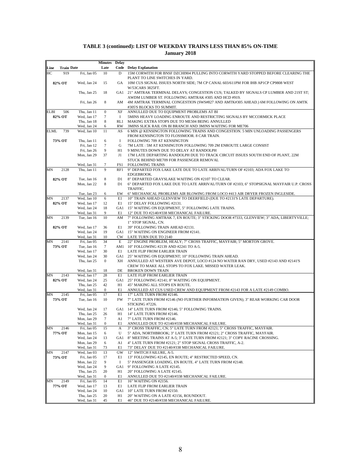|             |                   |                            | <b>Minutes</b>                | <b>Delay</b> |                                                                                                                                         |
|-------------|-------------------|----------------------------|-------------------------------|--------------|-----------------------------------------------------------------------------------------------------------------------------------------|
| Line        | <b>Train Date</b> |                            | Late                          |              | Code Delay Explanation                                                                                                                  |
| HС          | 919               | Fri, Jan 05                | 10                            | D            | 15M CORWITH FOR BNSF DZCHI904 PULLING INTO CORWITH YARD STOPPED BEFORE CLEARING THE<br>PLANT TO LINE SWITCHES IN YARD.                  |
|             | 82% OT            | Wed, Jan 24                | 15                            | GA           | 10M CUS SIGNAL ISSUES NORTH SIDE; 7M CP CANAL 603/611PM FOR IHB AP1CP CP9808 WEST<br>W/53CARS 3825FT.                                   |
|             |                   | Thu, Jan 25                | 18                            |              | GA1 21" AMTRAK TERMINAL DELAYS; CONGESTION CUS; TALKED BY SIGNALS CP LUMBER AND 21ST ST;                                                |
|             |                   | Fri, Jan 26                | 8                             | AM           | AWDM LUMBER ST. FOLLOWING AMTRAK #305 AND HCD #919.<br>4M AMTRAK TERMINAL CONGESTION (SWS#827 AND AMTK#305 AHEAD.) 6M FOLLOWING ON AMTK |
|             |                   |                            |                               |              | #305'S BLOCKS TO SUMMIT.                                                                                                                |
| ELBI        | 506               | Thu, Jan 11                | $\boldsymbol{0}$              | XF           | ANNULLED DUE TO EQUIPMENT PROBLEMS AT BI                                                                                                |
|             | 82% OT            | Wed, Jan 17<br>Thu, Jan 18 | $\overline{7}$<br>$\,$ 8 $\,$ | Ι.<br>RL1    | 5MINS HEAVY LOADING ENROUTE AND RESTRICTING SIGNALS BY MCCORMICK PLACE<br>MAKING EXTRA STOPS DUE TO ME504 BEING ANNULLED                |
|             |                   | Wed, Jan 24                | 6                             | <b>RW</b>    | 3MINS SLICK RAIL ON BI BRANCH AND 3MINS WAITING FOR ME706                                                                               |
| <b>ELML</b> | 739               | Wed, Jan 10                | 11                            | AS           | 6 MIN @ KENSINGTON FOLLOWING TRAINS AND CONGESTION. 5 MIN UNLOADING PASSENGERS                                                          |
|             |                   |                            |                               |              | FROM KENSINGTON TO FLOSSMOOR. 8 CAR TRAIN.                                                                                              |
|             | 73% OT            | Thu, Jan 11                | 6                             | 1            | FOLLOWING 709 AT KENSINGTON                                                                                                             |
|             |                   | Fri, Jan 12                | $\tau$<br>9                   | G<br>H1      | 7M LATE : 5M AT KENSINGTON FOLLOWING 709 2M ENROUTE LARGE CONSIST                                                                       |
|             |                   | Fri, Jan 26<br>Mon, Jan 29 | 37                            | J1           | 9 MINUTES DOWN DUE TO DELAY AT RANDOLPH<br>17M LATE DEPARTING RANDOLPH DUE TO TRACK CIRCUIT ISSUES SOUTH END OF PLANT, 22M              |
|             |                   |                            |                               |              | STUCK BEHIND ME709 FOR PASSENGER REMOVAL                                                                                                |
|             |                   | Wed, Jan 31                | 7                             | FS1          | <b>FOLLOWING TRAINS</b>                                                                                                                 |
| MΝ          | 2128              | Thu, Jan 11                | 9                             | RF1          | 9" DEPARTED FOX LAKE LATE DUE TO LATE ARRIVAL/TURN OF #2103; ADA FOX LAKE TO                                                            |
|             |                   |                            |                               |              | EDGEBROOK.                                                                                                                              |
|             | 82% OT            | Tue, Jan 16                | 8                             | D1           | 8" DEPARTED GRAYSLAKE WAITING ON #2107 TO CLEAR.                                                                                        |
|             |                   | Mon, Jan 22                | 8                             | D1           | 6" DEPARTED FOX LAKE DUE TO LATE ARRIVAL/TURN OF #2103; 6" STOPSIGNAL MAYFAIR U.P. CROSS<br>TRAFFIC.                                    |
|             |                   | Tue, Jan 23                | 6                             | EW           | 6" MECHANICAL PROBLEMS AIR BLOWING FROM LOCO #413 AIR DRYER FROZEN INGLESIDE.                                                           |
| MΝ          | 2137              | Wed, Jan 10                | 6                             | E1           | 10" TRAIN AHEAD GLENVIEW TO DEERFIELD (DUE TO #2131'S LATE DEPARTURE).                                                                  |
|             | 82% OT            | Wed, Jan 17                | 12                            | E1           | 15" DELAY FOLLOWING #2131.                                                                                                              |
|             |                   | Wed, Jan 24                | 18                            | GA1          | 15" WAITING ON EQUIPMENT, 5" FOLLOWING LATE TRAINS.                                                                                     |
|             |                   | Wed, Jan 31                | 9                             | E1           | 12" DUE TO #2140/#338 MECHANICAL FAILURE.                                                                                               |
| MΝ          | 2139              | Tue, Jan 16                | 10                            | AM           | 7" FOLLOWING AMTRAK 7, EN ROUTE; 3" STICKING DOOR #7333, GLENVIEW; 3" ADA, LIBERTYVILLE;<br>1" STOP SIGNAL, CN.                         |
|             | 82% OT            | Wed, Jan 17                | 36                            | E1           | 39" FOLLOWING TRAIN AHEAD #2131.                                                                                                        |
|             |                   | Wed, Jan 24                | 19                            |              | GA1 15" WAITING ON ENGINEER FROM #2141.                                                                                                 |
|             |                   | Wed, Jan 31                | 10                            | <b>CW</b>    | LATE TURN DUE TO 2140                                                                                                                   |
| MN          | 2141              | Fri, Jan 05                | 34                            | E            | 22" ENGINE PROBLEM, HEALY; 7" CROSS TRAFFIC, MAYFAIR; 5" MORTON GROVE.                                                                  |
|             | 73% OT            | Tue, Jan 16                | 7                             |              | AM1 10" FOLLOWING #2139 AND #2241 TO A-5.                                                                                               |
|             |                   | Wed, Jan 17<br>Wed, Jan 24 | 30<br>30                      | E1           | LATE FLIP FROM EARLIER TRAIN<br>GA1 25" WAITING ON EQUIPMENT; 10" FOLLOWING TRAIN AHEAD.                                                |
|             |                   | Thu, Jan 25                | $\mathbf{0}$                  | XН           | ANNULLED AT WESTERN AVE DEPOT, LOCO #124 NO WATER RAN DRY, USED #2143 AND #2141'S                                                       |
|             |                   |                            |                               |              | CREW TO MAKE ALL STOPS TO FOX LAKE. MISSED WATER LEAK.                                                                                  |
|             |                   | Wed, Jan 31                | 18                            | DE           | <b>BROKEN DOWN TRAIN</b>                                                                                                                |
| MN          | 2143              | Wed, Jan 17                | 28                            | E1           | LATE FLIP FROM EARLIER TRAIN                                                                                                            |
|             | 82% OT            | Wed, Jan 24                | 25                            | H1           | GA1 25" FOLLOWING #2141; 8" WAITING ON EQUIPMENT.                                                                                       |
|             |                   | Thu, Jan 25<br>Wed, Jan 31 | 42<br>$\mathbf{0}$            | E1           | 45" MAKING ALL STOPS EN ROUTE.<br>ANNULLED AT CUS USED CREW AND EQUIPMENT FROM #2143 FOR A LATE #2149 COMBO.                            |
| MN          | 2145              | Fri, Jan 05                | 17                            | E1           | 17" LATE TURN FROM #2146.                                                                                                               |
|             | 73% OT            | Tue, Jan 16                | 10                            | <b>FW</b>    | 7" LATE TURN FROM #2146 (NO FURTHER INFORMATION GIVEN); 3" REAR WORKING CAR DOOR                                                        |
|             |                   |                            |                               |              | STICKING #7226.                                                                                                                         |
|             |                   | Wed, Jan 24                | 17                            |              | GA1 14" LATE TURN FROM #2146; 5" FOLLOWING TRAINS.                                                                                      |
|             |                   | Thu, Jan 25                | 26<br>$\tau$                  | H1           | 14" LATE TURN FROM #2146.                                                                                                               |
|             |                   | Mon, Jan 29<br>Wed, Jan 31 | $\mathbf{0}$                  | A1           | 7" LATE TURN FROM #2146.<br>E1 ANNULLED DUE TO #2140/#338 MECHANICAL FAILURE.                                                           |
| MN          | 2146              | Fri, Jan 05                | 15                            | А            | 3" CROSS TRAFFIC, CN; 5" LATE TURN FROM #2121; 5" CROSS TRAFFIC, MAYFAIR.                                                               |
|             | 77% OT            | Mon, Jan 15                | 6                             | U            | 5" ADA, NORTHBROOK; 3" LATE TURN FROM #2121; 2" CROSS TRAFFIC, MAYFAIR.                                                                 |
|             |                   | Wed, Jan 24                | 13                            | GA1          | 8" MEETING TRAINS AT A-5; 3" LATE TURN FROM #2121; 3" COPY RACINE CROSSING.                                                             |
|             |                   | Mon, Jan 29                | 6                             | A1           | 4" LATE TURN FROM #2121; 2" STOP SIGNAL CROSS TRAFFIC, A-2.                                                                             |
|             |                   | Wed, Jan 31                | 73                            | E1           | 73" DELAY DUE TO #2140/#338 MECHANICAL FAILURE.<br>12" SWITCH FAILURE, A-5.                                                             |
| MΝ          | 2147<br>73% OT    | Wed, Jan 03<br>Fri, Jan 05 | 13<br>17                      | GW<br>E1     | 13" FOLLOWING #2145, EN ROUTE; 4" RESTRICTED SPEED, CN.                                                                                 |
|             |                   | Mon, Jan 22                | 9                             | Ι.           | 5" PASSENGER LOADING, EN ROUTE. 4" LATE TURN FROM #2148.                                                                                |
|             |                   | Wed, Jan 24                | 9                             | GA1          | 9" FOLLOWING A LATE #2145.                                                                                                              |
|             |                   | Thu, Jan 25                | 20                            | H1           | 20" FOLLOWING A LATE #2145.                                                                                                             |
|             |                   | Wed, Jan 31                | $\boldsymbol{0}$              | E1           | ANNULLED DUE TO #2140/#338 MECHANICAL FAILURE.                                                                                          |
| MΝ          | 2149              | Fri, Jan 05                | 14                            | E1           | 16" WAITING ON #2156.                                                                                                                   |
|             | 77% OT            | Wed, Jan 17<br>Wed, Jan 24 | 13<br>10                      | E1<br>GA1    | LATE FLIP FROM EARLIER TRAIN<br>10" LATE TURN FROM #2150.                                                                               |
|             |                   | Thu, Jan 25                | 20                            | H1           | 20" WAITING ON A LATE #2156, ROUNDOUT.                                                                                                  |
|             |                   | Wed, Jan 31                | 45                            | E1           | 46" DUE TO #2140/#338 MECHANICAL FAILURE.                                                                                               |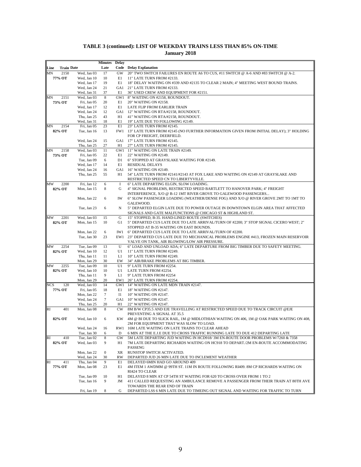|                           |                            | <b>Minutes</b>   | <b>Delay</b> |                                                                                                                         |
|---------------------------|----------------------------|------------------|--------------|-------------------------------------------------------------------------------------------------------------------------|
| <b>Train Date</b><br>Line |                            | Late             |              | <b>Code</b> Delay Explanation                                                                                           |
| 2150<br>MΝ                | Wed, Jan 03                | 17               | GW           | 20" TWO SWITCH FAILURES EN ROUTE A6 TO CUS, #11 SWITCH @ A-6 AND #83 SWITCH @ A-2.                                      |
| 77% OT                    | Wed, Jan 10                | 10               | E1           | 11" LATE TURN FROM #2133.                                                                                               |
|                           | Wed, Jan 17                | 19               | E1           | 18" DELAY WAITING ON #339 AND #2135 TO CLEAR 2 MAIN; 4" MEETING WEST BOUND TRAINS.                                      |
|                           | Wed, Jan 24                | 21               | GA1          | 21" LATE TURN FROM #2133.                                                                                               |
|                           | Wed, Jan 31                | 37               | E1           | 36" USED CREW AND EQUIPMENT FOR #2151.                                                                                  |
| 2151<br>MΝ<br>73% OT      | Wed, Jan 03<br>Fri, Jan 05 | 8<br>20          | E1           | GW1 8" WAITING ON #2158, ROUNDOUT.<br>20" WAITING ON #2158.                                                             |
|                           | Wed, Jan 17                | 12               | E1           | LATE FLIP FROM EARLIER TRAIN                                                                                            |
|                           | Wed, Jan 24                | 12               | GA1          | 12" WAITING ON RTA/#2158, ROUNDOUT.                                                                                     |
|                           | Thu, Jan 25                | 43               | H1           | 41" WAITING ON RTA/#2158, ROUNDOUT.                                                                                     |
|                           | Wed, Jan 31                | 18               | E1           | 19" LATE DUE TO FOLLOWING #2149.                                                                                        |
| 2154<br>MΝ                | Fri, Jan 05                | 23               | E1           | 23" LATE TURN FROM #2145.                                                                                               |
| 82% OT                    | Tue, Jan 16                | 13               |              | FW1 13" LATE TURN FROM #2145 (NO FURTHER INFORMATION GIVEN FROM INITIAL DELAY); 3" HOLDING                              |
|                           |                            |                  |              | FOR CP FREIGHT, DEERFIELD.                                                                                              |
|                           | Wed, Jan 24                | 15               | GA1          | 17" LATE TURN FROM #2145.                                                                                               |
|                           | Thu, Jan 25                | 27               | H1           | 27" LATE TURN FROM #2145.                                                                                               |
| 2158<br>MN<br>73% OT      | Wed, Jan 03                | 11<br>22         | E1           | GW1 11" WAITING ON LATE TRAIN #2149.                                                                                    |
|                           | Fri, Jan 05<br>Tue, Jan 09 | 6                | D1           | 22" WAITING ON #2149.<br>6" STOPPED AT GRAYSLAKE WAITING FOR #2149.                                                     |
|                           | Wed, Jan 17                | 14               | E1           | <b>RESIDUAL DELAYS</b>                                                                                                  |
|                           | Wed, Jan 24                | 16               |              | GA1 16" WAITING ON #2149.                                                                                               |
|                           | Thu, Jan 25                | 55               | H1           | 54" LATE TURN FROM #2141/#2143 AT FOX LAKE AND WAITING ON #2149 AT GRAYSLAKE AND                                        |
|                           |                            |                  |              | RESTRICTED SPEED CN TO LIBERTYVILLE.                                                                                    |
| 2200<br>MW                | Fri, Jan 12                | 6                | I            | 6" LATE DEPARTING ELGIN, SLOW LOADING.                                                                                  |
| 82% OT                    | Mon, Jan 15                | 8                | G            | 4" SIGNAL PROBLEMS, RESTRICTED SPEED BARTLETT TO HANOVER PARK; 4" FREIGHT                                               |
|                           |                            |                  |              | INTERFERENCE, X/O @ B-12 1MT RIVER GROVE TO GALEWOOD PASSENGERS                                                         |
|                           | Mon, Jan 22                | 6                | IW           | 6" SLOW PASSENGER LOADING (WEATHER/DENSE FOG) AND X/O @ RIVER GROVE 2MT TO 1MT TO                                       |
|                           |                            |                  |              | GALEWOOD.                                                                                                               |
|                           | Tue, Jan 23                | 6                | N            | 5" DEPARTED ELGIN LATE DUE TO POWER OUTAGE IN DOWNTOWN ELGIN AREA THAT AFFECTED                                         |
| МW<br>2201                | Wed, Jan 03                | 15               | G            | SIGNALS AND GATE MALFUNCTIONS @ CHICAGO ST & HIGHLAND ST.<br>15" STOPPED, B-35. HAND-LINED ROUTE (SWITCHES)             |
| 82% OT                    | Mon, Jan 15                | 10               | G1           | 5" DEPARTED CUS LATE DUE TO LATE ARRIVAL/TURN OF #2200; 3" STOP SIGNAL CICERO WEST; 2"                                  |
|                           |                            |                  |              | STOPPED AT B-35 WAITING ON EAST BOUNDS.                                                                                 |
|                           | Mon, Jan 22                | 6                | IW1          | 6" DEPARTED CUS LATE DUE TO LATE ARRIVAL/TURN OF #2200.                                                                 |
|                           | Tue, Jan 30                | 23               |              | EW1 23" DEPARTED CUS LATE DUE TO MECHANICAL PROBLEMS ENGINE #413, FROZEN MAIN RESERVOIR                                 |
|                           |                            |                  |              | VALVE ON TANK, AIR BLOWING/LOW AIR PRESSURE.                                                                            |
| 2254<br>МW                | Tue, Jan 09                | 13               | U            | 6" LOAD AND UNLOAD ADA; 6" LATE DEPARTURE FROM BIG TIMBER DUE TO SAFETY MEETING.                                        |
| 82% OT                    | Wed, Jan 10                | 12               | U1           | 11" LATE TURN FROM #2249.                                                                                               |
|                           | Thu, Jan 11                | 11               | L1           | 10" LATE TURN FROM #2249.                                                                                               |
| МW<br>2255                | Mon, Jan 29<br>Tue, Jan 09 | 30<br>10         | EW<br>U1     | 34" AIR/BRAKE PROBLEMS AT BIG TIMBER.<br>9" LATE TURN FROM #2254.                                                       |
| 82% OT                    | Wed, Jan 10                | 10               | U1           | LATE TURN FROM #2254.                                                                                                   |
|                           | Thu, Jan 11                | 9                | L1           | 9" LATE TURN FROM #2254                                                                                                 |
|                           | Mon, Jan 29                | 20               | EW1          | 26" LATE TURN FROM #2254.                                                                                               |
| NCS<br>120                | Wed, Jan 03                | 14               |              | GW1 14" WAITING ON LATE MDN TRAIN #2147.                                                                                |
| 77% OT                    | Fri, Jan 05                | 18               | E1           | 18" WAITING ON #2147.                                                                                                   |
|                           | Mon, Jan 22                | 7                | $_{\rm II}$  | 10" WAITING ON #2147.                                                                                                   |
|                           | Wed, Jan 24                | $\tau$           |              | GA1 10" WAITING ON #2147.                                                                                               |
|                           | Thu, Jan 25                | 20               | H1           | 22" WAITING ON #2147.                                                                                                   |
| <b>RI</b><br>401          | Mon, Jan 08                | 8                | CW           | 8M B/W CP35.5 AND EJE TRAVELLING AT RESTRICTED SPEED DUE TO TRACK CIRCUIT @EJE                                          |
|                           |                            |                  |              | PREVENTING A SIGNAL AT 35.5<br>4M @ BI DUE TO SLICK RAIL, 1M @ MIDLOTHIAN WAITING ON 406, 1M @ OAK PARK WAITING ON 408, |
| 82% OT                    | Wed, Jan 10                | 6                | KW           | 2M FOR EQUIPMENT THAT WAS SLOW TO LOAD.                                                                                 |
|                           | Wed, Jan 24                | 16               |              | RW1 16M LATE WAITING ON LATE TRAINS TO CLEAR AHEAD                                                                      |
|                           | Tue, Jan 30                | 6                | D            | 6 MIN AT THE E.J.E DUE TO CROSS TRAFFIC RUNNING LATE TO DUE 412 DEPARTING LATE                                          |
| <b>RI</b><br>410          | Tue, Jan 02                | 8                | GW           | 5M LATE DEPARTING JUD WAITING IN HCD918/3M EN-ROUTE DOOR PROBLEMS W/7260 & 7358                                         |
| 82% OT                    | Wed, Jan 03                | 9                | H1           | 7M LATE DEPARTING RICHARDS WAITING ON HC918 TO DEPART./2M EN-ROUTE ACCOMMODATING                                        |
|                           |                            |                  |              | <b>PASSENG</b>                                                                                                          |
|                           | Mon, Jan 22                | $\boldsymbol{0}$ | XR           | RUNSTOP SWITCH ACTIVATED.                                                                                               |
|                           | Wed, Jan 24                | 30               | RW           | DEPARTED JUD 26 MIN LATE DUE TO INCLEMENT WEATHER                                                                       |
| 411<br>RI                 | Thu, Jan 04                | 9                | E1           | DELAYED 6MIN HAD GO AROUND 409                                                                                          |
| 77% OT                    | Mon, Jan 08                | 23               | E1           | 4M ITEM 1 AWDMM @ 99TH ST. 11M IN ROUTE FOLLOWING RI409. 8M CP RICHARDS WAITING ON                                      |
|                           |                            |                  |              | RI424 TO CLEAR                                                                                                          |
|                           | Tue, Jan 09<br>Tue, Jan 16 | 10               | H1<br>JM     | DELAYED 8 MIN AT CP 54TH ST WAITING FOR 620 TO CROSS OVER FROM 1 TO 2                                                   |
|                           |                            | 9                |              | 411 CALLED REQUESTING AN AMBULANCE REMOVE A PASSENGER FROM THEIR TRAIN AT 80TH AVE<br>TOWARDS THE REAR END OF TRAIN     |
|                           | Fri, Jan 19                | 8                | G            | DEPARTED LSS 6 MIN LATE DUE TO TIMEING OUT SIGNAL AND WAITING FOR TRAFFIC TO TURN                                       |
|                           |                            |                  |              |                                                                                                                         |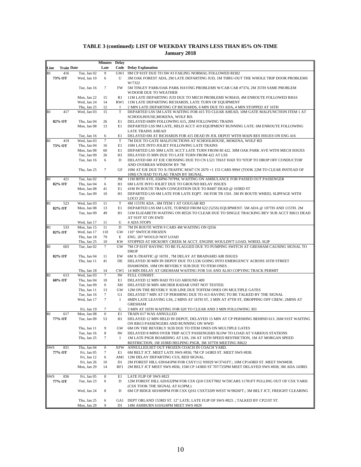|            |                   |                            | <b>Minutes</b> Delay       |                   |                                                                                                                                                 |
|------------|-------------------|----------------------------|----------------------------|-------------------|-------------------------------------------------------------------------------------------------------------------------------------------------|
| Line       | <b>Train Date</b> |                            | Late                       |                   | Code Delay Explanation                                                                                                                          |
| RI         | 416               | Tue, Jan 02                | 9                          | GW1               | 9M CP 81ST DUE TO SW #3 FAILING NORMAL FOLLOWED RI302                                                                                           |
|            | 73% OT            | Wed, Jan 10                | 6                          | U                 | 3M OAK FOREST ADA, 2M LATE DEPARTING JUD, 1M THRU-OUT THE WHOLE TRIP DOOR PROBLEMS<br>W/7322                                                    |
|            |                   | Tue, Jan 16                | 7                          | FW                | 5M TINLEY PARK/OAK PARK HAVING PROBLEMS W/CAB CAR #7374, 2M 35TH SAME PROBLEM                                                                   |
|            |                   |                            |                            |                   | <b>W/DOOR DUE TO WEATHER</b>                                                                                                                    |
|            |                   | Mon, Jan 22                | 15                         | R1                | 11M LATE DEPARTING JUD DUE TO MECH PROBLEMS W/RI410, 4M ENROUTE FOLLOWED RI616                                                                  |
|            |                   | Wed, Jan 24                | 14                         |                   | RW1 11M LATE DEPARTING RICHARDS, LATE TURN OF EQUIPMENT                                                                                         |
|            |                   | Thu, Jan 25                | 12                         | 1                 | 2 MIN LATE DEPARTING CP RICHARDS, 6 MIN DUE TO ADA, 4 MIN STOPPED AT 16TH                                                                       |
| RI         | 417               | Wed, Jan 03                | 15                         | T                 | DEPARTED LSS 5M LATE WAITING FOR 415 TO CLEAR AHEAD, 10M GATE MALFUNCTION ITEM 1 AT<br>SCHOOLHOUSE, MOKENA, WOLF RD.                            |
|            | 82% OT            | Thu, Jan 04                | 26                         | E1                | DELAYED 6MIN FOLLOWING 615, 20M FOLLOWING TRAINS                                                                                                |
|            |                   | Mon, Jan 08                | 13                         | E1                | DEPARTED LSS 9M LATE, HELD ACCT 419 EQUIPMENT RUNNING LATE. 6M ENROUTE FOLLOWING                                                                |
|            |                   |                            |                            |                   | <b>LATE TRAINS AHEAD</b>                                                                                                                        |
|            |                   | Tue, Jan 16                | 6                          | E1                | DELAYED 6M AT RICHARDS FOR 415 DEAD IN JOL DEPOT WITH MAIN RES ISSUES ON ENG 416<br>7M DUE TO GATE MALFUNCTIONS AT SCHOOLHOUSE, MOKENA, WOLF RD |
| RI         | 419<br>73% OT     | Wed, Jan 03<br>Thu, Jan 04 | 7<br>16                    | $\mathbf T$<br>E1 | 16M LATE INTO JOLIET FOLLOWING LATE TRAINS                                                                                                      |
|            |                   | Mon, Jan 08                | 60                         | E1                | DEPARTED LSS 30M LATE ACCT LATE TURN FROM RI 422. 30M OAK PARK AVE WITH MECH ISSUES                                                             |
|            |                   | Tue, Jan 09                | 26                         | H1                | DELAYED 35 MIN DUE TO LATE TURN FROM 422 AT LSS                                                                                                 |
|            |                   | Tue, Jan 16                | 6                          | D                 | DELAYED 6M AT EJE CROSSING DUE TO CN L521 THAT HAD TO 'STOP TO DROP OFF CONDUCTOR'                                                              |
|            |                   |                            |                            |                   | AND OVERRAN WINDOW BY 7M                                                                                                                        |
|            |                   | Thu, Jan 25                | $\tau$                     | GF                | 10M AT EJE DUE TO X-TRAFFIC M347 CN 2670 +1 155 CARS 9994' (TOOK 22M TO CLEAR INSTEAD OF<br>10M) CN HAD TO FLAG TRAIN BY SIGNAL.                |
| RI         | 421               | Tue, Jan 02                | $\tau$                     | JM                | 11M 80TH AVE, 656PM-707PM, WAITING ON AMBULANCE FOR PASSED OUT PASSENGER                                                                        |
|            | 82% OT            | Thu, Jan 04                | 6                          | H1                | 6M LATE INTO JOLIET DUE TO GROUND RELAY ISSUES                                                                                                  |
|            |                   | Mon, Jan 08                | 41                         | E1                | 41M IN ROUTE TRAIN CONGESTION DUE TO RI407 DEAD @ 103RD ST                                                                                      |
|            |                   | Tue, Jan 09                | 10                         | H1                | DEPARTED LSS 6M LATE FOR LATE EQPT. 1M FOR TB 1501. 3M IN ROUTE WHEEL SLIPPAGE WITH                                                             |
| RI         | 523               | Wed, Jan 03                | 11                         | $\mathbf T$       | <b>LOCO 201</b><br>4M 115TH ADA, 6M ITEM 1 AT GOUGAR RD                                                                                         |
|            | 82% OT            | Mon, Jan 08                | 13                         | E1                | DEPARTED LSS 6M LATE, TURNED FROM 622 (525S) EQUIPMENT. 5M ADA @ 107TH AND 115TH. 2M                                                            |
|            |                   | Tue, Jan 09                | 49                         | H1                | 51M ELIZABETH WAITING ON RI526 TO CLEAR DUE TO SINGLE TRACKING BEV SUB ACCT RI613 DEAD                                                          |
|            |                   |                            |                            |                   | AT 91ST ST ON EWD                                                                                                                               |
|            |                   | Wed, Jan 17                | 11                         | U                 | <b>4 ADA STOPS</b>                                                                                                                              |
| RI         | 533               | Mon, Jan 15                | 11                         | $\mathbf D$       | 7M IN ROUTE WITH 9 CARS 4M WAITING ON Q556                                                                                                      |
|            | 82% OT            | Wed, Jan 17<br>Thu, Jan 18 | 110<br>79                  | GW<br>E           | 110" SWITCH FROZEN<br>ENG. 207 WOULD NOT LOAD                                                                                                   |
|            |                   | Thu, Jan 25                | 10                         | KW                | STOPPED AT HICKORY CREEK M ACCT. ENGINE WOULDN'T LOAD, WHEEL SLIP                                                                               |
| RI         | 603               | Tue, Jan 02                | $7\phantom{.0}$            | GW                | 7M CP 81ST HAVING TO BE FLAGGED DUE TO PUMPING SWITCH AT GRESHAM CAUSING SIGNAL TO                                                              |
|            |                   |                            |                            |                   | <b>DROP</b>                                                                                                                                     |
|            | 82% OT            | Thu, Jan 04                | 11                         | EW                | 6M X-TRAFFIC @ 16TH, 7M DELAY AT BRAINARD AIR ISSUES                                                                                            |
|            |                   | Thu, Jan 11                | 41                         | DE                | DELAYED 30 MIN IN DEPOT DUE TO L536 GOING INTO EMERGENCY ACROSS 16TH STREET<br>DIAMONDS. 10M ON BEVERLY SUB DUE TO ITEM ONES.                   |
|            |                   | Thu, Jan 18                | 14                         | CW1               | 14 MIN DELAY AT GRESHAM WAITING FOR 516 AND ALSO COPYING TRACK PERMIT                                                                           |
| RI         | 613               | Wed, Jan 03                | $7\phantom{.0}$            | IW                | FULL CONSIST.                                                                                                                                   |
|            | 68% OT            | Thu, Jan 04                | 10                         | E1                | DELAYED 12 MIN HAD TO GO AROUND 409                                                                                                             |
|            |                   | Tue, Jan 09                | $\boldsymbol{0}$           | XH                | DELAYED 50 MIN ARCHER RADAR UNIT NOT TESTED.                                                                                                    |
|            |                   | Thu, Jan 11<br>Tue, Jan 16 | 13<br>$\tau$               | GW<br>G1          | 12M ON THE BEVERLY SUB LINE DUE TOITEM ONES ON MULTIPLE GATES<br>DELAYED 7 MIN AT CP PERSHING DUE TO 413 HAVING TO BE TALKED BY THE SIGNAL      |
|            |                   | Wed, Jan 17                | 7                          | 1                 | 4MIN LATE LEAVING LSS, 2 MINS AT 16TH ST, 3 MIN AT 47TH ST, DROPPING OFF CREW, 2MINS AT                                                         |
|            |                   |                            |                            |                   | <b>GRESHAM</b>                                                                                                                                  |
|            |                   | Fri, Jan 19                | 7                          | G                 | 3 MIN AT 16TH WAITING FOR 620 TO CLEAR AND 3 MIN FOLLOWING 303                                                                                  |
| RI         | 617               | Mon. Jan 08                | $\mathbf{0}$               | E1                | TRAIN 617 WAS ANNULLED                                                                                                                          |
|            | 77% OT            | Tue, Jan 09                | 53                         | H1                | DELAYED 12 MIN HELD IN DEPOT, DELAYED 15 MIN AT CP PERSHING BEHIND 613. 26M 91ST WAITING<br>ON RI613 PASSENGERS AND RUNNING ON WWD              |
|            |                   | Thu, Jan 11                | 9                          | GW                | 6M ON THE BEVERLY SUB DUE TO ITEM ONES ON MULTIPLE GATES                                                                                        |
|            |                   | Tue, Jan 16                | 8                          | IW                | DELAYED 8 MINS OVER TRIP ACCT PASSENGERS SLOW TO LOAD AT VARIOUS STATIONS                                                                       |
|            |                   | Thu, Jan 25                | 7                          | 1                 | 1M LATE PSGR BOARDING AT LSS, 1M AT 16TH SPEED RESTRICTION, 1M AT MORGAN SPEED                                                                  |
|            |                   |                            |                            |                   | RESTRICTION, 1M 103RD HELPING PSGR, 3M 107TH MEETING RI622                                                                                      |
| <b>SWS</b> | 831<br>77% OT     | Thu, Jan 04<br>Fri, Jan 05 | $\boldsymbol{0}$<br>$\tau$ | <b>XFW</b><br>E1  | ANNULLED, SET OUT FROZEN COACH IN COACH YARD.<br>6M BELT JCT. MEET LATE SWS #836; 7M CP 143RD ST. MEET SWS #838.                                |
|            |                   | Fri, Jan 12                | 6                          |                   | AM1 12M DELAY DEPARTING CUS, RED SIGNAL.                                                                                                        |
|            |                   | Fri, Jan 26                | 10                         | D1                | 2M FOREST HILL 639/641PM FOR CSXY112 NS929 W/3741FT.; 10M CP143RD ST. MEET SWS#838.                                                             |
|            |                   | Mon, Jan 29                | 14                         | RF1               | 2M BELT JCT MEET SWS #836; 15M CP 143RD ST 707/725PM MEET DELAYED SWS #838; 3M ADA 143RD.                                                       |
|            |                   |                            |                            |                   |                                                                                                                                                 |
| SWS        | 836               | Fri, Jan 05<br>Tue, Jan 23 | $\,$ 8 $\,$                | E1<br>D           | LATE FLIP OF SWS #823<br>12M FOREST HILL 620/632PM FOR CSX Q18 CSXT7802 W/59CARS 11781FT PULLING OUT OF CSX YARD.                               |
|            | 77% OT            |                            | 6                          |                   | (CSX TOOK THE SIGNAL AT 613PM.)                                                                                                                 |
|            |                   | Wed, Jan 24                | 8                          | D                 | 6M CP RIDGE 603/609PM FOR CSX Q161 CSXT3209 WEST W/9826FT.; 3M BELT JCT, FREIGHT CLEARING                                                       |
|            |                   |                            |                            |                   |                                                                                                                                                 |
|            |                   | Thu, Jan 25                | 6                          | GA1               | DEPT ORLAND 153RD ST. 12" LATE; LATE FLIP OF SWS #823. ; TALKED BY CP21ST ST.                                                                   |
|            |                   | Mon, Jan 29                | 9                          | D1                | 14M ASHBURN 610/624PM MEET SWS #829                                                                                                             |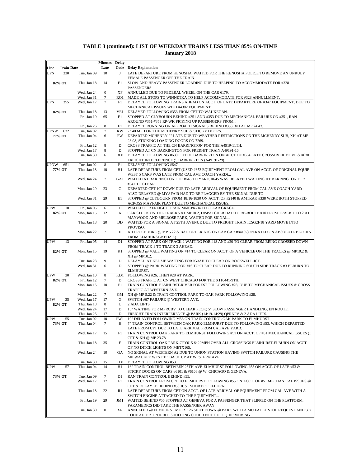| Line        | <b>Train Date</b> |                            | <b>Minutes</b> Delay<br>Late |             | <b>Code</b> Delay Explanation                                                                                                                         |
|-------------|-------------------|----------------------------|------------------------------|-------------|-------------------------------------------------------------------------------------------------------------------------------------------------------|
| <b>UPN</b>  | 330               | Tue, Jan 09                | 10                           | J           | LATE DEPARTURE FROM KENOSHA, WAITED FOR THE KENOSHA POLICE TO REMOVE AN UNRULY                                                                        |
|             |                   |                            |                              |             | FEMALE PASSENGER OFF THE TRAIN.                                                                                                                       |
|             | 82% OT            | Thu, Jan 18                | 14                           | E1          | SLOW AND HEAVY PASSENGER LOADING DUE TO HELPING TO ACCOMMODATE FOR #328<br>PASSENGERS.                                                                |
|             |                   | Wed, Jan 24                | $\mathbf{0}$                 | XF          | ANNULLED DUE TO FEDERAL WHEEL ON THE CAR 6179.                                                                                                        |
|             |                   | Wed, Jan 31                | 7                            | RO1         | MADE ALL STOPS TO WINNETKA TO HELP ACCOMMODATE FOR #328 ANNULLMENT.                                                                                   |
| <b>UPN</b>  | 355               | Wed, Jan 17                | $\overline{7}$               | F1          | DELAYED FOLLOWING TRAINS AHEAD ON ACCT. OF LATE DEPARTURE OF #347 EQUIPMENT, DUE TO                                                                   |
|             |                   |                            |                              |             | MECHANICAL ISSUES WITH #4302 EQUIPMENT.                                                                                                               |
|             | 82% OT            | Thu, Jan 18                | 13                           | VE1         | DELAYED FOLLOWING #353 FROM CPT TO WAUKEGAN.                                                                                                          |
|             |                   | Fri, Jan 19                | 65                           | E1          | STOPPED AT CLYBOURN BEHIND #351 AND #353 DUE TO MECHANICAL FAILURE ON #351, RAN                                                                       |
|             |                   | Fri, Jan 26                | 8                            | E1          | AROUND #351-#353 RP-WK PICKING UP PASSENGERS FROM<br>DELAYED RUNNING ON APPROACH SIGNALS BEHIND #353, XH AT MP 24.43.                                 |
| <b>UPNW</b> | 632               | Tue, Jan 02                | $\tau$                       | <b>KW</b>   | 7" 40 MPH ON THE MCHENRY SUB & STICKY DOORS.                                                                                                          |
|             | 77% OT            | Thu, Jan 04                | 6                            | FW.         | DEPARTED MCHENRY 2" LATE DUE TO WEATHER RESTRICTIONS ON THE MCHENRY SUB, XH AT MP                                                                     |
|             |                   |                            |                              |             | 23.08, STICKING LOADING DOORS ON 7269.                                                                                                                |
|             |                   | Fri, Jan 12                | 8                            | D           | CROSS TRAFFIC AT THE CN BARRINGTON FOR THE A4919-11TH.                                                                                                |
|             |                   | Wed, Jan 17                | 8                            | D           | STOPPED AT CN BARRINGTON FOR FREIGHT TRAIN A49191-16.                                                                                                 |
|             |                   | Tue, Jan 30                | 6                            |             | DD1 DELAYED FOLLOWING #630 OUT OF BARRINGTON ON ACCT OF #634 LATE CROSSOVER MOVE & #630                                                               |
|             |                   |                            |                              |             | FREIGHT INTERFERENCE @ BARRINGTON (A49191-29).                                                                                                        |
| UPNW        | 651               | Tue, Jan 02                | 8                            | F1          | DELAYED FOLLOWING #647.                                                                                                                               |
|             | 77% OT            | Thu, Jan 18                | 10                           | H1          | LATE DEPARTURE FROM CPT (USED #653 EQUIPMENT FROM CAL AVE ON ACCT. OF ORIGINAL EQUIP                                                                  |
|             |                   |                            |                              |             | WEST 5 CARS WAS LATE FROM CAL AVE COACH YARD)                                                                                                         |
|             |                   | Wed, Jan 24                | $\tau$                       |             | GA1 WAITED AT BARRINGTON FOR #645 TO YARD, #645 WAS DELAYED WAITING AT BARRINGTON FOR                                                                 |
|             |                   |                            |                              |             | #647 TO CLEAR.                                                                                                                                        |
|             |                   | Mon, Jan 29                | 23                           | G           | DEPARTED CPT 10" DOWN DUE TO LATE ARRIVAL OF EQUIPMENT FROM CAL AVE COACH YARD                                                                        |
|             |                   |                            | 29                           |             | ALSO DELAYED @ MYAFAIR HAD TO BE FLAGGED BY THE SIGNAL DUE TO<br>STOPPED @ CLYBOURN FROM 18:16-1830 ON ACCT. OF #2140 & AMTRAK #338 WERE BOTH STOPPED |
|             |                   | Wed, Jan 31                |                              | E1          | ACROSS MAYFAIR PLANT DUE TO MECHANICAL ISSUES.                                                                                                        |
| UPW         | 10                | Fri, Jan 05                | 6                            | $\mathbf D$ | WAITED FOR FREIGHT TRAIN MMCPR-04 TO CLEAR GRACE.                                                                                                     |
|             | 82% OT            | Mon. Jan 15                | 12                           | K           | CAR STUCK ON THE TRACKS AT MP10.2, DISPATCHER HAD TO RE-ROUTE #10 FROM TRACK 1 TO 2 AT                                                                |
|             |                   |                            |                              |             | MAYWOOD AND MELROSE PARK, WAITED FOR SIGNAL                                                                                                           |
|             |                   | Thu, Jan 18                | 20                           | DD          | WAITED FOR A SIGNAL AT 25TH AVENUE DUE TO FREIGHT TRAIN ICSG2I-18 YARD MOVE INTO                                                                      |
|             |                   |                            |                              |             | PROVISO.                                                                                                                                              |
|             |                   | Mon, Jan 22                | $\tau$                       | F           | XH PROCEDURE @ MP 5.22 & BAD ORDER ATC ON CAB CAR #8419 (OPERATED ON ABSOLUTE BLOCKS                                                                  |
|             |                   |                            |                              |             | FROM ELMHURST-KEDZIE).                                                                                                                                |
| UPW         | 13                | Fri, Jan 05                | 14                           | D1          | STOPPED AT PARK ON TRACK 2 WAITING FOR #18 AND #20 TO CLEAR FROM BEING CROSSED DOWN                                                                   |
|             |                   |                            |                              |             | FROM TRACK 1 TO TRACK 3 AHEAD.                                                                                                                        |
|             | 82% OT            | Mon, Jan 15                | 19                           | K1          | STOPPED @ VALE WAITING ON #14 TO CLEAR ON ACCT. OF A VEHICLE ON THE TRACKS @ MP10.2 &                                                                 |
|             |                   | Tue, Jan 23                | 9                            | D           | XH @ MP10.2.<br>DELAYED AT KEDZIE WAITING FOR IG3AH TO CLEAR ON ROCKWELL JCT.                                                                         |
|             |                   | Wed, Jan 31                | 6                            | D           | STOPPED @ PARK WAITING FOR #16 TO CLEAR DUE TO RUNNING SOUTH SIDE TRACK #3 ELBURN TO                                                                  |
|             |                   |                            |                              |             | ELMHURST.                                                                                                                                             |
| <b>UPW</b>  | 30                | Wed, Jan 10                | 8                            | KD1         | FOLLOWING #26, THEN #28 AT PARK.                                                                                                                      |
|             | 82% OT            | Fri, Jan 12                | $\tau$                       | D           | CROSS TRAFFIC AT CN WEST CHICAGO FOR THE X110441-9TH.                                                                                                 |
|             |                   | Mon, Jan 15                | 10                           | F1          | TRAIN CONTROL ELMHURST-RIVER FOREST FOLLOWING #28, DUE TO MECHANICAL ISSUES & CROSS                                                                   |
|             |                   |                            |                              |             | TRAFFIC AT WESTERN AVE.                                                                                                                               |
|             |                   | Mon, Jan 22                | $\tau$                       | GМ          | XH @ MP 5.22 & TRAIN CONTROL PARK TO OAK PARK FOLLOWING #28.                                                                                          |
| UPW         | 35                | Wed, Jan 17                | 17                           | G           | SWITCH #67 FAILURE @ WESTERN AVE.                                                                                                                     |
|             | 82% OT            | Thu, Jan 18                | 8                            | U           | 2 ADA LIFTS.                                                                                                                                          |
|             |                   | Wed, Jan 24                | 17                           | D           | 15" WAITING FOR MPRCBV TO CLEAR PECK; 5" SLOW PASSENGER HANDLING, EN ROUTE.                                                                           |
| <b>UPW</b>  | 55                | Thu, Jan 25<br>Tue, Jan 02 | 17<br>10                     | D<br>FW1    | FREIGHT TRAIN INTERFERENCE @ PARK (14:19-14:29) QPRNPV & 2 ADA LIFTS.<br>10" DELAYED FOLLOWING M53 ON TRAIN CONTROL OAK PARK TO ELMHURST.             |
|             | 73% OT            | Thu, Jan 04                | $\tau$                       | H           | 7" TRAIN CONTROL BETWEEN OAK PARK-ELMHURST DUE TO FOLLOWING #53, WHICH DEPARTED                                                                       |
|             |                   |                            |                              |             | LATE FROM CPT DUE TO LATE ARRIVAL FROM CAL AVE YARD.                                                                                                  |
|             |                   | Wed, Jan 17                | 15                           | F1          | TRAIN CONTROL OAK PARK TO ELMHURST FOLLOWING #51 ON ACCT. OF #51 MECHANICAL ISSUES @                                                                  |
|             |                   |                            |                              |             | CPT & XH @ MP 23.78.                                                                                                                                  |
|             |                   | Thu, Jan 18                | 35                           | Ε           | TRAIN CONTROL OAK PARK-CPY015 & 20MPH OVER ALL CROSSINGS ELMHURST-ELBURN ON ACCT.                                                                     |
|             |                   |                            |                              |             | OF NO DITCH LIGHTS ON METX165.                                                                                                                        |
|             |                   | Wed, Jan 24                | 10                           | GA          | NO SIGNAL AT WESTERN A2 DUE TO UNION STATION HAVING SWITCH FAILURE CAUSING THE                                                                        |
|             |                   |                            |                              |             | MILWAUKEE WEST TO BACK UP AT WESTERN AVE.                                                                                                             |
|             |                   | Tue, Jan 30                | 15                           | KD1         | DELAYED FOLLOWING #53.                                                                                                                                |
| UPW         | 57                | Thu, Jan 04                | 14                           | H1          | 16" TRAIN CONTROL BETWEEN 25TH AVE-ELMHURST FOLLOWING #55 ON ACCT. OF LATE #53 &                                                                      |
|             |                   |                            |                              |             | STICKY DOORS ON CARS #6101 & #6108 @ W. CHICAGO & GENEVA.                                                                                             |
|             | 73% OT            | Tue, Jan 09                | $\tau$                       | D1          | RAN TRAIN CONTROL BEHIND #55.                                                                                                                         |
|             |                   | Wed, Jan 17                | 17                           | F1          | TRAIN CONTROL FROM CPT TO ELMHURST FOLLOWING #55 ON ACCT. OF #51 MECHANICAL ISSUES @                                                                  |
|             |                   |                            |                              |             | CPT & DELAYED BEHIND #53 JUST SHORT OF ELBURN                                                                                                         |
|             |                   | Thu, Jan 18                | 22                           | R1          | LATE DEPARTURE FROM CPT ON ACCT. OF LATE ARRIVAL OF EQUIPMENT FROM CAL AVE WITH A                                                                     |
|             |                   | Fri, Jan 19                | 29                           | JM1         | SWITCH ENGINE ATTACHED TO THE EQUIPMENT<br>WAITED BEHIND #55 STOPPED AT GENEVA FOR A PASSENGER THAT SLIPPED ON THE PLATFORM,                          |
|             |                   |                            |                              |             | PARAMEDICS DID TAKE THE PASSENGER AWAY.                                                                                                               |
|             |                   | Tue, Jan 30                | $\mathbf{0}$                 | XR          | ANNULLED @ ELMHURST METX 126 SHUT DOWN @ PARK WITH A MU FAULT STOP REQUEST AND 587                                                                    |
|             |                   |                            |                              |             | CODE AFTER TROUBLE SHOOTING COULD NOT GET EQUIP MOVING                                                                                                |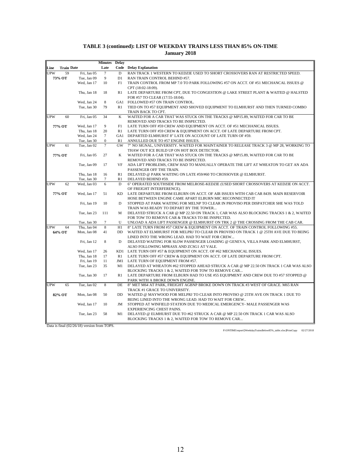|            |                   |             | <b>Minutes</b>   | <b>Delay</b> |                                                                                        |
|------------|-------------------|-------------|------------------|--------------|----------------------------------------------------------------------------------------|
| Line       | <b>Train Date</b> |             | Late             |              | <b>Code</b> Delay Explanation                                                          |
| <b>UPW</b> | 59                | Fri, Jan 05 | $\tau$           | D            | RAN TRACK 1 WESTERN TO KEDZIE USED TO SHORT CROSSOVERS RAN AT RESTRICTED SPEED.        |
|            | 73% OT            | Tue, Jan 09 | 9                | D1           | RAN TRAIN CONTROL BEHIND #57.                                                          |
|            |                   | Wed, Jan 17 | 10               | F1           | TRAIN CONTROL FROM MP 7.0 TO PARK FOLLOWING #57 ON ACCT. OF #51 MECHANCAL ISSUES @     |
|            |                   |             |                  |              | CPT (18:02-18:09).                                                                     |
|            |                   | Thu, Jan 18 | 18               | R1           | LATE DEPARTURE FROM CPT, DUE TO CONGESTION @ LAKE STREET PLANT & WAITED @ HALSTED      |
|            |                   |             |                  |              | FOR #57 TO CLEAR (17:55-18:04).                                                        |
|            |                   | Wed, Jan 24 | 8                |              | GA1 FOLLOWED #57 ON TRAIN CONTROL.                                                     |
|            |                   | Tue, Jan 30 | 79               | R1           | TIED ON TO #57 EQUIPMENT AND SHOVED EQUIPMENT TO ELMHURST AND THEN TURNED COMBO        |
|            |                   |             |                  |              | TRAIN BACK TO CPT.                                                                     |
| UPW        | 60                | Fri, Jan 05 | 34               | K            | WAITED FOR A CAR THAT WAS STUCK ON THE TRACKS @ MP15.89, WAITED FOR CAR TO BE          |
|            |                   |             |                  |              | REMOVED AND TRACKS TO BE INSPECTED.                                                    |
|            | 77% OT            | Wed, Jan 17 | 9                | F1           | LATE TURN OFF #59 CREW AND EQUIPMENT ON ACCT. OF #51 MECHANICAL ISSUES.                |
|            |                   | Thu, Jan 18 | 20               | R1           | LATE TURN OFF #59 CREW & EQUIPMENT ON ACCT. OF LATE DEPARTURE FROM CPT.                |
|            |                   | Wed, Jan 24 | $\overline{7}$   |              | GA1 DEPARTED ELMHURST 8" LATE ON ACCOUNT OF LATE TURN OF #59.                          |
|            |                   | Tue, Jan 30 | $\boldsymbol{0}$ | R1           | ANNULLED DUE TO #57 ENGINE ISSUES.                                                     |
| <b>UPW</b> | 61                | Tue, Jan 02 | $\overline{7}$   | GW           | 7" NO SIGNAL, UNIVERSITY. WAITED FOR MAINTAINER TO RELEASE TRACK 3 @ MP 28, WORKING TO |
|            |                   |             |                  |              | THAW OUT ICE BUILD UP ON HOT BOX DETECTOR.                                             |
|            | 77% OT            | Fri, Jan 05 | 27               | K            | WAITED FOR A CAR THAT WAS STUCK ON THE TRACKS @ MP15.89, WAITED FOR CAR TO BE          |
|            |                   |             |                  |              | REMOVED AND TRACKS TO BE INSPECTED.                                                    |
|            |                   | Tue, Jan 09 | 17               | VF           | ADA LIFT PROBLEMS, CREW HAD TO MANUALLY OPERATE THE LIFT AT WHEATON TO GET AN ADA      |
|            |                   |             |                  |              | PASSENGER OFF THE TRAIN.                                                               |
|            |                   | Thu, Jan 18 | 16               | R1           | DELAYED @ PARK WAITING ON LATE #59/#60 TO CROSSOVER @ ELMHURST.                        |
|            |                   | Tue, Jan 30 | $\tau$           | R1           | DELAYED BEHIND #59.                                                                    |
| <b>UPW</b> | 62                | Wed, Jan 03 | 6                | D            | 6" OPERATED SOUTHSIDE FROM MELROSE-KEDZIE (USED SHORT CROSSOVERS AT KEDZIE ON ACCT.    |
|            |                   |             |                  |              | OF FREIGHT INTERFERENCE).                                                              |
|            | 77% OT            | Wed, Jan 17 | 51               | <b>KD</b>    | LATE DEPARTURE FROM ELBURN ON ACCT. OF AIR ISSUES WITH CAB CAR 8439. MAIN RESERVOIR    |
|            |                   |             |                  |              | HOSE BETWEEN ENGINE CAME APART ELBURN MIC RECONNECTED IT                               |
|            |                   | Fri, Jan 19 | 10               | D            | STOPPED AT PARK WAITING FOR MELNP TO CLEAR IN PROVISO PER DISPATCHER SHE WAS TOLD      |
|            |                   |             |                  |              | TRAIN WAS READY TO DEPART BY THE TOWER                                                 |
|            |                   | Tue, Jan 23 | 111              | M            | DELAYED STRUCK A CAR @ MP 22.50 ON TRACK 1, CAR WAS ALSO BLOCKING TRACKS 1 & 2, WAITED |
|            |                   |             |                  |              | FOR TOW TO REMOVE CAR & TRACKS TO BE INSPECTED.                                        |
|            |                   | Tue, Jan 30 | $\tau$           | U            | UNLOAD A ADA LIFT PASSENGER @ ELMHURST ON TRK 2 @ THE CROSSING FROM THE CAB CAR.       |
| UPW        | 64                | Thu, Jan 04 | 8                | H1           | 8" LATE TURN FROM #57 CREW & EQUIPMENT ON ACCT. OF TRAIN CONTROL FOLLOWING #55.        |
|            | 64% OT            | Mon, Jan 08 | 41               | <b>DD</b>    | WAITED AT ELMHURST FOR MELPRJ TO CLEAR IN PROVISO ON TRACK 1 @ 25TH AVE DUE TO BEING   |
|            |                   |             |                  |              | LINED INTO THE WRONG LEAD. HAD TO WAIT FOR CREW                                        |
|            |                   | Fri, Jan 12 | 8                | D            | DELAYED WAITING FOR SLOW PASSENGER LOADING @ GENEVA, VILLA PARK AND ELMHURST,          |
|            |                   |             |                  |              | ALSO FOLLOWING MPRASX AND ZCSG1 AT VALE.                                               |
|            |                   | Wed, Jan 17 | 26               |              | KD1 LATE TURN OFF #57 & EQUIPMENT ON ACCT. OF #62 MECHANICAL ISSUES.                   |
|            |                   | Thu, Jan 18 | 17               | R1           | LATE TURN OFF #57 CREW & EQUIPMENT ON ACCT. OF LATE DEPARTURE FROM CPT.                |
|            |                   | Fri, Jan 19 | 11               |              | JM1 LATE TURN OF EQUIPMENT FROM #57.                                                   |
|            |                   | Tue, Jan 23 | 35               | M1           | DELAYED AT WHEATON #62 STOPPED AHEAD STRUCK A CAR @ MP 22.50 ON TRACK 1 CAR WAS ALSO   |
|            |                   |             |                  |              | BLOCKING TRACKS 1 & 2, WAITED FOR TOW TO REMOVE CAR                                    |
|            |                   | Tue, Jan 30 | 17               | R1           | LATE DEPARTURE FROM ELBURN HAD TO USE #55 EQUIPMENT AND CREW DUE TO #57 STOPPED @      |
|            |                   |             |                  |              | PARK WITH A BROKE DOWN ENGINE.                                                         |
| <b>UPW</b> | 65                | Tue, Jan 02 | $\overline{8}$   | DE           | 8" MET M64 AT PARK, FREIGHT AGBNP BROKE DOWN ON TRACK #3 WEST OF GRACE. M65 RAN        |
|            |                   |             |                  |              | TRACK #1 GRACE TO UNIVERSITY.                                                          |
|            | 82% OT            | Mon, Jan 08 | 50               | DD           | WAITED @ MAYWOOD FOR MELPRJ TO CLEAR INTO PROVISO @ 25TH AVE ON TRACK 1 DUE TO         |
|            |                   |             |                  |              | BEING LINED INTO THE WRONG LEAD. HAD TO WAIT FOR CREW                                  |
|            |                   | Wed, Jan 17 | 10               | JM           | STOPPED AT WINFIELD STATION DUE TO MEDICAL EMERGENCY- MALE PASSENGER WAS               |
|            |                   |             |                  |              | <b>EXPERIENCING CHEST PAINS.</b>                                                       |
|            |                   | Tue, Jan 23 | 58               | M1           | DELAYED @ ELMHURST DUE TO #62 STRUCK A CAR @ MP 22.50 ON TRACK 1 CAR WAS ALSO          |
|            |                   |             |                  |              | BLOCKING TRACKS 1 & 2, WAITED FOR TOW TO REMOVE CAR                                    |
|            |                   |             |                  |              |                                                                                        |

Data is final (02/26/18) version from TOPS.

P:\ONTIME\report\[WeekdayTrainsBelow85%\_table.xlsx]PrintCopy 02/27/2018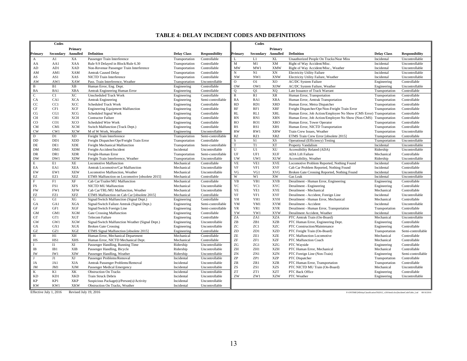#### **TABLE 4: DELAY INCIDENT CODES AND DEFINITIONS**

|                            | Codes           |                       |                                                  |                    |                       |                            | Codes          |                           |                                                                     |                    |                                                                                       |
|----------------------------|-----------------|-----------------------|--------------------------------------------------|--------------------|-----------------------|----------------------------|----------------|---------------------------|---------------------------------------------------------------------|--------------------|---------------------------------------------------------------------------------------|
|                            |                 | Primary               |                                                  |                    |                       |                            |                | Primary                   |                                                                     |                    |                                                                                       |
| Primary                    | Secondary       | Annulled              | <b>Definition</b>                                | <b>Delay Class</b> | <b>Responsibility</b> | Primary                    | Secondary      | Annulled                  | <b>Definition</b>                                                   | <b>Delay Class</b> | <b>Responsibility</b>                                                                 |
| $\mathbf{A}$               | A1              | XA                    | Passenger Train Interference                     | Transportation     | Controllable          | L                          | L1             | XL                        | Unauthorized People On Tracks/Near Miss                             | Incidental         | Uncontrollable                                                                        |
| AA                         | AA1             | <b>XAA</b>            | Rule 9.9 Delayed in Block/Rule 6.30              | Transportation     | Controllable          | M                          | M1             | XM                        | Right of Way Accident/Misc.                                         | Incidental         | Uncontrollable                                                                        |
| ${\rm AD}$                 | AD1             | <b>XAD</b>            | Non-Revenue Passenger Train Interference         | Transportation     | Controllable          | MW                         | MW1            | <b>XMW</b>                | Right of Way Accident/Misc., Weather                                | Incidental         | Uncontrollable                                                                        |
| AM                         | AM1             | XAM                   | <b>Amtrak Caused Delay</b>                       | Transportation     | Controllable          | N                          | N1             | XN                        | <b>Electricity Utility Failure</b>                                  | Incidental         | Uncontrollable                                                                        |
| AS                         | AS1             | XAS                   | NICTD Train Interference                         | Transportation     | Controllable          | <b>NW</b>                  | NW1            | XNW                       | Electricity Utility Failure, Weather                                | Incidental         | Uncontrollable                                                                        |
| AW                         | AW1             | XAW                   | Pass. Train Interference, Weather                | Transportation     | Uncontrollable        | $\overline{0}$             | <b>O1</b>      | X <sub>O</sub>            | <b>AC/DC System Failure</b>                                         | Engineering        | Controllable                                                                          |
| $\, {\bf B}$               | B1              | XB                    | Human Error, Eng. Dept.                          | Engineering        | Controllable          | <b>OW</b>                  | OW1            | XOW                       | AC/DC System Failure, Weather                                       | Engineering        | Uncontrollable                                                                        |
| BA                         | BA1             | <b>XBA</b>            | Amtrak Engineering Human Error                   | Engineering        | Controllable          | $\overline{O}$             | O <sub>1</sub> | XQ                        | Late Issuance of Track Warrant                                      | Transportation     | Controllable                                                                          |
| $\overline{C}$             | C1              | <b>XC</b>             | <b>Unscheduled Track Work</b>                    | Engineering        | Controllable          | $\overline{R}$             | R1             | XR                        | Human Error, Transportation                                         | Transportation     | Controllable                                                                          |
| CA                         | CA1             | XCA                   | <b>Amtrak Engineering</b>                        | Engineering        | Semi-controllable     | RA                         | RA1            | <b>XRA</b>                | Human Error, Amtrak Transportation                                  | Transportation     | Controllable                                                                          |
| CC                         | CC1             | XCC                   | <b>Scheduled Track Work</b>                      | Engineering        | Controllable          | RD                         | RD1            | <b>XRD</b>                | Human Error, Metra Dispatcher                                       | Transportation     | Controllable                                                                          |
| CF                         | CF1             | <b>XCF</b>            | <b>Engineering Equipment Malfunction</b>         | Engineering        | Controllable          | RF                         | RF1            | <b>XRF</b>                | Freight Dispatcher/Opr/Non-Freight Train Error                      | Transportation     | Controllable                                                                          |
| CG                         | CG1             | <b>XCG</b>            | Scheduled Signal Work                            | Engineering        | Controllable          | RL                         | RL1            | <b>XRL</b>                | Human Error, Job Action/Employee No Show (CMS Error) Transportation |                    | Controllable                                                                          |
| CH                         | CH <sub>1</sub> | <b>XCH</b>            | <b>Contractor Failure</b>                        | Engineering        | Controllable          | RN                         | RN1            | <b>XRN</b>                | Human Error, Job Action/Employee No Show (Non-CMS) Transportation   |                    | Controllable                                                                          |
| CO                         | CO1             | <b>XCO</b>            | Scheduled Wire Work                              | Engineering        | Controllable          | <b>RO</b>                  | RO1            | <b>XRO</b>                | Human Error, Tower Operator                                         | Transportation     | Controllable                                                                          |
| <b>CM</b>                  | CM1             | <b>XCM</b>            | Switch Malfunction (Track Dept.)                 | Engineering        | Controllable          | RS                         | RS1            | <b>XRS</b>                | Human Error, NICTD Transportation                                   | Transportation     | Controllable                                                                          |
| <b>CW</b>                  | CW1             | <b>XCW</b>            | M of W Work, Weather                             | Engineering        | Uncontrollable        | <b>RW</b>                  | RW1            | <b>XRW</b>                | Train Crew Issues, Weather                                          | Transportation     | Uncontrollable                                                                        |
| D                          | D1              | <b>XD</b>             | Freight Train Interference                       | Transportation     | Semi-controllable     | <b>RZ</b>                  | RZ1            | <b>XRZ</b>                | ETMS Train Crew Error [obsolete 2015]                               | Transportation     | Controllable                                                                          |
| DD                         | DD1             | <b>XDD</b>            | Freight Dispatcher/Opr/Freight Train Error       | Transportation     | Controllable          | S                          | S <sub>1</sub> | XS                        | Operational (Efficiency) Testing                                    | Transportation     | Uncontrollable                                                                        |
| $\rm DE$                   | DE1             | <b>XDE</b>            | Freight Mechanical Malfunction                   | Transportation     | Semi-controllable     | $\mathbf T$                | T1             | $\ensuremath{\text{XT}}$  | Property Vandalism                                                  | Incidental         | Uncontrollable                                                                        |
| <b>DM</b>                  | DM1             | <b>XDM</b>            | Freight-Accident/Incident                        | Incidental         | Uncontrollable        | $\overline{U}$             | U1             | XU                        | Accessibility Related (ADA)                                         | Ridership          | Uncontrollable                                                                        |
| DR                         | DR1             | <b>XDR</b>            | Freight-Human Error                              | Transportation     | Semi-controllable     | UF                         | UF1            | <b>XUF</b>                | <b>ADA Lift Failure</b>                                             | Mechanical         | Controllable                                                                          |
| DW                         | DW1             | <b>XDW</b>            | Freight Train Interference, Weather              | Transportation     | Uncontrollable        | UW                         | UW1            | <b>XUW</b>                | Accessibility, Weather                                              | Ridership          | Uncontrollable                                                                        |
| $\overline{\mathrm{E}}$    | E1              | XE                    | <b>Locomotive Malfunction</b>                    | Mechanical         | Controllable          | <b>VE</b>                  | VE1            | <b>XVE</b>                | Locomotive Problem Reported, Nothing Found                          | Incidental         | Controllable                                                                          |
| EA                         | EA1             | <b>XEA</b>            | Amtrak Locomotive/Car Malfunction                | Mechanical         | Uncontrollable        | VF                         | VF1            | <b>XVF</b>                | Cab Car Problem Reported, Nothing Found                             | Incidental         | Controllable                                                                          |
| EW                         | EW1             | <b>XEW</b>            | Locomotive Malfunction, Weather                  | Mechanical         | Uncontrollable        | VG                         | VG1            | <b>XVG</b>                | Broken Gate Crossing Reported, Nothing Found                        | Incidental         | Uncontrollable                                                                        |
| EZ                         | EZ1             | <b>XEZ</b>            | ETMS Malfunction on Locomotive [obsolete 2015]   | Mechanical         | Controllable          | W                          | W1             | XW                        | Gas Leak                                                            | Incidental         | Uncontrollable                                                                        |
| $\mathbf F$                | F1              | XF                    | Cab Car/Trailer/MU Malfunction                   | Mechanical         | Controllable          | YB                         | YB1            | <b>XYB</b>                | Derailment - Human Error, Engineering                               | Engineering        | Controllable                                                                          |
| FS                         | FS1             | <b>XFS</b>            | NICTD MU Malfunction                             | Mechanical         | Uncontrollable        | YC                         | YC1            | <b>XYC</b>                | Derailment - Engineering                                            | Engineering        | Controllable                                                                          |
| <b>FW</b>                  | FW1             | <b>XFW</b>            | Cab Car/TRL/MU Malfunction, Weather              | Mechanical         | Uncontrollable        | YE                         | YE1            | <b>XYE</b>                | Derailment - Mechanical                                             | Mechanical         | Controllable                                                                          |
| FZ                         | FZ1             | <b>XFZ</b>            | ETMS Malfunction on Cab Car [obsolete 2015]      | Mechanical         | Controllable          | YF                         | YF1            | <b>XYF</b>                | Derailment - Accident, Foreign Line                                 | Incidental         | Uncontrollable                                                                        |
| ${\bf G}$                  | G1              | XG                    | Signal/Switch Malfunction (Signal Dept.)         | Engineering        | Controllable          | YH                         | YH1            | <b>XYH</b>                | Derailment - Human Error, Mechanical                                | Mechanical         | Controllable                                                                          |
| GA                         | GA1             | <b>XGA</b>            | Signal/Switch Failure Amtrak (Signal Dept.)      | Engineering        | Semi-controllable     | YM                         | YM1            | <b>XYM</b>                | Derailment - Accident                                               | Incidental         | Uncontrollable                                                                        |
| GF                         | GF1             | XGF                   | Signal/Switch Foreign Line                       | Engineering        | Semi-controllable     | YR                         | YR1            | <b>XYR</b>                | Derailment - Human Error, Transportation                            | Transportation     | Controllable                                                                          |
| <b>GM</b>                  | GM1             | <b>XGM</b>            | Gate Crossing Malfunction                        | Engineering        | Controllable          | YW                         | YW1            | <b>XYW</b>                | Derailment Accident, Weather                                        | Incidental         | Uncontrollable                                                                        |
| GT                         | GT1             | XGT                   | <b>Telecom Failure</b>                           | Engineering        | Controllable          | ZA                         | ZA1            | <b>XZA</b>                | PTC Amtrak Train (On-Board)                                         | Mechanical         | Uncontrollable                                                                        |
| GW                         | GW1             | <b>XGW</b>            | Signal/Switch Malfunction Weather (Signal Dept.) | Engineering        | Uncontrollable        | ZB                         | ZB1            | <b>XZB</b>                | PTC Human Error, Engineering Dept.                                  | Engineering        | Controllable                                                                          |
| <b>GX</b>                  | GX1             | XGX                   | <b>Broken Gate Crossing</b>                      | Engineering        | Uncontrollable        | ZC                         | ZC1            | <b>XZC</b>                | PTC Construction/Maintenance                                        | Engineering        | Controllable                                                                          |
| $\operatorname{GZ}$        | GZ1             | XGZ                   | ETMS Signal Malfunction [obsolete 2015]          | Engineering        | Controllable          | ZD                         | ZD1            | <b>XZD</b>                | PTC Freight Train (On-Board)                                        | Transportation     | Semi-controllable                                                                     |
| $\, {\rm H}$               | H1              | XH                    | Human Error, Mechanical Department               | Mechanical         | Controllable          | ZE                         | ZE1            | <b>XZE</b>                | PTC Malfunction Locomotive                                          | Mechanical         | Controllable                                                                          |
| HS                         | HS1             | <b>XHS</b>            | Human Error, NICTD Mechanical Dept.              | Mechanical         | Controllable          | ZF                         | ZF1            | <b>XZF</b>                | PTC Malfunction Coach                                               | Mechanical         | Controllable                                                                          |
| $\bf{I}$                   | $\overline{11}$ | XI                    | Passenger Handling, Running Time                 | Ridership          | Uncontrollable        | ZG                         | ZG1            | <b>XZG</b>                | PTC Wayside                                                         | Engineering        | Controllable                                                                          |
| IB                         | IB1             | <b>XIB</b>            | Passenger Handling, Bicycle                      | Ridership          | Uncontrollable        | ZH                         | ZH1            | <b>XZH</b>                | PTC Human Error, Mechanical                                         | Mechanical         | Controllable                                                                          |
| IW                         | IW1             | XIW                   | Passenger Handling, Weather                      | Ridership          | Uncontrollable        | ${\rm ZN}$                 | ZN1            | $\ensuremath{\text{XZN}}$ | PTC Foreign Line (Non-Train)                                        | Engineering        | Semi-controllable                                                                     |
| $\mathbf{J}$               | J1              | XJ                    | Passenger Problems/Removal                       | Incidental         | Uncontrollable        | $\ensuremath{\mathrm{ZP}}$ | ZP1            | <b>XZP</b>                | PTC Dispatcher                                                      | Transportation     | Controllable                                                                          |
| JA                         | JA1             | XJA                   | Amtrak Passenger Problems/Removal                | Incidental         | Uncontrollable        | ZR                         | ZR1            | <b>XZR</b>                | PTC Human Error, Transportation                                     | Transportation     | Controllable                                                                          |
| JM                         | JM1             | <b>XJM</b>            | Passenger Medical Emergency                      | Incidental         | Uncontrollable        | ZS                         | ZS1            | <b>XZS</b>                | PTC NICTD MU Train (On-Board)                                       | Mechanical         | Uncontrollable                                                                        |
| K                          | K1              | XK                    | <b>Obstruction On Tracks</b>                     | Incidental         | Uncontrollable        | <b>ZT</b>                  | ZT1            | <b>XZT</b>                | PTC Back Office                                                     | Engineering        | Controllable                                                                          |
| <b>KD</b>                  | KD1             | <b>XKD</b>            | <b>Train Struck Debris</b>                       | Incidental         | Uncontrollable        | ZW                         | ZW1            | <b>XZW</b>                | PTC Weather                                                         | Engineering        | Uncontrollable                                                                        |
| $\ensuremath{\mathsf{KP}}$ | KP1             | XKP                   | Suspicious Package(s)/Person(s)/Activity         | Incidental         | Uncontrollable        |                            |                |                           |                                                                     |                    |                                                                                       |
| <b>KW</b>                  | KW1             | <b>XKW</b>            | Obstruction On Tracks, Weather                   | Incidental         | Uncontrollable        |                            |                |                           |                                                                     |                    |                                                                                       |
| Effective July 1, 2016     |                 | Revised July 19, 2016 |                                                  |                    |                       |                            |                |                           |                                                                     |                    | P:\ONTIME\[#DelayClassificationTbl2012_v2016mid.xlsx]IncidentCodeTable_Lnd 08/16/2016 |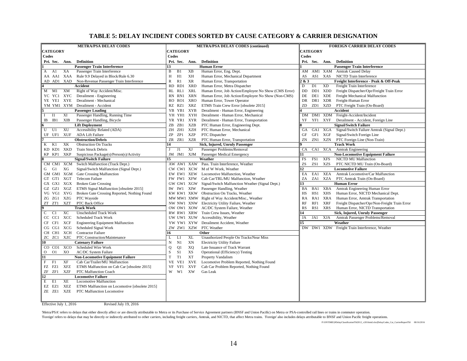#### **TABLE 5: DELAY INCIDENT CODES SORTED BY CAUSE CATEGORY & CARRIER DESIGNATION**

| <b>METRA/PSA DELAY CODES</b>                                          | <b>METRA/PSA DELAY CODES (continued)</b>                                      | <b>FOREIGN CARRIER DELAY CODES</b>                                               |
|-----------------------------------------------------------------------|-------------------------------------------------------------------------------|----------------------------------------------------------------------------------|
| <b>CATEGORY</b>                                                       | <b>CATEGORY</b>                                                               | <b>CATEGORY</b>                                                                  |
| Codes                                                                 | Codes                                                                         | Codes                                                                            |
| Pri. Sec.<br><b>Definition</b><br>Ann.                                | Pri. Sec.<br><b>Definition</b><br>Ann.                                        | Pri. Sec. Ann.<br><b>Definition</b>                                              |
| <b>Passenger Train Interference</b>                                   | <b>Human Error</b><br>13                                                      | <b>Passenger Train Interference</b>                                              |
| Passenger Train Interference<br>A1<br>XA<br>A                         | B<br>B <sub>1</sub><br>XВ<br>Human Error, Eng. Dept.                          | AM1 XAM Amtrak Caused Delay<br>AM                                                |
| XAA<br>Rule 9.9 Delayed in Block/Rule 6.30<br>AA AA1                  | XH<br>H<br>H1<br>Human Error, Mechanical Department                           | NICTD Train Interference<br>AS1 XAS<br>AS                                        |
| AD AD1<br>XAD<br>Non-Revenue Passenger Train Interference             | $\mathbb{R}$<br><b>XR</b><br>R1<br>Human Error, Transportation                | & 3<br>Freight Interference - Peak & Off-Peak                                    |
| Accident                                                              | XRD<br>Human Error, Metra Dispatcher<br>RD<br>RD1                             | D<br><b>XD</b><br>D <sub>1</sub><br>Freight Train Interference                   |
| XM<br>Right of Way Accident/Misc.<br>$M$ $M1$                         | <b>XRL</b><br>Human Error, Job Action/Employee No Show (CMS Error)<br>RL RL1  | $\rm DD$<br>DD1<br>XDD<br>Freight Dispatcher/Opr/Freight Train Error             |
| YC YC1 XYC<br>Derailment - Engineering                                | <b>XRN</b><br>Human Error, Job Action/Employee No Show (Non-CMS)<br>RN<br>RN1 | DE<br><b>XDE</b><br>Freight Mechanical Malfunction<br>DE1                        |
| Derailment - Mechanical<br>YE YE1 XYE                                 | XRO<br>Human Error, Tower Operator<br>RO RO1                                  | DR<br>DR1 XDR<br>Freight-Human Error                                             |
| YM YM1 XYM Derailment - Accident                                      | RZ RZ1<br>XRZ<br>ETMS Train Crew Error [obsolete 2015]                        | ZD<br>ZD1<br>XZD<br>PTC Freight Train (On-Board)                                 |
| <b>Passenger Loading</b>                                              | Derailment - Human Error, Engineering<br>YB YB1<br>XYB                        | Accident                                                                         |
| XI<br>Passenger Handling, Running Time<br><b>I1</b><br>$\mathbf{I}$   | YH YH1<br>XYH<br>Derailment - Human Error, Mechanical                         | DM1 XDM Freight-Accident/Incident<br>DM                                          |
| <b>XIB</b><br>IB1<br>Passenger Handling, Bicycle<br>IB                | YR YR1<br>XYR<br>Derailment - Human Error, Transportation                     | YF1<br><b>XYF</b><br>Derailment - Accident, Foreign Line<br>YF                   |
| <b>Lift Deployment</b>                                                | XZB<br>ZB 1<br>PTC Human Error, Engineering Dept.<br>ZΒ                       | <b>Signal/Switch Failure</b>                                                     |
| U<br>XU<br>Accessibility Related (ADA)<br>U1                          | XZH<br>ZH ZH1<br>PTC Human Error, Mechanical                                  | Signal/Switch Failure Amtrak (Signal Dept.)<br>GA1 XGA<br><b>GA</b>              |
| <b>XUF</b><br><b>ADA Lift Failure</b><br>UF UF1                       | ZP<br>ZP1<br>XZP<br>PTC Dispatcher                                            | GF1<br>XGF<br>Signal/Switch Foreign Line<br>GF                                   |
| <b>Obstruction/Debris</b>                                             | ZR ZR1<br>PTC Human Error, Transportation<br>XZR                              | ZN<br>ZN1<br>XZN<br>PTC Foreign Line (Non-Train)                                 |
| XK<br>K<br>K1<br><b>Obstruction On Tracks</b>                         | Sick, Injured, Unruly Passenger<br>14                                         | <b>Track Work</b>                                                                |
| <b>XKD</b><br>KD KD1<br><b>Train Struck Debris</b>                    | XJ<br>Passenger Problems/Removal<br>J1<br>J                                   | CA<br>CA1 XCA<br><b>Amtrak Engineering</b>                                       |
| XKP<br>KP KP1<br>Suspicious Package(s)/Person(s)/Activity             | JM JM1 XJM<br>Passenger Medical Emergency                                     | <b>Non-Locomotive Equipment Failure</b>                                          |
| <b>Signal/Switch Failure</b>                                          | Weather<br>15                                                                 | FS1<br><b>XFS</b><br>FS<br><b>NICTD MU Malfunction</b>                           |
| CM CM1 XCM<br>Switch Malfunction (Track Dept.)                        | AW AW1 XAW Pass. Train Interference, Weather                                  | ZS<br>ZS1<br>XZS<br>PTC NICTD MU Train (On-Board)                                |
| XG<br>G1<br>Signal/Switch Malfunction (Signal Dept.)<br>G             | M of W Work, Weather<br>CW CW1 XCW                                            | $\overline{2}$<br><b>Locomotive Failure</b>                                      |
| GM GM1 XGM<br><b>Gate Crossing Malfunction</b>                        | EW EW1 XEW<br>Locomotive Malfunction, Weather                                 | XEA<br>EA<br>EA1<br>Amtrak Locomotive/Car Malfunction                            |
| GT GT1 XGT<br><b>Telecom Failure</b>                                  | FW FW1 XFW<br>Cab Car/TRL/MU Malfunction, Weather                             | ZA<br>ZA1<br>XZA<br>PTC Amtrak Train (On-Board)                                  |
| GX GX1 XGX<br><b>Broken Gate Crossing</b>                             | GW GW1 XGW<br>Signal/Switch Malfunction Weather (Signal Dept.)                | <b>Human Error</b><br>13                                                         |
| XGZ<br>ETMS Signal Malfunction [obsolete 2015]<br>GZ GZ1              | Passenger Handling, Weather<br>IW IW1<br>XIW                                  | Amtrak Engineering Human Error<br>BA1<br>XBA<br>BA                               |
| VG VG1 XVG<br>Broken Gate Crossing Reported, Nothing Found            | KW KW1 XKW<br>Obstruction On Tracks, Weather                                  | HS1<br>XHS<br>Human Error, NICTD Mechanical Dept.<br>HS                          |
| XZG<br>PTC Wayside<br>ZG ZG1                                          | MW MW1 XMW Right of Way Accident/Misc., Weather                               | Human Error, Amtrak Transportation<br>RA<br>RA1<br>XRA                           |
| <b>XZT</b><br>ZT ZT1<br>PTC Back Office                               | Electricity Utility Failure, Weather<br>NW NW1 XNW                            | <b>RF</b><br>RF1<br><b>XRF</b><br>Freight Dispatcher/Opr/Non-Freight Train Error |
| <b>Track Work</b>                                                     | AC/DC System Failure, Weather<br>OW OW1 XOW                                   | RS1<br><b>XRS</b><br>Human Error, NICTD Transportation<br>RS                     |
| XC<br><b>Unscheduled Track Work</b><br>C<br>C1                        | Train Crew Issues, Weather<br>RW RW1 XRW                                      | Sick, Injured, Unruly Passenger<br>l4                                            |
| XCC<br>CC CC1<br><b>Scheduled Track Work</b>                          | UW UW1 XUW<br>Accessibility, Weather                                          | <b>XJA</b><br>JA<br>JA1<br>Amtrak Passenger Problems/Removal                     |
| <b>XCF</b><br>CF CF1<br><b>Engineering Equipment Malfunction</b>      | YW YW1 XYW<br>Derailment Accident, Weather                                    | Weather<br>15                                                                    |
| Scheduled Signal Work<br>XCG<br>CG CG1                                | ZW ZW1 XZW<br>PTC Weather                                                     | DW DW1 XDW Freight Train Interference, Weather                                   |
| CH CH1<br>XCH<br><b>Contractor Failure</b>                            | 16<br>Other                                                                   |                                                                                  |
| PTC Construction/Maintenance<br>ZC ZC1<br>XZC                         | <b>XL</b><br>Unauthorized People On Tracks/Near Miss<br>L<br>L1               |                                                                                  |
| <b>Catenary Failure</b><br>10                                         | XN<br><b>Electricity Utility Failure</b><br>N<br>N1                           |                                                                                  |
| XCO<br>Scheduled Wire Work<br>CO CO1                                  | Q1<br>XQ<br>Late Issuance of Track Warrant<br>Q                               |                                                                                  |
| $\overline{O}$<br>XO<br>O <sub>1</sub><br><b>AC/DC</b> System Failure | $\mathbf S$<br>XS<br>Operational (Efficiency) Testing<br>S1                   |                                                                                  |
| 11<br><b>Non-Locomotive Equipment Failure</b>                         | T<br>T1<br>XT<br>Property Vandalism                                           |                                                                                  |
| $\mathbf{F}$<br>XF<br>Cab Car/Trailer/MU Malfunction<br>F1            | VE<br><b>XVE</b><br>Locomotive Problem Reported, Nothing Found<br>VE1         |                                                                                  |
| FZ FZ1<br>XFZ<br>ETMS Malfunction on Cab Car [obsolete 2015]          | <b>XVF</b><br>VF<br>Cab Car Problem Reported, Nothing Found<br>VF1            |                                                                                  |
| ZF<br>ZF1<br>XZF<br>PTC Malfunction Coach                             | XW<br>W<br>W1<br>Gas Leak                                                     |                                                                                  |
| 12<br><b>Locomotive Failure</b>                                       |                                                                               |                                                                                  |
| E<br>E1<br>XE<br><b>Locomotive Malfunction</b>                        |                                                                               |                                                                                  |
| EZ EZ1<br>XEZ<br>ETMS Malfunction on Locomotive [obsolete 2015]       |                                                                               |                                                                                  |
| ZE ZE1<br><b>XZE</b><br>PTC Malfunction Locomotive                    |                                                                               |                                                                                  |
|                                                                       |                                                                               |                                                                                  |

Effective July 1, 2016 Revised July 19, 2016

'Metra/PSA' refers to delays that either directly affect or are directly attributable to Metra or its Purchase of Service Agreement partners (BNSF and Union Pacific) on Metra or PSA-controlled rail lines or trains in commu

Toreign' refers to delays that may be directly or indirectly attributed to other carriers, including freight carriers, Amtrak, and NICTD, that affect Metra trains. Toreign' also includes delays attributable to BNSF and Uni

P:\ONTIME\[#DelayClassificationTbl2012\_v2016mid.xlsx]DelayCodes\_Cat\_CarrierReportTbl 08/16/2016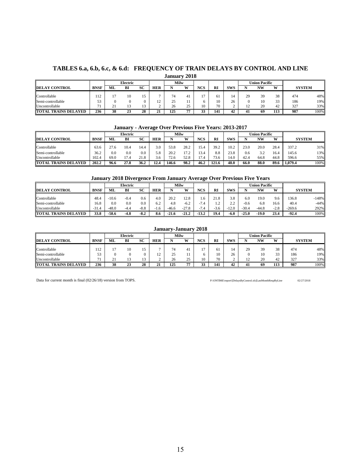#### **TABLES 6.a, 6.b, 6.c, & 6.d: FREQUENCY OF TRAIN DELAYS BY CONTROL AND LINE January 2018**

|                             |             |          | Electric |                                                    |     | Milw      |       |            |     |    |          | <b>Union Pacific</b> |     |     |      |
|-----------------------------|-------------|----------|----------|----------------------------------------------------|-----|-----------|-------|------------|-----|----|----------|----------------------|-----|-----|------|
| <b>DELAY CONTROL</b>        | <b>BNSF</b> | ML       | BI       | SC<br><b>XXI</b><br>NCS<br><b>RI</b><br><b>HER</b> |     |           |       | <b>SWS</b> |     | NW | W        | <b>SYSTEM</b>        |     |     |      |
|                             |             |          |          |                                                    |     |           |       |            |     |    |          |                      |     |     |      |
| Controllable                | 112         |          | 10       | 15                                                 |     |           |       |            |     |    | 20<br>47 | 39                   | 38  | 474 | 48%  |
| Semi-controllable           | 53<br>ر ر   |          |          |                                                    | 1 L | <u>L.</u> |       |            | 10  | 26 |          | 10                   | 33  | 186 | 19%  |
| Uncontrollable              | 71          | n.<br>٠. |          | $\sim$<br>ı J                                      |     | 26        | 25    |            | 70  |    |          | 20                   | 42  | 327 | 33%  |
| <b>TOTAL TRAINS DELAYED</b> | 236         | 38       | 23       | 28                                                 | . . | 125       | FT FT | ັ          | 141 | 42 | 41       | 69                   | 113 | 987 | 100% |

#### **January - Average Over Previous Five Years: 2013-2017**

|                             |             |          | <b>Electric</b>                           |      |      |           | Milw       |      |       |      |               | <b>Jnion Pacific</b> |      |         |      |
|-----------------------------|-------------|----------|-------------------------------------------|------|------|-----------|------------|------|-------|------|---------------|----------------------|------|---------|------|
| <b>DELAY CONTROL</b>        | <b>BNSF</b> | ML       | SC<br><b>NCS</b><br><b>HER</b><br>W<br>вı |      |      | <b>RI</b> | <b>SWS</b> |      | NW    | W    | <b>SYSTEM</b> |                      |      |         |      |
| Controllable                | 63.6        | 27.6     | 10.4                                      | 14.4 | 3.0  | 53.8      | 28.2       | 15.4 | 39.2  | 10.2 | 23.0          | 20.0                 | 28.4 | 337.2   | 31%  |
| Semi-controllable           | 36.2        | $_{0.0}$ | 0.0                                       | 0.0  | 5.8  | 20.2      |            | 13.4 | 8.8   | 23.8 | 0.6           | 30<br>ے ۔            | 16.4 | 145.6   | 13%  |
| Uncontrollable              | 102.4       | 69.0     | 1.4                                       | 21.8 | 3.6  | 72.6      | 52.8       | '7.4 | 73.6  | 14.0 | 42.4          | 64.8                 | 44.8 | 596.6   | 55%  |
| <b>TOTAL TRAINS DELAYED</b> | 202.2       | 96.6     | 27.8                                      | 36.2 | 12.4 | 146.6     | 98.2       | 46.2 | 121.6 | 48.0 | 66.0          | 88.0                 | 89.6 | 1.079.4 | 100% |

#### **January 2018 Divergence From January Average Over Previous Five Years**

|                             |             |              | Electric |                  |               |         | Milw       |            |           |                    |         | <b>Union Pacific</b> |        |               |         |
|-----------------------------|-------------|--------------|----------|------------------|---------------|---------|------------|------------|-----------|--------------------|---------|----------------------|--------|---------------|---------|
| 7 CONTROL<br><b>DELAY</b>   | <b>BNSF</b> | МI           | BI       | SC<br><b>HER</b> |               |         | <b>XXI</b> | <b>NCS</b> | <b>RI</b> | <b>SWS</b>         |         | NW                   | W      | <b>SYSTEM</b> |         |
| Controllable                | 48.4        | 10.6         | $-0.4$   | 0.6              | 4.0           | 20.2    | 12.8       | . . 6      | 21.8      | 3.8                | 6.0     | 19.0                 | 9.6    | 36.8          | $-148%$ |
| Semi-controllable           | 16.8        | $_{\rm 0.0}$ | 0.0      | 0.0              | 6.2           | 4.8     | $-6.2$     | ∽<br>.4    | $\sim$    | $\sim$<br><u>.</u> | $-0.6$  | 6.8                  | 16.6   | 40.4          | $-44%$  |
| Uncontrollable              | $-31.4$     | -48.0        | -4.4     | $-8.8$           | $1.6^{\circ}$ | $-46.6$ | $-27.8$    |            | -5.6      | 12.0               | $-30.4$ | $-44.8$              | $-2.8$ | $-269.6$      | 292%    |
| <b>TOTAL TRAINS DELAYED</b> | 33.8        | -58.6        | -4.8     | $-8.2$           | 8.6           | -21.6   | $-21.4$    | $-13.2$    | 19.4      | $-6.0$             | $-25.0$ | -19.0                | 23.4   | $-92.4$       | 100%    |

|                      |             |                 |          |    |                               | January-January 2018 |     |            |           |            |    |                      |     |               |      |
|----------------------|-------------|-----------------|----------|----|-------------------------------|----------------------|-----|------------|-----------|------------|----|----------------------|-----|---------------|------|
|                      |             |                 | Electric |    |                               | Milw                 |     |            |           |            |    | <b>Union Pacific</b> |     |               |      |
| <b>DELAY CONTROL</b> | <b>BNSF</b> | ML              | ВI       | SC | <b>HER</b>                    |                      | 337 | <b>NCS</b> | <b>RI</b> | <b>SWS</b> |    | <b>NW</b>            | W   | <b>SYSTEM</b> |      |
| Controllable         | 112         | 17              | 10       | 15 |                               |                      |     |            | 61        |            | 29 | 39                   | 38  | 474           | 48%  |
| Semi-controllable    | 53          |                 |          | 0  | $1^{\circ}$<br>$\overline{1}$ | 25                   |     |            | 10        | 26         |    | 10                   | 33  | 186           | 19%  |
| Uncontrollable       | 71<br>1 L   | $^{\circ}$<br>4 | 13       | 13 |                               | 26                   | 25  | 10         | 70        |            |    | 20                   | 42  | 327           | 33%  |
| TOTAL TRAINS DELAYED | 236         | 38              | 23       | 28 | $\sim$<br>41                  | 125                  | -75 |            | 141       | 42         | 41 | -69                  | 113 | 987           | 100% |

Data for current month is final (02/26/18) version from TOPS. P:\ONTIME\report\[DelaysByControl.xls]LastMonthRespByLine 02/27/2018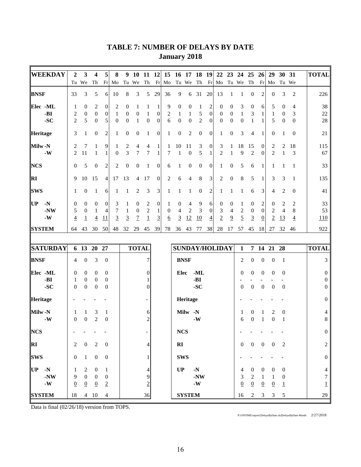| <b>WEEKDAY</b>    | 2                | 3                | $\boldsymbol{4}$ | 5                | 8                | 9                | <b>10</b>        | <b>11</b>        | <b>12</b>        | 15              |                  | 16 17 18         |                  | <b>19</b>        | 22               | 23               | 24 25            |                  | 26               | 29               | 30               | 31             | <b>TOTAL</b>             |
|-------------------|------------------|------------------|------------------|------------------|------------------|------------------|------------------|------------------|------------------|-----------------|------------------|------------------|------------------|------------------|------------------|------------------|------------------|------------------|------------------|------------------|------------------|----------------|--------------------------|
|                   | Tu               | We               | Th               |                  | $Fr$ Mo          |                  | Tu We            | Th               | Fr               | Mo              |                  | Tu We Th         |                  | Fr               | Mo               |                  | Tu We Th         |                  | Fr               | Mo               |                  | Tu We          |                          |
| <b>BNSF</b>       | 33               | 3                | 5                | 6                | 10               | 8                | 3                | 5                | 29               | 36              | 9                | 6                | 31               | 20               | 13               | 1                | $\mathbf{1}$     | $\overline{0}$   | $\overline{2}$   | $\boldsymbol{0}$ | 3                | 2              | 226                      |
| Elec -ML          | 1                | 0                | 2                | 0                | 2                | $\mathbf{0}$     | 1                | 1                | 1                | 9               | $\mathbf{0}$     | $\theta$         | 1                | 2                | 0                | $\theta$         | 3                | $\mathbf{0}$     | 6                | 5                | $\mathbf{0}$     | $\overline{4}$ | 38                       |
| -BI               | 2                | $\boldsymbol{0}$ | $\overline{0}$   | $\boldsymbol{0}$ | 1                | $\mathbf{0}$     | $\mathbf{0}$     | 1                | $\boldsymbol{0}$ | $\overline{c}$  | 1                | 1                | 5                | $\boldsymbol{0}$ | $\boldsymbol{0}$ | $\boldsymbol{0}$ | $\mathbf{1}$     | 3                | 1                | $\mathbf{1}$     | $\overline{0}$   | 3              | 22                       |
| $-SC$             | 2                | 5                | $\Omega$         | 5                | $\boldsymbol{0}$ | $\boldsymbol{0}$ | $\mathbf{1}$     | $\boldsymbol{0}$ | $\theta$         | 6               | $\boldsymbol{0}$ | $\boldsymbol{0}$ | $\overline{2}$   | $\boldsymbol{0}$ | $\theta$         | $\mathbf{0}$     | $\boldsymbol{0}$ | $\mathbf{1}$     | 1                | 5                | $\overline{0}$   | $\theta$       | 28                       |
| Heritage          | 3                | 1                | $\theta$         | 2                | 1                | $\mathbf{0}$     | $\theta$         | 1                | $\boldsymbol{0}$ | 1               | $\boldsymbol{0}$ | $\overline{2}$   | $\theta$         | $\boldsymbol{0}$ | 1                | $\boldsymbol{0}$ | 3                | 4                | 1                | $\boldsymbol{0}$ | 1                | $\theta$       | 21                       |
| Milw-N            | 2                | 7                | 1                | 9                | 1                | $\overline{c}$   | 4                | 4                | $\mathbf{1}$     | 1               | 10               | 11               | 3                | $\boldsymbol{0}$ | 3                | $\mathbf{1}$     | 18               | 15               | $\boldsymbol{0}$ | 2                | 2                | 18             | 115                      |
| $-W$              | 2                | 11               | 1                | $\mathbf{1}$     | $\mathbf{0}$     | 3                | 7                | 7                | $\mathbf{1}$     | 7               | $\mathbf{1}$     | $\mathbf{0}$     | 5                | $\mathbf{1}$     | $\overline{2}$   | $\mathbf{1}$     | 9                | $\overline{2}$   | $\mathbf{0}$     | $\overline{2}$   | $\mathbf{1}$     | 3              | 67                       |
| <b>NCS</b>        | $\overline{0}$   | 5                | $\boldsymbol{0}$ | $\overline{c}$   | 2                | $\boldsymbol{0}$ | $\mathbf{0}$     | 1                | $\boldsymbol{0}$ | 6               | 1                | $\boldsymbol{0}$ | $\boldsymbol{0}$ | $\boldsymbol{0}$ | 1                | $\boldsymbol{0}$ | 5                | 6                | 1                | 1                | 1                | 1              | 33                       |
| <b>RI</b>         | 9                | 10               | 15               | 4                | 17               | 13               | $\overline{4}$   | 17               | $\boldsymbol{0}$ | 2               | 6                | 4                | 8                | 3                | $\overline{c}$   | $\boldsymbol{0}$ | 8                | 5                | 1                | 3                | 3                | 1              | 135                      |
| <b>SWS</b>        | 1                | $\theta$         | 1                | 6                | 1                | 1                | 2                | 3                | $\mathfrak{Z}$   | 1               | 1                | 1                | $\boldsymbol{0}$ | $\overline{c}$   | 1                | 1                | 1                | 6                | 3                | $\overline{4}$   | $\overline{c}$   | $\overline{0}$ | 41                       |
| <b>UP</b><br>$-N$ | $\boldsymbol{0}$ | $\theta$         | $\mathbf{0}$     | 0                | 3                | 1                | $\boldsymbol{0}$ | 2                | $\boldsymbol{0}$ | 1               | $\boldsymbol{0}$ | 4                | 9                | 6                | $\boldsymbol{0}$ | 0                | 1                | $\boldsymbol{0}$ | 2                | $\boldsymbol{0}$ | 2                | 2              | 33                       |
| $-NW$             | 5                | $\overline{0}$   | 1                | 4                | 7                | 1                | $\boldsymbol{0}$ | $\boldsymbol{2}$ | $\mathbf{1}$     | $\overline{0}$  | 4                | 2                | 3                | $\boldsymbol{0}$ | 3                | $\overline{4}$   | 2                | $\boldsymbol{0}$ | $\mathbf{0}$     | $\overline{2}$   | $\overline{4}$   | 8              | 53                       |
| $\mbox{\bf -W}$   | $\overline{4}$   | $\overline{1}$   | $\overline{4}$   | 11               | $\overline{3}$   | $\overline{3}$   | $\overline{1}$   | $\overline{1}$   | $\overline{3}$   | $6\overline{6}$ | $\overline{3}$   | 12               | 10               | $\overline{4}$   | $\overline{2}$   | $\overline{9}$   | $\overline{5}$   | $\overline{3}$   | $\overline{0}$   | $\overline{2}$   | 13               | $\overline{4}$ | 110                      |
| <b>SYSTEM</b>     | 64               | 43               | 30               | 50               | 48               | 32               | 29               | 45               | 39               | 78              | 36               | 43               | 77               | 38               | 28               | 17               | 57               | 45               | 18               | 27               | 32               | 46             | 922                      |
|                   |                  |                  |                  |                  |                  |                  |                  |                  |                  |                 |                  |                  |                  |                  |                  |                  |                  |                  |                  |                  |                  |                |                          |
| <b>SATURDAY</b>   |                  | 6 13 20 27       |                  |                  |                  |                  | <b>TOTAL</b>     |                  |                  |                 |                  |                  |                  |                  | SUNDAY/HOLIDAY   |                  | $\mathbf{1}$     |                  |                  | 7 14 21 28       |                  |                | <b>TOTAL</b>             |
| <b>BNSF</b>       | 4                | $\boldsymbol{0}$ | 3                | $\boldsymbol{0}$ |                  |                  |                  | 7                |                  |                 |                  | <b>BNSF</b>      |                  |                  |                  |                  | 2                | $\boldsymbol{0}$ | $\boldsymbol{0}$ | $\boldsymbol{0}$ | 1                |                | 3                        |
| Elec -ML          | $\mathbf{0}$     | $\mathbf{0}$     | $\theta$         | 0                |                  |                  |                  | 0                |                  |                 | Elec             |                  | -ML              |                  |                  |                  | $\mathbf{0}$     | $\mathbf{0}$     | $\boldsymbol{0}$ | $\boldsymbol{0}$ | $\theta$         |                | $\boldsymbol{0}$         |
| -BI               | 1                | $\mathbf{0}$     | $\overline{0}$   | $\boldsymbol{0}$ |                  |                  |                  |                  |                  |                 |                  |                  | -BI              |                  |                  |                  |                  |                  |                  |                  |                  |                | $\overline{0}$           |
| $-SC$             | $\theta$         | $\mathbf{0}$     | $\overline{0}$   | $\theta$         |                  |                  |                  | $\Omega$         |                  |                 |                  |                  | $-SC$            |                  |                  |                  | $\theta$         | $\boldsymbol{0}$ | $\boldsymbol{0}$ | $\mathbf{0}$     | $\overline{0}$   |                | $\overline{0}$           |
| Heritage          |                  |                  |                  |                  |                  |                  |                  |                  |                  |                 |                  | Heritage         |                  |                  |                  |                  |                  |                  |                  |                  |                  |                | $\boldsymbol{0}$         |
| Milw-N            | 1                | 1                | 3                | 1                |                  |                  |                  | 6                |                  |                 |                  | Milw -N          |                  |                  |                  |                  | 1                | $\overline{0}$   | 1                | 2                | $\boldsymbol{0}$ |                | 4                        |
| $-W$              | $\theta$         | $\boldsymbol{0}$ | 2                | $\boldsymbol{0}$ |                  |                  |                  | 2                |                  |                 |                  |                  | $-W$             |                  |                  |                  | 6                | $\boldsymbol{0}$ | $\mathbf{1}$     | $\boldsymbol{0}$ | $\mathbf{1}$     |                | 8                        |
| <b>NCS</b>        |                  |                  |                  |                  |                  |                  |                  |                  |                  |                 | ${\bf NCS}$      |                  |                  |                  |                  |                  |                  |                  |                  |                  |                  |                | $\boldsymbol{0}$         |
| $\mathbf{R}$      | $\overline{2}$   | $\overline{0}$   | 2                | $\mathbf{0}$     |                  |                  |                  | 4                |                  |                 | $\mathbf{R}$     |                  |                  |                  |                  |                  | $\Omega$         | $\boldsymbol{0}$ | $\overline{0}$   | $\overline{0}$   | 2                |                | $\overline{c}$           |
| <b>SWS</b>        | $\boldsymbol{0}$ | $\mathbf{1}$     | $\boldsymbol{0}$ | $\boldsymbol{0}$ |                  |                  |                  |                  |                  |                 | <b>SWS</b>       |                  |                  |                  |                  |                  |                  |                  |                  |                  |                  |                | $\boldsymbol{0}$         |
| $UP - N$          | 1                | $\overline{2}$   | $\overline{0}$   | 1                |                  |                  |                  |                  |                  |                 | UP               |                  | $\mathbf{-N}$    |                  |                  |                  | 4                | $\overline{0}$   | $\overline{0}$   | $\overline{0}$   | $\boldsymbol{0}$ |                | $\overline{\mathcal{A}}$ |
| $-NW$             | $\overline{9}$   | $\mathbf{0}$     | $\mathbf{0}$     | $\boldsymbol{0}$ |                  |                  |                  | 9                |                  |                 |                  |                  | $-NW$            |                  |                  |                  | 3                | $\sqrt{2}$       | 1                | 1                | 0                |                | 7                        |
| $\mathbf{-W}$     | $\underline{0}$  | $\overline{0}$   | $\overline{0}$   | $\overline{2}$   |                  |                  |                  | $\overline{2}$   |                  |                 |                  |                  | $-W$             |                  |                  |                  | $\underline{0}$  | $\underline{0}$  | $\overline{0}$   | $\overline{0}$   | $\overline{1}$   |                | $\overline{1}$           |
| <b>SYSTEM</b>     | 18               |                  | $4\quad10$       | 4                |                  |                  |                  | 36               |                  |                 |                  | <b>SYSTEM</b>    |                  |                  |                  |                  | 16               | $\overline{2}$   | $\mathfrak{Z}$   | $\overline{3}$   | 5                |                | 29                       |
|                   |                  |                  |                  |                  |                  |                  |                  |                  |                  |                 |                  |                  |                  |                  |                  |                  |                  |                  |                  |                  |                  |                |                          |

# **TABLE 7: NUMBER OF DELAYS BY DATE January 2018**

Data is final (02/26/18) version from TOPS.

P:\ONTIME\report\[DelaysByDate.xls]DelaysByDate-Month 2/27/2018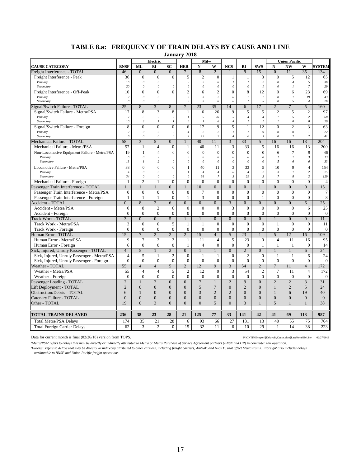**January 2018**

|                                                 |                                |                           | Electric                       | ounuur y                                      | $-010$                                      | <b>Milw</b>                      |                            |                     |                                    |                                  |                                | <b>Union Pacific</b>             |                                             |                    |
|-------------------------------------------------|--------------------------------|---------------------------|--------------------------------|-----------------------------------------------|---------------------------------------------|----------------------------------|----------------------------|---------------------|------------------------------------|----------------------------------|--------------------------------|----------------------------------|---------------------------------------------|--------------------|
| <b>CAUSE CATEGORY</b>                           | <b>BNSF</b>                    | ML                        | BI                             | $\bf SC$                                      | <b>HER</b>                                  | $\mathbf N$                      | W                          | <b>NCS</b>          | RI                                 | <b>SWS</b>                       | $\overline{\bf N}$             | <b>NW</b>                        | W                                           | <b>SYSTEM</b>      |
| Freight Interference - TOTAL                    | 46                             | $\overline{0}$            | $\overline{0}$                 | $\overline{0}$                                | $\overline{7}$                              | 8                                | $\overline{2}$             |                     | 9                                  | 15                               | $\overline{0}$                 | 11                               | 35                                          | 134                |
| Freight Interference - Peak                     | 36                             | $\mathbf{0}$              | $\boldsymbol{0}$               | $\mathbf{0}$                                  | 5                                           | $\mathfrak{2}$                   | $\theta$                   | $\mathbf{1}$        | $\mathbf{1}$                       | 3                                | $\mathbf{0}$                   | 5                                | 12                                          | 65                 |
| Primary                                         | 16                             | $\theta$                  | $\theta$                       | $\boldsymbol{\theta}$                         | 5                                           | $\sqrt{2}$                       | $\boldsymbol{\mathit{0}}$  | $\boldsymbol{l}$    | $\boldsymbol{l}$                   | $\sqrt{2}$                       | $\theta$                       | $\overline{4}$                   | 5                                           | 36                 |
| Secondary                                       | 20                             | $\theta$                  | $\theta$                       | $\boldsymbol{\theta}$                         | $\boldsymbol{\mathit{0}}$                   | $\theta$                         | $\mathfrak{o}$             | $\theta$            | $\mathcal{O}$                      | $\overline{I}$                   | $\theta$                       | $\mathcal{I}$                    | $\overline{7}$                              | 29                 |
| Freight Interference - Off-Peak                 | 10                             | $\mathbf{0}$              | $\mathbf{0}$                   | $\mathbf{0}$                                  | $\overline{2}$                              | 6                                | $\overline{c}$             | $\overline{0}$      | 8                                  | 12                               | $\overline{0}$                 | 6                                | 23                                          | 69                 |
| Primary                                         | $\overline{c}$                 | $\theta$                  | $\theta$                       | $\boldsymbol{\theta}$                         | 2                                           | $\mathfrak{Z}$                   | $\overline{c}$             | $\theta$            | $\overline{7}$                     | $\overline{7}$                   | $\theta$                       | $\mathcal{I}$                    | 19                                          | 43                 |
| Secondary                                       | 8                              | $\theta$                  | $\theta$                       | $\boldsymbol{\theta}$                         | $\boldsymbol{\mathit{0}}$                   | $\mathfrak{Z}$                   | $\theta$                   | $\theta$            | $\mathcal{I}_{\mathcal{I}}$        | 5                                | $\theta$                       | 5                                | $\overline{4}$                              | 26                 |
| Signal/Switch Failure - TOTAL                   | 25                             | 8                         | 3                              | 8                                             | $\overline{7}$                              | 23                               | 35                         | 14                  | 6                                  | 17                               | $\overline{2}$                 | $\overline{7}$                   | $\overline{5}$                              | 160                |
| Signal/Switch Failure - Metra/PSA               | 17                             | 8                         | 3                              | 8                                             | $\mathbf{1}$                                | 6                                | 26                         | 9                   | 5                                  | 5                                | $\overline{2}$                 | 5                                | 2                                           | 97                 |
| Primary<br>Secondary                            | $\overline{7}$<br>10           | 5<br>$\boldsymbol{\beta}$ | $\sqrt{2}$<br>$\mathfrak{1}$   | $\overline{7}$<br>$\mathcal{I}_{\mathcal{I}}$ | $\mathfrak{I}$<br>$\boldsymbol{\mathit{0}}$ | 5<br>$\mathcal{I}_{\mathcal{I}}$ | 20<br>6                    | 5<br>$\overline{4}$ | $\overline{4}$<br>$\boldsymbol{l}$ | $\overline{4}$<br>$\overline{I}$ | $\mathcal{I}$<br>$\mathcal{I}$ | 5<br>$\boldsymbol{\mathit{0}}$   | $\overline{c}$<br>$\boldsymbol{\mathit{0}}$ | 68<br>29           |
| Signal/Switch Failure - Foreign                 | 8                              | $\overline{0}$            | $\overline{0}$                 | $\overline{0}$                                | $\overline{6}$                              | 17                               | 9                          | 5                   | $\overline{1}$                     | 12                               | $\overline{0}$                 | $\overline{2}$                   | 3                                           | 63                 |
| Primary                                         | $\overline{c}$                 | $\theta$                  | $\theta$                       | $\theta$                                      | $\overline{4}$                              | $\sqrt{2}$                       | $\sqrt{2}$                 | $\boldsymbol{l}$    | $\mathfrak{1}$                     | 9                                | $\theta$                       | $\theta$                         | $\mathcal{I}_{\mathcal{I}}$                 | 22                 |
| Secondary                                       | 6                              | $\boldsymbol{\mathit{0}}$ | $\boldsymbol{\mathit{0}}$      | $\it{0}$                                      | $\overline{c}$                              | 15                               | $\boldsymbol{7}$           | $\overline{4}$      | $\boldsymbol{\theta}$              | $\mathfrak{z}$                   | $\mathcal{O}$                  | $\sqrt{2}$                       | $\sqrt{2}$                                  | $4\,$              |
| Mechanical Failure - TOTAL                      | 58                             | 3                         | 5                              | $\Omega$                                      | $\mathbf{1}$                                | 40                               | 11                         | 3                   | 33                                 | 5                                | 16                             | 16                               | 13                                          | 204                |
| Mechanical Failure - Metra/PSA                  | 57                             | 1                         | $\overline{4}$                 | $\boldsymbol{0}$                              | 1                                           | 40                               | 11                         | 3                   | 33                                 | 5                                | 16                             | 16                               | 13                                          | 200                |
| Non-Locomotive Equipment Failure - Metra/PSA    | 19                             | $\mathbf{1}$              | $\overline{4}$                 | $\boldsymbol{0}$                              | $\mathbf{0}$                                | $\overline{0}$                   | $\mathbf{0}$               | $\overline{0}$      | $\mathbf 0$                        | $\mathbf{0}$                     | 6                              | $\overline{7}$                   | 9                                           | 46                 |
| Primary                                         | 6                              | $\theta$                  | $\overline{c}$                 | $\theta$                                      | $\theta$                                    | $\theta$                         | $\boldsymbol{\theta}$      | $\theta$            | $\theta$                           | $\boldsymbol{\theta}$            | $\mathbf{I}$                   | $\mathcal{I}$                    | $\mathfrak{z}$                              | 13                 |
| Secondary                                       | 13                             | $\mathcal{I}$             | $\overline{c}$                 | $\boldsymbol{\theta}$                         | 0                                           | $\theta$                         | 0                          | $\theta$            | $\theta$                           | $\boldsymbol{\theta}$            | 5                              | 6                                | 6                                           | 33                 |
| Locomotive Failure - Metra/PSA                  | 38                             | $\mathbf{0}$              | $\overline{0}$                 | $\mathbf{0}$                                  | $\mathbf{1}$                                | 40                               | 11                         | 3                   | 33                                 | 5                                | 10                             | 9                                | $\overline{4}$                              | 154                |
| Primary                                         | $\overline{4}$                 | $\theta$                  | $\theta$                       | $\theta$                                      | $\overline{I}$                              | $\overline{4}$                   | $\overline{4}$             | $\theta$            | $\overline{4}$                     | $\overline{c}$                   | $\mathfrak{Z}$                 | $\mathcal{I}$                    | $\overline{c}$                              | 25                 |
| Secondary                                       | 34                             | $\theta$                  | $\theta$                       | $\boldsymbol{0}$                              | 0                                           | 36                               | $\overline{7}$             | $\mathfrak{z}$      | 29                                 | $\mathfrak{z}$                   | $\overline{7}$                 | 8                                | $\overline{c}$                              | 129                |
| Mechanical Failure - Foreign                    | $\mathbf{1}$                   | $\overline{2}$            | $\mathbf{1}$                   | $\overline{0}$                                | $\overline{0}$                              | $\overline{0}$                   | $\overline{0}$             | $\overline{0}$      | $\overline{0}$                     | $\overline{0}$                   | $\overline{0}$                 | $\overline{0}$                   | $\overline{0}$                              | $\overline{4}$     |
| Passenger Train Interference - TOTAL            | $\mathbf{1}$                   | $\overline{1}$            | $\overline{1}$                 | $\overline{0}$                                |                                             | 10                               | $\overline{0}$             | $\overline{0}$      | $\overline{0}$                     |                                  | $\overline{0}$                 | $\overline{0}$                   | $\overline{0}$                              | 15                 |
| Passenger Train Interference - Metra/PSA        | $\theta$                       | $\mathbf{0}$              | $\overline{0}$                 | $\mathbf{0}$                                  | $\mathbf{0}$                                | 7                                | $\mathbf{0}$               | $\overline{0}$      | $\overline{0}$                     | $\mathbf{0}$                     | $\mathbf{0}$                   | $\mathbf{0}$                     | $\mathbf{0}$                                | 7                  |
| Passenger Train Interference - Foreign          | $\mathbf{1}$                   | $\mathbf{1}$              | $\mathbf{1}$<br>$\overline{2}$ | $\mathbf{0}$                                  | $\mathbf{1}$                                | 3                                | $\theta$                   | $\overline{0}$      | $\theta$                           | $\mathbf{1}$                     | $\theta$                       | $\overline{0}$                   | $\mathbf{0}$                                | 8                  |
| Accident - TOTAL                                | $\overline{0}$                 | 8<br>8                    | $\mathfrak{2}$                 | 6                                             | $\Omega$<br>$\mathbf{0}$                    | $\overline{0}$                   | $\overline{0}$<br>$\theta$ | $\overline{3}$<br>3 | $\overline{0}$<br>$\overline{0}$   | $\Omega$<br>$\mathbf{0}$         | $\overline{0}$<br>$\mathbf{0}$ | $\overline{0}$<br>$\overline{0}$ | 6                                           | 25                 |
| Accident - Metra/PSA                            | $\mathbf{0}$<br>$\overline{0}$ | $\mathbf{0}$              | $\overline{0}$                 | 6<br>$\mathbf{0}$                             | $\mathbf{0}$                                | $\boldsymbol{0}$<br>$\mathbf{0}$ | $\mathbf{0}$               | $\overline{0}$      | $\overline{0}$                     | $\overline{0}$                   | $\mathbf{0}$                   | $\mathbf{0}$                     | 6<br>$\mathbf{0}$                           | 25                 |
| Accident - Foreign<br><b>Track Work - TOTAL</b> | $\overline{3}$                 | $\overline{0}$            | $\overline{0}$                 | $\overline{5}$                                | $\mathbf{1}$                                | $\mathbf{1}$                     | $\overline{0}$             | $\overline{0}$      | $\overline{0}$                     | $\overline{0}$                   | $\mathbf{1}$                   | $\overline{0}$                   | $\overline{0}$                              | $\mathbf{0}$<br>11 |
| Track Work - Metra/PSA                          | 3                              | $\mathbf{0}$              | $\mathbf{0}$                   | 5                                             | $\mathbf{1}$                                | $\mathbf{1}$                     | $\overline{0}$             | $\overline{0}$      | $\overline{0}$                     | $\mathbf{0}$                     | $\mathbf{1}$                   | $\overline{0}$                   | $\mathbf{0}$                                | 11                 |
| Track Work - Foreign                            | $\overline{0}$                 | $\mathbf{0}$              | $\mathbf{0}$                   | $\mathbf{0}$                                  | $\mathbf{0}$                                | $\mathbf{0}$                     | $\mathbf{0}$               | $\overline{0}$      | $\Omega$                           | $\overline{0}$                   | $\mathbf{0}$                   | $\mathbf{0}$                     | $\mathbf{0}$                                | $\boldsymbol{0}$   |
| Human Error - TOTAL                             | 15                             | $\overline{7}$            | $\overline{2}$                 | $\overline{2}$                                | $\overline{2}$                              | $\overline{15}$                  | $\overline{4}$             | $\overline{5}$      | 23                                 | $\mathbf{1}$                     | 5                              | 12                               | 16                                          | 109                |
| Human Error - Metra/PSA                         | 9                              | $\overline{7}$            | $\overline{2}$                 | $\overline{2}$                                | $\mathbf{1}$                                | 11                               | $\overline{4}$             | 5                   | 23                                 | $\theta$                         | $\overline{4}$                 | 11                               | 16                                          | 95                 |
| Human Error - Foreign                           | 6                              | $\boldsymbol{0}$          | $\mathbf{0}$                   | $\mathbf{0}$                                  | $\mathbf{1}$                                | $\overline{4}$                   | $\mathbf{0}$               | $\mathbf{0}$        | $\overline{0}$                     | $\mathbf{1}$                     | $\mathbf{1}$                   | $\mathbf{1}$                     | $\mathbf{0}$                                | 14                 |
| Sick, Injured, Unruly Passenger - TOTAL         | $\overline{4}$                 | $\overline{5}$            | $\mathbf{1}$                   | $\overline{2}$                                | $\overline{0}$                              | $\mathbf{1}$                     | $\mathbf{1}$               | $\overline{0}$      | $\overline{2}$                     | $\overline{0}$                   | $\mathbf{1}$                   | $\mathbf{1}$                     | 6                                           | 24                 |
| Sick, Injured, Unruly Passenger - Metra/PSA     | $\overline{4}$                 | 5                         | 1                              | $\mathfrak{2}$                                | $\mathbf{0}$                                | 1                                | 1                          | $\boldsymbol{0}$    | $\overline{c}$                     | $\theta$                         | $\mathbf{1}$                   | 1                                | 6                                           | 24                 |
| Sick, Injured, Unruly Passenger - Foreign       | $\overline{0}$                 | $\mathbf{0}$              | $\overline{0}$                 | $\boldsymbol{0}$                              | $\mathbf{0}$                                | $\overline{0}$                   | $\overline{0}$             | $\overline{0}$      | $\overline{0}$                     | $\mathbf{0}$                     | $\mathbf{0}$                   | $\overline{0}$                   | $\mathbf{0}$                                | $\boldsymbol{0}$   |
| Weather - TOTAL                                 | 55                             | $\overline{4}$            | $\overline{4}$                 | 5                                             | $\overline{2}$                              | 12                               | 9                          | $\overline{3}$      | 54                                 | $\overline{2}$                   | $\overline{7}$                 | 11                               | $\overline{4}$                              | 172                |
| Weather - Metra/PSA                             | 55                             | $\overline{4}$            | $\overline{4}$                 | 5                                             | $\overline{2}$                              | 12                               | 9                          | 3                   | 54                                 | $\overline{c}$                   | $\tau$                         | 11                               | $\overline{4}$                              | 172                |
| Weather - Foreign                               | $\overline{0}$                 | $\mathbf{0}$              | $\overline{0}$                 | $\mathbf{0}$                                  | $\mathbf{0}$                                | $\overline{0}$                   | $\mathbf{0}$               | $\overline{0}$      | $\theta$                           | $\mathbf{0}$                     | $\mathbf{0}$                   | $\overline{0}$                   | $\mathbf{0}$                                | $\mathbf{0}$       |
| Passenger Loading - TOTAL                       | $\overline{2}$                 |                           | $\overline{2}$                 | $\mathbf{0}$                                  | $\overline{0}$                              | $\tau$                           | $\mathbf{1}$               | $\mathbf{2}$        | 9                                  | $\overline{0}$                   | $\overline{2}$                 | $\overline{2}$                   | $\overline{3}$                              | 31                 |
| Lift Deployment - TOTAL                         | $\overline{2}$                 | $\overline{0}$            | $\overline{0}$                 | $\boldsymbol{0}$                              | $\overline{0}$                              | 5                                | $\overline{7}$             | $\mathbf{0}$        | $\overline{2}$                     | $\overline{0}$                   | $\mathbf{1}$                   | $\overline{2}$                   | 5                                           | 24                 |
| Obstruction/Debris - TOTAL                      | 6                              | $\mathbf{1}$              | $\theta$                       | $\Omega$                                      | $\theta$                                    | 3                                | $\overline{c}$             | $\overline{2}$      | $\mathbf{0}$                       | $\Omega$                         | 1                              | 6                                | 19                                          | 40                 |
| Catenary Failure - TOTAL                        | $\Omega$                       | $\theta$                  | $\mathbf{0}$                   | $\boldsymbol{0}$                              | $\mathbf{0}$                                | $\overline{0}$                   | $\boldsymbol{0}$           | $\Omega$            | $\mathbf{0}$                       | $\Omega$                         | $\theta$                       | $\Omega$                         | $\mathbf{0}$                                | $\Omega$           |
| Other - TOTAL                                   | 19                             | $\theta$                  | 3                              | $\Omega$                                      | $\theta$                                    | $\Omega$                         | 5                          | $\Omega$            | 3                                  | 1                                | 5                              | $\mathbf{1}$                     | $\mathbf{1}$                                | 38                 |
| <b>TOTAL TRAINS DELAYED</b>                     | 236                            | 38                        | 23                             | 28                                            | 21                                          | 125                              | 77                         | 33                  | 141                                | 42                               | 41                             | 69                               | 113                                         | 987                |
| Total Metra/PSA Delays                          | 174                            | 35                        | 21                             | 28                                            | 6                                           | 93                               | 66                         | 27                  | 131                                | 13                               | 40                             | 55                               | 75                                          | 764                |
|                                                 | 62                             | 3                         | $\overline{c}$                 | $\overline{0}$                                | 15                                          | 32                               | 11                         | 6                   | 10                                 | 29                               | $\overline{1}$                 | 14                               | 38                                          | 223                |
| <b>Total Foreign Carrier Delays</b>             |                                |                           |                                |                                               |                                             |                                  |                            |                     |                                    |                                  |                                |                                  |                                             |                    |

Data for current month is final (02/26/18) version from TOPS. P:\ONTIME\report\[DelaysByCause.xlsm]LastMonthByLine 02/27/2018

*'Metra/PSA' refers to delays that may be directly or indirectly attributed to Metra or Metra Purchase of Service Agreement partners (BNSF and UP) in commuter rail operation. 'Foreign' refers to delays that may be directly or indirectly attributed to other carriers, including freight carriers, Amtrak, and NICTD, that affect Metra trains. 'Foreign' also includes delays attributable to BNSF and Union Pacific freight operations.*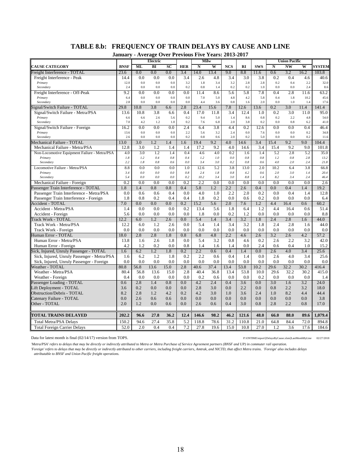# **TABLE 8.b: FREQUENCY OF TRAIN DELAYS BY CAUSE AND LINE**

**January - Average Over Previous Five Years: 2013-2017**

|                                              | эапиаг у    | $-$ Average | Electric   |            | <b>OVEL LICYRUG FI</b> |            | 1 Cal 3. 2013<br>Milw |            |            |             |            | <b>Union Pacific</b>   |            |               |
|----------------------------------------------|-------------|-------------|------------|------------|------------------------|------------|-----------------------|------------|------------|-------------|------------|------------------------|------------|---------------|
| <b>CAUSE CATEGORY</b>                        | <b>BNSF</b> | ML          | BI         | SC         | <b>HER</b>             | N          | W                     | <b>NCS</b> | RI         | <b>SWS</b>  | N          | $\overline{\text{NW}}$ | W          | <b>SYSTEM</b> |
| Freight Interference - TOTAL                 | 23.6        | 0.0         | 0.0        | 0.0        | 3.4                    | 14.0       | 13.4                  | 9.0        | 8.8        | 11.6        | 0.6        | 3.2                    | 16.2       | 103.8         |
| Freight Interference - Peak                  | 14.4        | 0.0         | 0.0        | 0.0        | 3.4                    | 2.6        | 4.8                   | 3.4        | 3.0        | 3.8         | 0.2        | 0.4                    | 4.6        | 40.6          |
| Primary                                      | 12.0        | 0.0         | 0.0        | 0.0        | 3.2                    | 1.8        | 3.4                   | 3.2        | 2.8        | 2.8         | 0.2        | 0.4                    | 2.2        | 32.0          |
| Secondary                                    | 2.4         | 0.0         | 0.0        | 0.0        | 0.2                    | 0.8        | 1.4                   | 0.2        | 0.2        | 1.0         | 0.0        | 0.0                    | 2.4        | 8.6           |
| Freight Interference - Off-Peak              | 9.2         | 0.0         | 0.0        | 0.0        | 0.0                    | 11.4       | 8.6                   | 5.6        | 5.8        | 7.8         | 0.4        | 2.8                    | 11.6       | 63.2          |
| Primary                                      | 6.4         | 0.0         | 0.0        | 0.0        | 0.0                    | 7.0        | 5.0                   | 4.8        | 4.2        | 5.8         | 0.4        | 1.8                    | 10.2       | 45.6          |
| Secondary                                    | 2.8         | 0.0         | 0.0        | 0.0        | 0.0                    | 4.4        | 3.6                   | 0.8        | 1.6        | 2.0         | 0.0        | 1.0                    | 1.4        | 17.6          |
| Signal/Switch Failure - TOTAL                | 29.8        | 10.8        | 3.8        | 6.6        | 2.8                    | 23.4       | 15.6                  | 7.8        | 12.6       | 13.6        | 0.2        | 3.0                    | 11.4       | 141.4         |
| Signal/Switch Failure - Metra/PSA            | 13.6        | 10.8        | 3.8        | 6.6        | 0.4                    | 17.0       | 11.8                  | 3.4        | 12.4       | 1.0         | 0.2        | 3.0                    | 11.0       | 95.0          |
| Primary                                      | 6.6<br>7.0  | 6.6<br>4.2  | 2.6<br>1.2 | 5.6<br>1.0 | 0.2<br>0.2             | 9.4<br>7.6 | 5.0<br>6.8            | 1.4<br>2.0 | 8.6<br>3.8 | 0.8<br>0.2  | 0.2<br>0.0 | 2.2<br>0.8             | 4.8<br>6.2 | 54.0          |
| Secondary                                    |             |             |            |            |                        |            |                       |            |            |             |            |                        |            | 41.0          |
| Signal/Switch Failure - Foreign              | 16.2        | 0.0<br>0.0  | 0.0<br>0.0 | 0.0<br>0.0 | 2.4<br>2.2             | 6.4<br>5.6 | 3.8<br>3.2            | 4.4<br>2.4 | 0.2<br>0.0 | 12.6<br>7.6 | 0.0<br>0.0 | 0.0<br>0.0             | 0.4        | 46.4          |
| Primary<br>Secondary                         | 13.6<br>2.6 | 0.0         | 0.0        | 0.0        | 0.2                    | 0.8        | 0.6                   | 2.0        | 0.2        | 5.0         | 0.0        | 0.0                    | 0.2<br>0.2 | 34.8<br>11.6  |
| Mechanical Failure - TOTAL                   | 13.0        | 3.0         | 1.2        | 1.4        | 1.6                    | 19.4       | 9.2                   | 4.0        | 14.6       | 3.4         | 15.4       | 9.2                    | 9.0        | 104.4         |
| Mechanical Failure - Metra/PSA               | 12.8        | 3.0         | 1.2        | 1.4        | 1.4                    | 17.2       | 9.2                   | 4.0        | 14.6       | 3.4         | 15.4       | 9.2                    | 9.0        | 101.8         |
| Non-Locomotive Equipment Failure - Metra/PSA | 4.0         | 3.0         | 1.2        | 1.4        | 0.4                    | 4.6        | 4.0                   | 0.2        | 1.6        | 1.4         | 5.2        | 2.8                    | 5.2        | 35.0          |
| Primary                                      | 1.8         | 1.2         | 0.4        | 0.8        | 0.4                    | 1.2        | 1.0                   | 0.0        | 0.8        | 0.8         | 1.2        | $0.8\,$                | 2.8        | 13.2          |
| Secondary                                    | 2.2         | 1.8         | 0.8        | 0.6        | $0.0\,$                | 3.4        | 3.0                   | 0.2        | 0.8        | 0.6         | 4.0        | 2.0                    | 2.4        | 21.8          |
| Locomotive Failure - Metra/PSA               | 8.8         | 0.0         | 0.0        | 0.0        | 1.0                    | 12.6       | 5.2                   | 3.8        | 13.0       | 2.0         | 10.2       | 6.4                    | 3.8        | 66.8          |
| Primary                                      | 3.4         | 0.0         | 0.0        | 0.0        | $0.8\,$                | 2.4        | 1.8                   | 0.8        | 4.2        | 0.6         | 2.0        | 3.0                    | 1.4        | 20.4          |
| Secondary                                    | 5.4         | 0.0         | 0.0        | 0.0        | 0.2                    | 10.2       | 3.4                   | 3.0        | 8.8        | 1.4         | 8.2        | 3.4                    | 2.4        | 46.4          |
| Mechanical Failure - Foreign                 | 0.2         | 0.0         | 0.0        | 0.0        | 0.2                    | 2.2        | 0.0                   | 0.0        | 0.0        | 0.0         | 0.0        | 0.0                    | 0.0        | 2.6           |
| Passenger Train Interference - TOTAL         | 1.8         | 1.4         | 0.8        | 0.8        | 0.4                    | 5.8        | 1.2                   | $2.2\,$    | 2.6        | 0.4         | 0.0        | 0.4                    | 1.4        | 19.2          |
| Passenger Train Interference - Metra/PSA     | 0.0         | 0.6         | 0.6        | 0.4        | 0.0                    | 4.0        | 1.0                   | 2.2        | 2.0        | 0.2         | 0.0        | 0.4                    | 1.4        | 12.8          |
| Passenger Train Interference - Foreign       | 1.8         | 0.8         | 0.2        | 0.4        | 0.4                    | 1.8        | 0.2                   | 0.0        | 0.6        | 0.2         | 0.0        | 0.0                    | 0.0        | 6.4           |
| Accident - TOTAL                             | 7.0         | 0.0         | 0.0        | 0.0        | 0.2                    | 15.2       | 5.6                   | 2.0        | 7.6        | 1.2         | 4.4        | 16.4                   | 0.6        | 60.2          |
| Accident - Metra/PSA                         | 1.4         | 0.0         | 0.0        | 0.0        | 0.2                    | 13.4       | 5.6                   | 1.8        | 6.4        | 1.2         | 4.4        | 16.4                   | 0.6        | 51.4          |
| Accident - Foreign                           | 5.6         | 0.0         | 0.0        | 0.0        | 0.0                    | 1.8        | 0.0                   | 0.2        | 1.2        | 0.0         | 0.0        | 0.0                    | 0.0        | 8.8           |
| Track Work - TOTAL                           | 12.2        | 6.0         | 1.2        | 2.6        | 0.0                    | 5.4        | 1.4                   | 3.4        | 3.2        | 1.8         | 2.4        | 2.8                    | 1.6        | 44.0          |
| Track Work - Metra/PSA                       | 12.2        | 6.0         | 1.2        | 2.6        | 0.0                    | 5.4        | 1.4                   | 3.4        | 3.2        | 1.8         | 2.4        | 2.8                    | 1.6        | 44.0          |
| Track Work - Foreign                         | 0.0         | 0.0         | 0.0        | 0.0        | 0.0                    | 0.0        | 0.0                   | 0.0        | 0.0        | 0.0         | 0.0        | 0.0                    | 0.0        | 0.0           |
| Human Error - TOTAL                          | 18.0        | 2.8         | 2.8        | 1.8        | 0.8                    | 6.8        | 4.8                   | $2.2\,$    | 4.6        | 2.6         | 3.2        | 2.6                    | 4.2        | 57.2          |
| Human Error - Metra/PSA                      | 13.8        | 1.6         | 2.6        | 1.8        | 0.0                    | 5.4        | 3.2                   | 0.8        | 4.6        | 0.2         | 2.6        | 2.2                    | 3.2        | 42.0          |
| Human Error - Foreign                        | 4.2         | 1.2         | 0.2        | 0.0        | 0.8                    | 1.4        | 1.6                   | 1.4        | 0.0        | 2.4         | 0.6        | 0.4                    | 1.0        | 15.2          |
| Sick, Injured, Unruly Passenger - TOTAL      | 1.6         | 6.2         | 1.2        | 1.8        | 0.2                    | $2.2\,$    | 0.6                   | 0.4        | 1.4        | 0.0         | 2.6        | 4.0                    | 3.4        | 25.6          |
| Sick, Injured, Unruly Passenger - Metra/PSA  | 1.6         | 6.2         | 1.2        | 1.8        | 0.2                    | 2.2        | 0.6                   | 0.4        | 1.4        | 0.0         | 2.6        | 4.0                    | 3.4        | 25.6          |
| Sick, Injured, Unruly Passenger - Foreign    | 0.0         | 0.0         | 0.0        | 0.0        | 0.0                    | 0.0        | 0.0                   | 0.0        | 0.0        | 0.0         | 0.0        | 0.0                    | 0.0        | 0.0           |
| Weather - TOTAL                              | 80.8        | 56.8        | 13.6       | 15.0       | 2.8                    | 40.6       | 37.4                  | 13.4       | 53.8       | 10.2        | 29.6       | 32.2                   | 30.2       | 416.4         |
| Weather - Metra/PSA                          | 80.4        | 56.8        | 13.6       | 15.0       | 2.8                    | 40.4       | 36.8                  | 13.4       | 53.8       | 10.0        | 29.6       | 32.2                   | 30.2       | 415.0         |
| Weather - Foreign                            | 0.4         | 0.0         | 0.0        | 0.0        | 0.0                    | 0.2        | 0.6                   | 0.0        | 0.0        | 0.2         | 0.0        | 0.0                    | 0.0        | 1.4           |
| Passenger Loading - TOTAL                    | 0.6         | 2.8         | 1.4        | 0.8        | 0.0                    | 4.2        | 2.4                   | 0.4        | 3.6        | 0.0         | 3.0        | 1.6                    | 3.2        | 24.0          |
| Lift Deployment - TOTAL                      | 3.6         | 0.2         | 0.0        | 0.0        | 0.0                    | 2.8        | 3.0                   | 0.0        | 2.2        | 0.0         | 0.8        | 2.2                    | 3.2        | 18.0          |
| Obstruction/Debris - TOTAL                   | 8.2         | 2.8         | 1.2        | 4.2        | 0.2                    | 4.2        | 3.0                   | 1.0        | 3.6        | 2.4         | 1.0        | 8.2                    | 4.4        | 44.4          |
| Catenary Failure - TOTAL                     | 0.0         | 2.6         | 0.6        | 0.6        | 0.0                    | 0.0        | 0.0                   | 0.0        | 0.0        | 0.0         | 0.0        | 0.0                    | 0.0        | 3.8           |
| Other - TOTAL                                | 2.0         | 1.2         | 0.0        | 0.6        | 0.0                    | 2.6        | 0.6                   | 0.4        | 3.0        | 0.8         | 2.8        | 2.2                    | 0.8        | 17.0          |
| <b>TOTAL TRAINS DELAYED</b>                  | 202.2       | 96.6        | 27.8       | 36.2       | 12.4                   | 146.6      | 98.2                  | 46.2       | 121.6      | 48.0        | 66.0       | 88.0                   | 89.6       | 1,079.4       |
| <b>Total Metra/PSA Delays</b>                | 150.2       | 94.6        | 27.4       | 35.8       | 5.2                    | 118.8      | 78.6                  | 31.2       | 110.8      | 21.0        | 64.8       | 84.4                   | 72.0       | 894.8         |
| <b>Total Foreign Carrier Delays</b>          | 52.0        | 2.0         | 0.4        | 0.4        | 7.2                    | 27.8       | 19.6                  | 15.0       | 10.8       | 27.0        | 1.2        | 3.6                    | 17.6       | 184.6         |
|                                              |             |             |            |            |                        |            |                       |            |            |             |            |                        |            |               |

Data for latest month is final (02/14/17) version from TOPS. P:\ONTIME\report\{DelaysByCause.xlsm}LastMonthByLine 02/27/2018

*'Metra/PSA' refers to delays that may be directly or indirectly attributed to Metra or Metra Purchase of Service Agreement partners (BNSF and UP) in commuter rail operation. 'Foreign' refers to delays that may be directly or indirectly attributed to other carriers, including freight carriers, Amtrak, and NICTD, that affect Metra trains. 'Foreign' also includes delays attributable to BNSF and Union Pacific freight operations.*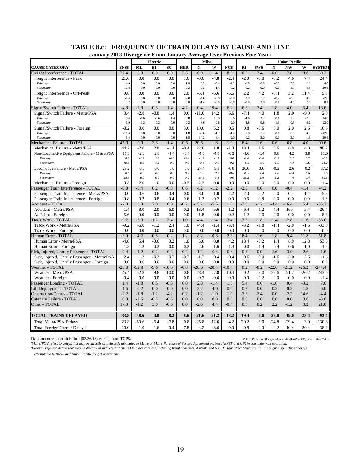| January 2018 Divergence From January Average Over Previous Five Years |                  |                  |                  |               |               |                   |                  |                  |                  |               |               |                      |                  |                   |
|-----------------------------------------------------------------------|------------------|------------------|------------------|---------------|---------------|-------------------|------------------|------------------|------------------|---------------|---------------|----------------------|------------------|-------------------|
|                                                                       |                  |                  | Electric         |               |               | Milw              |                  |                  |                  |               |               | <b>Union Pacific</b> |                  |                   |
| <b>CAUSE CATEGORY</b>                                                 | <b>BNSF</b>      | ML               | BI               | SC            | <b>HER</b>    | N                 | W                | <b>NCS</b>       | RI               | <b>SWS</b>    | N             | <b>NW</b>            | W                | <b>SYSTEM</b>     |
| Freight Interference - TOTAL                                          | 22.4             | 0.0              | 0.0              | 0.0           | 3.6           | $-6.0$            | $-11.4$          | $-8.0$           | 0.2              | 3.4           | $-0.6$        | 7.8                  | 18.8             | 30.2              |
| Freight Interference - Peak                                           | 21.6             | 0.0              | 0.0              | 0.0           | 1.6           | $-0.6$            | $-4.8$           | $-2.4$           | $-2.0$           | $-0.8$        | $-0.2$        | 4.6                  | 7.4              | 24.4              |
| Primary                                                               | 4.0              | 0.0              | $0.0\,$          | 0.0           | 1.8           | 0.2               | $-3.4$           | $-2.2$           | $-1.8$           | $-0.8$        | $-0.2$        | 3.6                  | 2.8              | $4.0\,$           |
| Secondary                                                             | 17.6             | 0.0              | 0.0              | 0.0           | $-0.2$        | $-0.8$            | $-1.4$           | $-0.2$           | $-0.2$           | 0.0           | 0.0           | 1.0                  | 4.6              | 20.4              |
| Freight Interference - Off-Peak                                       | 0.8              | 0.0              | 0.0              | 0.0           | 2.0           | $-5.4$            | $-6.6$           | $-5.6$           | $\overline{2.2}$ | 4.2           | $-0.4$        | 3.2                  | 11.4             | 5.8               |
| Primary<br>Secondary                                                  | $-4.4$<br>5.2    | 0.0<br>0.0       | 0.0<br>0.0       | 0.0<br>0.0    | 2.0<br>0.0    | $-4.0$<br>$-1.4$  | $-3.0$<br>$-3.6$ | $-4.8$<br>$-0.8$ | 2.8<br>$-0.6$    | 1.2<br>3.0    | $-0.4$<br>0.0 | $-0.8$<br>4.0        | 8.8<br>2.6       | $-2.6$            |
| Signal/Switch Failure - TOTAL                                         | $-4.8$           | $-2.8$           | $-0.8$           | 1.4           | 4.2           | $-0.4$            | 19.4             | 6.2              | $-6.6$           | 3.4           | 1.8           | 4.0                  | $-6.4$           | 8.4<br>18.6       |
|                                                                       |                  |                  |                  |               |               |                   |                  |                  |                  |               |               |                      |                  |                   |
| Signal/Switch Failure - Metra/PSA<br>Primary                          | 3.4<br>0.4       | $-2.8$<br>$-1.6$ | $-0.8$<br>$-0.6$ | 1.4<br>1.4    | 0.6<br>0.8    | $-11.0$<br>$-4.4$ | 14.2<br>15.0     | 5.6<br>3.6       | $-7.4$<br>$-4.6$ | 4.0<br>3.2    | 1.8<br>0.8    | 2.0<br>2.8           | $-9.0$<br>$-2.8$ | 2.0<br>14.0       |
| Secondary                                                             | 3.0              | $-1.2$           | $-0.2$           | 0.0           | $-0.2$        | $-6.6$            | $-0.8$           | $2.0$            | $-2.8$           | 0.8           | 1.0           | $-0.8$               | $-6.2$           | $-12.0$           |
| Signal/Switch Failure - Foreign                                       | $-8.2$           | 0.0              | 0.0              | 0.0           | 3.6           | 10.6              | 5.2              | 0.6              | 0.8              | $-0.6$        | 0.0           | 2.0                  | 2.6              | 16.6              |
| Primary                                                               | $-11.6$          | 0.0              | 0.0              | 0.0           | 1.8           | $-3.6$            | $-1.2$           | $-1.4$           | 1.0              | 1.4           | 0.0           | 0.0                  | 0.8              | $-12.8$           |
| Secondary                                                             | 3.4              | 0.0              | 0.0              | 0.0           | 1.8           | 14.2              | 6.4              | 2.0              | $-0.2$           | $-2.0$        | 0.0           | 2.0                  | 1.8              | 29.4              |
| Mechanical Failure - TOTAL                                            | 45.0             | 0.0              | 3.8              | $-1.4$        | $-0.6$        | 20.6              | 1.8              | $-1.0$           | 18.4             | 1.6           | 0.6           | 6.8                  | 4.0              | 99.6              |
| Mechanical Failure - Metra/PSA                                        | 44.2             | $-2.0$           | 2.8              | $-1.4$        | $-0.4$        | 22.8              | 1.8              | $-1.0$           | 18.4             | 1.6           | 0.6           | 6.8                  | 4.0              | 98.2              |
| Non-Locomotive Equipment Failure - Metra/PSA                          | 15.0             | $-2.0$           | 2.8              | $-1.4$        | $-0.4$        | $-4.6$            | $-4.0$           | $-0.2$           | $-1.6$           | $-1.4$        | 0.8           | 4.2                  | 3.8              | 11.0              |
| Primary                                                               | 4.2              | $-1.2$           | 1.6              | $-0.8$        | $-0.4$        | $-1.2$            | $-1.0$           | $0.0\,$          | $-0.8$           | $-0.8$        | $-0.2$        | 0.2                  | 0.2              | $-0.2$            |
| Secondary                                                             | 10.8             | $-0.8$           | 1.2              | $-0.6$        | 0.0           | $-3.4$            | $-3.0$           | $-0.2$           | $-0.8$           | $-0.6$        | 1.0           | 4.0                  | 3.6              | 11.2              |
| Locomotive Failure - Metra/PSA                                        | 29.2             | 0.0              | 0.0              | 0.0           | 0.0           | 27.4              | 5.8              | $-0.8$           | 20.0             | 3.0           | $-0.2$        | 2.6                  | 0.2              | 87.2              |
| Primary                                                               | 0.6              | 0.0              | 0.0              | 0.0           | 0.2           | 1.6               | 2.2              | $-0.8\,$         | $-0.2$           | 1.4           | ${\it 1.0}$   | $-2.0$               | 0.6              | 4.6               |
| Secondary                                                             | 28.6             | 0.0              | 0.0              | 0.0           | $-0.2$        | 25.8              | 3.6              | 0.0              | 20.2             | 1.6           | $-1.2$        | 4.6                  | $-0.4$           | 82.6              |
| Mechanical Failure - Foreign                                          | 0.8              | 2.0              | 1.0              | 0.0           | $-0.2$        | $-2.2$            | 0.0              | 0.0              | 0.0              | 0.0           | 0.0           | 0.0                  | 0.0              | 1.4               |
| Passenger Train Interference - TOTAL                                  | $-0.8$           | $-0.4$           | 0.2              | $-0.8$        | 0.6           | 4.2               | $-1.2$           | $-2.2$           | $-2.6$           | 0.6           | 0.0           | $-0.4$               | $-1.4$           | $-4.2$            |
| Passenger Train Interference - Metra/PSA                              | 0.0              | $-0.6$           | $-0.6$           | $-0.4$        | 0.0           | 3.0               | $-1.0$           | $-2.2$           | $-2.0$           | $-0.2$        | 0.0           | $-0.4$               | $-1.4$           | $-5.8$            |
| Passenger Train Interference - Foreign<br><b>Accident - TOTAL</b>     | $-0.8$<br>$-7.0$ | 0.2<br>8.0       | 0.8<br>2.0       | $-0.4$<br>6.0 | 0.6<br>$-0.2$ | 1.2<br>$-15.2$    | $-0.2$<br>$-5.6$ | 0.0<br>1.0       | $-0.6$<br>$-7.6$ | 0.8<br>$-1.2$ | 0.0<br>$-4.4$ | 0.0<br>$-16.4$       | 0.0<br>5.4       | 1.6<br>$-35.2$    |
|                                                                       |                  |                  |                  |               |               |                   |                  |                  |                  |               |               |                      |                  |                   |
| Accident - Metra/PSA                                                  | $-1.4$<br>$-5.6$ | 8.0<br>0.0       | 2.0<br>0.0       | 6.0<br>0.0    | $-0.2$<br>0.0 | $-13.4$<br>$-1.8$ | $-5.6$<br>0.0    | 1.2<br>$-0.2$    | $-6.4$<br>$-1.2$ | $-1.2$<br>0.0 | $-4.4$<br>0.0 | $-16.4$<br>0.0       | 5.4<br>0.0       | $-26.4$<br>$-8.8$ |
| Accident - Foreign<br>Track Work - TOTAL                              | $-9.2$           | $-6.0$           | $-1.2$           | 2.4           | 1.0           | $-4.4$            | $-1.4$           | $-3.4$           | $-3.2$           | $-1.8$        | $-1.4$        | $-2.8$               | $-1.6$           | $-33.0$           |
|                                                                       | $-9.2$           | $-6.0$           | $-1.2$           | 2.4           |               | $-4.4$            | $-1.4$           | $-3.4$           | $-3.2$           | $-1.8$        | $-1.4$        | $-2.8$               |                  |                   |
| Track Work - Metra/PSA<br>Track Work - Foreign                        | 0.0              | 0.0              | 0.0              | 0.0           | 1.0<br>0.0    | 0.0               | 0.0              | 0.0              | 0.0              | 0.0           | 0.0           | 0.0                  | $-1.6$<br>0.0    | $-33.0$<br>0.0    |
| Human Error - TOTAL                                                   | $-3.0$           | 4.2              | $-0.8$           | 0.2           | 1.2           | 8.2               | $-0.8$           | 2.8              | 18.4             | $-1.6$        | 1.8           | 9.4                  | 11.8             | 51.8              |
| Human Error - Metra/PSA                                               | $-4.8$           | 5.4              | $-0.6$           | 0.2           | 1.0           | 5.6               | 0.8              | 4.2              | 18.4             | $-0.2$        | 1.4           | 8.8                  | 12.8             | 53.0              |
| Human Error - Foreign                                                 | 1.8              | $-1.2$           | $-0.2$           | 0.0           | 0.2           | 2.6               | $-1.6$           | $-1.4$           | 0.0              | $-1.4$        | 0.4           | 0.6                  | $-1.0$           | $-1.2$            |
| Sick, Injured, Unruly Passenger - TOTAL                               | 2.4              | $-1.2$           | $-0.2$           | 0.2           | $-0.2$        | $-1.2$            | 0.4              | $-0.4$           | 0.6              | 0.0           | $-1.6$        | $-3.0$               | 2.6              | $-1.6$            |
| Sick, Injured, Unruly Passenger - Metra/PSA                           | 2.4              | $-1.2$           | $-0.2$           | 0.2           | $-0.2$        | $-1.2$            | 0.4              | $-0.4$           | 0.6              | 0.0           | $-1.6$        | $-3.0$               | 2.6              | $-1.6$            |
| Sick, Injured, Unruly Passenger - Foreign                             | 0.0              | 0.0              | 0.0              | 0.0           | 0.0           | 0.0               | 0.0              | 0.0              | 0.0              | 0.0           | 0.0           | 0.0                  | 0.0              | 0.0               |
| Weather - TOTAL                                                       | $-25.8$          | $-52.8$          | $-9.6$           | $-10.0$       | $-0.8$        | $-28.6$           | $-28.4$          | $-10.4$          | 0.2              | $-8.2$        | $-22.6$       | $-21.2$              | $-26.2$          | $-244.4$          |
| Weather - Metra/PSA                                                   | $-25.4$          | $-52.8$          | $-9.6$           | $-10.0$       | $-0.8$        | $-28.4$           | $-27.8$          | $-10.4$          | 0.2              | $-8.0$        | $-22.6$       | $-21.2$              | $-26.2$          | $-243.0$          |
| Weather - Foreign                                                     | $-0.4$           | 0.0              | 0.0              | 0.0           | 0.0           | $-0.2$            | $-0.6$           | 0.0              | 0.0              | $-0.2$        | 0.0           | 0.0                  | 0.0              | $-1.4$            |
| Passenger Loading - TOTAL                                             | 1.4              | $-1.8$           | 0.6              | $-0.8$        | 0.0           | 2.8               | $-1.4$           | 1.6              | 5.4              | 0.0           | $-1.0$        | 0.4                  | $-0.2$           | 7.0               |
| Lift Deployment - TOTAL                                               | $-1.6$           | $-0.2$           | 0.0              | 0.0           | 0.0           | 2.2               | 4.0              | 0.0              | $-0.2$           | 0.0           | 0.2           | $-0.2$               | 1.8              | 6.0               |
| <b>Obstruction/Debris - TOTAL</b>                                     | $-2.2$           | $-1.8$           | $-1.2$           | $-4.2$        | $-0.2$        | $-1.2$            | $-1.0$           | 1.0              | $-3.6$           | $-2.4$        | 0.0           | $-2.2$               | 14.6             | $-4.4$            |
| Catenary Failure - TOTAL                                              | 0.0              | $-2.6$           | $-0.6$           | $-0.6$        | 0.0           | 0.0               | 0.0              | 0.0              | 0.0              | 0.0           | 0.0           | 0.0                  | 0.0              | $-3.8$            |
| Other - TOTAL                                                         | 17.0             | $-1.2$           | 3.0              | $-0.6$        | 0.0           | $-2.6$            | 4.4              | $-0.4$           | 0.0              | 0.2           | 2.2           | $-1.2$               | 0.2              | 21.0              |
|                                                                       |                  |                  |                  |               |               |                   |                  |                  |                  |               |               |                      |                  |                   |
| TOTAL TRAINS DELAYED                                                  | 33.8             | $-58.6$          | $-4.8$           | $-8.2$        | 8.6           | $-21.6$           | $-21.2$          | $-13.2$          | 19.4             | $-6.0$        | $-25.0$       | $-19.0$              | 23.4             | $-92.4$           |
| <b>Total Metra/PSA Delays</b>                                         | 23.8             | $-59.6$          | $-6.4$           | $-7.8$        | 0.8           | $-25.8$           | $-12.6$          | $-4.2$           | 20.2             | $-8.0$        | $-24.8$       | $-29.4$              | 3.0              | $-130.8$          |
| <b>Total Foreign Carrier Delays</b>                                   | 10.0             | 1.0              | 1.6              | $-0.4$        | 7.8           | 4.2               | $-8.6$           | $-9.0$           | $-0.8$           | 2.0           | $-0.2$        | 10.4                 | 20.4             | 38.4              |

# **TABLE 8.c: FREQUENCY OF TRAIN DELAYS BY CAUSE AND LINE**

Data for current month is final (02/26/18) version from TOPS. P:\ONTIME\report\[DelaysByCause.xlsm]LastMonthByLine 02/27/2018

*'Metra/PSA' refers to delays that may be directly or indirectly attributed to Metra or Metra Purchase of Service Agreement partners (BNSF and UP) in commuter rail operation. 'Foreign' refers to delays that may be directly or indirectly attributed to other carriers, including freight carriers, Amtrak, and NICTD, that affect Metra trains. 'Foreign' also includes delays* 

*attributable to BNSF and Union Pacific freight operations.*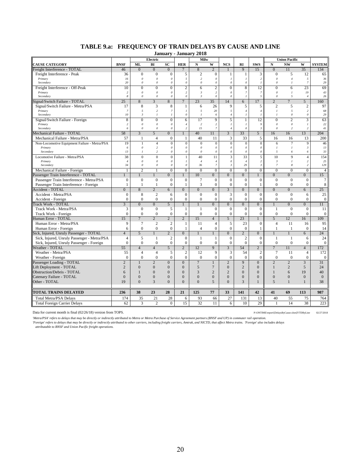| Electric<br>Milw<br><b>Union Pacific</b><br><b>CAUSE CATEGORY</b><br><b>ML</b><br>BI<br>SC<br><b>HER</b><br>N<br>W<br><b>NCS</b><br>RI<br><b>SWS</b><br>$\mathbf N$<br><b>NW</b><br>W<br><b>SYSTEM</b><br><b>BNSF</b><br>$\overline{0}$<br>$\overline{0}$<br>$\overline{0}$<br>$\overline{2}$<br>9<br>$\overline{0}$<br>35<br>Freight Interference - TOTAL<br>$\overline{8}$<br>15<br>11<br>134<br>46<br>$\mathbf{1}$<br>$\overline{0}$<br>5<br>$\overline{2}$<br>5<br>36<br>$\Omega$<br>$\Omega$<br>$\Omega$<br>3<br>$\Omega$<br>12<br>65<br>Freight Interference - Peak<br>$\mathbf{1}$<br>-1<br>$\overline{2}$<br>Primary<br>16<br>$\theta$<br>5<br>$\theta$<br>$\cal I$<br>$\theta$<br>$\overline{4}$<br>5<br>$36\,$<br>$\theta$<br>$\boldsymbol{\theta}$<br>$\mathbf{I}$<br>$\overline{c}$<br>$\theta$<br>$\overline{7}$<br>Secondary<br>20<br>$\theta$<br>$\theta$<br>$\boldsymbol{\theta}$<br>$\boldsymbol{\mathit{0}}$<br>29<br>$\theta$<br>$\theta$<br>$\theta$<br>$\overline{I}$<br>$\boldsymbol{\theta}$<br>$\overline{I}$<br>10<br>$\overline{0}$<br>$\overline{2}$<br>$\overline{2}$<br>$\overline{0}$<br>8<br>12<br>23<br>69<br>Freight Interference - Off-Peak<br>$\theta$<br>$\overline{0}$<br>6<br>$\overline{0}$<br>6<br>$\overline{c}$<br>$\theta$<br>$\theta$<br>$\overline{c}$<br>$\overline{\mathbf{3}}$<br>$\overline{c}$<br>$\theta$<br>$\overline{7}$<br>$\overline{7}$<br>$\theta$<br>19<br>$43\,$<br>Primary<br>$\theta$<br>$\mathcal{I}$<br>Secondary<br>8<br>$\boldsymbol{\mathit{0}}$<br>$\boldsymbol{\mathit{0}}$<br>$\boldsymbol{\mathit{0}}$<br>$\overline{I}$<br>5<br>$\boldsymbol{\mathit{0}}$<br>$\theta$<br>$\mathfrak{Z}$<br>$\it{0}$<br>5<br>26<br>$\boldsymbol{o}$<br>$\overline{4}$<br>Signal/Switch Failure - TOTAL<br>25<br>8<br>$\overline{3}$<br>8<br>7<br>23<br>35<br>14<br>17<br>$\overline{2}$<br>$\overline{7}$<br>5<br>160<br>6<br>17<br>8<br>3<br>8<br>9<br>5<br>$\overline{c}$<br>5<br>$\overline{2}$<br>97<br>Signal/Switch Failure - Metra/PSA<br>$\mathbf{1}$<br>6<br>26<br>5<br>$\overline{c}$<br>$\sqrt{2}$<br>5<br>$2\mathit{0}$<br>5<br>$\overline{c}$<br>$\overline{7}$<br>$\overline{7}$<br>$\mathfrak{p}$<br>5<br>$\overline{4}$<br>$\mathcal{I}_{\mathcal{I}}$<br>68<br>Primary<br>$\overline{4}$<br>10<br>$\overline{\mathbf{3}}$<br>$\boldsymbol{\mathit{0}}$<br>$\overline{I}$<br>$\cal I$<br>$\boldsymbol{\mathit{0}}$<br>$\boldsymbol{\mathit{0}}$<br>29<br>Secondary<br>$\overline{I}$<br>$\overline{I}$<br>6<br>$\sqrt{4}$<br>$\overline{I}$<br>$\overline{I}$<br>8<br>9<br>5<br>12<br>$\overline{2}$<br>3<br>63<br>Signal/Switch Failure - Foreign<br>$\theta$<br>$\overline{0}$<br>$\mathbf{0}$<br>6<br>17<br>$\mathbf{1}$<br>$\overline{0}$<br>$\overline{c}$<br>$\boldsymbol{\theta}$<br>$\overline{c}$<br>$\theta$<br>$\boldsymbol{\mathit{0}}$<br>$22\,$<br>$\theta$<br>$\boldsymbol{\theta}$<br>$\overline{4}$<br>$\overline{c}$<br>$\cal I$<br>$\cal I$<br>$\mathfrak{g}$<br>Primary<br>$\overline{I}$<br>6<br>$\overline{c}$<br>15<br>$\boldsymbol{7}$<br>$\theta$<br>$\overline{c}$<br>Secondary<br>$\theta$<br>$\boldsymbol{\theta}$<br>$\boldsymbol{\theta}$<br>$\overline{4}$<br>$\mathfrak{Z}$<br>$\theta$<br>2<br>$4\,$<br>$\overline{3}$<br>33<br>3<br>$\overline{0}$<br>40<br>$\overline{5}$<br>13<br>204<br>Mechanical Failure - TOTAL<br>58<br>$\overline{5}$<br>11<br>16<br>$\mathbf{1}$<br>16<br>57<br>40<br>$\overline{3}$<br>5<br>Mechanical Failure - Metra/PSA<br>$\mathbf{0}$<br>33<br>16<br>16<br>13<br>200<br>4<br>1<br>11<br>1<br>19<br>$\overline{0}$<br>$\boldsymbol{0}$<br>$\boldsymbol{0}$<br>$\overline{4}$<br>$\mathbf{0}$<br>$\boldsymbol{0}$<br>$\boldsymbol{0}$<br>$\mathbf{0}$<br>6<br>$\tau$<br>9<br>46<br>Non-Locomotive Equipment Failure - Metra/PSA<br>$\mathbf{1}$<br>$\theta$<br>$\sqrt{2}$<br>$\theta$<br>$\boldsymbol{\theta}$<br>$\theta$<br>$\theta$<br>$13\,$<br>Primary<br>6<br>$\theta$<br>$\theta$<br>$\boldsymbol{\theta}$<br>$\mathcal{I}$<br>$\mathcal{I}$<br>$\overline{3}$<br>13<br>$\sqrt{2}$<br>0<br>$\boldsymbol{\mathit{0}}$<br>$\theta$<br>$\boldsymbol{\mathit{0}}$<br>$\theta$<br>5<br>Secondary<br>$\boldsymbol{\theta}$<br>6<br>33<br>$\overline{I}$<br>0<br>6<br>$\overline{0}$<br>$\overline{3}$<br>33<br>5<br>9<br>38<br>$\Omega$<br>40<br>11<br>10<br>$\overline{4}$<br>154<br>$\Omega$<br>$\mathbf{1}$<br>Locomotive Failure - Metra/PSA<br>$\cal I$<br>Primary<br>$\overline{4}$<br>$\boldsymbol{\theta}$<br>$\boldsymbol{\theta}$<br>$\mathfrak{p}$<br>$\overline{4}$<br>$\overline{4}$<br>$\it{0}$<br>$\sqrt{4}$<br>$\overline{c}$<br>$\mathfrak{Z}$<br>$\overline{c}$<br>25<br>$\theta$<br>34<br>36<br>$\overline{\mathcal{I}}$<br>29<br>$\boldsymbol{7}$<br>129<br>$\theta$<br>$\theta$<br>0<br>$\boldsymbol{\beta}$<br>$\boldsymbol{8}$<br>$\overline{c}$<br>Secondary<br>$\boldsymbol{\theta}$<br>$\mathfrak{Z}$<br>$\overline{2}$<br>$\overline{0}$<br>$\overline{0}$<br>$\overline{0}$<br>$\overline{0}$<br>$\overline{0}$<br>$\overline{0}$<br>$\overline{0}$<br>$\overline{0}$<br>$\overline{0}$<br>$\overline{0}$<br>Mechanical Failure - Foreign<br>$\mathbf{1}$<br>$\overline{4}$<br>Passenger Train Interference - TOTAL<br>$\overline{0}$<br>10<br>$\Omega$<br>$\mathbf{0}$<br>$\Omega$<br>$\Omega$<br>$\Omega$<br>$\overline{0}$<br>15<br>$\mathbf{1}$<br>1<br>1<br>$\theta$<br>$\Omega$<br>$\Omega$<br>$\mathbf{0}$<br>$\Omega$<br>7<br>$\Omega$<br>$\mathbf{0}$<br>$\mathbf{0}$<br>$\Omega$<br>$\Omega$<br>$\Omega$<br>7<br>Passenger Train Interference - Metra/PSA<br>$\Omega$<br>3<br>Passenger Train Interference - Foreign<br>$\mathbf{1}$<br>$\mathbf{1}$<br>$\mathbf{0}$<br>$\mathbf{1}$<br>$\mathbf{0}$<br>$\Omega$<br>$\Omega$<br>$\mathbf{1}$<br>$\Omega$<br>$\Omega$<br>$\Omega$<br>8<br>1<br>Accident - TOTAL<br>25<br>$\Omega$<br>8<br>$\overline{2}$<br>6<br>$\mathbf{0}$<br>$\overline{0}$<br>$\overline{0}$<br>3<br>$\Omega$<br>$\overline{0}$<br>$\Omega$<br>$\Omega$<br>6<br>$\overline{\mathbf{8}}$<br>$\overline{\mathbf{3}}$<br>$\overline{0}$<br>$\overline{2}$<br>$\overline{0}$<br>$\overline{0}$<br>$\overline{0}$<br>$\overline{0}$<br>$\overline{0}$<br>25<br>Accident - Metra/PSA<br>6<br>$\mathbf{0}$<br>$\mathbf{0}$<br>6<br>$\overline{0}$<br>$\overline{0}$<br>$\overline{0}$<br>$\mathbf{0}$<br>$\mathbf{0}$<br>$\mathbf{0}$<br>$\mathbf{0}$<br>$\mathbf{0}$<br>$\mathbf{0}$<br>$\mathbf{0}$<br>$\overline{0}$<br>$\mathbf{0}$<br>$\mathbf{0}$<br>Accident - Foreign<br>$\overline{0}$<br>Track Work - TOTAL<br>3<br>$\Omega$<br>$\Omega$<br>5<br>$\Omega$<br>$\Omega$<br>$\Omega$<br>$\Omega$<br>$\Omega$<br>$\Omega$<br>11<br>$\mathbf{1}$<br>1<br>$\mathbf{1}$<br>Track Work - Metra/PSA<br>3<br>$\Omega$<br>$\Omega$<br>5<br>$\Omega$<br>$\Omega$<br>$\mathbf{1}$<br>$\Omega$<br>$\Omega$<br>$\Omega$<br>1<br>$\Omega$<br>11<br>1<br>$\overline{0}$<br>$\theta$<br>Track Work - Foreign<br>$\Omega$<br>$\theta$<br>$\mathbf{0}$<br>$\Omega$<br>$\mathbf{0}$<br>$\overline{0}$<br>$\Omega$<br>$\Omega$<br>$\Omega$<br>$\Omega$<br>$\Omega$<br>$\mathbf{0}$<br>$\overline{2}$<br>Human Error - TOTAL<br>$\overline{2}$<br>15<br>$\overline{4}$<br>$\overline{5}$<br>23<br>$\overline{5}$<br>12<br>109<br>15<br>$\overline{7}$<br>$\overline{2}$<br>16<br>$\mathbf{1}$<br>9<br>$\overline{7}$<br>$\overline{2}$<br>5<br>95<br>Human Error - Metra/PSA<br>$\mathbf{2}$<br>11<br>23<br>$\mathbf{0}$<br>$\overline{4}$<br>1<br>$\overline{4}$<br>11<br>16<br>$\mathbf{0}$<br>6<br>$\mathbf{0}$<br>$\overline{0}$<br>$\mathbf{0}$<br>$\mathbf{1}$<br>$\overline{4}$<br>$\mathbf{0}$<br>$\mathbf{0}$<br>$\mathbf{1}$<br>$\Omega$<br>14<br>Human Error - Foreign<br>$\mathbf{1}$<br>$\mathbf{1}$<br>Sick, Injured, Unruly Passenger - TOTAL<br>$\overline{4}$<br>5<br>$\overline{2}$<br>$\Omega$<br>$\Omega$<br>$\overline{2}$<br>$\Omega$<br>6<br>24<br>$\mathbf{1}$<br>$\mathbf{1}$<br>$\mathbf{1}$<br>$\overline{2}$<br>Sick, Injured, Unruly Passenger - Metra/PSA<br>5<br>$\Omega$<br>$\mathbf{0}$<br>$\overline{c}$<br>24<br>$\overline{4}$<br>1<br>1<br>1<br>$\Omega$<br>$\mathbf{1}$<br>1<br>6<br>$\theta$<br>$\Omega$<br>$\theta$<br>$\mathbf{0}$<br>$\Omega$<br>$\theta$<br>$\Omega$<br>$\Omega$<br>$\Omega$<br>$\Omega$<br>$\overline{0}$<br>$\Omega$<br>$\Omega$<br>$\mathbf{0}$<br>Sick, Injured, Unruly Passenger - Foreign<br>Weather - TOTAL<br>55<br>$\overline{4}$<br>$\overline{4}$<br>5<br>$\overline{2}$<br>12<br>9<br>$\overline{3}$<br>54<br>$\overline{2}$<br>$\overline{7}$<br>11<br>$\overline{4}$<br>172<br>5<br>$\overline{2}$<br>12<br>3<br>$\overline{2}$<br>$\overline{7}$<br>Weather - Metra/PSA<br>55<br>$\overline{4}$<br>$\overline{4}$<br>9<br>54<br>11<br>172<br>$\overline{4}$<br>$\overline{0}$<br>$\Omega$<br>$\overline{0}$<br>$\theta$<br>$\overline{0}$<br>$\overline{0}$<br>$\theta$<br>$\theta$<br>$\mathbf{0}$<br>$\mathbf{0}$<br>$\Omega$<br>$\mathbf{0}$<br>$\Omega$<br>$\mathbf 0$<br>Weather - Foreign<br>$\overline{2}$<br>Passenger Loading - TOTAL<br>$\overline{2}$<br>$\overline{2}$<br>$\overline{0}$<br>$\mathbf{0}$<br>7<br>$\overline{2}$<br>9<br>$\Omega$<br>$\overline{2}$<br>3<br>31<br>1<br>$\mathbf{1}$<br>Lift Deployment - TOTAL<br>$\Omega$<br>$\overline{0}$<br>$\overline{0}$<br>$\overline{0}$<br>5<br>$\overline{7}$<br>$\overline{2}$<br>$\Omega$<br>$\overline{2}$<br>5<br>24<br>$\overline{2}$<br>$\overline{0}$<br>$\mathbf{1}$<br>$\theta$<br>3<br>$\overline{c}$<br>$\overline{2}$<br>$\Omega$<br>40<br>Obstruction/Debris - TOTAL<br>$\Omega$<br>$\theta$<br>19<br>$\mathbf{1}$<br>$\Omega$<br>6<br>6<br>1 |                             |                |                |                  |                  |                | January - January 2018 |              |                |                |                |                  |                |              |              |
|----------------------------------------------------------------------------------------------------------------------------------------------------------------------------------------------------------------------------------------------------------------------------------------------------------------------------------------------------------------------------------------------------------------------------------------------------------------------------------------------------------------------------------------------------------------------------------------------------------------------------------------------------------------------------------------------------------------------------------------------------------------------------------------------------------------------------------------------------------------------------------------------------------------------------------------------------------------------------------------------------------------------------------------------------------------------------------------------------------------------------------------------------------------------------------------------------------------------------------------------------------------------------------------------------------------------------------------------------------------------------------------------------------------------------------------------------------------------------------------------------------------------------------------------------------------------------------------------------------------------------------------------------------------------------------------------------------------------------------------------------------------------------------------------------------------------------------------------------------------------------------------------------------------------------------------------------------------------------------------------------------------------------------------------------------------------------------------------------------------------------------------------------------------------------------------------------------------------------------------------------------------------------------------------------------------------------------------------------------------------------------------------------------------------------------------------------------------------------------------------------------------------------------------------------------------------------------------------------------------------------------------------------------------------------------------------------------------------------------------------------------------------------------------------------------------------------------------------------------------------------------------------------------------------------------------------------------------------------------------------------------------------------------------------------------------------------------------------------------------------------------------------------------------------------------------------------------------------------------------------------------------------------------------------------------------------------------------------------------------------------------------------------------------------------------------------------------------------------------------------------------------------------------------------------------------------------------------------------------------------------------------------------------------------------------------------------------------------------------------------------------------------------------------------------------------------------------------------------------------------------------------------------------------------------------------------------------------------------------------------------------------------------------------------------------------------------------------------------------------------------------------------------------------------------------------------------------------------------------------------------------------------------------------------------------------------------------------------------------------------------------------------------------------------------------------------------------------------------------------------------------------------------------------------------------------------------------------------------------------------------------------------------------------------------------------------------------------------------------------------------------------------------------------------------------------------------------------------------------------------------------------------------------------------------------------------------------------------------------------------------------------------------------------------------------------------------------------------------------------------------------------------------------------------------------------------------------------------------------------------------------------------------------------------------------------------------------------------------------------------------------------------------------------------------------------------------------------------------------------------------------------------------------------------------------------------------------------------------------------------------------------------------------------------------------------------------------------------------------------------------------------------------------------------------------------------------------------------------------------------------------------------------------------------------------------------------------------------------------------------------------------------------------------------------------------------------------------------------------------------------------------------------------------------------------------------------------------------------------------------------------------------------------------------------------------------------------------------------------------------------------------------------------------------------------------------------------------------------------------------------------------------------------------------------------------------------------------------------------------------------------------------------------------------------------------------------------------------------------------------------------------------------------------------------------------------------------------------------------------------------------------------------------------------------------------------------------------------------------------------------------------------------------------------------------------------------------------------------------------------------------------------------------------------------------------------------------------------------------------------------------------------------------------------------------------------------------------------------------------------------------------------------------------------------------------------------------------------------------------------------------------------------------------------------------------------------------------------------------------------------------------------------------------------------------------------------------------------------------------------------------------------------------------------------------------------------------------------------------------------------------------------------------------------------------------------------------------------------------------------------------------------------------------------------------------------------------------------------------------------------------------------------------------------------------------------------------------------------------------------------------------------------------------------------------------------------------------------------------------------------------------------------------------------------------------------------------------------------------------------------------------------------------------------------------------------------------------------------------------------------------------------------------------------------------------------------------------------------------------------------------------------------------------------------------------------------------------------------------------------------------------------------------------------------------------------------------------------------------------------------------------------------------------------------------------------------------------------------------------------------------------------------------------------------------------------------------------------------------------------------------------------------------------------------------------------------------------------------------------------------------------------------------------------------------------------------------------------------------------------------------------------------------------------------------------------------------------|-----------------------------|----------------|----------------|------------------|------------------|----------------|------------------------|--------------|----------------|----------------|----------------|------------------|----------------|--------------|--------------|
|                                                                                                                                                                                                                                                                                                                                                                                                                                                                                                                                                                                                                                                                                                                                                                                                                                                                                                                                                                                                                                                                                                                                                                                                                                                                                                                                                                                                                                                                                                                                                                                                                                                                                                                                                                                                                                                                                                                                                                                                                                                                                                                                                                                                                                                                                                                                                                                                                                                                                                                                                                                                                                                                                                                                                                                                                                                                                                                                                                                                                                                                                                                                                                                                                                                                                                                                                                                                                                                                                                                                                                                                                                                                                                                                                                                                                                                                                                                                                                                                                                                                                                                                                                                                                                                                                                                                                                                                                                                                                                                                                                                                                                                                                                                                                                                                                                                                                                                                                                                                                                                                                                                                                                                                                                                                                                                                                                                                                                                                                                                                                                                                                                                                                                                                                                                                                                                                                                                                                                                                                                                                                                                                                                                                                                                                                                                                                                                                                                                                                                                                                                                                                                                                                                                                                                                                                                                                                                                                                                                                                                                                                                                                                                                                                                                                                                                                                                                                                                                                                                                                                                                                                                                                                                                                                                                                                                                                                                                                                                                                                                                                                                                                                                                                                                                                                                                                                                                                                                                                                                                                                                                                                                                                                                                                                                                                                                                                                                                                                                                                                                                                                                                                                                                                                                                                                                                                                                                                                                                                                                                                                                                        |                             |                |                |                  |                  |                |                        |              |                |                |                |                  |                |              |              |
|                                                                                                                                                                                                                                                                                                                                                                                                                                                                                                                                                                                                                                                                                                                                                                                                                                                                                                                                                                                                                                                                                                                                                                                                                                                                                                                                                                                                                                                                                                                                                                                                                                                                                                                                                                                                                                                                                                                                                                                                                                                                                                                                                                                                                                                                                                                                                                                                                                                                                                                                                                                                                                                                                                                                                                                                                                                                                                                                                                                                                                                                                                                                                                                                                                                                                                                                                                                                                                                                                                                                                                                                                                                                                                                                                                                                                                                                                                                                                                                                                                                                                                                                                                                                                                                                                                                                                                                                                                                                                                                                                                                                                                                                                                                                                                                                                                                                                                                                                                                                                                                                                                                                                                                                                                                                                                                                                                                                                                                                                                                                                                                                                                                                                                                                                                                                                                                                                                                                                                                                                                                                                                                                                                                                                                                                                                                                                                                                                                                                                                                                                                                                                                                                                                                                                                                                                                                                                                                                                                                                                                                                                                                                                                                                                                                                                                                                                                                                                                                                                                                                                                                                                                                                                                                                                                                                                                                                                                                                                                                                                                                                                                                                                                                                                                                                                                                                                                                                                                                                                                                                                                                                                                                                                                                                                                                                                                                                                                                                                                                                                                                                                                                                                                                                                                                                                                                                                                                                                                                                                                                                                                                        |                             |                |                |                  |                  |                |                        |              |                |                |                |                  |                |              |              |
|                                                                                                                                                                                                                                                                                                                                                                                                                                                                                                                                                                                                                                                                                                                                                                                                                                                                                                                                                                                                                                                                                                                                                                                                                                                                                                                                                                                                                                                                                                                                                                                                                                                                                                                                                                                                                                                                                                                                                                                                                                                                                                                                                                                                                                                                                                                                                                                                                                                                                                                                                                                                                                                                                                                                                                                                                                                                                                                                                                                                                                                                                                                                                                                                                                                                                                                                                                                                                                                                                                                                                                                                                                                                                                                                                                                                                                                                                                                                                                                                                                                                                                                                                                                                                                                                                                                                                                                                                                                                                                                                                                                                                                                                                                                                                                                                                                                                                                                                                                                                                                                                                                                                                                                                                                                                                                                                                                                                                                                                                                                                                                                                                                                                                                                                                                                                                                                                                                                                                                                                                                                                                                                                                                                                                                                                                                                                                                                                                                                                                                                                                                                                                                                                                                                                                                                                                                                                                                                                                                                                                                                                                                                                                                                                                                                                                                                                                                                                                                                                                                                                                                                                                                                                                                                                                                                                                                                                                                                                                                                                                                                                                                                                                                                                                                                                                                                                                                                                                                                                                                                                                                                                                                                                                                                                                                                                                                                                                                                                                                                                                                                                                                                                                                                                                                                                                                                                                                                                                                                                                                                                                                                        |                             |                |                |                  |                  |                |                        |              |                |                |                |                  |                |              |              |
|                                                                                                                                                                                                                                                                                                                                                                                                                                                                                                                                                                                                                                                                                                                                                                                                                                                                                                                                                                                                                                                                                                                                                                                                                                                                                                                                                                                                                                                                                                                                                                                                                                                                                                                                                                                                                                                                                                                                                                                                                                                                                                                                                                                                                                                                                                                                                                                                                                                                                                                                                                                                                                                                                                                                                                                                                                                                                                                                                                                                                                                                                                                                                                                                                                                                                                                                                                                                                                                                                                                                                                                                                                                                                                                                                                                                                                                                                                                                                                                                                                                                                                                                                                                                                                                                                                                                                                                                                                                                                                                                                                                                                                                                                                                                                                                                                                                                                                                                                                                                                                                                                                                                                                                                                                                                                                                                                                                                                                                                                                                                                                                                                                                                                                                                                                                                                                                                                                                                                                                                                                                                                                                                                                                                                                                                                                                                                                                                                                                                                                                                                                                                                                                                                                                                                                                                                                                                                                                                                                                                                                                                                                                                                                                                                                                                                                                                                                                                                                                                                                                                                                                                                                                                                                                                                                                                                                                                                                                                                                                                                                                                                                                                                                                                                                                                                                                                                                                                                                                                                                                                                                                                                                                                                                                                                                                                                                                                                                                                                                                                                                                                                                                                                                                                                                                                                                                                                                                                                                                                                                                                                                                        |                             |                |                |                  |                  |                |                        |              |                |                |                |                  |                |              |              |
|                                                                                                                                                                                                                                                                                                                                                                                                                                                                                                                                                                                                                                                                                                                                                                                                                                                                                                                                                                                                                                                                                                                                                                                                                                                                                                                                                                                                                                                                                                                                                                                                                                                                                                                                                                                                                                                                                                                                                                                                                                                                                                                                                                                                                                                                                                                                                                                                                                                                                                                                                                                                                                                                                                                                                                                                                                                                                                                                                                                                                                                                                                                                                                                                                                                                                                                                                                                                                                                                                                                                                                                                                                                                                                                                                                                                                                                                                                                                                                                                                                                                                                                                                                                                                                                                                                                                                                                                                                                                                                                                                                                                                                                                                                                                                                                                                                                                                                                                                                                                                                                                                                                                                                                                                                                                                                                                                                                                                                                                                                                                                                                                                                                                                                                                                                                                                                                                                                                                                                                                                                                                                                                                                                                                                                                                                                                                                                                                                                                                                                                                                                                                                                                                                                                                                                                                                                                                                                                                                                                                                                                                                                                                                                                                                                                                                                                                                                                                                                                                                                                                                                                                                                                                                                                                                                                                                                                                                                                                                                                                                                                                                                                                                                                                                                                                                                                                                                                                                                                                                                                                                                                                                                                                                                                                                                                                                                                                                                                                                                                                                                                                                                                                                                                                                                                                                                                                                                                                                                                                                                                                                                                        |                             |                |                |                  |                  |                |                        |              |                |                |                |                  |                |              |              |
|                                                                                                                                                                                                                                                                                                                                                                                                                                                                                                                                                                                                                                                                                                                                                                                                                                                                                                                                                                                                                                                                                                                                                                                                                                                                                                                                                                                                                                                                                                                                                                                                                                                                                                                                                                                                                                                                                                                                                                                                                                                                                                                                                                                                                                                                                                                                                                                                                                                                                                                                                                                                                                                                                                                                                                                                                                                                                                                                                                                                                                                                                                                                                                                                                                                                                                                                                                                                                                                                                                                                                                                                                                                                                                                                                                                                                                                                                                                                                                                                                                                                                                                                                                                                                                                                                                                                                                                                                                                                                                                                                                                                                                                                                                                                                                                                                                                                                                                                                                                                                                                                                                                                                                                                                                                                                                                                                                                                                                                                                                                                                                                                                                                                                                                                                                                                                                                                                                                                                                                                                                                                                                                                                                                                                                                                                                                                                                                                                                                                                                                                                                                                                                                                                                                                                                                                                                                                                                                                                                                                                                                                                                                                                                                                                                                                                                                                                                                                                                                                                                                                                                                                                                                                                                                                                                                                                                                                                                                                                                                                                                                                                                                                                                                                                                                                                                                                                                                                                                                                                                                                                                                                                                                                                                                                                                                                                                                                                                                                                                                                                                                                                                                                                                                                                                                                                                                                                                                                                                                                                                                                                                                        |                             |                |                |                  |                  |                |                        |              |                |                |                |                  |                |              |              |
|                                                                                                                                                                                                                                                                                                                                                                                                                                                                                                                                                                                                                                                                                                                                                                                                                                                                                                                                                                                                                                                                                                                                                                                                                                                                                                                                                                                                                                                                                                                                                                                                                                                                                                                                                                                                                                                                                                                                                                                                                                                                                                                                                                                                                                                                                                                                                                                                                                                                                                                                                                                                                                                                                                                                                                                                                                                                                                                                                                                                                                                                                                                                                                                                                                                                                                                                                                                                                                                                                                                                                                                                                                                                                                                                                                                                                                                                                                                                                                                                                                                                                                                                                                                                                                                                                                                                                                                                                                                                                                                                                                                                                                                                                                                                                                                                                                                                                                                                                                                                                                                                                                                                                                                                                                                                                                                                                                                                                                                                                                                                                                                                                                                                                                                                                                                                                                                                                                                                                                                                                                                                                                                                                                                                                                                                                                                                                                                                                                                                                                                                                                                                                                                                                                                                                                                                                                                                                                                                                                                                                                                                                                                                                                                                                                                                                                                                                                                                                                                                                                                                                                                                                                                                                                                                                                                                                                                                                                                                                                                                                                                                                                                                                                                                                                                                                                                                                                                                                                                                                                                                                                                                                                                                                                                                                                                                                                                                                                                                                                                                                                                                                                                                                                                                                                                                                                                                                                                                                                                                                                                                                                                        |                             |                |                |                  |                  |                |                        |              |                |                |                |                  |                |              |              |
|                                                                                                                                                                                                                                                                                                                                                                                                                                                                                                                                                                                                                                                                                                                                                                                                                                                                                                                                                                                                                                                                                                                                                                                                                                                                                                                                                                                                                                                                                                                                                                                                                                                                                                                                                                                                                                                                                                                                                                                                                                                                                                                                                                                                                                                                                                                                                                                                                                                                                                                                                                                                                                                                                                                                                                                                                                                                                                                                                                                                                                                                                                                                                                                                                                                                                                                                                                                                                                                                                                                                                                                                                                                                                                                                                                                                                                                                                                                                                                                                                                                                                                                                                                                                                                                                                                                                                                                                                                                                                                                                                                                                                                                                                                                                                                                                                                                                                                                                                                                                                                                                                                                                                                                                                                                                                                                                                                                                                                                                                                                                                                                                                                                                                                                                                                                                                                                                                                                                                                                                                                                                                                                                                                                                                                                                                                                                                                                                                                                                                                                                                                                                                                                                                                                                                                                                                                                                                                                                                                                                                                                                                                                                                                                                                                                                                                                                                                                                                                                                                                                                                                                                                                                                                                                                                                                                                                                                                                                                                                                                                                                                                                                                                                                                                                                                                                                                                                                                                                                                                                                                                                                                                                                                                                                                                                                                                                                                                                                                                                                                                                                                                                                                                                                                                                                                                                                                                                                                                                                                                                                                                                                        |                             |                |                |                  |                  |                |                        |              |                |                |                |                  |                |              |              |
|                                                                                                                                                                                                                                                                                                                                                                                                                                                                                                                                                                                                                                                                                                                                                                                                                                                                                                                                                                                                                                                                                                                                                                                                                                                                                                                                                                                                                                                                                                                                                                                                                                                                                                                                                                                                                                                                                                                                                                                                                                                                                                                                                                                                                                                                                                                                                                                                                                                                                                                                                                                                                                                                                                                                                                                                                                                                                                                                                                                                                                                                                                                                                                                                                                                                                                                                                                                                                                                                                                                                                                                                                                                                                                                                                                                                                                                                                                                                                                                                                                                                                                                                                                                                                                                                                                                                                                                                                                                                                                                                                                                                                                                                                                                                                                                                                                                                                                                                                                                                                                                                                                                                                                                                                                                                                                                                                                                                                                                                                                                                                                                                                                                                                                                                                                                                                                                                                                                                                                                                                                                                                                                                                                                                                                                                                                                                                                                                                                                                                                                                                                                                                                                                                                                                                                                                                                                                                                                                                                                                                                                                                                                                                                                                                                                                                                                                                                                                                                                                                                                                                                                                                                                                                                                                                                                                                                                                                                                                                                                                                                                                                                                                                                                                                                                                                                                                                                                                                                                                                                                                                                                                                                                                                                                                                                                                                                                                                                                                                                                                                                                                                                                                                                                                                                                                                                                                                                                                                                                                                                                                                                                        |                             |                |                |                  |                  |                |                        |              |                |                |                |                  |                |              |              |
|                                                                                                                                                                                                                                                                                                                                                                                                                                                                                                                                                                                                                                                                                                                                                                                                                                                                                                                                                                                                                                                                                                                                                                                                                                                                                                                                                                                                                                                                                                                                                                                                                                                                                                                                                                                                                                                                                                                                                                                                                                                                                                                                                                                                                                                                                                                                                                                                                                                                                                                                                                                                                                                                                                                                                                                                                                                                                                                                                                                                                                                                                                                                                                                                                                                                                                                                                                                                                                                                                                                                                                                                                                                                                                                                                                                                                                                                                                                                                                                                                                                                                                                                                                                                                                                                                                                                                                                                                                                                                                                                                                                                                                                                                                                                                                                                                                                                                                                                                                                                                                                                                                                                                                                                                                                                                                                                                                                                                                                                                                                                                                                                                                                                                                                                                                                                                                                                                                                                                                                                                                                                                                                                                                                                                                                                                                                                                                                                                                                                                                                                                                                                                                                                                                                                                                                                                                                                                                                                                                                                                                                                                                                                                                                                                                                                                                                                                                                                                                                                                                                                                                                                                                                                                                                                                                                                                                                                                                                                                                                                                                                                                                                                                                                                                                                                                                                                                                                                                                                                                                                                                                                                                                                                                                                                                                                                                                                                                                                                                                                                                                                                                                                                                                                                                                                                                                                                                                                                                                                                                                                                                                                        |                             |                |                |                  |                  |                |                        |              |                |                |                |                  |                |              |              |
|                                                                                                                                                                                                                                                                                                                                                                                                                                                                                                                                                                                                                                                                                                                                                                                                                                                                                                                                                                                                                                                                                                                                                                                                                                                                                                                                                                                                                                                                                                                                                                                                                                                                                                                                                                                                                                                                                                                                                                                                                                                                                                                                                                                                                                                                                                                                                                                                                                                                                                                                                                                                                                                                                                                                                                                                                                                                                                                                                                                                                                                                                                                                                                                                                                                                                                                                                                                                                                                                                                                                                                                                                                                                                                                                                                                                                                                                                                                                                                                                                                                                                                                                                                                                                                                                                                                                                                                                                                                                                                                                                                                                                                                                                                                                                                                                                                                                                                                                                                                                                                                                                                                                                                                                                                                                                                                                                                                                                                                                                                                                                                                                                                                                                                                                                                                                                                                                                                                                                                                                                                                                                                                                                                                                                                                                                                                                                                                                                                                                                                                                                                                                                                                                                                                                                                                                                                                                                                                                                                                                                                                                                                                                                                                                                                                                                                                                                                                                                                                                                                                                                                                                                                                                                                                                                                                                                                                                                                                                                                                                                                                                                                                                                                                                                                                                                                                                                                                                                                                                                                                                                                                                                                                                                                                                                                                                                                                                                                                                                                                                                                                                                                                                                                                                                                                                                                                                                                                                                                                                                                                                                                                        |                             |                |                |                  |                  |                |                        |              |                |                |                |                  |                |              |              |
|                                                                                                                                                                                                                                                                                                                                                                                                                                                                                                                                                                                                                                                                                                                                                                                                                                                                                                                                                                                                                                                                                                                                                                                                                                                                                                                                                                                                                                                                                                                                                                                                                                                                                                                                                                                                                                                                                                                                                                                                                                                                                                                                                                                                                                                                                                                                                                                                                                                                                                                                                                                                                                                                                                                                                                                                                                                                                                                                                                                                                                                                                                                                                                                                                                                                                                                                                                                                                                                                                                                                                                                                                                                                                                                                                                                                                                                                                                                                                                                                                                                                                                                                                                                                                                                                                                                                                                                                                                                                                                                                                                                                                                                                                                                                                                                                                                                                                                                                                                                                                                                                                                                                                                                                                                                                                                                                                                                                                                                                                                                                                                                                                                                                                                                                                                                                                                                                                                                                                                                                                                                                                                                                                                                                                                                                                                                                                                                                                                                                                                                                                                                                                                                                                                                                                                                                                                                                                                                                                                                                                                                                                                                                                                                                                                                                                                                                                                                                                                                                                                                                                                                                                                                                                                                                                                                                                                                                                                                                                                                                                                                                                                                                                                                                                                                                                                                                                                                                                                                                                                                                                                                                                                                                                                                                                                                                                                                                                                                                                                                                                                                                                                                                                                                                                                                                                                                                                                                                                                                                                                                                                                                        |                             |                |                |                  |                  |                |                        |              |                |                |                |                  |                |              |              |
|                                                                                                                                                                                                                                                                                                                                                                                                                                                                                                                                                                                                                                                                                                                                                                                                                                                                                                                                                                                                                                                                                                                                                                                                                                                                                                                                                                                                                                                                                                                                                                                                                                                                                                                                                                                                                                                                                                                                                                                                                                                                                                                                                                                                                                                                                                                                                                                                                                                                                                                                                                                                                                                                                                                                                                                                                                                                                                                                                                                                                                                                                                                                                                                                                                                                                                                                                                                                                                                                                                                                                                                                                                                                                                                                                                                                                                                                                                                                                                                                                                                                                                                                                                                                                                                                                                                                                                                                                                                                                                                                                                                                                                                                                                                                                                                                                                                                                                                                                                                                                                                                                                                                                                                                                                                                                                                                                                                                                                                                                                                                                                                                                                                                                                                                                                                                                                                                                                                                                                                                                                                                                                                                                                                                                                                                                                                                                                                                                                                                                                                                                                                                                                                                                                                                                                                                                                                                                                                                                                                                                                                                                                                                                                                                                                                                                                                                                                                                                                                                                                                                                                                                                                                                                                                                                                                                                                                                                                                                                                                                                                                                                                                                                                                                                                                                                                                                                                                                                                                                                                                                                                                                                                                                                                                                                                                                                                                                                                                                                                                                                                                                                                                                                                                                                                                                                                                                                                                                                                                                                                                                                                                        |                             |                |                |                  |                  |                |                        |              |                |                |                |                  |                |              |              |
|                                                                                                                                                                                                                                                                                                                                                                                                                                                                                                                                                                                                                                                                                                                                                                                                                                                                                                                                                                                                                                                                                                                                                                                                                                                                                                                                                                                                                                                                                                                                                                                                                                                                                                                                                                                                                                                                                                                                                                                                                                                                                                                                                                                                                                                                                                                                                                                                                                                                                                                                                                                                                                                                                                                                                                                                                                                                                                                                                                                                                                                                                                                                                                                                                                                                                                                                                                                                                                                                                                                                                                                                                                                                                                                                                                                                                                                                                                                                                                                                                                                                                                                                                                                                                                                                                                                                                                                                                                                                                                                                                                                                                                                                                                                                                                                                                                                                                                                                                                                                                                                                                                                                                                                                                                                                                                                                                                                                                                                                                                                                                                                                                                                                                                                                                                                                                                                                                                                                                                                                                                                                                                                                                                                                                                                                                                                                                                                                                                                                                                                                                                                                                                                                                                                                                                                                                                                                                                                                                                                                                                                                                                                                                                                                                                                                                                                                                                                                                                                                                                                                                                                                                                                                                                                                                                                                                                                                                                                                                                                                                                                                                                                                                                                                                                                                                                                                                                                                                                                                                                                                                                                                                                                                                                                                                                                                                                                                                                                                                                                                                                                                                                                                                                                                                                                                                                                                                                                                                                                                                                                                                                                        |                             |                |                |                  |                  |                |                        |              |                |                |                |                  |                |              |              |
|                                                                                                                                                                                                                                                                                                                                                                                                                                                                                                                                                                                                                                                                                                                                                                                                                                                                                                                                                                                                                                                                                                                                                                                                                                                                                                                                                                                                                                                                                                                                                                                                                                                                                                                                                                                                                                                                                                                                                                                                                                                                                                                                                                                                                                                                                                                                                                                                                                                                                                                                                                                                                                                                                                                                                                                                                                                                                                                                                                                                                                                                                                                                                                                                                                                                                                                                                                                                                                                                                                                                                                                                                                                                                                                                                                                                                                                                                                                                                                                                                                                                                                                                                                                                                                                                                                                                                                                                                                                                                                                                                                                                                                                                                                                                                                                                                                                                                                                                                                                                                                                                                                                                                                                                                                                                                                                                                                                                                                                                                                                                                                                                                                                                                                                                                                                                                                                                                                                                                                                                                                                                                                                                                                                                                                                                                                                                                                                                                                                                                                                                                                                                                                                                                                                                                                                                                                                                                                                                                                                                                                                                                                                                                                                                                                                                                                                                                                                                                                                                                                                                                                                                                                                                                                                                                                                                                                                                                                                                                                                                                                                                                                                                                                                                                                                                                                                                                                                                                                                                                                                                                                                                                                                                                                                                                                                                                                                                                                                                                                                                                                                                                                                                                                                                                                                                                                                                                                                                                                                                                                                                                                                        |                             |                |                |                  |                  |                |                        |              |                |                |                |                  |                |              |              |
|                                                                                                                                                                                                                                                                                                                                                                                                                                                                                                                                                                                                                                                                                                                                                                                                                                                                                                                                                                                                                                                                                                                                                                                                                                                                                                                                                                                                                                                                                                                                                                                                                                                                                                                                                                                                                                                                                                                                                                                                                                                                                                                                                                                                                                                                                                                                                                                                                                                                                                                                                                                                                                                                                                                                                                                                                                                                                                                                                                                                                                                                                                                                                                                                                                                                                                                                                                                                                                                                                                                                                                                                                                                                                                                                                                                                                                                                                                                                                                                                                                                                                                                                                                                                                                                                                                                                                                                                                                                                                                                                                                                                                                                                                                                                                                                                                                                                                                                                                                                                                                                                                                                                                                                                                                                                                                                                                                                                                                                                                                                                                                                                                                                                                                                                                                                                                                                                                                                                                                                                                                                                                                                                                                                                                                                                                                                                                                                                                                                                                                                                                                                                                                                                                                                                                                                                                                                                                                                                                                                                                                                                                                                                                                                                                                                                                                                                                                                                                                                                                                                                                                                                                                                                                                                                                                                                                                                                                                                                                                                                                                                                                                                                                                                                                                                                                                                                                                                                                                                                                                                                                                                                                                                                                                                                                                                                                                                                                                                                                                                                                                                                                                                                                                                                                                                                                                                                                                                                                                                                                                                                                                                        |                             |                |                |                  |                  |                |                        |              |                |                |                |                  |                |              |              |
|                                                                                                                                                                                                                                                                                                                                                                                                                                                                                                                                                                                                                                                                                                                                                                                                                                                                                                                                                                                                                                                                                                                                                                                                                                                                                                                                                                                                                                                                                                                                                                                                                                                                                                                                                                                                                                                                                                                                                                                                                                                                                                                                                                                                                                                                                                                                                                                                                                                                                                                                                                                                                                                                                                                                                                                                                                                                                                                                                                                                                                                                                                                                                                                                                                                                                                                                                                                                                                                                                                                                                                                                                                                                                                                                                                                                                                                                                                                                                                                                                                                                                                                                                                                                                                                                                                                                                                                                                                                                                                                                                                                                                                                                                                                                                                                                                                                                                                                                                                                                                                                                                                                                                                                                                                                                                                                                                                                                                                                                                                                                                                                                                                                                                                                                                                                                                                                                                                                                                                                                                                                                                                                                                                                                                                                                                                                                                                                                                                                                                                                                                                                                                                                                                                                                                                                                                                                                                                                                                                                                                                                                                                                                                                                                                                                                                                                                                                                                                                                                                                                                                                                                                                                                                                                                                                                                                                                                                                                                                                                                                                                                                                                                                                                                                                                                                                                                                                                                                                                                                                                                                                                                                                                                                                                                                                                                                                                                                                                                                                                                                                                                                                                                                                                                                                                                                                                                                                                                                                                                                                                                                                                        |                             |                |                |                  |                  |                |                        |              |                |                |                |                  |                |              |              |
|                                                                                                                                                                                                                                                                                                                                                                                                                                                                                                                                                                                                                                                                                                                                                                                                                                                                                                                                                                                                                                                                                                                                                                                                                                                                                                                                                                                                                                                                                                                                                                                                                                                                                                                                                                                                                                                                                                                                                                                                                                                                                                                                                                                                                                                                                                                                                                                                                                                                                                                                                                                                                                                                                                                                                                                                                                                                                                                                                                                                                                                                                                                                                                                                                                                                                                                                                                                                                                                                                                                                                                                                                                                                                                                                                                                                                                                                                                                                                                                                                                                                                                                                                                                                                                                                                                                                                                                                                                                                                                                                                                                                                                                                                                                                                                                                                                                                                                                                                                                                                                                                                                                                                                                                                                                                                                                                                                                                                                                                                                                                                                                                                                                                                                                                                                                                                                                                                                                                                                                                                                                                                                                                                                                                                                                                                                                                                                                                                                                                                                                                                                                                                                                                                                                                                                                                                                                                                                                                                                                                                                                                                                                                                                                                                                                                                                                                                                                                                                                                                                                                                                                                                                                                                                                                                                                                                                                                                                                                                                                                                                                                                                                                                                                                                                                                                                                                                                                                                                                                                                                                                                                                                                                                                                                                                                                                                                                                                                                                                                                                                                                                                                                                                                                                                                                                                                                                                                                                                                                                                                                                                                                        |                             |                |                |                  |                  |                |                        |              |                |                |                |                  |                |              |              |
|                                                                                                                                                                                                                                                                                                                                                                                                                                                                                                                                                                                                                                                                                                                                                                                                                                                                                                                                                                                                                                                                                                                                                                                                                                                                                                                                                                                                                                                                                                                                                                                                                                                                                                                                                                                                                                                                                                                                                                                                                                                                                                                                                                                                                                                                                                                                                                                                                                                                                                                                                                                                                                                                                                                                                                                                                                                                                                                                                                                                                                                                                                                                                                                                                                                                                                                                                                                                                                                                                                                                                                                                                                                                                                                                                                                                                                                                                                                                                                                                                                                                                                                                                                                                                                                                                                                                                                                                                                                                                                                                                                                                                                                                                                                                                                                                                                                                                                                                                                                                                                                                                                                                                                                                                                                                                                                                                                                                                                                                                                                                                                                                                                                                                                                                                                                                                                                                                                                                                                                                                                                                                                                                                                                                                                                                                                                                                                                                                                                                                                                                                                                                                                                                                                                                                                                                                                                                                                                                                                                                                                                                                                                                                                                                                                                                                                                                                                                                                                                                                                                                                                                                                                                                                                                                                                                                                                                                                                                                                                                                                                                                                                                                                                                                                                                                                                                                                                                                                                                                                                                                                                                                                                                                                                                                                                                                                                                                                                                                                                                                                                                                                                                                                                                                                                                                                                                                                                                                                                                                                                                                                                                        |                             |                |                |                  |                  |                |                        |              |                |                |                |                  |                |              |              |
|                                                                                                                                                                                                                                                                                                                                                                                                                                                                                                                                                                                                                                                                                                                                                                                                                                                                                                                                                                                                                                                                                                                                                                                                                                                                                                                                                                                                                                                                                                                                                                                                                                                                                                                                                                                                                                                                                                                                                                                                                                                                                                                                                                                                                                                                                                                                                                                                                                                                                                                                                                                                                                                                                                                                                                                                                                                                                                                                                                                                                                                                                                                                                                                                                                                                                                                                                                                                                                                                                                                                                                                                                                                                                                                                                                                                                                                                                                                                                                                                                                                                                                                                                                                                                                                                                                                                                                                                                                                                                                                                                                                                                                                                                                                                                                                                                                                                                                                                                                                                                                                                                                                                                                                                                                                                                                                                                                                                                                                                                                                                                                                                                                                                                                                                                                                                                                                                                                                                                                                                                                                                                                                                                                                                                                                                                                                                                                                                                                                                                                                                                                                                                                                                                                                                                                                                                                                                                                                                                                                                                                                                                                                                                                                                                                                                                                                                                                                                                                                                                                                                                                                                                                                                                                                                                                                                                                                                                                                                                                                                                                                                                                                                                                                                                                                                                                                                                                                                                                                                                                                                                                                                                                                                                                                                                                                                                                                                                                                                                                                                                                                                                                                                                                                                                                                                                                                                                                                                                                                                                                                                                                                        |                             |                |                |                  |                  |                |                        |              |                |                |                |                  |                |              |              |
|                                                                                                                                                                                                                                                                                                                                                                                                                                                                                                                                                                                                                                                                                                                                                                                                                                                                                                                                                                                                                                                                                                                                                                                                                                                                                                                                                                                                                                                                                                                                                                                                                                                                                                                                                                                                                                                                                                                                                                                                                                                                                                                                                                                                                                                                                                                                                                                                                                                                                                                                                                                                                                                                                                                                                                                                                                                                                                                                                                                                                                                                                                                                                                                                                                                                                                                                                                                                                                                                                                                                                                                                                                                                                                                                                                                                                                                                                                                                                                                                                                                                                                                                                                                                                                                                                                                                                                                                                                                                                                                                                                                                                                                                                                                                                                                                                                                                                                                                                                                                                                                                                                                                                                                                                                                                                                                                                                                                                                                                                                                                                                                                                                                                                                                                                                                                                                                                                                                                                                                                                                                                                                                                                                                                                                                                                                                                                                                                                                                                                                                                                                                                                                                                                                                                                                                                                                                                                                                                                                                                                                                                                                                                                                                                                                                                                                                                                                                                                                                                                                                                                                                                                                                                                                                                                                                                                                                                                                                                                                                                                                                                                                                                                                                                                                                                                                                                                                                                                                                                                                                                                                                                                                                                                                                                                                                                                                                                                                                                                                                                                                                                                                                                                                                                                                                                                                                                                                                                                                                                                                                                                                                        |                             |                |                |                  |                  |                |                        |              |                |                |                |                  |                |              |              |
|                                                                                                                                                                                                                                                                                                                                                                                                                                                                                                                                                                                                                                                                                                                                                                                                                                                                                                                                                                                                                                                                                                                                                                                                                                                                                                                                                                                                                                                                                                                                                                                                                                                                                                                                                                                                                                                                                                                                                                                                                                                                                                                                                                                                                                                                                                                                                                                                                                                                                                                                                                                                                                                                                                                                                                                                                                                                                                                                                                                                                                                                                                                                                                                                                                                                                                                                                                                                                                                                                                                                                                                                                                                                                                                                                                                                                                                                                                                                                                                                                                                                                                                                                                                                                                                                                                                                                                                                                                                                                                                                                                                                                                                                                                                                                                                                                                                                                                                                                                                                                                                                                                                                                                                                                                                                                                                                                                                                                                                                                                                                                                                                                                                                                                                                                                                                                                                                                                                                                                                                                                                                                                                                                                                                                                                                                                                                                                                                                                                                                                                                                                                                                                                                                                                                                                                                                                                                                                                                                                                                                                                                                                                                                                                                                                                                                                                                                                                                                                                                                                                                                                                                                                                                                                                                                                                                                                                                                                                                                                                                                                                                                                                                                                                                                                                                                                                                                                                                                                                                                                                                                                                                                                                                                                                                                                                                                                                                                                                                                                                                                                                                                                                                                                                                                                                                                                                                                                                                                                                                                                                                                                                        |                             |                |                |                  |                  |                |                        |              |                |                |                |                  |                |              |              |
|                                                                                                                                                                                                                                                                                                                                                                                                                                                                                                                                                                                                                                                                                                                                                                                                                                                                                                                                                                                                                                                                                                                                                                                                                                                                                                                                                                                                                                                                                                                                                                                                                                                                                                                                                                                                                                                                                                                                                                                                                                                                                                                                                                                                                                                                                                                                                                                                                                                                                                                                                                                                                                                                                                                                                                                                                                                                                                                                                                                                                                                                                                                                                                                                                                                                                                                                                                                                                                                                                                                                                                                                                                                                                                                                                                                                                                                                                                                                                                                                                                                                                                                                                                                                                                                                                                                                                                                                                                                                                                                                                                                                                                                                                                                                                                                                                                                                                                                                                                                                                                                                                                                                                                                                                                                                                                                                                                                                                                                                                                                                                                                                                                                                                                                                                                                                                                                                                                                                                                                                                                                                                                                                                                                                                                                                                                                                                                                                                                                                                                                                                                                                                                                                                                                                                                                                                                                                                                                                                                                                                                                                                                                                                                                                                                                                                                                                                                                                                                                                                                                                                                                                                                                                                                                                                                                                                                                                                                                                                                                                                                                                                                                                                                                                                                                                                                                                                                                                                                                                                                                                                                                                                                                                                                                                                                                                                                                                                                                                                                                                                                                                                                                                                                                                                                                                                                                                                                                                                                                                                                                                                                                        |                             |                |                |                  |                  |                |                        |              |                |                |                |                  |                |              |              |
|                                                                                                                                                                                                                                                                                                                                                                                                                                                                                                                                                                                                                                                                                                                                                                                                                                                                                                                                                                                                                                                                                                                                                                                                                                                                                                                                                                                                                                                                                                                                                                                                                                                                                                                                                                                                                                                                                                                                                                                                                                                                                                                                                                                                                                                                                                                                                                                                                                                                                                                                                                                                                                                                                                                                                                                                                                                                                                                                                                                                                                                                                                                                                                                                                                                                                                                                                                                                                                                                                                                                                                                                                                                                                                                                                                                                                                                                                                                                                                                                                                                                                                                                                                                                                                                                                                                                                                                                                                                                                                                                                                                                                                                                                                                                                                                                                                                                                                                                                                                                                                                                                                                                                                                                                                                                                                                                                                                                                                                                                                                                                                                                                                                                                                                                                                                                                                                                                                                                                                                                                                                                                                                                                                                                                                                                                                                                                                                                                                                                                                                                                                                                                                                                                                                                                                                                                                                                                                                                                                                                                                                                                                                                                                                                                                                                                                                                                                                                                                                                                                                                                                                                                                                                                                                                                                                                                                                                                                                                                                                                                                                                                                                                                                                                                                                                                                                                                                                                                                                                                                                                                                                                                                                                                                                                                                                                                                                                                                                                                                                                                                                                                                                                                                                                                                                                                                                                                                                                                                                                                                                                                                                        |                             |                |                |                  |                  |                |                        |              |                |                |                |                  |                |              |              |
|                                                                                                                                                                                                                                                                                                                                                                                                                                                                                                                                                                                                                                                                                                                                                                                                                                                                                                                                                                                                                                                                                                                                                                                                                                                                                                                                                                                                                                                                                                                                                                                                                                                                                                                                                                                                                                                                                                                                                                                                                                                                                                                                                                                                                                                                                                                                                                                                                                                                                                                                                                                                                                                                                                                                                                                                                                                                                                                                                                                                                                                                                                                                                                                                                                                                                                                                                                                                                                                                                                                                                                                                                                                                                                                                                                                                                                                                                                                                                                                                                                                                                                                                                                                                                                                                                                                                                                                                                                                                                                                                                                                                                                                                                                                                                                                                                                                                                                                                                                                                                                                                                                                                                                                                                                                                                                                                                                                                                                                                                                                                                                                                                                                                                                                                                                                                                                                                                                                                                                                                                                                                                                                                                                                                                                                                                                                                                                                                                                                                                                                                                                                                                                                                                                                                                                                                                                                                                                                                                                                                                                                                                                                                                                                                                                                                                                                                                                                                                                                                                                                                                                                                                                                                                                                                                                                                                                                                                                                                                                                                                                                                                                                                                                                                                                                                                                                                                                                                                                                                                                                                                                                                                                                                                                                                                                                                                                                                                                                                                                                                                                                                                                                                                                                                                                                                                                                                                                                                                                                                                                                                                                                        |                             |                |                |                  |                  |                |                        |              |                |                |                |                  |                |              |              |
|                                                                                                                                                                                                                                                                                                                                                                                                                                                                                                                                                                                                                                                                                                                                                                                                                                                                                                                                                                                                                                                                                                                                                                                                                                                                                                                                                                                                                                                                                                                                                                                                                                                                                                                                                                                                                                                                                                                                                                                                                                                                                                                                                                                                                                                                                                                                                                                                                                                                                                                                                                                                                                                                                                                                                                                                                                                                                                                                                                                                                                                                                                                                                                                                                                                                                                                                                                                                                                                                                                                                                                                                                                                                                                                                                                                                                                                                                                                                                                                                                                                                                                                                                                                                                                                                                                                                                                                                                                                                                                                                                                                                                                                                                                                                                                                                                                                                                                                                                                                                                                                                                                                                                                                                                                                                                                                                                                                                                                                                                                                                                                                                                                                                                                                                                                                                                                                                                                                                                                                                                                                                                                                                                                                                                                                                                                                                                                                                                                                                                                                                                                                                                                                                                                                                                                                                                                                                                                                                                                                                                                                                                                                                                                                                                                                                                                                                                                                                                                                                                                                                                                                                                                                                                                                                                                                                                                                                                                                                                                                                                                                                                                                                                                                                                                                                                                                                                                                                                                                                                                                                                                                                                                                                                                                                                                                                                                                                                                                                                                                                                                                                                                                                                                                                                                                                                                                                                                                                                                                                                                                                                                                        |                             |                |                |                  |                  |                |                        |              |                |                |                |                  |                |              |              |
|                                                                                                                                                                                                                                                                                                                                                                                                                                                                                                                                                                                                                                                                                                                                                                                                                                                                                                                                                                                                                                                                                                                                                                                                                                                                                                                                                                                                                                                                                                                                                                                                                                                                                                                                                                                                                                                                                                                                                                                                                                                                                                                                                                                                                                                                                                                                                                                                                                                                                                                                                                                                                                                                                                                                                                                                                                                                                                                                                                                                                                                                                                                                                                                                                                                                                                                                                                                                                                                                                                                                                                                                                                                                                                                                                                                                                                                                                                                                                                                                                                                                                                                                                                                                                                                                                                                                                                                                                                                                                                                                                                                                                                                                                                                                                                                                                                                                                                                                                                                                                                                                                                                                                                                                                                                                                                                                                                                                                                                                                                                                                                                                                                                                                                                                                                                                                                                                                                                                                                                                                                                                                                                                                                                                                                                                                                                                                                                                                                                                                                                                                                                                                                                                                                                                                                                                                                                                                                                                                                                                                                                                                                                                                                                                                                                                                                                                                                                                                                                                                                                                                                                                                                                                                                                                                                                                                                                                                                                                                                                                                                                                                                                                                                                                                                                                                                                                                                                                                                                                                                                                                                                                                                                                                                                                                                                                                                                                                                                                                                                                                                                                                                                                                                                                                                                                                                                                                                                                                                                                                                                                                                                        |                             |                |                |                  |                  |                |                        |              |                |                |                |                  |                |              |              |
|                                                                                                                                                                                                                                                                                                                                                                                                                                                                                                                                                                                                                                                                                                                                                                                                                                                                                                                                                                                                                                                                                                                                                                                                                                                                                                                                                                                                                                                                                                                                                                                                                                                                                                                                                                                                                                                                                                                                                                                                                                                                                                                                                                                                                                                                                                                                                                                                                                                                                                                                                                                                                                                                                                                                                                                                                                                                                                                                                                                                                                                                                                                                                                                                                                                                                                                                                                                                                                                                                                                                                                                                                                                                                                                                                                                                                                                                                                                                                                                                                                                                                                                                                                                                                                                                                                                                                                                                                                                                                                                                                                                                                                                                                                                                                                                                                                                                                                                                                                                                                                                                                                                                                                                                                                                                                                                                                                                                                                                                                                                                                                                                                                                                                                                                                                                                                                                                                                                                                                                                                                                                                                                                                                                                                                                                                                                                                                                                                                                                                                                                                                                                                                                                                                                                                                                                                                                                                                                                                                                                                                                                                                                                                                                                                                                                                                                                                                                                                                                                                                                                                                                                                                                                                                                                                                                                                                                                                                                                                                                                                                                                                                                                                                                                                                                                                                                                                                                                                                                                                                                                                                                                                                                                                                                                                                                                                                                                                                                                                                                                                                                                                                                                                                                                                                                                                                                                                                                                                                                                                                                                                                                        |                             |                |                |                  |                  |                |                        |              |                |                |                |                  |                |              |              |
|                                                                                                                                                                                                                                                                                                                                                                                                                                                                                                                                                                                                                                                                                                                                                                                                                                                                                                                                                                                                                                                                                                                                                                                                                                                                                                                                                                                                                                                                                                                                                                                                                                                                                                                                                                                                                                                                                                                                                                                                                                                                                                                                                                                                                                                                                                                                                                                                                                                                                                                                                                                                                                                                                                                                                                                                                                                                                                                                                                                                                                                                                                                                                                                                                                                                                                                                                                                                                                                                                                                                                                                                                                                                                                                                                                                                                                                                                                                                                                                                                                                                                                                                                                                                                                                                                                                                                                                                                                                                                                                                                                                                                                                                                                                                                                                                                                                                                                                                                                                                                                                                                                                                                                                                                                                                                                                                                                                                                                                                                                                                                                                                                                                                                                                                                                                                                                                                                                                                                                                                                                                                                                                                                                                                                                                                                                                                                                                                                                                                                                                                                                                                                                                                                                                                                                                                                                                                                                                                                                                                                                                                                                                                                                                                                                                                                                                                                                                                                                                                                                                                                                                                                                                                                                                                                                                                                                                                                                                                                                                                                                                                                                                                                                                                                                                                                                                                                                                                                                                                                                                                                                                                                                                                                                                                                                                                                                                                                                                                                                                                                                                                                                                                                                                                                                                                                                                                                                                                                                                                                                                                                                                        |                             |                |                |                  |                  |                |                        |              |                |                |                |                  |                |              |              |
|                                                                                                                                                                                                                                                                                                                                                                                                                                                                                                                                                                                                                                                                                                                                                                                                                                                                                                                                                                                                                                                                                                                                                                                                                                                                                                                                                                                                                                                                                                                                                                                                                                                                                                                                                                                                                                                                                                                                                                                                                                                                                                                                                                                                                                                                                                                                                                                                                                                                                                                                                                                                                                                                                                                                                                                                                                                                                                                                                                                                                                                                                                                                                                                                                                                                                                                                                                                                                                                                                                                                                                                                                                                                                                                                                                                                                                                                                                                                                                                                                                                                                                                                                                                                                                                                                                                                                                                                                                                                                                                                                                                                                                                                                                                                                                                                                                                                                                                                                                                                                                                                                                                                                                                                                                                                                                                                                                                                                                                                                                                                                                                                                                                                                                                                                                                                                                                                                                                                                                                                                                                                                                                                                                                                                                                                                                                                                                                                                                                                                                                                                                                                                                                                                                                                                                                                                                                                                                                                                                                                                                                                                                                                                                                                                                                                                                                                                                                                                                                                                                                                                                                                                                                                                                                                                                                                                                                                                                                                                                                                                                                                                                                                                                                                                                                                                                                                                                                                                                                                                                                                                                                                                                                                                                                                                                                                                                                                                                                                                                                                                                                                                                                                                                                                                                                                                                                                                                                                                                                                                                                                                                                        |                             |                |                |                  |                  |                |                        |              |                |                |                |                  |                |              |              |
|                                                                                                                                                                                                                                                                                                                                                                                                                                                                                                                                                                                                                                                                                                                                                                                                                                                                                                                                                                                                                                                                                                                                                                                                                                                                                                                                                                                                                                                                                                                                                                                                                                                                                                                                                                                                                                                                                                                                                                                                                                                                                                                                                                                                                                                                                                                                                                                                                                                                                                                                                                                                                                                                                                                                                                                                                                                                                                                                                                                                                                                                                                                                                                                                                                                                                                                                                                                                                                                                                                                                                                                                                                                                                                                                                                                                                                                                                                                                                                                                                                                                                                                                                                                                                                                                                                                                                                                                                                                                                                                                                                                                                                                                                                                                                                                                                                                                                                                                                                                                                                                                                                                                                                                                                                                                                                                                                                                                                                                                                                                                                                                                                                                                                                                                                                                                                                                                                                                                                                                                                                                                                                                                                                                                                                                                                                                                                                                                                                                                                                                                                                                                                                                                                                                                                                                                                                                                                                                                                                                                                                                                                                                                                                                                                                                                                                                                                                                                                                                                                                                                                                                                                                                                                                                                                                                                                                                                                                                                                                                                                                                                                                                                                                                                                                                                                                                                                                                                                                                                                                                                                                                                                                                                                                                                                                                                                                                                                                                                                                                                                                                                                                                                                                                                                                                                                                                                                                                                                                                                                                                                                                                        |                             |                |                |                  |                  |                |                        |              |                |                |                |                  |                |              |              |
|                                                                                                                                                                                                                                                                                                                                                                                                                                                                                                                                                                                                                                                                                                                                                                                                                                                                                                                                                                                                                                                                                                                                                                                                                                                                                                                                                                                                                                                                                                                                                                                                                                                                                                                                                                                                                                                                                                                                                                                                                                                                                                                                                                                                                                                                                                                                                                                                                                                                                                                                                                                                                                                                                                                                                                                                                                                                                                                                                                                                                                                                                                                                                                                                                                                                                                                                                                                                                                                                                                                                                                                                                                                                                                                                                                                                                                                                                                                                                                                                                                                                                                                                                                                                                                                                                                                                                                                                                                                                                                                                                                                                                                                                                                                                                                                                                                                                                                                                                                                                                                                                                                                                                                                                                                                                                                                                                                                                                                                                                                                                                                                                                                                                                                                                                                                                                                                                                                                                                                                                                                                                                                                                                                                                                                                                                                                                                                                                                                                                                                                                                                                                                                                                                                                                                                                                                                                                                                                                                                                                                                                                                                                                                                                                                                                                                                                                                                                                                                                                                                                                                                                                                                                                                                                                                                                                                                                                                                                                                                                                                                                                                                                                                                                                                                                                                                                                                                                                                                                                                                                                                                                                                                                                                                                                                                                                                                                                                                                                                                                                                                                                                                                                                                                                                                                                                                                                                                                                                                                                                                                                                                                        |                             |                |                |                  |                  |                |                        |              |                |                |                |                  |                |              |              |
|                                                                                                                                                                                                                                                                                                                                                                                                                                                                                                                                                                                                                                                                                                                                                                                                                                                                                                                                                                                                                                                                                                                                                                                                                                                                                                                                                                                                                                                                                                                                                                                                                                                                                                                                                                                                                                                                                                                                                                                                                                                                                                                                                                                                                                                                                                                                                                                                                                                                                                                                                                                                                                                                                                                                                                                                                                                                                                                                                                                                                                                                                                                                                                                                                                                                                                                                                                                                                                                                                                                                                                                                                                                                                                                                                                                                                                                                                                                                                                                                                                                                                                                                                                                                                                                                                                                                                                                                                                                                                                                                                                                                                                                                                                                                                                                                                                                                                                                                                                                                                                                                                                                                                                                                                                                                                                                                                                                                                                                                                                                                                                                                                                                                                                                                                                                                                                                                                                                                                                                                                                                                                                                                                                                                                                                                                                                                                                                                                                                                                                                                                                                                                                                                                                                                                                                                                                                                                                                                                                                                                                                                                                                                                                                                                                                                                                                                                                                                                                                                                                                                                                                                                                                                                                                                                                                                                                                                                                                                                                                                                                                                                                                                                                                                                                                                                                                                                                                                                                                                                                                                                                                                                                                                                                                                                                                                                                                                                                                                                                                                                                                                                                                                                                                                                                                                                                                                                                                                                                                                                                                                                                                        |                             |                |                |                  |                  |                |                        |              |                |                |                |                  |                |              |              |
|                                                                                                                                                                                                                                                                                                                                                                                                                                                                                                                                                                                                                                                                                                                                                                                                                                                                                                                                                                                                                                                                                                                                                                                                                                                                                                                                                                                                                                                                                                                                                                                                                                                                                                                                                                                                                                                                                                                                                                                                                                                                                                                                                                                                                                                                                                                                                                                                                                                                                                                                                                                                                                                                                                                                                                                                                                                                                                                                                                                                                                                                                                                                                                                                                                                                                                                                                                                                                                                                                                                                                                                                                                                                                                                                                                                                                                                                                                                                                                                                                                                                                                                                                                                                                                                                                                                                                                                                                                                                                                                                                                                                                                                                                                                                                                                                                                                                                                                                                                                                                                                                                                                                                                                                                                                                                                                                                                                                                                                                                                                                                                                                                                                                                                                                                                                                                                                                                                                                                                                                                                                                                                                                                                                                                                                                                                                                                                                                                                                                                                                                                                                                                                                                                                                                                                                                                                                                                                                                                                                                                                                                                                                                                                                                                                                                                                                                                                                                                                                                                                                                                                                                                                                                                                                                                                                                                                                                                                                                                                                                                                                                                                                                                                                                                                                                                                                                                                                                                                                                                                                                                                                                                                                                                                                                                                                                                                                                                                                                                                                                                                                                                                                                                                                                                                                                                                                                                                                                                                                                                                                                                                                        |                             |                |                |                  |                  |                |                        |              |                |                |                |                  |                |              |              |
|                                                                                                                                                                                                                                                                                                                                                                                                                                                                                                                                                                                                                                                                                                                                                                                                                                                                                                                                                                                                                                                                                                                                                                                                                                                                                                                                                                                                                                                                                                                                                                                                                                                                                                                                                                                                                                                                                                                                                                                                                                                                                                                                                                                                                                                                                                                                                                                                                                                                                                                                                                                                                                                                                                                                                                                                                                                                                                                                                                                                                                                                                                                                                                                                                                                                                                                                                                                                                                                                                                                                                                                                                                                                                                                                                                                                                                                                                                                                                                                                                                                                                                                                                                                                                                                                                                                                                                                                                                                                                                                                                                                                                                                                                                                                                                                                                                                                                                                                                                                                                                                                                                                                                                                                                                                                                                                                                                                                                                                                                                                                                                                                                                                                                                                                                                                                                                                                                                                                                                                                                                                                                                                                                                                                                                                                                                                                                                                                                                                                                                                                                                                                                                                                                                                                                                                                                                                                                                                                                                                                                                                                                                                                                                                                                                                                                                                                                                                                                                                                                                                                                                                                                                                                                                                                                                                                                                                                                                                                                                                                                                                                                                                                                                                                                                                                                                                                                                                                                                                                                                                                                                                                                                                                                                                                                                                                                                                                                                                                                                                                                                                                                                                                                                                                                                                                                                                                                                                                                                                                                                                                                                                        |                             |                |                |                  |                  |                |                        |              |                |                |                |                  |                |              |              |
|                                                                                                                                                                                                                                                                                                                                                                                                                                                                                                                                                                                                                                                                                                                                                                                                                                                                                                                                                                                                                                                                                                                                                                                                                                                                                                                                                                                                                                                                                                                                                                                                                                                                                                                                                                                                                                                                                                                                                                                                                                                                                                                                                                                                                                                                                                                                                                                                                                                                                                                                                                                                                                                                                                                                                                                                                                                                                                                                                                                                                                                                                                                                                                                                                                                                                                                                                                                                                                                                                                                                                                                                                                                                                                                                                                                                                                                                                                                                                                                                                                                                                                                                                                                                                                                                                                                                                                                                                                                                                                                                                                                                                                                                                                                                                                                                                                                                                                                                                                                                                                                                                                                                                                                                                                                                                                                                                                                                                                                                                                                                                                                                                                                                                                                                                                                                                                                                                                                                                                                                                                                                                                                                                                                                                                                                                                                                                                                                                                                                                                                                                                                                                                                                                                                                                                                                                                                                                                                                                                                                                                                                                                                                                                                                                                                                                                                                                                                                                                                                                                                                                                                                                                                                                                                                                                                                                                                                                                                                                                                                                                                                                                                                                                                                                                                                                                                                                                                                                                                                                                                                                                                                                                                                                                                                                                                                                                                                                                                                                                                                                                                                                                                                                                                                                                                                                                                                                                                                                                                                                                                                                                                        |                             |                |                |                  |                  |                |                        |              |                |                |                |                  |                |              |              |
|                                                                                                                                                                                                                                                                                                                                                                                                                                                                                                                                                                                                                                                                                                                                                                                                                                                                                                                                                                                                                                                                                                                                                                                                                                                                                                                                                                                                                                                                                                                                                                                                                                                                                                                                                                                                                                                                                                                                                                                                                                                                                                                                                                                                                                                                                                                                                                                                                                                                                                                                                                                                                                                                                                                                                                                                                                                                                                                                                                                                                                                                                                                                                                                                                                                                                                                                                                                                                                                                                                                                                                                                                                                                                                                                                                                                                                                                                                                                                                                                                                                                                                                                                                                                                                                                                                                                                                                                                                                                                                                                                                                                                                                                                                                                                                                                                                                                                                                                                                                                                                                                                                                                                                                                                                                                                                                                                                                                                                                                                                                                                                                                                                                                                                                                                                                                                                                                                                                                                                                                                                                                                                                                                                                                                                                                                                                                                                                                                                                                                                                                                                                                                                                                                                                                                                                                                                                                                                                                                                                                                                                                                                                                                                                                                                                                                                                                                                                                                                                                                                                                                                                                                                                                                                                                                                                                                                                                                                                                                                                                                                                                                                                                                                                                                                                                                                                                                                                                                                                                                                                                                                                                                                                                                                                                                                                                                                                                                                                                                                                                                                                                                                                                                                                                                                                                                                                                                                                                                                                                                                                                                                                        |                             |                |                |                  |                  |                |                        |              |                |                |                |                  |                |              |              |
|                                                                                                                                                                                                                                                                                                                                                                                                                                                                                                                                                                                                                                                                                                                                                                                                                                                                                                                                                                                                                                                                                                                                                                                                                                                                                                                                                                                                                                                                                                                                                                                                                                                                                                                                                                                                                                                                                                                                                                                                                                                                                                                                                                                                                                                                                                                                                                                                                                                                                                                                                                                                                                                                                                                                                                                                                                                                                                                                                                                                                                                                                                                                                                                                                                                                                                                                                                                                                                                                                                                                                                                                                                                                                                                                                                                                                                                                                                                                                                                                                                                                                                                                                                                                                                                                                                                                                                                                                                                                                                                                                                                                                                                                                                                                                                                                                                                                                                                                                                                                                                                                                                                                                                                                                                                                                                                                                                                                                                                                                                                                                                                                                                                                                                                                                                                                                                                                                                                                                                                                                                                                                                                                                                                                                                                                                                                                                                                                                                                                                                                                                                                                                                                                                                                                                                                                                                                                                                                                                                                                                                                                                                                                                                                                                                                                                                                                                                                                                                                                                                                                                                                                                                                                                                                                                                                                                                                                                                                                                                                                                                                                                                                                                                                                                                                                                                                                                                                                                                                                                                                                                                                                                                                                                                                                                                                                                                                                                                                                                                                                                                                                                                                                                                                                                                                                                                                                                                                                                                                                                                                                                                                        |                             |                |                |                  |                  |                |                        |              |                |                |                |                  |                |              |              |
|                                                                                                                                                                                                                                                                                                                                                                                                                                                                                                                                                                                                                                                                                                                                                                                                                                                                                                                                                                                                                                                                                                                                                                                                                                                                                                                                                                                                                                                                                                                                                                                                                                                                                                                                                                                                                                                                                                                                                                                                                                                                                                                                                                                                                                                                                                                                                                                                                                                                                                                                                                                                                                                                                                                                                                                                                                                                                                                                                                                                                                                                                                                                                                                                                                                                                                                                                                                                                                                                                                                                                                                                                                                                                                                                                                                                                                                                                                                                                                                                                                                                                                                                                                                                                                                                                                                                                                                                                                                                                                                                                                                                                                                                                                                                                                                                                                                                                                                                                                                                                                                                                                                                                                                                                                                                                                                                                                                                                                                                                                                                                                                                                                                                                                                                                                                                                                                                                                                                                                                                                                                                                                                                                                                                                                                                                                                                                                                                                                                                                                                                                                                                                                                                                                                                                                                                                                                                                                                                                                                                                                                                                                                                                                                                                                                                                                                                                                                                                                                                                                                                                                                                                                                                                                                                                                                                                                                                                                                                                                                                                                                                                                                                                                                                                                                                                                                                                                                                                                                                                                                                                                                                                                                                                                                                                                                                                                                                                                                                                                                                                                                                                                                                                                                                                                                                                                                                                                                                                                                                                                                                                                                        |                             |                |                |                  |                  |                |                        |              |                |                |                |                  |                |              |              |
|                                                                                                                                                                                                                                                                                                                                                                                                                                                                                                                                                                                                                                                                                                                                                                                                                                                                                                                                                                                                                                                                                                                                                                                                                                                                                                                                                                                                                                                                                                                                                                                                                                                                                                                                                                                                                                                                                                                                                                                                                                                                                                                                                                                                                                                                                                                                                                                                                                                                                                                                                                                                                                                                                                                                                                                                                                                                                                                                                                                                                                                                                                                                                                                                                                                                                                                                                                                                                                                                                                                                                                                                                                                                                                                                                                                                                                                                                                                                                                                                                                                                                                                                                                                                                                                                                                                                                                                                                                                                                                                                                                                                                                                                                                                                                                                                                                                                                                                                                                                                                                                                                                                                                                                                                                                                                                                                                                                                                                                                                                                                                                                                                                                                                                                                                                                                                                                                                                                                                                                                                                                                                                                                                                                                                                                                                                                                                                                                                                                                                                                                                                                                                                                                                                                                                                                                                                                                                                                                                                                                                                                                                                                                                                                                                                                                                                                                                                                                                                                                                                                                                                                                                                                                                                                                                                                                                                                                                                                                                                                                                                                                                                                                                                                                                                                                                                                                                                                                                                                                                                                                                                                                                                                                                                                                                                                                                                                                                                                                                                                                                                                                                                                                                                                                                                                                                                                                                                                                                                                                                                                                                                                        |                             |                |                |                  |                  |                |                        |              |                |                |                |                  |                |              |              |
|                                                                                                                                                                                                                                                                                                                                                                                                                                                                                                                                                                                                                                                                                                                                                                                                                                                                                                                                                                                                                                                                                                                                                                                                                                                                                                                                                                                                                                                                                                                                                                                                                                                                                                                                                                                                                                                                                                                                                                                                                                                                                                                                                                                                                                                                                                                                                                                                                                                                                                                                                                                                                                                                                                                                                                                                                                                                                                                                                                                                                                                                                                                                                                                                                                                                                                                                                                                                                                                                                                                                                                                                                                                                                                                                                                                                                                                                                                                                                                                                                                                                                                                                                                                                                                                                                                                                                                                                                                                                                                                                                                                                                                                                                                                                                                                                                                                                                                                                                                                                                                                                                                                                                                                                                                                                                                                                                                                                                                                                                                                                                                                                                                                                                                                                                                                                                                                                                                                                                                                                                                                                                                                                                                                                                                                                                                                                                                                                                                                                                                                                                                                                                                                                                                                                                                                                                                                                                                                                                                                                                                                                                                                                                                                                                                                                                                                                                                                                                                                                                                                                                                                                                                                                                                                                                                                                                                                                                                                                                                                                                                                                                                                                                                                                                                                                                                                                                                                                                                                                                                                                                                                                                                                                                                                                                                                                                                                                                                                                                                                                                                                                                                                                                                                                                                                                                                                                                                                                                                                                                                                                                                                        |                             |                |                |                  |                  |                |                        |              |                |                |                |                  |                |              |              |
|                                                                                                                                                                                                                                                                                                                                                                                                                                                                                                                                                                                                                                                                                                                                                                                                                                                                                                                                                                                                                                                                                                                                                                                                                                                                                                                                                                                                                                                                                                                                                                                                                                                                                                                                                                                                                                                                                                                                                                                                                                                                                                                                                                                                                                                                                                                                                                                                                                                                                                                                                                                                                                                                                                                                                                                                                                                                                                                                                                                                                                                                                                                                                                                                                                                                                                                                                                                                                                                                                                                                                                                                                                                                                                                                                                                                                                                                                                                                                                                                                                                                                                                                                                                                                                                                                                                                                                                                                                                                                                                                                                                                                                                                                                                                                                                                                                                                                                                                                                                                                                                                                                                                                                                                                                                                                                                                                                                                                                                                                                                                                                                                                                                                                                                                                                                                                                                                                                                                                                                                                                                                                                                                                                                                                                                                                                                                                                                                                                                                                                                                                                                                                                                                                                                                                                                                                                                                                                                                                                                                                                                                                                                                                                                                                                                                                                                                                                                                                                                                                                                                                                                                                                                                                                                                                                                                                                                                                                                                                                                                                                                                                                                                                                                                                                                                                                                                                                                                                                                                                                                                                                                                                                                                                                                                                                                                                                                                                                                                                                                                                                                                                                                                                                                                                                                                                                                                                                                                                                                                                                                                                                                        |                             |                |                |                  |                  |                |                        |              |                |                |                |                  |                |              |              |
|                                                                                                                                                                                                                                                                                                                                                                                                                                                                                                                                                                                                                                                                                                                                                                                                                                                                                                                                                                                                                                                                                                                                                                                                                                                                                                                                                                                                                                                                                                                                                                                                                                                                                                                                                                                                                                                                                                                                                                                                                                                                                                                                                                                                                                                                                                                                                                                                                                                                                                                                                                                                                                                                                                                                                                                                                                                                                                                                                                                                                                                                                                                                                                                                                                                                                                                                                                                                                                                                                                                                                                                                                                                                                                                                                                                                                                                                                                                                                                                                                                                                                                                                                                                                                                                                                                                                                                                                                                                                                                                                                                                                                                                                                                                                                                                                                                                                                                                                                                                                                                                                                                                                                                                                                                                                                                                                                                                                                                                                                                                                                                                                                                                                                                                                                                                                                                                                                                                                                                                                                                                                                                                                                                                                                                                                                                                                                                                                                                                                                                                                                                                                                                                                                                                                                                                                                                                                                                                                                                                                                                                                                                                                                                                                                                                                                                                                                                                                                                                                                                                                                                                                                                                                                                                                                                                                                                                                                                                                                                                                                                                                                                                                                                                                                                                                                                                                                                                                                                                                                                                                                                                                                                                                                                                                                                                                                                                                                                                                                                                                                                                                                                                                                                                                                                                                                                                                                                                                                                                                                                                                                                                        |                             |                |                |                  |                  |                |                        |              |                |                |                |                  |                |              |              |
|                                                                                                                                                                                                                                                                                                                                                                                                                                                                                                                                                                                                                                                                                                                                                                                                                                                                                                                                                                                                                                                                                                                                                                                                                                                                                                                                                                                                                                                                                                                                                                                                                                                                                                                                                                                                                                                                                                                                                                                                                                                                                                                                                                                                                                                                                                                                                                                                                                                                                                                                                                                                                                                                                                                                                                                                                                                                                                                                                                                                                                                                                                                                                                                                                                                                                                                                                                                                                                                                                                                                                                                                                                                                                                                                                                                                                                                                                                                                                                                                                                                                                                                                                                                                                                                                                                                                                                                                                                                                                                                                                                                                                                                                                                                                                                                                                                                                                                                                                                                                                                                                                                                                                                                                                                                                                                                                                                                                                                                                                                                                                                                                                                                                                                                                                                                                                                                                                                                                                                                                                                                                                                                                                                                                                                                                                                                                                                                                                                                                                                                                                                                                                                                                                                                                                                                                                                                                                                                                                                                                                                                                                                                                                                                                                                                                                                                                                                                                                                                                                                                                                                                                                                                                                                                                                                                                                                                                                                                                                                                                                                                                                                                                                                                                                                                                                                                                                                                                                                                                                                                                                                                                                                                                                                                                                                                                                                                                                                                                                                                                                                                                                                                                                                                                                                                                                                                                                                                                                                                                                                                                                                                        | Catenary Failure - TOTAL    | $\overline{0}$ | $\overline{0}$ | $\boldsymbol{0}$ | $\boldsymbol{0}$ | $\overline{0}$ | $\boldsymbol{0}$       | $\mathbf{0}$ | $\overline{0}$ | $\overline{0}$ | $\overline{0}$ | $\boldsymbol{0}$ | $\overline{0}$ | $\mathbf{0}$ | $\mathbf{0}$ |
| $\theta$<br>3<br>$\overline{0}$<br>$\overline{0}$<br>38<br>19<br>$\overline{0}$<br>5<br>$\overline{0}$<br>3<br>5<br>$\mathbf{1}$<br>$\mathbf{1}$<br>$\mathbf{1}$                                                                                                                                                                                                                                                                                                                                                                                                                                                                                                                                                                                                                                                                                                                                                                                                                                                                                                                                                                                                                                                                                                                                                                                                                                                                                                                                                                                                                                                                                                                                                                                                                                                                                                                                                                                                                                                                                                                                                                                                                                                                                                                                                                                                                                                                                                                                                                                                                                                                                                                                                                                                                                                                                                                                                                                                                                                                                                                                                                                                                                                                                                                                                                                                                                                                                                                                                                                                                                                                                                                                                                                                                                                                                                                                                                                                                                                                                                                                                                                                                                                                                                                                                                                                                                                                                                                                                                                                                                                                                                                                                                                                                                                                                                                                                                                                                                                                                                                                                                                                                                                                                                                                                                                                                                                                                                                                                                                                                                                                                                                                                                                                                                                                                                                                                                                                                                                                                                                                                                                                                                                                                                                                                                                                                                                                                                                                                                                                                                                                                                                                                                                                                                                                                                                                                                                                                                                                                                                                                                                                                                                                                                                                                                                                                                                                                                                                                                                                                                                                                                                                                                                                                                                                                                                                                                                                                                                                                                                                                                                                                                                                                                                                                                                                                                                                                                                                                                                                                                                                                                                                                                                                                                                                                                                                                                                                                                                                                                                                                                                                                                                                                                                                                                                                                                                                                                                                                                                                                       | Other - TOTAL               |                |                |                  |                  |                |                        |              |                |                |                |                  |                |              |              |
|                                                                                                                                                                                                                                                                                                                                                                                                                                                                                                                                                                                                                                                                                                                                                                                                                                                                                                                                                                                                                                                                                                                                                                                                                                                                                                                                                                                                                                                                                                                                                                                                                                                                                                                                                                                                                                                                                                                                                                                                                                                                                                                                                                                                                                                                                                                                                                                                                                                                                                                                                                                                                                                                                                                                                                                                                                                                                                                                                                                                                                                                                                                                                                                                                                                                                                                                                                                                                                                                                                                                                                                                                                                                                                                                                                                                                                                                                                                                                                                                                                                                                                                                                                                                                                                                                                                                                                                                                                                                                                                                                                                                                                                                                                                                                                                                                                                                                                                                                                                                                                                                                                                                                                                                                                                                                                                                                                                                                                                                                                                                                                                                                                                                                                                                                                                                                                                                                                                                                                                                                                                                                                                                                                                                                                                                                                                                                                                                                                                                                                                                                                                                                                                                                                                                                                                                                                                                                                                                                                                                                                                                                                                                                                                                                                                                                                                                                                                                                                                                                                                                                                                                                                                                                                                                                                                                                                                                                                                                                                                                                                                                                                                                                                                                                                                                                                                                                                                                                                                                                                                                                                                                                                                                                                                                                                                                                                                                                                                                                                                                                                                                                                                                                                                                                                                                                                                                                                                                                                                                                                                                                                                        |                             |                |                |                  |                  |                |                        |              |                |                |                |                  |                |              |              |
| 77<br>236<br>38<br>23<br>28<br>21<br>125<br>33<br>141<br>42<br>41<br>69<br>113<br>987                                                                                                                                                                                                                                                                                                                                                                                                                                                                                                                                                                                                                                                                                                                                                                                                                                                                                                                                                                                                                                                                                                                                                                                                                                                                                                                                                                                                                                                                                                                                                                                                                                                                                                                                                                                                                                                                                                                                                                                                                                                                                                                                                                                                                                                                                                                                                                                                                                                                                                                                                                                                                                                                                                                                                                                                                                                                                                                                                                                                                                                                                                                                                                                                                                                                                                                                                                                                                                                                                                                                                                                                                                                                                                                                                                                                                                                                                                                                                                                                                                                                                                                                                                                                                                                                                                                                                                                                                                                                                                                                                                                                                                                                                                                                                                                                                                                                                                                                                                                                                                                                                                                                                                                                                                                                                                                                                                                                                                                                                                                                                                                                                                                                                                                                                                                                                                                                                                                                                                                                                                                                                                                                                                                                                                                                                                                                                                                                                                                                                                                                                                                                                                                                                                                                                                                                                                                                                                                                                                                                                                                                                                                                                                                                                                                                                                                                                                                                                                                                                                                                                                                                                                                                                                                                                                                                                                                                                                                                                                                                                                                                                                                                                                                                                                                                                                                                                                                                                                                                                                                                                                                                                                                                                                                                                                                                                                                                                                                                                                                                                                                                                                                                                                                                                                                                                                                                                                                                                                                                                                  | <b>TOTAL TRAINS DELAYED</b> |                |                |                  |                  |                |                        |              |                |                |                |                  |                |              |              |
| 35<br>21<br>28<br>27<br>131<br>40<br>55<br>75<br>764<br>174<br>6<br>93<br>66<br>13<br><b>Total Metra/PSA Delays</b>                                                                                                                                                                                                                                                                                                                                                                                                                                                                                                                                                                                                                                                                                                                                                                                                                                                                                                                                                                                                                                                                                                                                                                                                                                                                                                                                                                                                                                                                                                                                                                                                                                                                                                                                                                                                                                                                                                                                                                                                                                                                                                                                                                                                                                                                                                                                                                                                                                                                                                                                                                                                                                                                                                                                                                                                                                                                                                                                                                                                                                                                                                                                                                                                                                                                                                                                                                                                                                                                                                                                                                                                                                                                                                                                                                                                                                                                                                                                                                                                                                                                                                                                                                                                                                                                                                                                                                                                                                                                                                                                                                                                                                                                                                                                                                                                                                                                                                                                                                                                                                                                                                                                                                                                                                                                                                                                                                                                                                                                                                                                                                                                                                                                                                                                                                                                                                                                                                                                                                                                                                                                                                                                                                                                                                                                                                                                                                                                                                                                                                                                                                                                                                                                                                                                                                                                                                                                                                                                                                                                                                                                                                                                                                                                                                                                                                                                                                                                                                                                                                                                                                                                                                                                                                                                                                                                                                                                                                                                                                                                                                                                                                                                                                                                                                                                                                                                                                                                                                                                                                                                                                                                                                                                                                                                                                                                                                                                                                                                                                                                                                                                                                                                                                                                                                                                                                                                                                                                                                                                    |                             |                |                |                  |                  |                |                        |              |                |                |                |                  |                |              |              |
| 62<br>3<br>$\overline{c}$<br>$\mathbf{0}$<br>15<br>32<br>29<br>14<br>38<br>223<br>11<br>6<br>10<br>$\mathbf{1}$<br><b>Total Foreign Carrier Delays</b>                                                                                                                                                                                                                                                                                                                                                                                                                                                                                                                                                                                                                                                                                                                                                                                                                                                                                                                                                                                                                                                                                                                                                                                                                                                                                                                                                                                                                                                                                                                                                                                                                                                                                                                                                                                                                                                                                                                                                                                                                                                                                                                                                                                                                                                                                                                                                                                                                                                                                                                                                                                                                                                                                                                                                                                                                                                                                                                                                                                                                                                                                                                                                                                                                                                                                                                                                                                                                                                                                                                                                                                                                                                                                                                                                                                                                                                                                                                                                                                                                                                                                                                                                                                                                                                                                                                                                                                                                                                                                                                                                                                                                                                                                                                                                                                                                                                                                                                                                                                                                                                                                                                                                                                                                                                                                                                                                                                                                                                                                                                                                                                                                                                                                                                                                                                                                                                                                                                                                                                                                                                                                                                                                                                                                                                                                                                                                                                                                                                                                                                                                                                                                                                                                                                                                                                                                                                                                                                                                                                                                                                                                                                                                                                                                                                                                                                                                                                                                                                                                                                                                                                                                                                                                                                                                                                                                                                                                                                                                                                                                                                                                                                                                                                                                                                                                                                                                                                                                                                                                                                                                                                                                                                                                                                                                                                                                                                                                                                                                                                                                                                                                                                                                                                                                                                                                                                                                                                                                                 |                             |                |                |                  |                  |                |                        |              |                |                |                |                  |                |              |              |

# **TABLE 9.a: FREQUENCY OF TRAIN DELAYS BY CAUSE AND LINE**

**January - January 2018**

Data for current month is final (02/26/18) version from TOPS. P:\ONTIME\export\[DelaysByCause.xlsm]YTDByLine 02/27/2018

'Metra/PSA' refers to delays that may be directly or indirectly attributed to Metra o Metra Purchase of Service Agreement partners (BNSF and UP) in commuter rail operation.<br>'Foreign' refers to delays that may be directly o

*attributable to BNSF and Union Pacific freight operations.*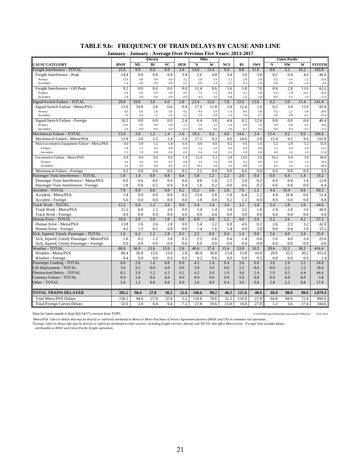|                                                                                        | January - January - Average Over Previous Five Years: 2013-2017 |            |            |            |            |             |            |                |                |                |            |                      |              |               |
|----------------------------------------------------------------------------------------|-----------------------------------------------------------------|------------|------------|------------|------------|-------------|------------|----------------|----------------|----------------|------------|----------------------|--------------|---------------|
|                                                                                        |                                                                 |            | Electric   |            |            | Milw        |            |                |                |                |            | <b>Union Pacific</b> |              |               |
| <b>CAUSE CATEGORY</b>                                                                  | <b>BNSF</b>                                                     | ML         | BI         | <b>SC</b>  | <b>HER</b> | N           | W          | <b>NCS</b>     | RI             | <b>SWS</b>     | N          | <b>NW</b>            | W            | <b>SYSTEM</b> |
| Freight Interference - TOTAL                                                           | 23.6                                                            | 0.0        | 0.0        | 0.0        | 3.4        | 14.0        | 13.4       | 9.0            | 8.8            | 11.6           | 0.6        | 3.2                  | 16.2         | 103.8         |
| Freight Interference - Peak                                                            | 14.4                                                            | 0.0        | 0.0        | 0.0        | 3.4        | 2.6         | 4.8        | 3.4            | 3.0            | 3.8            | 0.2        | 0.4                  | 4.6          | 40.6          |
| Primary                                                                                | 12.0                                                            | 0.0        | 0.0        | 0.0        | 3.2        | 1.8         | 3.4        | 3.2            | 2.8            | 2.8            | 0.2        | 0.4                  | 2.2          | 32.0          |
| Secondary                                                                              | 2.4                                                             | 0.0        | 0.0        | 0.0        | 0.2        | 0.8         | 1.4        | 0.2            | 0.2            | 1.0            | 0.0        | 0.0                  | 2.4          | 8.6           |
| Freight Interference - Off-Peak                                                        | 9.2<br>6.4                                                      | 0.0<br>0.0 | 0.0<br>0.0 | 0.0<br>0.0 | 0.0<br>0.0 | 11.4<br>7.0 | 8.6<br>5.0 | 5.6<br>4.8     | 5.8<br>4.2     | 7.8<br>5.8     | 0.4<br>0.4 | 2.8<br>1.8           | 11.6<br>10.2 | 63.2          |
| Primary<br>Secondary                                                                   | 2.8                                                             | 0.0        | 0.0        | 0.0        | 0.0        | 4.4         | 3.6        | 0.8            | 1.6            | 2.0            | 0.0        | 1.0                  | 1.4          | 45.6<br>17.6  |
| ignal/Switch Failure - TOTAL                                                           | 29.8                                                            | 10.8       | 3.8        | 6.6        | 2.8        | 23.4        | 15.6       | 7.8            | 12.6           | 13.6           | 0.2        | $\overline{3.0}$     | 11.4         | 141.4         |
| Signal/Switch Failure - Metra/PSA                                                      | 13.6                                                            | 10.8       | 3.8        | 6.6        | 0.4        | 17.0        | 11.8       | 3.4            | 12.4           | 1.0            | 0.2        | 3.0                  | 11.0         | 95.0          |
| Primary                                                                                | 6.6                                                             | 6.6        | 2.6        | 5.6        | 0.2        | 9.4         | 5.0        | 1.4            | 8.6            | 0.8            | 0.2        | 2.2                  | 4.8          | 54.0          |
| Secondary                                                                              | 7.0                                                             | 4.2        | 1.2        | 1.0        | 0.2        | 7.6         | 6.8        | 2.0            | 3.8            | 0.2            | 0.0        | 0.8                  | 6.2          | $41.0\,$      |
| Signal/Switch Failure - Foreign                                                        | 16.2                                                            | 0.0        | 0.0        | 0.0        | 2.4        | 6.4         | 3.8        | 4.4            | 0.2            | 12.6           | 0.0        | 0.0                  | 0.4          | 46.4          |
| Primary                                                                                | 13.6                                                            | 0.0        | 0.0        | 0.0        | 2.2        | 5.6         | 3.2        | 2.4            | 0.0            | 7.6            | 0.0        | 0.0                  | 0.2          | 34.8          |
| Secondary                                                                              | 2.6                                                             | 0.0        | 0.0        | 0.0        | 0.2        | 0.8         | 0.6        | 2.0            | 0.2            | 5.0            | 0.0        | 0.0                  | 0.2          | 11.6          |
| Mechanical Failure - TOTAL                                                             | 13.0                                                            | 3.0        | 1.2        | 1.4        | 1.6        | 19.4        | 9.2        | 4.0            | 14.6           | 3.4            | 15.4       | 9.2                  | 9.0          | 104.4         |
| Mechanical Failure - Metra/PSA                                                         | 12.8                                                            | 3.0        | 1.2        | 1.4        | 1.4        | 17.2        | 9.2        | 4.0            | 14.6           | 3.4            | 15.4       | 9.2                  | 9.0          | 101.8         |
| Non-Locomotive Equipment Failure - Metra/PSA                                           | 4.0                                                             | 3.0        | 1.2        | 1.4        | 0.4        | 4.6<br>1.2  | 4.0        | 0.2            | 1.6            | 1.4            | 5.2        | 2.8                  | 5.2          | 35.0          |
| Primary<br>Secondary                                                                   | 1.8<br>2.2                                                      | 1.2<br>1.8 | 0.4<br>0.8 | 0.8<br>0.6 | 0.4<br>0.0 | 3.4         | 1.0<br>3.0 | $0.0\,$<br>0.2 | $0.8\,$<br>0.8 | 0.8<br>0.6     | 1.2<br>4.0 | $0.8\,$<br>2.0       | 2.8<br>2.4   | 13.2<br>21.8  |
| Locomotive Failure - Metra/PSA                                                         | 8.8                                                             | 0.0        | 0.0        | 0.0        | 1.0        | 12.6        | 5.2        | 3.8            | 13.0           | 2.0            | 10.2       | 6.4                  | 3.8          | 66.8          |
| Primary                                                                                | 3.4                                                             | $0.0\,$    | 0.0        | 0.0        | 0.8        | 2.4         | 1.8        | $0.8\,$        | 4.2            | 0.6            | 2.0        | 3.0                  | 1.4          | 20.4          |
| Secondary                                                                              | 5.4                                                             | 0.0        | 0.0        | 0.0        | 0.2        | 10.2        | 3.4        | 3.0            | $8.8\,$        | 1.4            | 8.2        | 3.4                  | 2.4          | 46.4          |
| Mechanical Failure - Foreign                                                           | 0.2                                                             | 0.0        | 0.0        | 0.0        | 0.2        | 2.2         | 0.0        | 0.0            | 0.0            | 0.0            | 0.0        | 0.0                  | 0.0          | 2.6           |
| Passenger Train Interference - TOTAL                                                   | 1.8                                                             | 1.4        | 0.8        | 0.8        | 0.4        | 5.8         | 1.2        | 2.2            | 2.6            | 0.4            | 0.0        | 0.4                  | 1.4          | 19.2          |
| Passenger Train Interference - Metra/PSA                                               | 0.0                                                             | 0.6        | 0.6        | 0.4        | 0.0        | 4.0         | 1.0        | 2.2            | 2.0            | 0.2            | 0.0        | 0.4                  | 1.4          | 12.8          |
| Passenger Train Interference - Foreign                                                 | 1.8                                                             | 0.8        | 0.2        | 0.4        | 0.4        | 1.8         | 0.2        | 0.0            | 0.6            | 0.2            | 0.0        | 0.0                  | 0.0          | 6.4           |
| Accident - TOTAL                                                                       | 7.0                                                             | $0.0\,$    | $0.0\,$    | 0.0        | 0.2        | 15.2        | 5.6        | 2.0            | 7.6            | 1.2            | 4.4        | 16.4                 | 0.6          | 60.2          |
| Accident - Metra/PSA                                                                   | 1.4                                                             | 0.0        | 0.0        | 0.0        | 0.2        | 13.4        | 5.6        | 1.8            | 6.4            | 1.2            | 4.4        | 16.4                 | 0.6          | 51.4          |
| Accident - Foreign                                                                     | 5.6                                                             | 0.0        | 0.0        | 0.0        | 0.0        | 1.8         | 0.0        | 0.2            | 1.2            | 0.0            | 0.0        | 0.0                  | 0.0          | 8.8           |
| <b>Track Work - TOTAL</b>                                                              | 12.2                                                            | 6.0        | 1.2        | 2.6        | 0.0        | 5.4         | 1.4        | 3.4            | 3.2            | 1.8            | 2.4        | 2.8                  | 1.6          | 44.0          |
| Track Work - Metra/PSA                                                                 | 12.2                                                            | 6.0        | 1.2        | 2.6        | 0.0        | 5.4         | 1.4        | 3.4            | 3.2            | 1.8            | 2.4        | 2.8                  | 1.6          | 44.0          |
| Track Work - Foreign                                                                   | 0.0                                                             | 0.0        | 0.0        | 0.0        | 0.0        | 0.0         | 0.0        | 0.0            | 0.0            | 0.0            | 0.0        | 0.0                  | 0.0          | 0.0           |
| <b>Human Error - TOTAL</b>                                                             | 18.0                                                            | 2.8        | 2.8        | 1.8        | 0.8        | 6.8         | 4.8        | 2.2            | 4.6            | 2.6            | 3.2        | 2.6                  | 4.2          | 57.2          |
| Human Error - Metra/PSA                                                                | 13.8                                                            | 1.6        | 2.6        | 1.8        | 0.0        | 5.4         | 3.2        | 0.8            | 4.6            | 0.2            | 2.6        | 2.2                  | 3.2          | 42.0          |
| Human Error - Foreign                                                                  | 4.2                                                             | 1.2        | 0.2        | 0.0        | 0.8        | 1.4<br>2.2  | 1.6        | 1.4            | 0.0            | 2.4            | 0.6        | 0.4                  | 1.0          | 15.2          |
| Sick, Injured, Unruly Passenger - TOTAL<br>Sick, Injured, Unruly Passenger - Metra/PSA | 1.6<br>1.6                                                      | 6.2<br>6.2 | 1.2<br>1.2 | 1.8<br>1.8 | 0.2<br>0.2 | 2.2         | 0.6<br>0.6 | 0.4<br>0.4     | 1.4<br>1.4     | $0.0\,$<br>0.0 | 2.6<br>2.6 | 4.0<br>4.0           | 3.4<br>3.4   | 25.6<br>25.6  |
| Sick, Injured, Unruly Passenger - Foreign                                              | 0.0                                                             | 0.0        | 0.0        | 0.0        | 0.0        | 0.0         | 0.0        | 0.0            | 0.0            | 0.0            | 0.0        | 0.0                  | 0.0          | 0.0           |
| <b>Weather - TOTAL</b>                                                                 | 80.8                                                            | 56.8       | 13.6       | 15.0       | 2.8        | 40.6        | 37.4       | 13.4           | 53.8           | 10.2           | 29.6       | 32.2                 | 30.2         | 416.4         |
| Weather - Metra/PSA                                                                    | 80.4                                                            | 56.8       | 13.6       | 15.0       | 2.8        | 40.4        | 36.8       | 13.4           | 53.8           | 10.0           | 29.6       | 32.2                 | 30.2         | 415.0         |
| Weather - Foreign                                                                      | 0.4                                                             | 0.0        | 0.0        | 0.0        | 0.0        | 0.2         | 0.6        | 0.0            | 0.0            | 0.2            | 0.0        | 0.0                  | 0.0          | 1.4           |
| Passenger Loading - TOTAL                                                              | 0.6                                                             | 2.8        | 1.4        | 0.8        | 0.0        | 4.2         | 2.4        | 0.4            | 3.6            | 0.0            | 3.0        | 1.6                  | 3.2          | 24.0          |
| Lift Deployment - TOTAL                                                                | 3.6                                                             | 0.2        | 0.0        | 0.0        | 0.0        | 2.8         | 3.0        | 0.0            | 2.2            | 0.0            | 0.8        | 2.2                  | 3.2          | 18.0          |
| Obstruction/Debris - TOTAL                                                             | 8.2                                                             | 2.8        | 1.2        | 4.2        | 0.2        | 4.2         | 3.0        | 1.0            | 3.6            | 2.4            | 1.0        | 8.2                  | 4.4          | 44.4          |
| Catenary Failure - TOTAL                                                               | 0.0                                                             | 2.6        | 0.6        | 0.6        | 0.0        | 0.0         | 0.0        | 0.0            | 0.0            | 0.0            | 0.0        | 0.0                  | 0.0          | 3.8           |
| Other - TOTAL                                                                          | 2.0                                                             | 1.2        | 0.0        | 0.6        | 0.0        | 2.6         | 0.6        | 0.4            | 3.0            | 0.8            | 2.8        | 2.2                  | 0.8          | 17.0          |
|                                                                                        |                                                                 |            |            |            |            |             |            |                |                |                |            |                      |              |               |
| <b>TOTAL TRAINS DELAYED</b>                                                            | 202.2                                                           | 96.6       | 27.8       | 36.2       | 12.4       | 146.6       | 98.2       | 46.2           | 121.6          | 48.0           | 66.0       | 88.0                 | 89.6         | 1,079.4       |
| <b>Total Metra/PSA Delays</b>                                                          | 150.2                                                           | 94.6       | 27.4       | 35.8       | 5.2        | 118.8       | 78.6       | 31.2           | 110.8          | 21.0           | 64.8       | 84.4                 | 72.0         | 894.8         |
| <b>Total Foreign Carrier Delays</b>                                                    | 52.0                                                            | 2.0        | 0.4        | 0.4        | 7.2        | 27.8        | 19.6       | 15.0           | 10.8           | 27.0           | 1.2        | 3.6                  | 17.6         | 184.6         |

# **TABLE 9.b: FREQUENCY OF TRAIN DELAYS BY CAUSE AND LINE**

Data for latest month is final (02/14/17) version from TOPS. P:\ONTIME\export\[DelaysByCause.xlsm]YTDByLine 02/27/2018

Metra/PSA' refers to delays that may be directly or indirectly attributed to Metra Purchase of Service Agreement partners (BNSF and UP) in commuter rail operation.<br>'Foreign' refers to delays that may be directly or indirec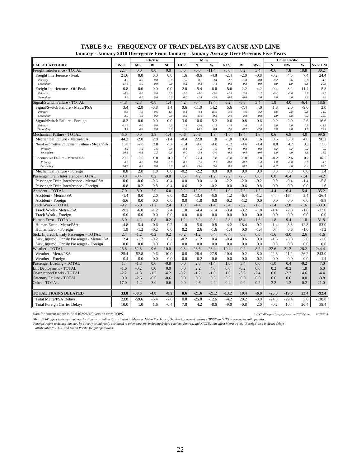| Electric<br>Milw<br><b>Union Pacific</b><br><b>BNSF</b><br>BI<br><b>SC</b><br>N<br>W<br><b>NCS</b><br><b>SWS</b><br>$\mathbf N$<br><b>NW</b><br><b>CAUSE CATEGORY</b><br><b>ML</b><br><b>HER</b><br><b>RI</b><br>W<br><b>SYSTEM</b><br>0.0<br>0.0<br>0.2<br>Freight Interference - TOTAL<br>22.4<br>0.0<br>$-6.0$<br>$-11.4$<br>$-8.0$<br>3.4<br>$-0.6$<br>7.8<br>18.8<br>30.2<br>3.6<br>Freight Interference - Peak<br>21.6<br>0.0<br>0.0<br>0.0<br>$-0.6$<br>$-4.8$<br>$-2.4$<br>$-2.0$<br>$-0.8$<br>$-0.2$<br>4.6<br>7.4<br>24.4<br>1.6<br>$4.0\,$<br>$0.0\,$<br>$0.0\,$<br>0.0<br>1.8<br>0.2<br>$-2.2$<br>$\text{-}1.8$<br>$-0.8$<br>$-0.2$<br>3.6<br>2.8<br>$4.0\,$<br>Primary<br>$-3.4$<br>0.0<br>$-0.2$<br>$-0.8$<br>$-0.2$<br>$-0.2$<br>0.0<br>Secondary<br>17.6<br>0.0<br>0.0<br>$-1.4$<br>0.0<br>1.0<br>4.6<br>20.4<br>2.0<br>2.2<br>0.8<br>0.0<br>0.0<br>0.0<br>$-5.4$<br>$-6.6$<br>$-5.6$<br>4.2<br>$-0.4$<br>3.2<br>5.8<br>Freight Interference - Off-Peak<br>11.4<br>$0.0\,$<br>$0.0\,$<br>0.0<br>2.0<br>$-4.0$<br>$-3.0$<br>$-4.8$<br>2.8<br>1.2<br>$-0.4$<br>$-0.8$<br>$-2.6$<br>Primary<br>$-4.4$<br>$8.8\,$<br>5.2<br>0.0<br>0.0<br>$-1.4$<br>$-0.8$<br>$-0.6$<br>3.0<br>Secondary<br>0.0<br>0.0<br>$-3.6$<br>0.0<br>4.0<br>2.6<br>8.4<br>$-2.8$<br>$-0.8$<br>4.2<br>$-0.4$<br>19.4<br>6.2<br>3.4<br>4.0<br>Signal/Switch Failure - TOTAL<br>$-4.8$<br>1.4<br>$-6.6$<br>1.8<br>$-6.4$<br>18.6<br>Signal/Switch Failure - Metra/PSA<br>3.4<br>$-2.8$<br>$-0.8$<br>1.4<br>0.6<br>$-11.0$<br>14.2<br>5.6<br>$-7.4$<br>4.0<br>1.8<br>2.0<br>$-9.0$<br>2.0<br>$-0.6$<br>0.8<br>$-4.4$<br>15.0<br>$-2.8$<br>Primary<br>0.4<br>$-1.6$<br>1.4<br>3.6<br>$-4.6$<br>3.2<br>0.8<br>2.8<br>14.0<br>3.0<br>$-0.2$<br>$-6.6$<br>$-12.0$<br>Secondary<br>$-1.2$<br>$-0.2$<br>0.0<br>$-0.8$<br>2.0<br>$-2.8$<br>0.8<br>1.0<br>$-0.8$<br>$-6.2$<br>$-8.2$<br>0.0<br>0.0<br>3.6<br>10.6<br>5.2<br>0.6<br>0.8<br>0.0<br>2.0<br>2.6<br>16.6<br>Signal/Switch Failure - Foreign<br>0.0<br>$-0.6$<br>Primary<br>$0.0\,$<br>$0.0\,$<br>0.0<br>1.8<br>$-3.6$<br>$-1.2$<br>$-1.4$<br>1.0<br>1.4<br>$0.0\,$<br>$0.0\,$<br>$-12.8$<br>$-11.6$<br>0.8<br>3.4<br>0.0<br>0.0<br>0.0<br>1.8<br>14.2<br>2.0<br>$-0.2$<br>$-2.0$<br>0.0<br>2.0<br>1.8<br>29.4<br>Secondary<br>6.4<br>20.6<br>99.6<br>Mechanical Failure - TOTAL<br>45.0<br>0.0<br>3.8<br>$-1.4$<br>$-0.6$<br>1.8<br>$-1.0$<br>18.4<br>1.6<br>0.6<br>6.8<br>4.0 | January - January 2018 Divergence From January - January Average Over Previous Five Years |
|-----------------------------------------------------------------------------------------------------------------------------------------------------------------------------------------------------------------------------------------------------------------------------------------------------------------------------------------------------------------------------------------------------------------------------------------------------------------------------------------------------------------------------------------------------------------------------------------------------------------------------------------------------------------------------------------------------------------------------------------------------------------------------------------------------------------------------------------------------------------------------------------------------------------------------------------------------------------------------------------------------------------------------------------------------------------------------------------------------------------------------------------------------------------------------------------------------------------------------------------------------------------------------------------------------------------------------------------------------------------------------------------------------------------------------------------------------------------------------------------------------------------------------------------------------------------------------------------------------------------------------------------------------------------------------------------------------------------------------------------------------------------------------------------------------------------------------------------------------------------------------------------------------------------------------------------------------------------------------------------------------------------------------------------------------------------------------------------------------------------------------------------------------------------------------------------------------------------------------------------------------------------------------------------------------------------------------------------------------------------------------------------------------------------|-------------------------------------------------------------------------------------------|
|                                                                                                                                                                                                                                                                                                                                                                                                                                                                                                                                                                                                                                                                                                                                                                                                                                                                                                                                                                                                                                                                                                                                                                                                                                                                                                                                                                                                                                                                                                                                                                                                                                                                                                                                                                                                                                                                                                                                                                                                                                                                                                                                                                                                                                                                                                                                                                                                                 |                                                                                           |
|                                                                                                                                                                                                                                                                                                                                                                                                                                                                                                                                                                                                                                                                                                                                                                                                                                                                                                                                                                                                                                                                                                                                                                                                                                                                                                                                                                                                                                                                                                                                                                                                                                                                                                                                                                                                                                                                                                                                                                                                                                                                                                                                                                                                                                                                                                                                                                                                                 |                                                                                           |
|                                                                                                                                                                                                                                                                                                                                                                                                                                                                                                                                                                                                                                                                                                                                                                                                                                                                                                                                                                                                                                                                                                                                                                                                                                                                                                                                                                                                                                                                                                                                                                                                                                                                                                                                                                                                                                                                                                                                                                                                                                                                                                                                                                                                                                                                                                                                                                                                                 |                                                                                           |
|                                                                                                                                                                                                                                                                                                                                                                                                                                                                                                                                                                                                                                                                                                                                                                                                                                                                                                                                                                                                                                                                                                                                                                                                                                                                                                                                                                                                                                                                                                                                                                                                                                                                                                                                                                                                                                                                                                                                                                                                                                                                                                                                                                                                                                                                                                                                                                                                                 |                                                                                           |
|                                                                                                                                                                                                                                                                                                                                                                                                                                                                                                                                                                                                                                                                                                                                                                                                                                                                                                                                                                                                                                                                                                                                                                                                                                                                                                                                                                                                                                                                                                                                                                                                                                                                                                                                                                                                                                                                                                                                                                                                                                                                                                                                                                                                                                                                                                                                                                                                                 |                                                                                           |
|                                                                                                                                                                                                                                                                                                                                                                                                                                                                                                                                                                                                                                                                                                                                                                                                                                                                                                                                                                                                                                                                                                                                                                                                                                                                                                                                                                                                                                                                                                                                                                                                                                                                                                                                                                                                                                                                                                                                                                                                                                                                                                                                                                                                                                                                                                                                                                                                                 |                                                                                           |
|                                                                                                                                                                                                                                                                                                                                                                                                                                                                                                                                                                                                                                                                                                                                                                                                                                                                                                                                                                                                                                                                                                                                                                                                                                                                                                                                                                                                                                                                                                                                                                                                                                                                                                                                                                                                                                                                                                                                                                                                                                                                                                                                                                                                                                                                                                                                                                                                                 |                                                                                           |
|                                                                                                                                                                                                                                                                                                                                                                                                                                                                                                                                                                                                                                                                                                                                                                                                                                                                                                                                                                                                                                                                                                                                                                                                                                                                                                                                                                                                                                                                                                                                                                                                                                                                                                                                                                                                                                                                                                                                                                                                                                                                                                                                                                                                                                                                                                                                                                                                                 |                                                                                           |
|                                                                                                                                                                                                                                                                                                                                                                                                                                                                                                                                                                                                                                                                                                                                                                                                                                                                                                                                                                                                                                                                                                                                                                                                                                                                                                                                                                                                                                                                                                                                                                                                                                                                                                                                                                                                                                                                                                                                                                                                                                                                                                                                                                                                                                                                                                                                                                                                                 |                                                                                           |
|                                                                                                                                                                                                                                                                                                                                                                                                                                                                                                                                                                                                                                                                                                                                                                                                                                                                                                                                                                                                                                                                                                                                                                                                                                                                                                                                                                                                                                                                                                                                                                                                                                                                                                                                                                                                                                                                                                                                                                                                                                                                                                                                                                                                                                                                                                                                                                                                                 |                                                                                           |
|                                                                                                                                                                                                                                                                                                                                                                                                                                                                                                                                                                                                                                                                                                                                                                                                                                                                                                                                                                                                                                                                                                                                                                                                                                                                                                                                                                                                                                                                                                                                                                                                                                                                                                                                                                                                                                                                                                                                                                                                                                                                                                                                                                                                                                                                                                                                                                                                                 |                                                                                           |
|                                                                                                                                                                                                                                                                                                                                                                                                                                                                                                                                                                                                                                                                                                                                                                                                                                                                                                                                                                                                                                                                                                                                                                                                                                                                                                                                                                                                                                                                                                                                                                                                                                                                                                                                                                                                                                                                                                                                                                                                                                                                                                                                                                                                                                                                                                                                                                                                                 |                                                                                           |
|                                                                                                                                                                                                                                                                                                                                                                                                                                                                                                                                                                                                                                                                                                                                                                                                                                                                                                                                                                                                                                                                                                                                                                                                                                                                                                                                                                                                                                                                                                                                                                                                                                                                                                                                                                                                                                                                                                                                                                                                                                                                                                                                                                                                                                                                                                                                                                                                                 |                                                                                           |
|                                                                                                                                                                                                                                                                                                                                                                                                                                                                                                                                                                                                                                                                                                                                                                                                                                                                                                                                                                                                                                                                                                                                                                                                                                                                                                                                                                                                                                                                                                                                                                                                                                                                                                                                                                                                                                                                                                                                                                                                                                                                                                                                                                                                                                                                                                                                                                                                                 |                                                                                           |
|                                                                                                                                                                                                                                                                                                                                                                                                                                                                                                                                                                                                                                                                                                                                                                                                                                                                                                                                                                                                                                                                                                                                                                                                                                                                                                                                                                                                                                                                                                                                                                                                                                                                                                                                                                                                                                                                                                                                                                                                                                                                                                                                                                                                                                                                                                                                                                                                                 |                                                                                           |
|                                                                                                                                                                                                                                                                                                                                                                                                                                                                                                                                                                                                                                                                                                                                                                                                                                                                                                                                                                                                                                                                                                                                                                                                                                                                                                                                                                                                                                                                                                                                                                                                                                                                                                                                                                                                                                                                                                                                                                                                                                                                                                                                                                                                                                                                                                                                                                                                                 |                                                                                           |
| 44.2<br>$-2.0$<br>2.8<br>$-1.4$<br>$-0.4$<br>22.8<br>1.8<br>$-1.0$<br>18.4<br>1.6<br>0.6<br>6.8<br>4.0<br>98.2<br>Mechanical Failure - Metra/PSA                                                                                                                                                                                                                                                                                                                                                                                                                                                                                                                                                                                                                                                                                                                                                                                                                                                                                                                                                                                                                                                                                                                                                                                                                                                                                                                                                                                                                                                                                                                                                                                                                                                                                                                                                                                                                                                                                                                                                                                                                                                                                                                                                                                                                                                                |                                                                                           |
| $-0.4$<br>$-4.6$<br>$-0.2$<br>0.8<br>15.0<br>$-2.0$<br>2.8<br>$-1.4$<br>$-4.0$<br>$-1.6$<br>$-1.4$<br>4.2<br>3.8<br>11.0<br>Non-Locomotive Equipment Failure - Metra/PSA                                                                                                                                                                                                                                                                                                                                                                                                                                                                                                                                                                                                                                                                                                                                                                                                                                                                                                                                                                                                                                                                                                                                                                                                                                                                                                                                                                                                                                                                                                                                                                                                                                                                                                                                                                                                                                                                                                                                                                                                                                                                                                                                                                                                                                        |                                                                                           |
| 4.2<br>$-1.2$<br>1.6<br>$-0.8$<br>$-0.4$<br>$-1.2$<br>$-1.0$<br>$0.0\,$<br>$-0.8$<br>$-0.8$<br>$-0.2$<br>0.2<br>0.2<br>$-0.2$<br>Primary<br>10.8<br>$-0.8$<br>$-0.6$<br>0.0<br>$-3.4$<br>$-0.2$<br>$-0.8$<br>$-0.6$<br>1.0<br>11.2<br>Secondary<br>1.2<br>$-3.0$<br>4.0<br>3.6                                                                                                                                                                                                                                                                                                                                                                                                                                                                                                                                                                                                                                                                                                                                                                                                                                                                                                                                                                                                                                                                                                                                                                                                                                                                                                                                                                                                                                                                                                                                                                                                                                                                                                                                                                                                                                                                                                                                                                                                                                                                                                                                  |                                                                                           |
| 20.0                                                                                                                                                                                                                                                                                                                                                                                                                                                                                                                                                                                                                                                                                                                                                                                                                                                                                                                                                                                                                                                                                                                                                                                                                                                                                                                                                                                                                                                                                                                                                                                                                                                                                                                                                                                                                                                                                                                                                                                                                                                                                                                                                                                                                                                                                                                                                                                                            |                                                                                           |
| 5.8<br>$-0.8$<br>Locomotive Failure - Metra/PSA<br>29.2<br>0.0<br>0.0<br>0.0<br>0.0<br>27.4<br>3.0<br>$-0.2$<br>2.6<br>0.2<br>87.2<br>0.6<br>0.0<br>$0.0\,$<br>0.0<br>0.2<br>1.6<br>2.2<br>$-0.8$<br>$-0.2$<br>1.4<br>1.0<br>$-2.0$<br>0.6<br>$4.6\,$<br>Primary                                                                                                                                                                                                                                                                                                                                                                                                                                                                                                                                                                                                                                                                                                                                                                                                                                                                                                                                                                                                                                                                                                                                                                                                                                                                                                                                                                                                                                                                                                                                                                                                                                                                                                                                                                                                                                                                                                                                                                                                                                                                                                                                                |                                                                                           |
| 28.6<br>$0.0\,$<br>0.0<br>0.0<br>$-0.2$<br>25.8<br>3.6<br>0.0<br>20.2<br>1.6<br>$-1.2$<br>4.6<br>$-0.4$<br>82.6<br>Secondary                                                                                                                                                                                                                                                                                                                                                                                                                                                                                                                                                                                                                                                                                                                                                                                                                                                                                                                                                                                                                                                                                                                                                                                                                                                                                                                                                                                                                                                                                                                                                                                                                                                                                                                                                                                                                                                                                                                                                                                                                                                                                                                                                                                                                                                                                    |                                                                                           |
| 0.8<br>2.0<br>1.0<br>0.0<br>$-0.2$<br>$-2.2$<br>0.0<br>0.0<br>0.0<br>0.0<br>0.0<br>0.0<br>0.0<br>Mechanical Failure - Foreign<br>1.4                                                                                                                                                                                                                                                                                                                                                                                                                                                                                                                                                                                                                                                                                                                                                                                                                                                                                                                                                                                                                                                                                                                                                                                                                                                                                                                                                                                                                                                                                                                                                                                                                                                                                                                                                                                                                                                                                                                                                                                                                                                                                                                                                                                                                                                                            |                                                                                           |
| 4.2<br>Passenger Train Interference - TOTAL<br>$-0.8$<br>$-0.4$<br>0.2<br>$-0.8$<br>0.6<br>$-1.2$<br>$-2.2$<br>$-2.6$<br>0.6<br>0.0<br>$-0.4$<br>$-1.4$<br>$-4.2$                                                                                                                                                                                                                                                                                                                                                                                                                                                                                                                                                                                                                                                                                                                                                                                                                                                                                                                                                                                                                                                                                                                                                                                                                                                                                                                                                                                                                                                                                                                                                                                                                                                                                                                                                                                                                                                                                                                                                                                                                                                                                                                                                                                                                                               |                                                                                           |
| 0.0<br>$-0.6$<br>$-0.6$<br>$-0.4$<br>0.0<br>3.0<br>$-1.0$<br>$-2.2$<br>$-2.0$<br>$-0.2$<br>0.0<br>$-0.4$<br>$-1.4$<br>$-5.8$<br>Passenger Train Interference - Metra/PSA                                                                                                                                                                                                                                                                                                                                                                                                                                                                                                                                                                                                                                                                                                                                                                                                                                                                                                                                                                                                                                                                                                                                                                                                                                                                                                                                                                                                                                                                                                                                                                                                                                                                                                                                                                                                                                                                                                                                                                                                                                                                                                                                                                                                                                        |                                                                                           |
| 1.2<br>$-0.2$<br>0.0<br>$-0.6$<br>0.8<br>0.0<br>0.0<br>0.0<br>$-0.8$<br>0.2<br>0.8<br>$-0.4$<br>0.6<br>1.6<br>Passenger Train Interference - Foreign                                                                                                                                                                                                                                                                                                                                                                                                                                                                                                                                                                                                                                                                                                                                                                                                                                                                                                                                                                                                                                                                                                                                                                                                                                                                                                                                                                                                                                                                                                                                                                                                                                                                                                                                                                                                                                                                                                                                                                                                                                                                                                                                                                                                                                                            |                                                                                           |
| 2.0<br>$-15.2$<br>$-7.6$<br>$-35.2$<br>Accident - TOTAL<br>$-7.0$<br>8.0<br>6.0<br>$-0.2$<br>$-5.6$<br>1.0<br>$-1.2$<br>$-4.4$<br>$-16.4$<br>5.4                                                                                                                                                                                                                                                                                                                                                                                                                                                                                                                                                                                                                                                                                                                                                                                                                                                                                                                                                                                                                                                                                                                                                                                                                                                                                                                                                                                                                                                                                                                                                                                                                                                                                                                                                                                                                                                                                                                                                                                                                                                                                                                                                                                                                                                                |                                                                                           |
| 2.0<br>$-26.4$<br>Accident - Metra/PSA<br>8.0<br>6.0<br>$-0.2$<br>$-13.4$<br>$-5.6$<br>1.2<br>$-6.4$<br>$-1.2$<br>$-4.4$<br>$-16.4$<br>5.4<br>$-1.4$                                                                                                                                                                                                                                                                                                                                                                                                                                                                                                                                                                                                                                                                                                                                                                                                                                                                                                                                                                                                                                                                                                                                                                                                                                                                                                                                                                                                                                                                                                                                                                                                                                                                                                                                                                                                                                                                                                                                                                                                                                                                                                                                                                                                                                                            |                                                                                           |
| $-5.6$<br>0.0<br>0.0<br>0.0<br>0.0<br>0.0<br>$-0.2$<br>$-1.2$<br>0.0<br>0.0<br>$-8.8$<br>Accident - Foreign<br>$-1.8$<br>0.0<br>0.0                                                                                                                                                                                                                                                                                                                                                                                                                                                                                                                                                                                                                                                                                                                                                                                                                                                                                                                                                                                                                                                                                                                                                                                                                                                                                                                                                                                                                                                                                                                                                                                                                                                                                                                                                                                                                                                                                                                                                                                                                                                                                                                                                                                                                                                                             |                                                                                           |
| $-9.2$<br>$-1.2$<br>$-4.4$<br>$-3.4$<br>$-3.2$<br>$-1.8$<br>$-2.8$<br>$-33.0$<br>Track Work - TOTAL<br>$-6.0$<br>2.4<br>1.0<br>$-1.4$<br>$-1.4$<br>$-1.6$                                                                                                                                                                                                                                                                                                                                                                                                                                                                                                                                                                                                                                                                                                                                                                                                                                                                                                                                                                                                                                                                                                                                                                                                                                                                                                                                                                                                                                                                                                                                                                                                                                                                                                                                                                                                                                                                                                                                                                                                                                                                                                                                                                                                                                                       |                                                                                           |
| $-2.8$<br>$-33.0$<br>Track Work - Metra/PSA<br>$-9.2$<br>$-6.0$<br>$-1.2$<br>2.4<br>1.0<br>$-4.4$<br>$-1.4$<br>$-3.4$<br>$-3.2$<br>$-1.8$<br>$-1.4$<br>$-1.6$                                                                                                                                                                                                                                                                                                                                                                                                                                                                                                                                                                                                                                                                                                                                                                                                                                                                                                                                                                                                                                                                                                                                                                                                                                                                                                                                                                                                                                                                                                                                                                                                                                                                                                                                                                                                                                                                                                                                                                                                                                                                                                                                                                                                                                                   |                                                                                           |
| 0.0<br>0.0<br>0.0<br>0.0<br>0.0<br>0.0<br>0.0<br>Track Work - Foreign<br>0.0<br>0.0<br>0.0<br>0.0<br>0.0<br>0.0<br>0.0                                                                                                                                                                                                                                                                                                                                                                                                                                                                                                                                                                                                                                                                                                                                                                                                                                                                                                                                                                                                                                                                                                                                                                                                                                                                                                                                                                                                                                                                                                                                                                                                                                                                                                                                                                                                                                                                                                                                                                                                                                                                                                                                                                                                                                                                                          |                                                                                           |
| $-3.0$<br>4.2<br>$-0.8$<br>0.2<br>1.2<br>8.2<br>$-0.8$<br>2.8<br>18.4<br>$-1.6$<br>9.4<br>11.8<br>51.8<br><b>Human Error - TOTAL</b><br>1.8                                                                                                                                                                                                                                                                                                                                                                                                                                                                                                                                                                                                                                                                                                                                                                                                                                                                                                                                                                                                                                                                                                                                                                                                                                                                                                                                                                                                                                                                                                                                                                                                                                                                                                                                                                                                                                                                                                                                                                                                                                                                                                                                                                                                                                                                     |                                                                                           |
| 0.2<br>Human Error - Metra/PSA<br>$-4.8$<br>5.4<br>$-0.6$<br>1.0<br>5.6<br>0.8<br>4.2<br>18.4<br>$-0.2$<br>1.4<br>8.8<br>12.8<br>53.0                                                                                                                                                                                                                                                                                                                                                                                                                                                                                                                                                                                                                                                                                                                                                                                                                                                                                                                                                                                                                                                                                                                                                                                                                                                                                                                                                                                                                                                                                                                                                                                                                                                                                                                                                                                                                                                                                                                                                                                                                                                                                                                                                                                                                                                                           |                                                                                           |
| 1.8<br>$-1.2$<br>$-0.2$<br>0.0<br>0.2<br>$-1.4$<br>0.0<br>$-1.4$<br>0.4<br>0.6<br>$-1.0$<br>$-1.2$<br>Human Error - Foreign<br>2.6<br>$-1.6$                                                                                                                                                                                                                                                                                                                                                                                                                                                                                                                                                                                                                                                                                                                                                                                                                                                                                                                                                                                                                                                                                                                                                                                                                                                                                                                                                                                                                                                                                                                                                                                                                                                                                                                                                                                                                                                                                                                                                                                                                                                                                                                                                                                                                                                                    |                                                                                           |
| 2.4<br>$-0.2$<br>0.2<br>$-0.2$<br>$-1.2$<br>0.4<br>$-0.4$<br>0.0<br>$-3.0$<br>2.6<br>Sick, Injured, Unruly Passenger - TOTAL<br>$-1.2$<br>0.6<br>$-1.6$<br>$-1.6$                                                                                                                                                                                                                                                                                                                                                                                                                                                                                                                                                                                                                                                                                                                                                                                                                                                                                                                                                                                                                                                                                                                                                                                                                                                                                                                                                                                                                                                                                                                                                                                                                                                                                                                                                                                                                                                                                                                                                                                                                                                                                                                                                                                                                                               |                                                                                           |
| 2.4<br>$-1.2$<br>$-0.2$<br>0.2<br>$-0.2$<br>$-1.2$<br>$-0.4$<br>$-3.0$<br>$-1.6$<br>Sick, Injured, Unruly Passenger - Metra/PSA<br>0.4<br>0.6<br>0.0<br>$-1.6$<br>2.6                                                                                                                                                                                                                                                                                                                                                                                                                                                                                                                                                                                                                                                                                                                                                                                                                                                                                                                                                                                                                                                                                                                                                                                                                                                                                                                                                                                                                                                                                                                                                                                                                                                                                                                                                                                                                                                                                                                                                                                                                                                                                                                                                                                                                                           |                                                                                           |
| 0.0<br>0.0<br>0.0<br>0.0<br>0.0<br>0.0<br>0.0<br>0.0<br>0.0<br>0.0<br>0.0<br>0.0<br>0.0<br>0.0<br>Sick, Injured, Unruly Passenger - Foreign                                                                                                                                                                                                                                                                                                                                                                                                                                                                                                                                                                                                                                                                                                                                                                                                                                                                                                                                                                                                                                                                                                                                                                                                                                                                                                                                                                                                                                                                                                                                                                                                                                                                                                                                                                                                                                                                                                                                                                                                                                                                                                                                                                                                                                                                     |                                                                                           |
| $-22.6$<br>$-25.8$<br>$-52.8$<br>$-9.6$<br>$-10.0$<br>$-0.8$<br>$-28.6$<br>$-28.4$<br>$-10.4$<br>0.2<br>$-8.2$<br>$-21.2$<br>$-26.2$<br>$-244.4$<br>Weather - TOTAL                                                                                                                                                                                                                                                                                                                                                                                                                                                                                                                                                                                                                                                                                                                                                                                                                                                                                                                                                                                                                                                                                                                                                                                                                                                                                                                                                                                                                                                                                                                                                                                                                                                                                                                                                                                                                                                                                                                                                                                                                                                                                                                                                                                                                                             |                                                                                           |
| $-25.4$<br>$-52.8$<br>$-9.6$<br>$-28.4$<br>$-27.8$<br>0.2<br>$-22.6$<br>$-21.2$<br>$-243.0$<br>Weather - Metra/PSA<br>$-10.0$<br>$-0.8$<br>$-10.4$<br>$-8.0$<br>$-26.2$                                                                                                                                                                                                                                                                                                                                                                                                                                                                                                                                                                                                                                                                                                                                                                                                                                                                                                                                                                                                                                                                                                                                                                                                                                                                                                                                                                                                                                                                                                                                                                                                                                                                                                                                                                                                                                                                                                                                                                                                                                                                                                                                                                                                                                         |                                                                                           |
| $-0.4$<br>0.0<br>0.0<br>0.0<br>0.0<br>$-0.2$<br>$-0.6$<br>0.0<br>0.0<br>$-0.2$<br>0.0<br>0.0<br>0.0<br>Weather - Foreign<br>$-1.4$<br>5.4<br>0.0<br>7.0<br>1.4<br>0.6<br>$-0.8$<br>0.0<br>2.8<br>$-1.4$<br>1.6<br>$-1.0$<br>0.4<br>$-0.2$                                                                                                                                                                                                                                                                                                                                                                                                                                                                                                                                                                                                                                                                                                                                                                                                                                                                                                                                                                                                                                                                                                                                                                                                                                                                                                                                                                                                                                                                                                                                                                                                                                                                                                                                                                                                                                                                                                                                                                                                                                                                                                                                                                       |                                                                                           |
| Passenger Loading - TOTAL<br>$-1.8$<br>0.0<br>0.0<br>2.2<br>4.0<br>$-0.2$<br>$-0.2$<br>6.0                                                                                                                                                                                                                                                                                                                                                                                                                                                                                                                                                                                                                                                                                                                                                                                                                                                                                                                                                                                                                                                                                                                                                                                                                                                                                                                                                                                                                                                                                                                                                                                                                                                                                                                                                                                                                                                                                                                                                                                                                                                                                                                                                                                                                                                                                                                      |                                                                                           |
| Lift Deployment - TOTAL<br>$-0.2$<br>0.0<br>0.0<br>0.0<br>0.2<br>1.8<br>$-1.6$<br>$-1.2$<br><b>Obstruction/Debris - TOTAL</b><br>$-2.2$<br>$-1.8$<br>$-1.2$<br>$-4.2$<br>$-0.2$<br>$-1.0$<br>1.0<br>$-3.6$<br>$-2.4$<br>0.0<br>$-2.2$<br>14.6<br>$-4.4$                                                                                                                                                                                                                                                                                                                                                                                                                                                                                                                                                                                                                                                                                                                                                                                                                                                                                                                                                                                                                                                                                                                                                                                                                                                                                                                                                                                                                                                                                                                                                                                                                                                                                                                                                                                                                                                                                                                                                                                                                                                                                                                                                         |                                                                                           |
| $-2.6$<br>0.0<br>0.0<br>0.0<br>0.0<br>0.0<br>0.0<br>0.0<br>$-0.6$<br>$-0.6$<br>0.0<br>0.0<br>0.0<br>$-3.8$<br>Catenary Failure - TOTAL                                                                                                                                                                                                                                                                                                                                                                                                                                                                                                                                                                                                                                                                                                                                                                                                                                                                                                                                                                                                                                                                                                                                                                                                                                                                                                                                                                                                                                                                                                                                                                                                                                                                                                                                                                                                                                                                                                                                                                                                                                                                                                                                                                                                                                                                          |                                                                                           |
| $-1.2$<br>3.0<br>0.0<br>$-0.4$<br>0.0<br>2.2<br>$-1.2$<br>Other - TOTAL<br>17.0<br>$-0.6$<br>$-2.6$<br>4.4<br>0.2<br>0.2<br>21.0                                                                                                                                                                                                                                                                                                                                                                                                                                                                                                                                                                                                                                                                                                                                                                                                                                                                                                                                                                                                                                                                                                                                                                                                                                                                                                                                                                                                                                                                                                                                                                                                                                                                                                                                                                                                                                                                                                                                                                                                                                                                                                                                                                                                                                                                                |                                                                                           |
|                                                                                                                                                                                                                                                                                                                                                                                                                                                                                                                                                                                                                                                                                                                                                                                                                                                                                                                                                                                                                                                                                                                                                                                                                                                                                                                                                                                                                                                                                                                                                                                                                                                                                                                                                                                                                                                                                                                                                                                                                                                                                                                                                                                                                                                                                                                                                                                                                 |                                                                                           |
| <b>TOTAL TRAINS DELAYED</b><br>33.8<br>$-58.6$<br>$-4.8$<br>$-8.2$<br>8.6<br>$-21.6$<br>$-21.2$<br>$-13.2$<br>19.4<br>$-6.0$<br>$-25.0$<br>$-19.0$<br>23.4<br>$-92.4$                                                                                                                                                                                                                                                                                                                                                                                                                                                                                                                                                                                                                                                                                                                                                                                                                                                                                                                                                                                                                                                                                                                                                                                                                                                                                                                                                                                                                                                                                                                                                                                                                                                                                                                                                                                                                                                                                                                                                                                                                                                                                                                                                                                                                                           |                                                                                           |
| 23.8<br>$-59.6$<br>$-7.8$<br>0.8<br>$-25.8$<br>20.2<br>$-24.8$<br>$-29.4$<br>3.0<br>$-130.8$<br><b>Total Metra/PSA Delays</b><br>$-6.4$<br>$-12.6$<br>$-4.2$<br>$-8.0$                                                                                                                                                                                                                                                                                                                                                                                                                                                                                                                                                                                                                                                                                                                                                                                                                                                                                                                                                                                                                                                                                                                                                                                                                                                                                                                                                                                                                                                                                                                                                                                                                                                                                                                                                                                                                                                                                                                                                                                                                                                                                                                                                                                                                                          |                                                                                           |
| 10.0<br>7.8<br>4.2<br>$-9.0$<br>$-0.8$<br>2.0<br>$-0.2$<br>10.4<br>20.4<br>38.4<br>1.0<br>1.6<br>$-0.4$<br>$-8.6$<br><b>Total Foreign Carrier Delays</b>                                                                                                                                                                                                                                                                                                                                                                                                                                                                                                                                                                                                                                                                                                                                                                                                                                                                                                                                                                                                                                                                                                                                                                                                                                                                                                                                                                                                                                                                                                                                                                                                                                                                                                                                                                                                                                                                                                                                                                                                                                                                                                                                                                                                                                                        |                                                                                           |

| TABLE 9.c: FREQUENCY OF TRAIN DELAYS BY CAUSE AND LINE                                                                                                                                                                                                                                                                                                    |  |
|-----------------------------------------------------------------------------------------------------------------------------------------------------------------------------------------------------------------------------------------------------------------------------------------------------------------------------------------------------------|--|
| $L_{\text{max}}$ , $L_{\text{max}}$ , $\sim$ $\sim$ $\sim$ $\sim$ $\sim$ $\sim$ $L_{\text{max}}$ , $L_{\text{max}}$ , $L_{\text{max}}$ , $L_{\text{max}}$ , $L_{\text{max}}$ , $L_{\text{max}}$ , $L_{\text{max}}$ , $L_{\text{max}}$ , $L_{\text{max}}$ , $L_{\text{max}}$ , $L_{\text{max}}$ , $L_{\text{max}}$ , $L_{\text{max}}$ , $L_{\text{max}}$ , |  |

Data for current month is final (02/26/18) version from TOPS. P:\ONTIME\export\[DelaysByCause.xlsm]YTDByLine 02/27/2018

Metra/PSA' refers to delays that may be directly or indirectly attributed to Metra Purchase of Service Agreement partners (BNSF and UP) in commuter rail operation.<br>'Foreign' refers to delays that may be directly or indirec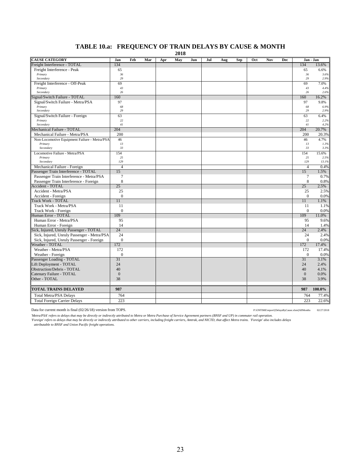# **TABLE 10.a: FREQUENCY OF TRAIN DELAYS BY CAUSE & MONTH**

**2018**

| <b>CAUSE CATEGORY</b>                                                | Jan            | Feb | Mar | Apr | May | Jun | Jul | Aug | Sep | <b>Oct</b> | Nov | Dec | Jan - Jan      |               |
|----------------------------------------------------------------------|----------------|-----|-----|-----|-----|-----|-----|-----|-----|------------|-----|-----|----------------|---------------|
| Freight Interference - TOTAL                                         | 134            |     |     |     |     |     |     |     |     |            |     |     | 134            | 13.6%         |
| Freight Interference - Peak                                          | 65             |     |     |     |     |     |     |     |     |            |     |     | 65             | 6.6%          |
| Primary                                                              | 36             |     |     |     |     |     |     |     |     |            |     |     | 36             | 3.6%          |
| Secondary                                                            | 29             |     |     |     |     |     |     |     |     |            |     |     | 29             | 2.9%          |
| Freight Interference - Off-Peak                                      | 69             |     |     |     |     |     |     |     |     |            |     |     | 69             | 7.0%          |
| Primary<br>Secondary                                                 | 43<br>26       |     |     |     |     |     |     |     |     |            |     |     | 43             | 4.4%          |
|                                                                      |                |     |     |     |     |     |     |     |     |            |     |     | 26             | 2.6%          |
| Signal/Switch Failure - TOTAL                                        | 160            |     |     |     |     |     |     |     |     |            |     |     | 160            | 16.2%         |
| Signal/Switch Failure - Metra/PSA                                    | 97<br>68       |     |     |     |     |     |     |     |     |            |     |     | 97<br>68       | 9.8%<br>6.9%  |
| Primary<br>Secondary                                                 | 29             |     |     |     |     |     |     |     |     |            |     |     | 29             | 2.9%          |
| Signal/Switch Failure - Foreign                                      | 63             |     |     |     |     |     |     |     |     |            |     |     | 63             | 6.4%          |
| Primary                                                              | 22             |     |     |     |     |     |     |     |     |            |     |     | 22             | 2.2%          |
| Secondary                                                            | 41             |     |     |     |     |     |     |     |     |            |     |     | 41             | 4.2%          |
| Mechanical Failure - TOTAL                                           | 204            |     |     |     |     |     |     |     |     |            |     |     | 204            | 20.7%         |
| Mechanical Failure - Metra/PSA                                       | 200            |     |     |     |     |     |     |     |     |            |     |     | 200            | 20.3%         |
| Non-Locomotive Equipment Failure - Metra/PSA                         | 46             |     |     |     |     |     |     |     |     |            |     |     | 46             | 4.7%          |
| Primary                                                              | 13             |     |     |     |     |     |     |     |     |            |     |     | 13             | 1.3%          |
| Secondary                                                            | 33             |     |     |     |     |     |     |     |     |            |     |     | 33             | 3.3%          |
| Locomotive Failure - Metra/PSA                                       | 154            |     |     |     |     |     |     |     |     |            |     |     | 154            | 15.6%         |
| Primary<br>Secondary                                                 | 25<br>129      |     |     |     |     |     |     |     |     |            |     |     | 25<br>129      | 2.5%<br>13.1% |
|                                                                      | 4              |     |     |     |     |     |     |     |     |            |     |     | $\overline{4}$ | 0.4%          |
| Mechanical Failure - Foreign<br>Passenger Train Interference - TOTAL | 15             |     |     |     |     |     |     |     |     |            |     |     | 15             | 1.5%          |
|                                                                      | $\overline{7}$ |     |     |     |     |     |     |     |     |            |     |     |                |               |
| Passenger Train Interference - Metra/PSA                             | 8              |     |     |     |     |     |     |     |     |            |     |     | 7<br>8         | 0.7%          |
| Passenger Train Interference - Foreign<br><b>Accident - TOTAL</b>    | 25             |     |     |     |     |     |     |     |     |            |     |     | 25             | 0.8%<br>2.5%  |
| Accident - Metra/PSA                                                 | 25             |     |     |     |     |     |     |     |     |            |     |     | 25             | 2.5%          |
| Accident - Foreign                                                   | $\overline{0}$ |     |     |     |     |     |     |     |     |            |     |     | $\overline{0}$ | 0.0%          |
| <b>Track Work - TOTAL</b>                                            | 11             |     |     |     |     |     |     |     |     |            |     |     | 11             | 1.1%          |
| Track Work - Metra/PSA                                               | 11             |     |     |     |     |     |     |     |     |            |     |     | 11             | 1.1%          |
| Track Work - Foreign                                                 | $\mathbf{0}$   |     |     |     |     |     |     |     |     |            |     |     | $\mathbf{0}$   | 0.0%          |
| Human Error - TOTAL                                                  | 109            |     |     |     |     |     |     |     |     |            |     |     | 109            | 11.0%         |
| Human Error - Metra/PSA                                              | 95             |     |     |     |     |     |     |     |     |            |     |     | 95             | 9.6%          |
| Human Error - Foreign                                                | 14             |     |     |     |     |     |     |     |     |            |     |     | 14             | 1.4%          |
| Sick, Injured, Unruly Passenger - TOTAL                              | 24             |     |     |     |     |     |     |     |     |            |     |     | 24             | 2.4%          |
| Sick, Injured, Unruly Passenger - Metra/PSA                          | 24             |     |     |     |     |     |     |     |     |            |     |     | 24             | 2.4%          |
| Sick, Injured, Unruly Passenger - Foreign                            | $\overline{0}$ |     |     |     |     |     |     |     |     |            |     |     | $\Omega$       | 0.0%          |
| Weather - TOTAL                                                      | 172            |     |     |     |     |     |     |     |     |            |     |     | 172            | 17.4%         |
| Weather - Metra/PSA                                                  | 172            |     |     |     |     |     |     |     |     |            |     |     | 172            | 17.4%         |
| Weather - Foreign                                                    | $\theta$       |     |     |     |     |     |     |     |     |            |     |     | $\Omega$       | 0.0%          |
| Passenger Loading - TOTAL                                            | 31             |     |     |     |     |     |     |     |     |            |     |     | 31             | 3.1%          |
| Lift Deployment - TOTAL                                              | 24             |     |     |     |     |     |     |     |     |            |     |     | 24             | 2.4%          |
| <b>Obstruction/Debris - TOTAL</b>                                    | 40             |     |     |     |     |     |     |     |     |            |     |     | 40             | 4.1%          |
| Catenary Failure - TOTAL                                             | $\overline{0}$ |     |     |     |     |     |     |     |     |            |     |     | $\mathbf{0}$   | 0.0%          |
| Other - TOTAL                                                        | 38             |     |     |     |     |     |     |     |     |            |     |     | 38             | 3.9%          |
|                                                                      |                |     |     |     |     |     |     |     |     |            |     |     |                |               |
| <b>TOTAL TRAINS DELAYED</b>                                          | 987            |     |     |     |     |     |     |     |     |            |     |     | 987            | 100.0%        |
| <b>Total Metra/PSA Delays</b>                                        | 764            |     |     |     |     |     |     |     |     |            |     |     | 764            | 77.4%         |
| <b>Total Foreign Carrier Delays</b>                                  | 223            |     |     |     |     |     |     |     |     |            |     |     | 223            | 22.6%         |

Data for current month is final (02/26/18) version from TOPS. P:\ONTIME\report\{DelaysByCause.xlsm}AllMonths 02/27/2018

Metra/PSA' refers to delays that may be directly or indirectly attributed to Metra or Metra Purchase of Service Agreement partners (BNSF and UP) in commuter rail operation.<br>'Foreign' refers to delays that may be directly o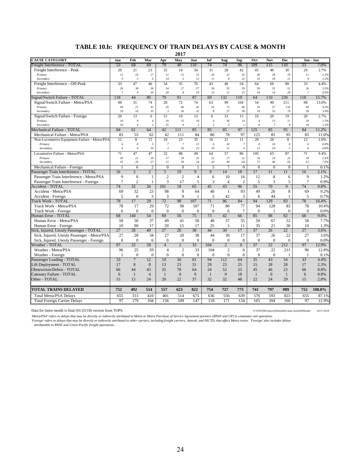#### **TABLE 10.b: FREQUENCY OF TRAIN DELAYS BY CAUSE & MONTH**

**2017**

| 74<br>74<br>Freight Interference - TOTAL<br>53<br>68<br>69<br>79<br>49<br>110<br>96<br>109<br>115<br>110<br>53<br>7.0%<br>23<br>2.7%<br>Freight Interference - Peak<br>20<br>21<br>25<br>14<br>34<br>31<br>28<br>42<br>45<br>46<br>30<br>20<br>30<br>28<br>Primary<br>11<br>16<br>17<br>11<br>12<br>22<br>20<br>22<br>20<br>19<br>11<br>1.5%<br>$\sqrt{2}$<br>14<br>$\sqrt{2}$<br>12<br>11<br>22<br>15<br>18<br>$_{II}$<br>1.2%<br>Secondary<br>9<br>6<br>6<br>9<br>47<br>35<br>76<br>43<br>69<br>80<br>33<br>Freight Interference - Off-Peak<br>33<br>46<br>54<br>46<br>54<br>64<br>4.4%<br>26<br>38<br>34<br>27<br>57<br>30<br>35<br>39<br>50<br>55<br>51<br>Primary<br>36<br>26<br>3.5%<br>10<br>19<br>29<br>Secondary<br>$\overline{7}$<br>$\overline{Q}$<br>20<br>8<br>13<br>$_{II}$<br>15<br>14<br>14<br>$\overline{7}$<br>0.9%<br>44<br>79<br>69<br>119<br>Signal/Switch Failure - TOTAL<br>118<br>80<br>91<br>87<br>132<br>64<br>110<br>230<br>15.7%<br>118<br>Signal/Switch Failure - Metra/PSA<br>98<br>31<br>74<br>28<br>74<br>99<br>54<br>90<br>98<br>72<br>63<br>104<br>211<br>13.0%<br>69<br>21<br>41<br>25<br>46<br>42<br>55<br>$72\,$<br>46<br>35<br>57<br>132<br>69<br>Primary<br>9.2%<br>29<br>${\it 10}$<br>33<br>26<br>32<br>8<br>27<br>58<br>19<br>33<br>79<br>29<br>3.9%<br>Secondary<br>$\mathfrak{Z}$<br>20<br>13<br>6<br>51<br>19<br>13<br>33<br>15<br>10<br>20<br>19<br>20<br>2.7%<br>Signal/Switch Failure - Foreign<br>6<br>10<br>9<br>16<br>15<br>10<br>$\overline{4}$<br>30<br>13<br>$_{11}$<br>10<br>1.3%<br>Primary<br>$\sqrt{4}$<br>14<br>$\overline{4}$<br>35<br>$\overline{7}$<br>Secondary<br>10<br>$\overline{4}$<br>$\overline{c}$<br>$\overline{4}$<br>$\mathbf{3}$<br>2<br>$\mathbf{3}$<br>6<br>8<br>10<br>1.3%<br>$\mathbf{I}$<br>97<br>95<br>Mechanical Failure - TOTAL<br>84<br>61<br>64<br>42<br>111<br>85<br>85<br>85<br>125<br>85<br>84<br>11.2%<br>83<br>55<br>62<br>42<br>80<br>97<br>95<br>83<br>11.0%<br>Mechanical Failure - Metra/PSA<br>111<br>84<br>78<br>125<br>85<br>12<br>8<br>15<br>10<br>23<br>35<br>16<br>21<br>11<br>20<br>20<br>8<br>12<br>1.6%<br>Non-Locomotive Equipment Failure - Metra/PSA<br>$\boldsymbol{8}$<br>$\overline{7}$<br>$\overline{7}$<br>13<br>10 <sup>2</sup><br>8<br>10<br>Primary<br>6<br>5<br>6<br>$\boldsymbol{7}$<br>6<br>6<br>0.8%<br>16<br>12<br>Secondary<br>6<br>$\theta$<br>10<br>$\mathfrak{Z}$<br>22<br>10 <sup>2</sup><br>$_{II}$<br>$\overline{4}$<br>10<br>$\overline{2}$<br>0.8%<br>6<br>71<br>47<br>47<br>32<br>88<br>49<br>64<br>57<br>105<br>87<br>Locomotive Failure - Metra/PSA<br>86<br>65<br>71<br>9.4%<br>18<br>21<br>17<br>29<br>21<br>34<br>19<br>18<br>2.4%<br>Primary<br>20<br>25<br>17<br>22<br>22<br>53<br>26<br>27<br>15<br>59<br>24<br>4 <sub>3</sub><br>40<br>71<br>46<br>65<br>53<br>7.0%<br>Secondary<br>64<br>$\overline{c}$<br>$\mathbf{0}$<br>$\overline{7}$<br>$\mathbf{0}$<br>$\theta$<br>Mechanical Failure - Foreign<br>6<br>$\overline{0}$<br>$\mathbf{1}$<br>5<br>$\mathbf{0}$<br>$\mathbf{0}$<br>$\mathbf{1}$<br>0.1%<br>Passenger Train Interference - TOTAL<br>16<br>$\overline{2}$<br>$\overline{2}$<br>5<br>19<br>9<br>9<br>14<br>18<br>17<br>11<br>16<br>2.1%<br>11<br>$\overline{2}$<br>9<br>$\overline{0}$<br>$\overline{2}$<br>8<br>9<br>Passenger Train Interference - Metra/PSA<br>$\overline{4}$<br>6<br>10<br>16<br>12<br>1.2%<br>$\mathbf{1}$<br>6<br>$\overline{c}$<br>3<br>5<br>$\overline{7}$<br>$\overline{7}$<br>$\mathbf{1}$<br>17<br>5<br>3<br>$\overline{c}$<br>3<br>5<br>0.9%<br>Passenger Train Interference - Foreign<br>$\overline{4}$<br>55<br>70<br><b>Accident - TOTAL</b><br>74<br>32<br>26<br>101<br>18<br>65<br>45<br>43<br>96<br>9<br>74<br>9.8%<br>Accident - Metra/PSA<br>32<br>23<br>98<br>9<br>40<br>$\overline{1}$<br>93<br>49<br>26<br>8<br>69<br>9.2%<br>69<br>64<br>$\Omega$<br>3<br>3<br>9<br>42<br>3<br>5<br>Accident - Foreign<br>5<br>$\mathbf{1}$<br>5<br>6<br>44<br>$\mathbf{1}$<br>0.7%<br>129<br>78<br>29<br>72<br>98<br>71<br>84<br>94<br>83<br>78<br><b>Frack Work - TOTAL</b><br>17<br>107<br>86<br>10.4%<br>17<br>29<br>98<br>71<br>94<br>128<br>Track Work - Metra/PSA<br>78<br>72<br>107<br>80<br>77<br>83<br>78<br>$\theta$<br>$\Omega$<br>$\Omega$<br>$\theta$<br>$\overline{7}$<br>$\Omega$<br>$\Omega$<br>0.0%<br>Track Work - Foreign<br>$\Omega$<br>$\mathbf{0}$<br>$\Omega$<br>6<br>$\mathbf{1}$<br>$\mathbf{0}$<br>88<br>Human Error - TOTAL<br>68<br>140<br>54<br>69<br>56<br>75<br>73<br>42<br>66<br>85<br>82<br>68<br>9.0%<br>50<br>49<br>58<br>58<br>37<br>41<br>48<br>37<br>55<br>50<br>67<br>52<br>58<br>Human Error - Metra/PSA<br>10<br>90<br>17<br>20<br>17<br>25<br>35<br>21<br>30<br>10<br>1.3%<br>Human Error - Foreign<br>15<br>5<br>11<br>27<br>30 <sup>2</sup><br>37<br>Sick, Injured, Unruly Passenger - TOTAL<br>28<br>40<br>27<br>20<br>38<br>44<br>17<br>26<br>22<br>27<br>3.6%<br>Sick, Injured, Unruly Passenger - Metra/PSA<br>27<br>28<br>34<br>27<br>20<br>38<br>44<br>30<br>17<br>37<br>26<br>27<br>22<br>$\theta$<br>$\theta$<br>$\mathbf{0}$<br>$\theta$<br>$\Omega$<br>$\theta$<br>$\mathbf{0}$<br>$\theta$<br>$\theta$<br>$\theta$<br>$\mathbf{0}$<br>Sick, Injured, Unruly Passenger - Foreign<br>6<br>$\Omega$<br>0.0%<br>97<br>25<br>59<br>33<br>$\overline{0}$<br>37<br>22<br>212<br>97<br>Weather - TOTAL<br>$\overline{4}$<br>$\overline{2}$<br>104<br>$\overline{2}$<br>12.9%<br>$\overline{2}$<br>$\overline{2}$<br>Weather - Metra/PSA<br>96<br>25<br>59<br>$\overline{4}$<br>33<br>104<br>$\mathbf{0}$<br>37<br>22<br>211<br>96<br>$\overline{0}$<br>$\mathbf{0}$<br>$\mathbf{0}$<br>$\mathbf{0}$<br>$\overline{0}$<br>$\mathbf{0}$<br>$\theta$<br>$\mathbf{0}$<br>$\mathbf{0}$<br>$\mathbf{0}$<br>0.1%<br>Weather - Foreign<br>$\mathbf{1}$<br>1<br>$\mathbf{1}$<br>Passenger Loading - TOTAL<br>33<br>$\overline{7}$<br>12<br>10<br>36<br>81<br>94<br>112<br>64<br>35<br>43<br>54<br>33<br>4.4%<br>$\,8\,$<br>29<br>Lift Deployment - TOTAL<br>17<br>8<br>13<br>23<br>31<br>23<br>25<br>15<br>28<br>28<br>17<br>2.3%<br>35<br>44<br>43<br>78<br>24<br>52<br>25<br>45<br>46<br>23<br>66<br>64<br>66<br>8.8%<br>$\overline{0}$<br>$\Omega$<br>$\overline{0}$<br>18<br>$\mathbf{1}$<br>$\overline{0}$<br>Catenary Failure - TOTAL<br>6<br>$\mathbf{1}$<br>$\overline{4}$<br>$\mathbf{1}$<br>$\mathbf{1}$<br>$\mathbf{1}$<br>6<br>0.8%<br>20<br>32<br>48<br>22<br>15<br>15<br>22<br>37<br>32<br>24<br>29<br>15<br>2.0%<br>24<br>741<br>100.0%<br><b>TOTAL TRAINS DELAYED</b><br>752<br>492<br>514<br>557<br>623<br>822<br>754<br>727<br>773<br>797<br>989<br>752<br>655<br>313<br>410<br>401<br>514<br>675<br>556<br>639<br>576<br>593<br>823<br>655<br>87.1%<br>Total Metra/PSA Delays<br>636<br>179<br>97<br>104<br>156<br>109<br>147<br>118<br>171<br>134<br>165<br>204<br>166<br>97<br>12.9%<br><b>Total Foreign Carrier Delays</b> | <b>CAUSE CATEGORY</b>      | Jan | Feb | Mar | Apr | May | Jun | Jul | Aug | Sep | <b>Oct</b> | Nov | <b>Dec</b> | Jan - Jan |
|--------------------------------------------------------------------------------------------------------------------------------------------------------------------------------------------------------------------------------------------------------------------------------------------------------------------------------------------------------------------------------------------------------------------------------------------------------------------------------------------------------------------------------------------------------------------------------------------------------------------------------------------------------------------------------------------------------------------------------------------------------------------------------------------------------------------------------------------------------------------------------------------------------------------------------------------------------------------------------------------------------------------------------------------------------------------------------------------------------------------------------------------------------------------------------------------------------------------------------------------------------------------------------------------------------------------------------------------------------------------------------------------------------------------------------------------------------------------------------------------------------------------------------------------------------------------------------------------------------------------------------------------------------------------------------------------------------------------------------------------------------------------------------------------------------------------------------------------------------------------------------------------------------------------------------------------------------------------------------------------------------------------------------------------------------------------------------------------------------------------------------------------------------------------------------------------------------------------------------------------------------------------------------------------------------------------------------------------------------------------------------------------------------------------------------------------------------------------------------------------------------------------------------------------------------------------------------------------------------------------------------------------------------------------------------------------------------------------------------------------------------------------------------------------------------------------------------------------------------------------------------------------------------------------------------------------------------------------------------------------------------------------------------------------------------------------------------------------------------------------------------------------------------------------------------------------------------------------------------------------------------------------------------------------------------------------------------------------------------------------------------------------------------------------------------------------------------------------------------------------------------------------------------------------------------------------------------------------------------------------------------------------------------------------------------------------------------------------------------------------------------------------------------------------------------------------------------------------------------------------------------------------------------------------------------------------------------------------------------------------------------------------------------------------------------------------------------------------------------------------------------------------------------------------------------------------------------------------------------------------------------------------------------------------------------------------------------------------------------------------------------------------------------------------------------------------------------------------------------------------------------------------------------------------------------------------------------------------------------------------------------------------------------------------------------------------------------------------------------------------------------------------------------------------------------------------------------------------------------------------------------------------------------------------------------------------------------------------------------------------------------------------------------------------------------------------------------------------------------------------------------------------------------------------------------------------------------------------------------------------------------------------------------------------------------------------------------------------------------------------------------------------------------------------------------------------------------------------------------------------------------------------------------------------------------------------------------------------------------------------------------------------------------------------------------------------------------------------------------------------------------------------------------------------------------------------------------------------------------------------------------------------------------------------------------------------------------------------------------------------------------------------------------------------------------------------------------------------------------------------------------------------------------------------------------------------------------------------------------------------------------------------------------------------------------------------------------------------------------------------------------------------------------------------------------------------------------------------------------------------------------------------------------------------------------------------------------------------------------------------------------------------------------------------------------------------------------------------------------------------------------------------------------------------------------------------------------------------------------------------------|----------------------------|-----|-----|-----|-----|-----|-----|-----|-----|-----|------------|-----|------------|-----------|
|                                                                                                                                                                                                                                                                                                                                                                                                                                                                                                                                                                                                                                                                                                                                                                                                                                                                                                                                                                                                                                                                                                                                                                                                                                                                                                                                                                                                                                                                                                                                                                                                                                                                                                                                                                                                                                                                                                                                                                                                                                                                                                                                                                                                                                                                                                                                                                                                                                                                                                                                                                                                                                                                                                                                                                                                                                                                                                                                                                                                                                                                                                                                                                                                                                                                                                                                                                                                                                                                                                                                                                                                                                                                                                                                                                                                                                                                                                                                                                                                                                                                                                                                                                                                                                                                                                                                                                                                                                                                                                                                                                                                                                                                                                                                                                                                                                                                                                                                                                                                                                                                                                                                                                                                                                                                                                                                                                                                                                                                                                                                                                                                                                                                                                                                                                                                                                                                                                                                                                                                                                                                                                                                                                                                                                                                                                                                                                                                                                                                                                                                                                                                                                                                                                                                                                                                                                                                          |                            |     |     |     |     |     |     |     |     |     |            |     |            |           |
|                                                                                                                                                                                                                                                                                                                                                                                                                                                                                                                                                                                                                                                                                                                                                                                                                                                                                                                                                                                                                                                                                                                                                                                                                                                                                                                                                                                                                                                                                                                                                                                                                                                                                                                                                                                                                                                                                                                                                                                                                                                                                                                                                                                                                                                                                                                                                                                                                                                                                                                                                                                                                                                                                                                                                                                                                                                                                                                                                                                                                                                                                                                                                                                                                                                                                                                                                                                                                                                                                                                                                                                                                                                                                                                                                                                                                                                                                                                                                                                                                                                                                                                                                                                                                                                                                                                                                                                                                                                                                                                                                                                                                                                                                                                                                                                                                                                                                                                                                                                                                                                                                                                                                                                                                                                                                                                                                                                                                                                                                                                                                                                                                                                                                                                                                                                                                                                                                                                                                                                                                                                                                                                                                                                                                                                                                                                                                                                                                                                                                                                                                                                                                                                                                                                                                                                                                                                                          |                            |     |     |     |     |     |     |     |     |     |            |     |            |           |
|                                                                                                                                                                                                                                                                                                                                                                                                                                                                                                                                                                                                                                                                                                                                                                                                                                                                                                                                                                                                                                                                                                                                                                                                                                                                                                                                                                                                                                                                                                                                                                                                                                                                                                                                                                                                                                                                                                                                                                                                                                                                                                                                                                                                                                                                                                                                                                                                                                                                                                                                                                                                                                                                                                                                                                                                                                                                                                                                                                                                                                                                                                                                                                                                                                                                                                                                                                                                                                                                                                                                                                                                                                                                                                                                                                                                                                                                                                                                                                                                                                                                                                                                                                                                                                                                                                                                                                                                                                                                                                                                                                                                                                                                                                                                                                                                                                                                                                                                                                                                                                                                                                                                                                                                                                                                                                                                                                                                                                                                                                                                                                                                                                                                                                                                                                                                                                                                                                                                                                                                                                                                                                                                                                                                                                                                                                                                                                                                                                                                                                                                                                                                                                                                                                                                                                                                                                                                          |                            |     |     |     |     |     |     |     |     |     |            |     |            |           |
|                                                                                                                                                                                                                                                                                                                                                                                                                                                                                                                                                                                                                                                                                                                                                                                                                                                                                                                                                                                                                                                                                                                                                                                                                                                                                                                                                                                                                                                                                                                                                                                                                                                                                                                                                                                                                                                                                                                                                                                                                                                                                                                                                                                                                                                                                                                                                                                                                                                                                                                                                                                                                                                                                                                                                                                                                                                                                                                                                                                                                                                                                                                                                                                                                                                                                                                                                                                                                                                                                                                                                                                                                                                                                                                                                                                                                                                                                                                                                                                                                                                                                                                                                                                                                                                                                                                                                                                                                                                                                                                                                                                                                                                                                                                                                                                                                                                                                                                                                                                                                                                                                                                                                                                                                                                                                                                                                                                                                                                                                                                                                                                                                                                                                                                                                                                                                                                                                                                                                                                                                                                                                                                                                                                                                                                                                                                                                                                                                                                                                                                                                                                                                                                                                                                                                                                                                                                                          |                            |     |     |     |     |     |     |     |     |     |            |     |            |           |
|                                                                                                                                                                                                                                                                                                                                                                                                                                                                                                                                                                                                                                                                                                                                                                                                                                                                                                                                                                                                                                                                                                                                                                                                                                                                                                                                                                                                                                                                                                                                                                                                                                                                                                                                                                                                                                                                                                                                                                                                                                                                                                                                                                                                                                                                                                                                                                                                                                                                                                                                                                                                                                                                                                                                                                                                                                                                                                                                                                                                                                                                                                                                                                                                                                                                                                                                                                                                                                                                                                                                                                                                                                                                                                                                                                                                                                                                                                                                                                                                                                                                                                                                                                                                                                                                                                                                                                                                                                                                                                                                                                                                                                                                                                                                                                                                                                                                                                                                                                                                                                                                                                                                                                                                                                                                                                                                                                                                                                                                                                                                                                                                                                                                                                                                                                                                                                                                                                                                                                                                                                                                                                                                                                                                                                                                                                                                                                                                                                                                                                                                                                                                                                                                                                                                                                                                                                                                          |                            |     |     |     |     |     |     |     |     |     |            |     |            |           |
|                                                                                                                                                                                                                                                                                                                                                                                                                                                                                                                                                                                                                                                                                                                                                                                                                                                                                                                                                                                                                                                                                                                                                                                                                                                                                                                                                                                                                                                                                                                                                                                                                                                                                                                                                                                                                                                                                                                                                                                                                                                                                                                                                                                                                                                                                                                                                                                                                                                                                                                                                                                                                                                                                                                                                                                                                                                                                                                                                                                                                                                                                                                                                                                                                                                                                                                                                                                                                                                                                                                                                                                                                                                                                                                                                                                                                                                                                                                                                                                                                                                                                                                                                                                                                                                                                                                                                                                                                                                                                                                                                                                                                                                                                                                                                                                                                                                                                                                                                                                                                                                                                                                                                                                                                                                                                                                                                                                                                                                                                                                                                                                                                                                                                                                                                                                                                                                                                                                                                                                                                                                                                                                                                                                                                                                                                                                                                                                                                                                                                                                                                                                                                                                                                                                                                                                                                                                                          |                            |     |     |     |     |     |     |     |     |     |            |     |            |           |
|                                                                                                                                                                                                                                                                                                                                                                                                                                                                                                                                                                                                                                                                                                                                                                                                                                                                                                                                                                                                                                                                                                                                                                                                                                                                                                                                                                                                                                                                                                                                                                                                                                                                                                                                                                                                                                                                                                                                                                                                                                                                                                                                                                                                                                                                                                                                                                                                                                                                                                                                                                                                                                                                                                                                                                                                                                                                                                                                                                                                                                                                                                                                                                                                                                                                                                                                                                                                                                                                                                                                                                                                                                                                                                                                                                                                                                                                                                                                                                                                                                                                                                                                                                                                                                                                                                                                                                                                                                                                                                                                                                                                                                                                                                                                                                                                                                                                                                                                                                                                                                                                                                                                                                                                                                                                                                                                                                                                                                                                                                                                                                                                                                                                                                                                                                                                                                                                                                                                                                                                                                                                                                                                                                                                                                                                                                                                                                                                                                                                                                                                                                                                                                                                                                                                                                                                                                                                          |                            |     |     |     |     |     |     |     |     |     |            |     |            |           |
|                                                                                                                                                                                                                                                                                                                                                                                                                                                                                                                                                                                                                                                                                                                                                                                                                                                                                                                                                                                                                                                                                                                                                                                                                                                                                                                                                                                                                                                                                                                                                                                                                                                                                                                                                                                                                                                                                                                                                                                                                                                                                                                                                                                                                                                                                                                                                                                                                                                                                                                                                                                                                                                                                                                                                                                                                                                                                                                                                                                                                                                                                                                                                                                                                                                                                                                                                                                                                                                                                                                                                                                                                                                                                                                                                                                                                                                                                                                                                                                                                                                                                                                                                                                                                                                                                                                                                                                                                                                                                                                                                                                                                                                                                                                                                                                                                                                                                                                                                                                                                                                                                                                                                                                                                                                                                                                                                                                                                                                                                                                                                                                                                                                                                                                                                                                                                                                                                                                                                                                                                                                                                                                                                                                                                                                                                                                                                                                                                                                                                                                                                                                                                                                                                                                                                                                                                                                                          |                            |     |     |     |     |     |     |     |     |     |            |     |            |           |
|                                                                                                                                                                                                                                                                                                                                                                                                                                                                                                                                                                                                                                                                                                                                                                                                                                                                                                                                                                                                                                                                                                                                                                                                                                                                                                                                                                                                                                                                                                                                                                                                                                                                                                                                                                                                                                                                                                                                                                                                                                                                                                                                                                                                                                                                                                                                                                                                                                                                                                                                                                                                                                                                                                                                                                                                                                                                                                                                                                                                                                                                                                                                                                                                                                                                                                                                                                                                                                                                                                                                                                                                                                                                                                                                                                                                                                                                                                                                                                                                                                                                                                                                                                                                                                                                                                                                                                                                                                                                                                                                                                                                                                                                                                                                                                                                                                                                                                                                                                                                                                                                                                                                                                                                                                                                                                                                                                                                                                                                                                                                                                                                                                                                                                                                                                                                                                                                                                                                                                                                                                                                                                                                                                                                                                                                                                                                                                                                                                                                                                                                                                                                                                                                                                                                                                                                                                                                          |                            |     |     |     |     |     |     |     |     |     |            |     |            |           |
|                                                                                                                                                                                                                                                                                                                                                                                                                                                                                                                                                                                                                                                                                                                                                                                                                                                                                                                                                                                                                                                                                                                                                                                                                                                                                                                                                                                                                                                                                                                                                                                                                                                                                                                                                                                                                                                                                                                                                                                                                                                                                                                                                                                                                                                                                                                                                                                                                                                                                                                                                                                                                                                                                                                                                                                                                                                                                                                                                                                                                                                                                                                                                                                                                                                                                                                                                                                                                                                                                                                                                                                                                                                                                                                                                                                                                                                                                                                                                                                                                                                                                                                                                                                                                                                                                                                                                                                                                                                                                                                                                                                                                                                                                                                                                                                                                                                                                                                                                                                                                                                                                                                                                                                                                                                                                                                                                                                                                                                                                                                                                                                                                                                                                                                                                                                                                                                                                                                                                                                                                                                                                                                                                                                                                                                                                                                                                                                                                                                                                                                                                                                                                                                                                                                                                                                                                                                                          |                            |     |     |     |     |     |     |     |     |     |            |     |            |           |
|                                                                                                                                                                                                                                                                                                                                                                                                                                                                                                                                                                                                                                                                                                                                                                                                                                                                                                                                                                                                                                                                                                                                                                                                                                                                                                                                                                                                                                                                                                                                                                                                                                                                                                                                                                                                                                                                                                                                                                                                                                                                                                                                                                                                                                                                                                                                                                                                                                                                                                                                                                                                                                                                                                                                                                                                                                                                                                                                                                                                                                                                                                                                                                                                                                                                                                                                                                                                                                                                                                                                                                                                                                                                                                                                                                                                                                                                                                                                                                                                                                                                                                                                                                                                                                                                                                                                                                                                                                                                                                                                                                                                                                                                                                                                                                                                                                                                                                                                                                                                                                                                                                                                                                                                                                                                                                                                                                                                                                                                                                                                                                                                                                                                                                                                                                                                                                                                                                                                                                                                                                                                                                                                                                                                                                                                                                                                                                                                                                                                                                                                                                                                                                                                                                                                                                                                                                                                          |                            |     |     |     |     |     |     |     |     |     |            |     |            |           |
| 10.4%<br>7.7%<br>3.6%<br>12.8%                                                                                                                                                                                                                                                                                                                                                                                                                                                                                                                                                                                                                                                                                                                                                                                                                                                                                                                                                                                                                                                                                                                                                                                                                                                                                                                                                                                                                                                                                                                                                                                                                                                                                                                                                                                                                                                                                                                                                                                                                                                                                                                                                                                                                                                                                                                                                                                                                                                                                                                                                                                                                                                                                                                                                                                                                                                                                                                                                                                                                                                                                                                                                                                                                                                                                                                                                                                                                                                                                                                                                                                                                                                                                                                                                                                                                                                                                                                                                                                                                                                                                                                                                                                                                                                                                                                                                                                                                                                                                                                                                                                                                                                                                                                                                                                                                                                                                                                                                                                                                                                                                                                                                                                                                                                                                                                                                                                                                                                                                                                                                                                                                                                                                                                                                                                                                                                                                                                                                                                                                                                                                                                                                                                                                                                                                                                                                                                                                                                                                                                                                                                                                                                                                                                                                                                                                                           |                            |     |     |     |     |     |     |     |     |     |            |     |            |           |
|                                                                                                                                                                                                                                                                                                                                                                                                                                                                                                                                                                                                                                                                                                                                                                                                                                                                                                                                                                                                                                                                                                                                                                                                                                                                                                                                                                                                                                                                                                                                                                                                                                                                                                                                                                                                                                                                                                                                                                                                                                                                                                                                                                                                                                                                                                                                                                                                                                                                                                                                                                                                                                                                                                                                                                                                                                                                                                                                                                                                                                                                                                                                                                                                                                                                                                                                                                                                                                                                                                                                                                                                                                                                                                                                                                                                                                                                                                                                                                                                                                                                                                                                                                                                                                                                                                                                                                                                                                                                                                                                                                                                                                                                                                                                                                                                                                                                                                                                                                                                                                                                                                                                                                                                                                                                                                                                                                                                                                                                                                                                                                                                                                                                                                                                                                                                                                                                                                                                                                                                                                                                                                                                                                                                                                                                                                                                                                                                                                                                                                                                                                                                                                                                                                                                                                                                                                                                          |                            |     |     |     |     |     |     |     |     |     |            |     |            |           |
|                                                                                                                                                                                                                                                                                                                                                                                                                                                                                                                                                                                                                                                                                                                                                                                                                                                                                                                                                                                                                                                                                                                                                                                                                                                                                                                                                                                                                                                                                                                                                                                                                                                                                                                                                                                                                                                                                                                                                                                                                                                                                                                                                                                                                                                                                                                                                                                                                                                                                                                                                                                                                                                                                                                                                                                                                                                                                                                                                                                                                                                                                                                                                                                                                                                                                                                                                                                                                                                                                                                                                                                                                                                                                                                                                                                                                                                                                                                                                                                                                                                                                                                                                                                                                                                                                                                                                                                                                                                                                                                                                                                                                                                                                                                                                                                                                                                                                                                                                                                                                                                                                                                                                                                                                                                                                                                                                                                                                                                                                                                                                                                                                                                                                                                                                                                                                                                                                                                                                                                                                                                                                                                                                                                                                                                                                                                                                                                                                                                                                                                                                                                                                                                                                                                                                                                                                                                                          |                            |     |     |     |     |     |     |     |     |     |            |     |            |           |
|                                                                                                                                                                                                                                                                                                                                                                                                                                                                                                                                                                                                                                                                                                                                                                                                                                                                                                                                                                                                                                                                                                                                                                                                                                                                                                                                                                                                                                                                                                                                                                                                                                                                                                                                                                                                                                                                                                                                                                                                                                                                                                                                                                                                                                                                                                                                                                                                                                                                                                                                                                                                                                                                                                                                                                                                                                                                                                                                                                                                                                                                                                                                                                                                                                                                                                                                                                                                                                                                                                                                                                                                                                                                                                                                                                                                                                                                                                                                                                                                                                                                                                                                                                                                                                                                                                                                                                                                                                                                                                                                                                                                                                                                                                                                                                                                                                                                                                                                                                                                                                                                                                                                                                                                                                                                                                                                                                                                                                                                                                                                                                                                                                                                                                                                                                                                                                                                                                                                                                                                                                                                                                                                                                                                                                                                                                                                                                                                                                                                                                                                                                                                                                                                                                                                                                                                                                                                          |                            |     |     |     |     |     |     |     |     |     |            |     |            |           |
|                                                                                                                                                                                                                                                                                                                                                                                                                                                                                                                                                                                                                                                                                                                                                                                                                                                                                                                                                                                                                                                                                                                                                                                                                                                                                                                                                                                                                                                                                                                                                                                                                                                                                                                                                                                                                                                                                                                                                                                                                                                                                                                                                                                                                                                                                                                                                                                                                                                                                                                                                                                                                                                                                                                                                                                                                                                                                                                                                                                                                                                                                                                                                                                                                                                                                                                                                                                                                                                                                                                                                                                                                                                                                                                                                                                                                                                                                                                                                                                                                                                                                                                                                                                                                                                                                                                                                                                                                                                                                                                                                                                                                                                                                                                                                                                                                                                                                                                                                                                                                                                                                                                                                                                                                                                                                                                                                                                                                                                                                                                                                                                                                                                                                                                                                                                                                                                                                                                                                                                                                                                                                                                                                                                                                                                                                                                                                                                                                                                                                                                                                                                                                                                                                                                                                                                                                                                                          |                            |     |     |     |     |     |     |     |     |     |            |     |            |           |
|                                                                                                                                                                                                                                                                                                                                                                                                                                                                                                                                                                                                                                                                                                                                                                                                                                                                                                                                                                                                                                                                                                                                                                                                                                                                                                                                                                                                                                                                                                                                                                                                                                                                                                                                                                                                                                                                                                                                                                                                                                                                                                                                                                                                                                                                                                                                                                                                                                                                                                                                                                                                                                                                                                                                                                                                                                                                                                                                                                                                                                                                                                                                                                                                                                                                                                                                                                                                                                                                                                                                                                                                                                                                                                                                                                                                                                                                                                                                                                                                                                                                                                                                                                                                                                                                                                                                                                                                                                                                                                                                                                                                                                                                                                                                                                                                                                                                                                                                                                                                                                                                                                                                                                                                                                                                                                                                                                                                                                                                                                                                                                                                                                                                                                                                                                                                                                                                                                                                                                                                                                                                                                                                                                                                                                                                                                                                                                                                                                                                                                                                                                                                                                                                                                                                                                                                                                                                          |                            |     |     |     |     |     |     |     |     |     |            |     |            |           |
|                                                                                                                                                                                                                                                                                                                                                                                                                                                                                                                                                                                                                                                                                                                                                                                                                                                                                                                                                                                                                                                                                                                                                                                                                                                                                                                                                                                                                                                                                                                                                                                                                                                                                                                                                                                                                                                                                                                                                                                                                                                                                                                                                                                                                                                                                                                                                                                                                                                                                                                                                                                                                                                                                                                                                                                                                                                                                                                                                                                                                                                                                                                                                                                                                                                                                                                                                                                                                                                                                                                                                                                                                                                                                                                                                                                                                                                                                                                                                                                                                                                                                                                                                                                                                                                                                                                                                                                                                                                                                                                                                                                                                                                                                                                                                                                                                                                                                                                                                                                                                                                                                                                                                                                                                                                                                                                                                                                                                                                                                                                                                                                                                                                                                                                                                                                                                                                                                                                                                                                                                                                                                                                                                                                                                                                                                                                                                                                                                                                                                                                                                                                                                                                                                                                                                                                                                                                                          |                            |     |     |     |     |     |     |     |     |     |            |     |            |           |
|                                                                                                                                                                                                                                                                                                                                                                                                                                                                                                                                                                                                                                                                                                                                                                                                                                                                                                                                                                                                                                                                                                                                                                                                                                                                                                                                                                                                                                                                                                                                                                                                                                                                                                                                                                                                                                                                                                                                                                                                                                                                                                                                                                                                                                                                                                                                                                                                                                                                                                                                                                                                                                                                                                                                                                                                                                                                                                                                                                                                                                                                                                                                                                                                                                                                                                                                                                                                                                                                                                                                                                                                                                                                                                                                                                                                                                                                                                                                                                                                                                                                                                                                                                                                                                                                                                                                                                                                                                                                                                                                                                                                                                                                                                                                                                                                                                                                                                                                                                                                                                                                                                                                                                                                                                                                                                                                                                                                                                                                                                                                                                                                                                                                                                                                                                                                                                                                                                                                                                                                                                                                                                                                                                                                                                                                                                                                                                                                                                                                                                                                                                                                                                                                                                                                                                                                                                                                          |                            |     |     |     |     |     |     |     |     |     |            |     |            |           |
|                                                                                                                                                                                                                                                                                                                                                                                                                                                                                                                                                                                                                                                                                                                                                                                                                                                                                                                                                                                                                                                                                                                                                                                                                                                                                                                                                                                                                                                                                                                                                                                                                                                                                                                                                                                                                                                                                                                                                                                                                                                                                                                                                                                                                                                                                                                                                                                                                                                                                                                                                                                                                                                                                                                                                                                                                                                                                                                                                                                                                                                                                                                                                                                                                                                                                                                                                                                                                                                                                                                                                                                                                                                                                                                                                                                                                                                                                                                                                                                                                                                                                                                                                                                                                                                                                                                                                                                                                                                                                                                                                                                                                                                                                                                                                                                                                                                                                                                                                                                                                                                                                                                                                                                                                                                                                                                                                                                                                                                                                                                                                                                                                                                                                                                                                                                                                                                                                                                                                                                                                                                                                                                                                                                                                                                                                                                                                                                                                                                                                                                                                                                                                                                                                                                                                                                                                                                                          |                            |     |     |     |     |     |     |     |     |     |            |     |            |           |
|                                                                                                                                                                                                                                                                                                                                                                                                                                                                                                                                                                                                                                                                                                                                                                                                                                                                                                                                                                                                                                                                                                                                                                                                                                                                                                                                                                                                                                                                                                                                                                                                                                                                                                                                                                                                                                                                                                                                                                                                                                                                                                                                                                                                                                                                                                                                                                                                                                                                                                                                                                                                                                                                                                                                                                                                                                                                                                                                                                                                                                                                                                                                                                                                                                                                                                                                                                                                                                                                                                                                                                                                                                                                                                                                                                                                                                                                                                                                                                                                                                                                                                                                                                                                                                                                                                                                                                                                                                                                                                                                                                                                                                                                                                                                                                                                                                                                                                                                                                                                                                                                                                                                                                                                                                                                                                                                                                                                                                                                                                                                                                                                                                                                                                                                                                                                                                                                                                                                                                                                                                                                                                                                                                                                                                                                                                                                                                                                                                                                                                                                                                                                                                                                                                                                                                                                                                                                          |                            |     |     |     |     |     |     |     |     |     |            |     |            |           |
|                                                                                                                                                                                                                                                                                                                                                                                                                                                                                                                                                                                                                                                                                                                                                                                                                                                                                                                                                                                                                                                                                                                                                                                                                                                                                                                                                                                                                                                                                                                                                                                                                                                                                                                                                                                                                                                                                                                                                                                                                                                                                                                                                                                                                                                                                                                                                                                                                                                                                                                                                                                                                                                                                                                                                                                                                                                                                                                                                                                                                                                                                                                                                                                                                                                                                                                                                                                                                                                                                                                                                                                                                                                                                                                                                                                                                                                                                                                                                                                                                                                                                                                                                                                                                                                                                                                                                                                                                                                                                                                                                                                                                                                                                                                                                                                                                                                                                                                                                                                                                                                                                                                                                                                                                                                                                                                                                                                                                                                                                                                                                                                                                                                                                                                                                                                                                                                                                                                                                                                                                                                                                                                                                                                                                                                                                                                                                                                                                                                                                                                                                                                                                                                                                                                                                                                                                                                                          |                            |     |     |     |     |     |     |     |     |     |            |     |            |           |
|                                                                                                                                                                                                                                                                                                                                                                                                                                                                                                                                                                                                                                                                                                                                                                                                                                                                                                                                                                                                                                                                                                                                                                                                                                                                                                                                                                                                                                                                                                                                                                                                                                                                                                                                                                                                                                                                                                                                                                                                                                                                                                                                                                                                                                                                                                                                                                                                                                                                                                                                                                                                                                                                                                                                                                                                                                                                                                                                                                                                                                                                                                                                                                                                                                                                                                                                                                                                                                                                                                                                                                                                                                                                                                                                                                                                                                                                                                                                                                                                                                                                                                                                                                                                                                                                                                                                                                                                                                                                                                                                                                                                                                                                                                                                                                                                                                                                                                                                                                                                                                                                                                                                                                                                                                                                                                                                                                                                                                                                                                                                                                                                                                                                                                                                                                                                                                                                                                                                                                                                                                                                                                                                                                                                                                                                                                                                                                                                                                                                                                                                                                                                                                                                                                                                                                                                                                                                          |                            |     |     |     |     |     |     |     |     |     |            |     |            |           |
|                                                                                                                                                                                                                                                                                                                                                                                                                                                                                                                                                                                                                                                                                                                                                                                                                                                                                                                                                                                                                                                                                                                                                                                                                                                                                                                                                                                                                                                                                                                                                                                                                                                                                                                                                                                                                                                                                                                                                                                                                                                                                                                                                                                                                                                                                                                                                                                                                                                                                                                                                                                                                                                                                                                                                                                                                                                                                                                                                                                                                                                                                                                                                                                                                                                                                                                                                                                                                                                                                                                                                                                                                                                                                                                                                                                                                                                                                                                                                                                                                                                                                                                                                                                                                                                                                                                                                                                                                                                                                                                                                                                                                                                                                                                                                                                                                                                                                                                                                                                                                                                                                                                                                                                                                                                                                                                                                                                                                                                                                                                                                                                                                                                                                                                                                                                                                                                                                                                                                                                                                                                                                                                                                                                                                                                                                                                                                                                                                                                                                                                                                                                                                                                                                                                                                                                                                                                                          |                            |     |     |     |     |     |     |     |     |     |            |     |            |           |
|                                                                                                                                                                                                                                                                                                                                                                                                                                                                                                                                                                                                                                                                                                                                                                                                                                                                                                                                                                                                                                                                                                                                                                                                                                                                                                                                                                                                                                                                                                                                                                                                                                                                                                                                                                                                                                                                                                                                                                                                                                                                                                                                                                                                                                                                                                                                                                                                                                                                                                                                                                                                                                                                                                                                                                                                                                                                                                                                                                                                                                                                                                                                                                                                                                                                                                                                                                                                                                                                                                                                                                                                                                                                                                                                                                                                                                                                                                                                                                                                                                                                                                                                                                                                                                                                                                                                                                                                                                                                                                                                                                                                                                                                                                                                                                                                                                                                                                                                                                                                                                                                                                                                                                                                                                                                                                                                                                                                                                                                                                                                                                                                                                                                                                                                                                                                                                                                                                                                                                                                                                                                                                                                                                                                                                                                                                                                                                                                                                                                                                                                                                                                                                                                                                                                                                                                                                                                          |                            |     |     |     |     |     |     |     |     |     |            |     |            |           |
|                                                                                                                                                                                                                                                                                                                                                                                                                                                                                                                                                                                                                                                                                                                                                                                                                                                                                                                                                                                                                                                                                                                                                                                                                                                                                                                                                                                                                                                                                                                                                                                                                                                                                                                                                                                                                                                                                                                                                                                                                                                                                                                                                                                                                                                                                                                                                                                                                                                                                                                                                                                                                                                                                                                                                                                                                                                                                                                                                                                                                                                                                                                                                                                                                                                                                                                                                                                                                                                                                                                                                                                                                                                                                                                                                                                                                                                                                                                                                                                                                                                                                                                                                                                                                                                                                                                                                                                                                                                                                                                                                                                                                                                                                                                                                                                                                                                                                                                                                                                                                                                                                                                                                                                                                                                                                                                                                                                                                                                                                                                                                                                                                                                                                                                                                                                                                                                                                                                                                                                                                                                                                                                                                                                                                                                                                                                                                                                                                                                                                                                                                                                                                                                                                                                                                                                                                                                                          |                            |     |     |     |     |     |     |     |     |     |            |     |            |           |
|                                                                                                                                                                                                                                                                                                                                                                                                                                                                                                                                                                                                                                                                                                                                                                                                                                                                                                                                                                                                                                                                                                                                                                                                                                                                                                                                                                                                                                                                                                                                                                                                                                                                                                                                                                                                                                                                                                                                                                                                                                                                                                                                                                                                                                                                                                                                                                                                                                                                                                                                                                                                                                                                                                                                                                                                                                                                                                                                                                                                                                                                                                                                                                                                                                                                                                                                                                                                                                                                                                                                                                                                                                                                                                                                                                                                                                                                                                                                                                                                                                                                                                                                                                                                                                                                                                                                                                                                                                                                                                                                                                                                                                                                                                                                                                                                                                                                                                                                                                                                                                                                                                                                                                                                                                                                                                                                                                                                                                                                                                                                                                                                                                                                                                                                                                                                                                                                                                                                                                                                                                                                                                                                                                                                                                                                                                                                                                                                                                                                                                                                                                                                                                                                                                                                                                                                                                                                          |                            |     |     |     |     |     |     |     |     |     |            |     |            |           |
|                                                                                                                                                                                                                                                                                                                                                                                                                                                                                                                                                                                                                                                                                                                                                                                                                                                                                                                                                                                                                                                                                                                                                                                                                                                                                                                                                                                                                                                                                                                                                                                                                                                                                                                                                                                                                                                                                                                                                                                                                                                                                                                                                                                                                                                                                                                                                                                                                                                                                                                                                                                                                                                                                                                                                                                                                                                                                                                                                                                                                                                                                                                                                                                                                                                                                                                                                                                                                                                                                                                                                                                                                                                                                                                                                                                                                                                                                                                                                                                                                                                                                                                                                                                                                                                                                                                                                                                                                                                                                                                                                                                                                                                                                                                                                                                                                                                                                                                                                                                                                                                                                                                                                                                                                                                                                                                                                                                                                                                                                                                                                                                                                                                                                                                                                                                                                                                                                                                                                                                                                                                                                                                                                                                                                                                                                                                                                                                                                                                                                                                                                                                                                                                                                                                                                                                                                                                                          |                            |     |     |     |     |     |     |     |     |     |            |     |            |           |
|                                                                                                                                                                                                                                                                                                                                                                                                                                                                                                                                                                                                                                                                                                                                                                                                                                                                                                                                                                                                                                                                                                                                                                                                                                                                                                                                                                                                                                                                                                                                                                                                                                                                                                                                                                                                                                                                                                                                                                                                                                                                                                                                                                                                                                                                                                                                                                                                                                                                                                                                                                                                                                                                                                                                                                                                                                                                                                                                                                                                                                                                                                                                                                                                                                                                                                                                                                                                                                                                                                                                                                                                                                                                                                                                                                                                                                                                                                                                                                                                                                                                                                                                                                                                                                                                                                                                                                                                                                                                                                                                                                                                                                                                                                                                                                                                                                                                                                                                                                                                                                                                                                                                                                                                                                                                                                                                                                                                                                                                                                                                                                                                                                                                                                                                                                                                                                                                                                                                                                                                                                                                                                                                                                                                                                                                                                                                                                                                                                                                                                                                                                                                                                                                                                                                                                                                                                                                          |                            |     |     |     |     |     |     |     |     |     |            |     |            |           |
|                                                                                                                                                                                                                                                                                                                                                                                                                                                                                                                                                                                                                                                                                                                                                                                                                                                                                                                                                                                                                                                                                                                                                                                                                                                                                                                                                                                                                                                                                                                                                                                                                                                                                                                                                                                                                                                                                                                                                                                                                                                                                                                                                                                                                                                                                                                                                                                                                                                                                                                                                                                                                                                                                                                                                                                                                                                                                                                                                                                                                                                                                                                                                                                                                                                                                                                                                                                                                                                                                                                                                                                                                                                                                                                                                                                                                                                                                                                                                                                                                                                                                                                                                                                                                                                                                                                                                                                                                                                                                                                                                                                                                                                                                                                                                                                                                                                                                                                                                                                                                                                                                                                                                                                                                                                                                                                                                                                                                                                                                                                                                                                                                                                                                                                                                                                                                                                                                                                                                                                                                                                                                                                                                                                                                                                                                                                                                                                                                                                                                                                                                                                                                                                                                                                                                                                                                                                                          |                            |     |     |     |     |     |     |     |     |     |            |     |            |           |
|                                                                                                                                                                                                                                                                                                                                                                                                                                                                                                                                                                                                                                                                                                                                                                                                                                                                                                                                                                                                                                                                                                                                                                                                                                                                                                                                                                                                                                                                                                                                                                                                                                                                                                                                                                                                                                                                                                                                                                                                                                                                                                                                                                                                                                                                                                                                                                                                                                                                                                                                                                                                                                                                                                                                                                                                                                                                                                                                                                                                                                                                                                                                                                                                                                                                                                                                                                                                                                                                                                                                                                                                                                                                                                                                                                                                                                                                                                                                                                                                                                                                                                                                                                                                                                                                                                                                                                                                                                                                                                                                                                                                                                                                                                                                                                                                                                                                                                                                                                                                                                                                                                                                                                                                                                                                                                                                                                                                                                                                                                                                                                                                                                                                                                                                                                                                                                                                                                                                                                                                                                                                                                                                                                                                                                                                                                                                                                                                                                                                                                                                                                                                                                                                                                                                                                                                                                                                          |                            |     |     |     |     |     |     |     |     |     |            |     |            |           |
|                                                                                                                                                                                                                                                                                                                                                                                                                                                                                                                                                                                                                                                                                                                                                                                                                                                                                                                                                                                                                                                                                                                                                                                                                                                                                                                                                                                                                                                                                                                                                                                                                                                                                                                                                                                                                                                                                                                                                                                                                                                                                                                                                                                                                                                                                                                                                                                                                                                                                                                                                                                                                                                                                                                                                                                                                                                                                                                                                                                                                                                                                                                                                                                                                                                                                                                                                                                                                                                                                                                                                                                                                                                                                                                                                                                                                                                                                                                                                                                                                                                                                                                                                                                                                                                                                                                                                                                                                                                                                                                                                                                                                                                                                                                                                                                                                                                                                                                                                                                                                                                                                                                                                                                                                                                                                                                                                                                                                                                                                                                                                                                                                                                                                                                                                                                                                                                                                                                                                                                                                                                                                                                                                                                                                                                                                                                                                                                                                                                                                                                                                                                                                                                                                                                                                                                                                                                                          |                            |     |     |     |     |     |     |     |     |     |            |     |            |           |
|                                                                                                                                                                                                                                                                                                                                                                                                                                                                                                                                                                                                                                                                                                                                                                                                                                                                                                                                                                                                                                                                                                                                                                                                                                                                                                                                                                                                                                                                                                                                                                                                                                                                                                                                                                                                                                                                                                                                                                                                                                                                                                                                                                                                                                                                                                                                                                                                                                                                                                                                                                                                                                                                                                                                                                                                                                                                                                                                                                                                                                                                                                                                                                                                                                                                                                                                                                                                                                                                                                                                                                                                                                                                                                                                                                                                                                                                                                                                                                                                                                                                                                                                                                                                                                                                                                                                                                                                                                                                                                                                                                                                                                                                                                                                                                                                                                                                                                                                                                                                                                                                                                                                                                                                                                                                                                                                                                                                                                                                                                                                                                                                                                                                                                                                                                                                                                                                                                                                                                                                                                                                                                                                                                                                                                                                                                                                                                                                                                                                                                                                                                                                                                                                                                                                                                                                                                                                          |                            |     |     |     |     |     |     |     |     |     |            |     |            |           |
|                                                                                                                                                                                                                                                                                                                                                                                                                                                                                                                                                                                                                                                                                                                                                                                                                                                                                                                                                                                                                                                                                                                                                                                                                                                                                                                                                                                                                                                                                                                                                                                                                                                                                                                                                                                                                                                                                                                                                                                                                                                                                                                                                                                                                                                                                                                                                                                                                                                                                                                                                                                                                                                                                                                                                                                                                                                                                                                                                                                                                                                                                                                                                                                                                                                                                                                                                                                                                                                                                                                                                                                                                                                                                                                                                                                                                                                                                                                                                                                                                                                                                                                                                                                                                                                                                                                                                                                                                                                                                                                                                                                                                                                                                                                                                                                                                                                                                                                                                                                                                                                                                                                                                                                                                                                                                                                                                                                                                                                                                                                                                                                                                                                                                                                                                                                                                                                                                                                                                                                                                                                                                                                                                                                                                                                                                                                                                                                                                                                                                                                                                                                                                                                                                                                                                                                                                                                                          |                            |     |     |     |     |     |     |     |     |     |            |     |            |           |
|                                                                                                                                                                                                                                                                                                                                                                                                                                                                                                                                                                                                                                                                                                                                                                                                                                                                                                                                                                                                                                                                                                                                                                                                                                                                                                                                                                                                                                                                                                                                                                                                                                                                                                                                                                                                                                                                                                                                                                                                                                                                                                                                                                                                                                                                                                                                                                                                                                                                                                                                                                                                                                                                                                                                                                                                                                                                                                                                                                                                                                                                                                                                                                                                                                                                                                                                                                                                                                                                                                                                                                                                                                                                                                                                                                                                                                                                                                                                                                                                                                                                                                                                                                                                                                                                                                                                                                                                                                                                                                                                                                                                                                                                                                                                                                                                                                                                                                                                                                                                                                                                                                                                                                                                                                                                                                                                                                                                                                                                                                                                                                                                                                                                                                                                                                                                                                                                                                                                                                                                                                                                                                                                                                                                                                                                                                                                                                                                                                                                                                                                                                                                                                                                                                                                                                                                                                                                          |                            |     |     |     |     |     |     |     |     |     |            |     |            |           |
|                                                                                                                                                                                                                                                                                                                                                                                                                                                                                                                                                                                                                                                                                                                                                                                                                                                                                                                                                                                                                                                                                                                                                                                                                                                                                                                                                                                                                                                                                                                                                                                                                                                                                                                                                                                                                                                                                                                                                                                                                                                                                                                                                                                                                                                                                                                                                                                                                                                                                                                                                                                                                                                                                                                                                                                                                                                                                                                                                                                                                                                                                                                                                                                                                                                                                                                                                                                                                                                                                                                                                                                                                                                                                                                                                                                                                                                                                                                                                                                                                                                                                                                                                                                                                                                                                                                                                                                                                                                                                                                                                                                                                                                                                                                                                                                                                                                                                                                                                                                                                                                                                                                                                                                                                                                                                                                                                                                                                                                                                                                                                                                                                                                                                                                                                                                                                                                                                                                                                                                                                                                                                                                                                                                                                                                                                                                                                                                                                                                                                                                                                                                                                                                                                                                                                                                                                                                                          |                            |     |     |     |     |     |     |     |     |     |            |     |            |           |
|                                                                                                                                                                                                                                                                                                                                                                                                                                                                                                                                                                                                                                                                                                                                                                                                                                                                                                                                                                                                                                                                                                                                                                                                                                                                                                                                                                                                                                                                                                                                                                                                                                                                                                                                                                                                                                                                                                                                                                                                                                                                                                                                                                                                                                                                                                                                                                                                                                                                                                                                                                                                                                                                                                                                                                                                                                                                                                                                                                                                                                                                                                                                                                                                                                                                                                                                                                                                                                                                                                                                                                                                                                                                                                                                                                                                                                                                                                                                                                                                                                                                                                                                                                                                                                                                                                                                                                                                                                                                                                                                                                                                                                                                                                                                                                                                                                                                                                                                                                                                                                                                                                                                                                                                                                                                                                                                                                                                                                                                                                                                                                                                                                                                                                                                                                                                                                                                                                                                                                                                                                                                                                                                                                                                                                                                                                                                                                                                                                                                                                                                                                                                                                                                                                                                                                                                                                                                          |                            |     |     |     |     |     |     |     |     |     |            |     |            |           |
|                                                                                                                                                                                                                                                                                                                                                                                                                                                                                                                                                                                                                                                                                                                                                                                                                                                                                                                                                                                                                                                                                                                                                                                                                                                                                                                                                                                                                                                                                                                                                                                                                                                                                                                                                                                                                                                                                                                                                                                                                                                                                                                                                                                                                                                                                                                                                                                                                                                                                                                                                                                                                                                                                                                                                                                                                                                                                                                                                                                                                                                                                                                                                                                                                                                                                                                                                                                                                                                                                                                                                                                                                                                                                                                                                                                                                                                                                                                                                                                                                                                                                                                                                                                                                                                                                                                                                                                                                                                                                                                                                                                                                                                                                                                                                                                                                                                                                                                                                                                                                                                                                                                                                                                                                                                                                                                                                                                                                                                                                                                                                                                                                                                                                                                                                                                                                                                                                                                                                                                                                                                                                                                                                                                                                                                                                                                                                                                                                                                                                                                                                                                                                                                                                                                                                                                                                                                                          |                            |     |     |     |     |     |     |     |     |     |            |     |            |           |
|                                                                                                                                                                                                                                                                                                                                                                                                                                                                                                                                                                                                                                                                                                                                                                                                                                                                                                                                                                                                                                                                                                                                                                                                                                                                                                                                                                                                                                                                                                                                                                                                                                                                                                                                                                                                                                                                                                                                                                                                                                                                                                                                                                                                                                                                                                                                                                                                                                                                                                                                                                                                                                                                                                                                                                                                                                                                                                                                                                                                                                                                                                                                                                                                                                                                                                                                                                                                                                                                                                                                                                                                                                                                                                                                                                                                                                                                                                                                                                                                                                                                                                                                                                                                                                                                                                                                                                                                                                                                                                                                                                                                                                                                                                                                                                                                                                                                                                                                                                                                                                                                                                                                                                                                                                                                                                                                                                                                                                                                                                                                                                                                                                                                                                                                                                                                                                                                                                                                                                                                                                                                                                                                                                                                                                                                                                                                                                                                                                                                                                                                                                                                                                                                                                                                                                                                                                                                          |                            |     |     |     |     |     |     |     |     |     |            |     |            |           |
|                                                                                                                                                                                                                                                                                                                                                                                                                                                                                                                                                                                                                                                                                                                                                                                                                                                                                                                                                                                                                                                                                                                                                                                                                                                                                                                                                                                                                                                                                                                                                                                                                                                                                                                                                                                                                                                                                                                                                                                                                                                                                                                                                                                                                                                                                                                                                                                                                                                                                                                                                                                                                                                                                                                                                                                                                                                                                                                                                                                                                                                                                                                                                                                                                                                                                                                                                                                                                                                                                                                                                                                                                                                                                                                                                                                                                                                                                                                                                                                                                                                                                                                                                                                                                                                                                                                                                                                                                                                                                                                                                                                                                                                                                                                                                                                                                                                                                                                                                                                                                                                                                                                                                                                                                                                                                                                                                                                                                                                                                                                                                                                                                                                                                                                                                                                                                                                                                                                                                                                                                                                                                                                                                                                                                                                                                                                                                                                                                                                                                                                                                                                                                                                                                                                                                                                                                                                                          |                            |     |     |     |     |     |     |     |     |     |            |     |            |           |
|                                                                                                                                                                                                                                                                                                                                                                                                                                                                                                                                                                                                                                                                                                                                                                                                                                                                                                                                                                                                                                                                                                                                                                                                                                                                                                                                                                                                                                                                                                                                                                                                                                                                                                                                                                                                                                                                                                                                                                                                                                                                                                                                                                                                                                                                                                                                                                                                                                                                                                                                                                                                                                                                                                                                                                                                                                                                                                                                                                                                                                                                                                                                                                                                                                                                                                                                                                                                                                                                                                                                                                                                                                                                                                                                                                                                                                                                                                                                                                                                                                                                                                                                                                                                                                                                                                                                                                                                                                                                                                                                                                                                                                                                                                                                                                                                                                                                                                                                                                                                                                                                                                                                                                                                                                                                                                                                                                                                                                                                                                                                                                                                                                                                                                                                                                                                                                                                                                                                                                                                                                                                                                                                                                                                                                                                                                                                                                                                                                                                                                                                                                                                                                                                                                                                                                                                                                                                          |                            |     |     |     |     |     |     |     |     |     |            |     |            |           |
|                                                                                                                                                                                                                                                                                                                                                                                                                                                                                                                                                                                                                                                                                                                                                                                                                                                                                                                                                                                                                                                                                                                                                                                                                                                                                                                                                                                                                                                                                                                                                                                                                                                                                                                                                                                                                                                                                                                                                                                                                                                                                                                                                                                                                                                                                                                                                                                                                                                                                                                                                                                                                                                                                                                                                                                                                                                                                                                                                                                                                                                                                                                                                                                                                                                                                                                                                                                                                                                                                                                                                                                                                                                                                                                                                                                                                                                                                                                                                                                                                                                                                                                                                                                                                                                                                                                                                                                                                                                                                                                                                                                                                                                                                                                                                                                                                                                                                                                                                                                                                                                                                                                                                                                                                                                                                                                                                                                                                                                                                                                                                                                                                                                                                                                                                                                                                                                                                                                                                                                                                                                                                                                                                                                                                                                                                                                                                                                                                                                                                                                                                                                                                                                                                                                                                                                                                                                                          | Obstruction/Debris - TOTAL |     |     |     |     |     |     |     |     |     |            |     |            |           |
|                                                                                                                                                                                                                                                                                                                                                                                                                                                                                                                                                                                                                                                                                                                                                                                                                                                                                                                                                                                                                                                                                                                                                                                                                                                                                                                                                                                                                                                                                                                                                                                                                                                                                                                                                                                                                                                                                                                                                                                                                                                                                                                                                                                                                                                                                                                                                                                                                                                                                                                                                                                                                                                                                                                                                                                                                                                                                                                                                                                                                                                                                                                                                                                                                                                                                                                                                                                                                                                                                                                                                                                                                                                                                                                                                                                                                                                                                                                                                                                                                                                                                                                                                                                                                                                                                                                                                                                                                                                                                                                                                                                                                                                                                                                                                                                                                                                                                                                                                                                                                                                                                                                                                                                                                                                                                                                                                                                                                                                                                                                                                                                                                                                                                                                                                                                                                                                                                                                                                                                                                                                                                                                                                                                                                                                                                                                                                                                                                                                                                                                                                                                                                                                                                                                                                                                                                                                                          |                            |     |     |     |     |     |     |     |     |     |            |     |            |           |
|                                                                                                                                                                                                                                                                                                                                                                                                                                                                                                                                                                                                                                                                                                                                                                                                                                                                                                                                                                                                                                                                                                                                                                                                                                                                                                                                                                                                                                                                                                                                                                                                                                                                                                                                                                                                                                                                                                                                                                                                                                                                                                                                                                                                                                                                                                                                                                                                                                                                                                                                                                                                                                                                                                                                                                                                                                                                                                                                                                                                                                                                                                                                                                                                                                                                                                                                                                                                                                                                                                                                                                                                                                                                                                                                                                                                                                                                                                                                                                                                                                                                                                                                                                                                                                                                                                                                                                                                                                                                                                                                                                                                                                                                                                                                                                                                                                                                                                                                                                                                                                                                                                                                                                                                                                                                                                                                                                                                                                                                                                                                                                                                                                                                                                                                                                                                                                                                                                                                                                                                                                                                                                                                                                                                                                                                                                                                                                                                                                                                                                                                                                                                                                                                                                                                                                                                                                                                          | Other - TOTAL              |     |     |     |     |     |     |     |     |     |            |     |            |           |
|                                                                                                                                                                                                                                                                                                                                                                                                                                                                                                                                                                                                                                                                                                                                                                                                                                                                                                                                                                                                                                                                                                                                                                                                                                                                                                                                                                                                                                                                                                                                                                                                                                                                                                                                                                                                                                                                                                                                                                                                                                                                                                                                                                                                                                                                                                                                                                                                                                                                                                                                                                                                                                                                                                                                                                                                                                                                                                                                                                                                                                                                                                                                                                                                                                                                                                                                                                                                                                                                                                                                                                                                                                                                                                                                                                                                                                                                                                                                                                                                                                                                                                                                                                                                                                                                                                                                                                                                                                                                                                                                                                                                                                                                                                                                                                                                                                                                                                                                                                                                                                                                                                                                                                                                                                                                                                                                                                                                                                                                                                                                                                                                                                                                                                                                                                                                                                                                                                                                                                                                                                                                                                                                                                                                                                                                                                                                                                                                                                                                                                                                                                                                                                                                                                                                                                                                                                                                          |                            |     |     |     |     |     |     |     |     |     |            |     |            |           |
|                                                                                                                                                                                                                                                                                                                                                                                                                                                                                                                                                                                                                                                                                                                                                                                                                                                                                                                                                                                                                                                                                                                                                                                                                                                                                                                                                                                                                                                                                                                                                                                                                                                                                                                                                                                                                                                                                                                                                                                                                                                                                                                                                                                                                                                                                                                                                                                                                                                                                                                                                                                                                                                                                                                                                                                                                                                                                                                                                                                                                                                                                                                                                                                                                                                                                                                                                                                                                                                                                                                                                                                                                                                                                                                                                                                                                                                                                                                                                                                                                                                                                                                                                                                                                                                                                                                                                                                                                                                                                                                                                                                                                                                                                                                                                                                                                                                                                                                                                                                                                                                                                                                                                                                                                                                                                                                                                                                                                                                                                                                                                                                                                                                                                                                                                                                                                                                                                                                                                                                                                                                                                                                                                                                                                                                                                                                                                                                                                                                                                                                                                                                                                                                                                                                                                                                                                                                                          |                            |     |     |     |     |     |     |     |     |     |            |     |            |           |
|                                                                                                                                                                                                                                                                                                                                                                                                                                                                                                                                                                                                                                                                                                                                                                                                                                                                                                                                                                                                                                                                                                                                                                                                                                                                                                                                                                                                                                                                                                                                                                                                                                                                                                                                                                                                                                                                                                                                                                                                                                                                                                                                                                                                                                                                                                                                                                                                                                                                                                                                                                                                                                                                                                                                                                                                                                                                                                                                                                                                                                                                                                                                                                                                                                                                                                                                                                                                                                                                                                                                                                                                                                                                                                                                                                                                                                                                                                                                                                                                                                                                                                                                                                                                                                                                                                                                                                                                                                                                                                                                                                                                                                                                                                                                                                                                                                                                                                                                                                                                                                                                                                                                                                                                                                                                                                                                                                                                                                                                                                                                                                                                                                                                                                                                                                                                                                                                                                                                                                                                                                                                                                                                                                                                                                                                                                                                                                                                                                                                                                                                                                                                                                                                                                                                                                                                                                                                          |                            |     |     |     |     |     |     |     |     |     |            |     |            |           |

Data for latest month is final (01/25/18) version from TOPS. P:\ONTIME\report\[DelaysByCause.xlsm]AllMonths 02/27/2018

*'Metra/PSA' refers to delays that may be directly or indirectly attributed to Metra or Metra Purchase of Service Agreement partners (BNSF and UP) in commuter rail operation.*

'Foreign' refers to delays that may be directly or indirectly attributed to other carriers, including freight carriers, Amtrak, and NICTD, that affect Metra trains. 'Foreign' also includes delays<br>attributable to BNSF and U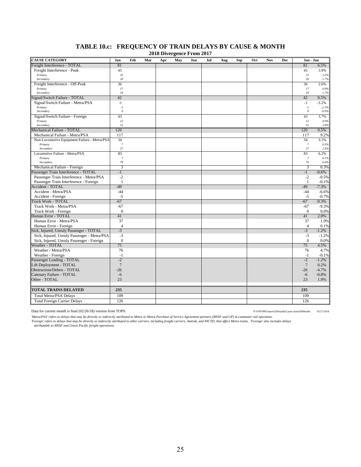|                                              |                       |     |     | 2010 DIVERGENCE FI 0111 2017 |     |     |     |     |     |     |            |     |                       |                    |
|----------------------------------------------|-----------------------|-----|-----|------------------------------|-----|-----|-----|-----|-----|-----|------------|-----|-----------------------|--------------------|
| <b>CAUSE CATEGORY</b>                        | Jan                   | Feb | Mar | Apr                          | May | Jun | Jul | Aug | Sep | Oct | <b>Nov</b> | Dec | Jan - Jan             |                    |
| Freight Interference - TOTAL                 | 81                    |     |     |                              |     |     |     |     |     |     |            |     | 81                    | 6.5%               |
| Freight Interference - Peak                  | 45                    |     |     |                              |     |     |     |     |     |     |            |     | 45                    | 3.9%               |
| Primary                                      | 25                    |     |     |                              |     |     |     |     |     |     |            |     | 25                    | 2.2%               |
| Secondary                                    | 20                    |     |     |                              |     |     |     |     |     |     |            |     | 20                    | 1.7%               |
| Freight Interference - Off-Peak              | 36                    |     |     |                              |     |     |     |     |     |     |            |     | 36                    | 2.6%               |
| Primary<br>Secondary                         | 17<br>19              |     |     |                              |     |     |     |     |     |     |            |     | 17<br>19              | 0.9%               |
| Signal/Switch Failure - TOTAL                | 42                    |     |     |                              |     |     |     |     |     |     |            |     | 42                    | 1.7%               |
|                                              |                       |     |     |                              |     |     |     |     |     |     |            |     |                       | 0.5%               |
| Signal/Switch Failure - Metra/PSA<br>Primary | $-1$                  |     |     |                              |     |     |     |     |     |     |            |     | $-1$<br>$-I$          | $-3.2%$<br>$-2.3%$ |
| Secondary                                    | $\cdot I$<br>$\it{0}$ |     |     |                              |     |     |     |     |     |     |            |     | $\boldsymbol{\theta}$ | $-0.9%$            |
| Signal/Switch Failure - Foreign              | 43                    |     |     |                              |     |     |     |     |     |     |            |     | 43                    | 3.7%               |
| Primary                                      | 12                    |     |     |                              |     |     |     |     |     |     |            |     | 12                    | 0.9%               |
| Secondary                                    | 31                    |     |     |                              |     |     |     |     |     |     |            |     | 31                    | 2.8%               |
| Mechanical Failure - TOTAL                   | 120                   |     |     |                              |     |     |     |     |     |     |            |     | 120                   | 9.5%               |
| Mechanical Failure - Metra/PSA               | 117                   |     |     |                              |     |     |     |     |     |     |            |     | 117                   | 9.2%               |
| Non-Locomotive Equipment Failure - Metra/PSA | 34                    |     |     |                              |     |     |     |     |     |     |            |     | 34                    | 3.1%               |
| Primary                                      | $\overline{7}$        |     |     |                              |     |     |     |     |     |     |            |     | $\boldsymbol{7}$      | 0.5%               |
| Secondary                                    | 27                    |     |     |                              |     |     |     |     |     |     |            |     | $27\,$                | 2.5%               |
| Locomotive Failure - Metra/PSA               | 83                    |     |     |                              |     |     |     |     |     |     |            |     | 83                    | 6.2%               |
| Primary                                      | $\boldsymbol{7}$      |     |     |                              |     |     |     |     |     |     |            |     | $\boldsymbol{7}$      | 0.1%               |
| Secondary                                    | 76                    |     |     |                              |     |     |     |     |     |     |            |     | 76                    | 6.0%               |
| Mechanical Failure - Foreign                 | 3                     |     |     |                              |     |     |     |     |     |     |            |     | $\overline{3}$        | 0.3%               |
| Passenger Train Interference - TOTAL         | $-1$                  |     |     |                              |     |     |     |     |     |     |            |     | $-1$                  | $-0.6%$            |
| Passenger Train Interference - Metra/PSA     | $-2$                  |     |     |                              |     |     |     |     |     |     |            |     | $-2$                  | $-0.5%$            |
| Passenger Train Interference - Foreign       | $\mathbf{1}$          |     |     |                              |     |     |     |     |     |     |            |     | $\mathbf{1}$          | $-0.1%$            |
| <b>Accident - TOTAL</b>                      | $-49$                 |     |     |                              |     |     |     |     |     |     |            |     | $-49$                 | $-7.3%$            |
| Accident - Metra/PSA                         | $-44$                 |     |     |                              |     |     |     |     |     |     |            |     | $-44$                 | $-6.6%$            |
| Accident - Foreign                           | $-5$                  |     |     |                              |     |     |     |     |     |     |            |     | $-5$                  | $-0.7%$            |
| <b>Track Work - TOTAL</b>                    | $-67$                 |     |     |                              |     |     |     |     |     |     |            |     | $-67$                 | $-9.3%$            |
| Track Work - Metra/PSA                       | $-67$                 |     |     |                              |     |     |     |     |     |     |            |     | -67                   | $-9.3%$            |
| Track Work - Foreign                         | $\mathbf{0}$          |     |     |                              |     |     |     |     |     |     |            |     | $\mathbf{0}$          | 0.0%               |
| <b>Human Error - TOTAL</b>                   | 41                    |     |     |                              |     |     |     |     |     |     |            |     | 41                    | 2.0%               |
| Human Error - Metra/PSA                      | 37                    |     |     |                              |     |     |     |     |     |     |            |     | 37                    | 1.9%               |
| Human Error - Foreign                        | $\overline{4}$        |     |     |                              |     |     |     |     |     |     |            |     | $\overline{4}$        | 0.1%               |
| Sick, Injured, Unruly Passenger - TOTAL      | $-3$                  |     |     |                              |     |     |     |     |     |     |            |     | $-3$                  | $-1.2%$            |
| Sick, Injured, Unruly Passenger - Metra/PSA  | $-3$                  |     |     |                              |     |     |     |     |     |     |            |     | $-3$                  | $-1.2%$            |
| Sick, Injured, Unruly Passenger - Foreign    | $\mathbf{0}$          |     |     |                              |     |     |     |     |     |     |            |     | $\mathbf{0}$          | 0.0%               |
| Weather - TOTAL                              | 75                    |     |     |                              |     |     |     |     |     |     |            |     | 75                    | 4.5%               |
| Weather - Metra/PSA                          | 76                    |     |     |                              |     |     |     |     |     |     |            |     | 76                    | 4.7%               |
| Weather - Foreign                            | $-1$                  |     |     |                              |     |     |     |     |     |     |            |     | $-1$                  | $-0.1%$            |
| Passenger Loading - TOTAL                    | $-2$                  |     |     |                              |     |     |     |     |     |     |            |     | $-2$                  | $-1.2%$            |
| Lift Deployment - TOTAL                      | $7\phantom{.0}$       |     |     |                              |     |     |     |     |     |     |            |     | $7\phantom{.0}$       | 0.2%               |
| <b>Obstruction/Debris - TOTAL</b>            | $-26$                 |     |     |                              |     |     |     |     |     |     |            |     | $-26$                 | $-4.7%$            |
| Catenary Failure - TOTAL                     | $-6$                  |     |     |                              |     |     |     |     |     |     |            |     | $-6$                  | $-0.8%$            |
| Other - TOTAL                                | 23                    |     |     |                              |     |     |     |     |     |     |            |     | 23                    | 1.9%               |
| TOTAL TRAINS DELAYED                         | 235                   |     |     |                              |     |     |     |     |     |     |            |     | 235                   |                    |
| <b>Total Metra/PSA Delays</b>                | 109                   |     |     |                              |     |     |     |     |     |     |            |     | 109                   |                    |
| <b>Total Foreign Carrier Delays</b>          | 126                   |     |     |                              |     |     |     |     |     |     |            |     | 126                   |                    |
|                                              |                       |     |     |                              |     |     |     |     |     |     |            |     |                       |                    |

#### **TABLE 10.c: FREQUENCY OF TRAIN DELAYS BY CAUSE & MONTH 2018 Divergence From 2017**

Data for current month is final (02/26/18) version from TOPS. P:\ONTIME\report\{DelaysByCause.xlsm}AllMonths 02/27/2018

Metra/PSA' refers to delays that may be directly or indirectly attributed to Metra or Metra Purchase of Service Agreement partners (BNSF and UP) in commuter rail operation.<br>'Foreign' refers to delays that may be directly a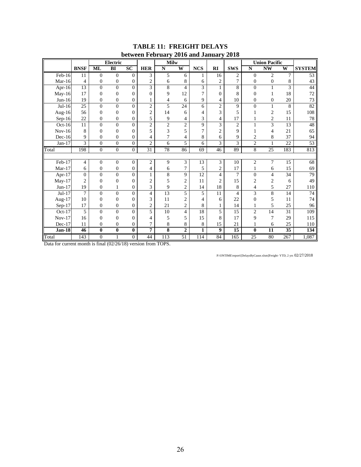|               |                 |                  | <b>Electric</b>  |                  |                | <b>Milw</b>              |                 | $\blacksquare$  |                         |                |                  | <b>Union Pacific</b>    |                 |                 |
|---------------|-----------------|------------------|------------------|------------------|----------------|--------------------------|-----------------|-----------------|-------------------------|----------------|------------------|-------------------------|-----------------|-----------------|
|               | <b>BNSF</b>     | ML               | B <sub>I</sub>   | SC               | <b>HER</b>     | ${\bf N}$                | W               | <b>NCS</b>      | $\mathbf{R}$            | <b>SWS</b>     | ${\bf N}$        | $\overline{\text{NW}}$  | W               | <b>SYSTEM</b>   |
| Feb-16        | 11              | $\mathbf{0}$     | $\overline{0}$   | $\boldsymbol{0}$ | 3              | 5                        | 6               | 1               | 16                      | $\mathfrak{2}$ | $\mathbf{0}$     | $\overline{c}$          | 7               | $\overline{53}$ |
| Mar- $16$     | 4               | $\boldsymbol{0}$ | $\boldsymbol{0}$ | $\boldsymbol{0}$ | $\overline{c}$ | 6                        | 8               | 6               | 2                       | 7              | $\boldsymbol{0}$ | $\boldsymbol{0}$        | 8               | 43              |
| Apr-16        | $\overline{13}$ | $\overline{0}$   | $\overline{0}$   | $\mathbf{0}$     | 3              | $\overline{8}$           | $\overline{4}$  | 3               | $\mathbf{1}$            | 8              | $\overline{0}$   | $\mathbf{1}$            | $\overline{3}$  | 44              |
| $May-16$      | 17              | $\mathbf{0}$     | $\overline{0}$   | $\overline{0}$   | $\theta$       | 9                        | 12              | 7               | $\overline{0}$          | 8              | $\overline{0}$   | 1                       | 18              | 72              |
| $Jun-16$      | 19              | $\mathbf{0}$     | $\boldsymbol{0}$ | $\boldsymbol{0}$ | 1              | $\overline{\mathcal{L}}$ | 6               | 9               | 4                       | 10             | $\mathbf{0}$     | $\mathbf{0}$            | 20              | 73              |
| $Jul-16$      | 25              | $\overline{0}$   | $\boldsymbol{0}$ | $\overline{0}$   | $\overline{c}$ | 5                        | 24              | 6               | $\overline{c}$          | 9              | $\overline{0}$   | 1                       | 8               | 82              |
| Aug-16        | 56              | $\mathbf{0}$     | $\boldsymbol{0}$ | $\theta$         | $\overline{2}$ | 14                       | 6               | $\overline{4}$  | 3                       | 5              |                  | $\overline{c}$          | 15              | 108             |
| $Sep-16$      | 22              | $\mathbf{0}$     | $\boldsymbol{0}$ | $\boldsymbol{0}$ | 5              | 9                        | 4               | 3               | 4                       | 17             |                  | $\boldsymbol{2}$        | 11              | 78              |
| Oct-16        | 11              | $\theta$         | $\overline{0}$   | $\overline{0}$   | $\overline{2}$ | $\overline{2}$           | $\overline{c}$  | 9               | $\overline{\mathbf{3}}$ | $\overline{2}$ |                  | $\overline{3}$          | 13              | 48              |
| $Nov-16$      | 8               | $\mathbf{0}$     | $\boldsymbol{0}$ | $\overline{0}$   | 5              | 3                        | 5               | $\overline{7}$  | $\overline{c}$          | 9              |                  | 4                       | 21              | 65              |
| $Dec-16$      | 9               | $\mathbf{0}$     | $\boldsymbol{0}$ | $\overline{0}$   | 4              | $\overline{7}$           | 4               | 8               | 6                       | 9              | $\overline{2}$   | 8                       | 37              | 94              |
| $Jan-17$      | $\overline{3}$  | $\mathbf{0}$     | $\overline{0}$   | $\overline{0}$   | $\overline{c}$ | 6                        | 5               | 6               | 3                       | 3              | $\overline{2}$   | 1                       | $\overline{22}$ | 53              |
| Total         | 198             | $\mathbf{0}$     | $\boldsymbol{0}$ | $\overline{0}$   | 31             | 78                       | 86              | 69              | 46                      | 89             | $\,8\,$          | 25                      | 183             | 813             |
|               |                 |                  |                  |                  |                |                          |                 |                 |                         |                |                  |                         |                 |                 |
| Feb-17        | $\overline{4}$  | $\mathbf{0}$     | $\boldsymbol{0}$ | $\boldsymbol{0}$ | $\overline{c}$ | $\overline{9}$           | 3               | 13              | 3                       | 10             | $\overline{c}$   | $\overline{7}$          | 15              | 68              |
| $Mar-17$      | 6               | $\boldsymbol{0}$ | $\boldsymbol{0}$ | $\boldsymbol{0}$ | 4              | 6                        | 7               | 5               | $\overline{c}$          | 17             |                  | 6                       | 15              | 69              |
| Apr-17        | $\overline{0}$  | $\overline{0}$   | $\overline{0}$   | $\overline{0}$   | $\mathbf{1}$   | $\overline{8}$           | 9               | $\overline{12}$ | $\overline{\mathbf{4}}$ | $\overline{7}$ | $\overline{0}$   | $\overline{\mathbf{4}}$ | 34              | $\overline{79}$ |
| May-17        | $\overline{2}$  | $\mathbf{0}$     | $\boldsymbol{0}$ | $\overline{0}$   | $\overline{2}$ | 5                        | $\overline{2}$  | 11              | $\overline{c}$          | 15             | $\overline{2}$   | $\overline{c}$          | 6               | 49              |
| $Jun-17$      | 19              | $\mathbf{0}$     | 1                | $\overline{0}$   | 3              | 9                        | $\overline{2}$  | 14              | 18                      | 8              | 4                | 5                       | 27              | 110             |
| $Jul-17$      | $\overline{7}$  | $\mathbf{0}$     | $\overline{0}$   | $\overline{0}$   | $\overline{4}$ | 13                       | $\overline{5}$  | 5               | 11                      | $\overline{4}$ | 3                | $\overline{8}$          | 14              | $74\,$          |
| Aug- $17$     | 10              | $\mathbf{0}$     | $\boldsymbol{0}$ | $\overline{0}$   | 3              | 11                       | $\overline{2}$  | $\overline{4}$  | 6                       | 22             | $\overline{0}$   | 5                       | 11              | 74              |
| Sep-17        | 17              | $\boldsymbol{0}$ | $\boldsymbol{0}$ | $\boldsymbol{0}$ | $\sqrt{2}$     | 21                       | $\mathfrak{2}$  | 8               | $\mathbf{1}$            | 14             | 1                | 5                       | 25              | 96              |
| Oct- $17$     | 5               | $\theta$         | $\overline{0}$   | $\Omega$         | 5              | 10                       | 4               | 18              | 5                       | 15             | $\overline{2}$   | $\overline{14}$         | 31              | 109             |
| $Nov-17$      | 16              | $\Omega$         | $\boldsymbol{0}$ | $\boldsymbol{0}$ | 4              | 5                        | 5               | 15              | 8                       | 17             | 9                | 7                       | 29              | 115             |
| $Dec-17$      | 11              | $\boldsymbol{0}$ | $\boldsymbol{0}$ | $\boldsymbol{0}$ | $\overline{7}$ | $\,8\,$                  | 8               | 8               | 15                      | 21             |                  | 6                       | 25              | 110             |
| <b>Jan-18</b> | 46              | $\pmb{0}$        | $\bf{0}$         | $\bf{0}$         | 7              | $\overline{\bf 8}$       | $\overline{2}$  | 1               | $\boldsymbol{9}$        | 15             | $\mathbf{0}$     | 11                      | 35              | 134             |
| Total         | 143             | $\boldsymbol{0}$ |                  | $\overline{0}$   | 44             | 113                      | $\overline{51}$ | 114             | 84                      | 165            | 25               | 80                      | 267             | 1,087           |

#### **TABLE 11: FREIGHT DELAYS between February 2016 and January 2018**

Data for current month is final (02/26/18) version from TOPS.

P:\ONTIME\report\[DelaysByCause.xlsm]Freight- YTD, 2 yrs 02/27/2018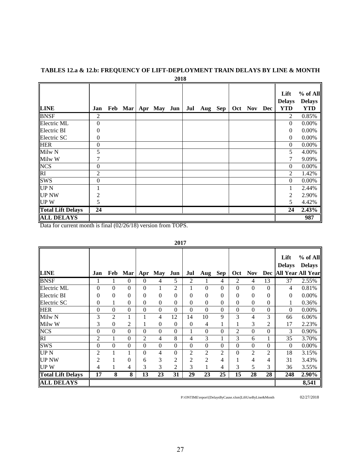|                          |                  |  |                       | 2018 |     |         |  |             |                                     |                                         |
|--------------------------|------------------|--|-----------------------|------|-----|---------|--|-------------|-------------------------------------|-----------------------------------------|
| <b>LINE</b>              | Jan              |  | Feb Mar   Apr May Jun |      | Jul | Aug Sep |  | Oct Nov Dec | Lift<br><b>Delays</b><br><b>YTD</b> | % of All<br><b>Delays</b><br><b>YTD</b> |
| <b>BNSF</b>              | $\overline{2}$   |  |                       |      |     |         |  |             | 2                                   | 0.85%                                   |
| Electric ML              | $\overline{0}$   |  |                       |      |     |         |  |             | $\Omega$                            | 0.00%                                   |
| Electric BI              | $\theta$         |  |                       |      |     |         |  |             | $\overline{0}$                      | 0.00%                                   |
| Electric SC              | $\overline{0}$   |  |                       |      |     |         |  |             | $\mathbf{0}$                        | $0.00\%$                                |
| <b>HER</b>               | $\boldsymbol{0}$ |  |                       |      |     |         |  |             | $\mathbf{0}$                        | 0.00%                                   |
| Milw <sub>N</sub>        | 5                |  |                       |      |     |         |  |             | 5                                   | 4.00%                                   |
| Milw W                   | 7                |  |                       |      |     |         |  |             | 7                                   | 9.09%                                   |
| <b>NCS</b>               | $\overline{0}$   |  |                       |      |     |         |  |             | $\mathbf{0}$                        | 0.00%                                   |
| RI                       | $\overline{2}$   |  |                       |      |     |         |  |             | 2                                   | 1.42%                                   |
| <b>SWS</b>               | $\mathbf{0}$     |  |                       |      |     |         |  |             | $\mathbf{0}$                        | 0.00%                                   |
| UP <sub>N</sub>          |                  |  |                       |      |     |         |  |             | 1                                   | 2.44%                                   |
| <b>UP NW</b>             | 2                |  |                       |      |     |         |  |             | 2                                   | 2.90%                                   |
| <b>UPW</b>               | 5                |  |                       |      |     |         |  |             | 5                                   | 4.42%                                   |
| <b>Total Lift Delays</b> | 24               |  |                       |      |     |         |  |             | 24                                  | 2.43%                                   |
| <b>ALL DELAYS</b>        |                  |  |                       |      |     |         |  |             |                                     | 987                                     |

# **TABLES 12.a & 12.b: FREQUENCY OF LIFT-DEPLOYMENT TRAIN DELAYS BY LINE & MONTH**

Data for current month is final (02/26/18) version from TOPS.

| <b>LINE</b>              | Jan             | Feb                     | Mar            | Apr              | <b>May</b>       | Jun              | Jul              | Aug              | Sep              | Oct              | <b>Nov</b>       | Dec              | Lift<br><b>Delays</b> | % of All<br><b>Delays</b><br><b>All Year All Year</b> |
|--------------------------|-----------------|-------------------------|----------------|------------------|------------------|------------------|------------------|------------------|------------------|------------------|------------------|------------------|-----------------------|-------------------------------------------------------|
|                          |                 |                         |                |                  |                  |                  |                  |                  |                  |                  |                  |                  |                       |                                                       |
| <b>BNSF</b>              |                 |                         | $\mathbf{0}$   | $\theta$         | 4                | 5                | 2                | 1                | 4                | 2                | 4                | 13               | 37                    | 2.55%                                                 |
| Electric ML              | $\overline{0}$  | $\theta$                | $\theta$       | $\overline{0}$   | 1                | $\overline{c}$   | 1                | $\boldsymbol{0}$ | $\mathbf{0}$     | $\mathbf{0}$     | $\mathbf{0}$     | $\Omega$         | 4                     | 0.81%                                                 |
| Electric BI              | $\overline{0}$  | $\Omega$                | $\theta$       | $\overline{0}$   | $\boldsymbol{0}$ | $\overline{0}$   | $\overline{0}$   | $\boldsymbol{0}$ | $\overline{0}$   | $\overline{0}$   | $\mathbf{0}$     | $\Omega$         | $\mathbf{0}$          | 0.00%                                                 |
| Electric SC              | $\overline{0}$  | 1                       | $\theta$       | 0                | $\boldsymbol{0}$ | $\boldsymbol{0}$ | $\boldsymbol{0}$ | $\boldsymbol{0}$ | $\boldsymbol{0}$ | $\mathbf{0}$     | $\Omega$         | $\mathbf{0}$     | 1                     | 0.36%                                                 |
| <b>HER</b>               | $\mathbf{0}$    | $\Omega$                | $\mathbf{0}$   | $\boldsymbol{0}$ | $\boldsymbol{0}$ | $\boldsymbol{0}$ | $\boldsymbol{0}$ | $\mathbf{0}$     | $\mathbf{0}$     | $\mathbf{0}$     | $\overline{0}$   | $\boldsymbol{0}$ | $\mathbf{0}$          | 0.00%                                                 |
| Milw N                   | 3               | 2                       | 1              |                  | 4                | 12               | 14               | 10               | 9                | 3                | $\overline{4}$   | 3                | 66                    | 6.06%                                                 |
| Milw W                   | 3               | $\boldsymbol{0}$        | 2              |                  | $\boldsymbol{0}$ | 0                | $\boldsymbol{0}$ | 4                | $\mathbf{1}$     | 1                | 3                | $\overline{2}$   | 17                    | 2.23%                                                 |
| <b>NCS</b>               | $\overline{0}$  | $\theta$                | $\mathbf{0}$   | 0                | $\boldsymbol{0}$ | $\boldsymbol{0}$ | $\mathbf{1}$     | $\boldsymbol{0}$ | $\boldsymbol{0}$ | 2                | $\mathbf{0}$     | $\mathbf{0}$     | 3                     | 0.90%                                                 |
| $\overline{RI}$          | 2               | 1                       | $\mathbf{0}$   | 2                | 4                | 8                | 4                | 3                | $\mathbf{1}$     | 3                | 6                |                  | 35                    | 3.70%                                                 |
| <b>SWS</b>               | $\overline{0}$  | $\Omega$                | $\mathbf{0}$   | $\overline{0}$   | $\boldsymbol{0}$ | $\boldsymbol{0}$ | $\boldsymbol{0}$ | $\boldsymbol{0}$ | $\mathbf{0}$     | $\boldsymbol{0}$ | $\boldsymbol{0}$ | $\Omega$         | $\theta$              | 0.00%                                                 |
| UP <sub>N</sub>          | $\overline{2}$  | 1                       |                | $\overline{0}$   | 4                | $\boldsymbol{0}$ | $\overline{2}$   | $\overline{2}$   | $\overline{2}$   | $\boldsymbol{0}$ | $\overline{2}$   | $\overline{2}$   | 18                    | 3.15%                                                 |
| <b>UP NW</b>             | 2               |                         | $\overline{0}$ | 6                | 3                | $\boldsymbol{2}$ | 2                | $\overline{2}$   | 4                | 1                | 4                | 4                | 31                    | 3.43%                                                 |
| <b>UPW</b>               | 4               | 1                       | 4              | 3                | 3                | 2                | 3                | 1                | 4                | 3                | 5                | 3                | 36                    | 3.55%                                                 |
| <b>Total Lift Delays</b> | $\overline{17}$ | $\overline{\mathbf{8}}$ | 8              | $\overline{13}$  | $\overline{23}$  | $\overline{31}$  | $\overline{29}$  | $\overline{23}$  | $\overline{25}$  | $\overline{15}$  | 28               | 28               | 248                   | 2.90%                                                 |
| <b>ALL DELAYS</b>        |                 |                         |                |                  |                  |                  |                  |                  |                  |                  |                  |                  |                       | 8,541                                                 |

#### **2017**

P:\ONTIME\report\[DelaysByCause.xlsm]LiftUseByLine&Month 02/27/2018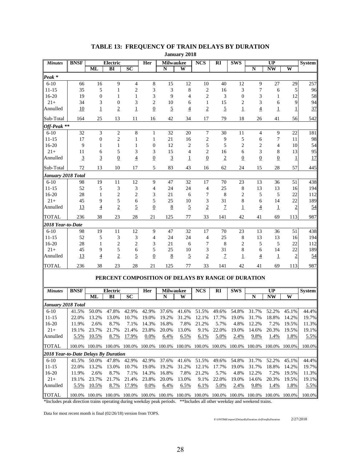|                                      |                |                  |                                                    |                                  |                     |                       | January 2010   |                    |                        |                |                  |                  |                |               |
|--------------------------------------|----------------|------------------|----------------------------------------------------|----------------------------------|---------------------|-----------------------|----------------|--------------------|------------------------|----------------|------------------|------------------|----------------|---------------|
| <b>Minutes</b>                       | <b>BNSF</b>    | <b>ML</b>        | Electric<br>BI                                     | $\overline{SC}$                  | Her                 | <b>Milwaukee</b><br>N | W              | <b>NCS</b>         | $\overline{\text{RI}}$ | <b>SWS</b>     | N                | UP<br><b>NW</b>  | W              | <b>System</b> |
|                                      |                |                  |                                                    |                                  |                     |                       |                |                    |                        |                |                  |                  |                |               |
| Peak <sup>*</sup>                    |                |                  |                                                    |                                  |                     |                       |                |                    |                        |                |                  |                  |                |               |
| $6 - 10$<br>$11 - 15$                | 66<br>35       | 16<br>5          | $\overline{9}$<br>$\mathbf{1}$                     | $\overline{4}$<br>$\mathfrak{2}$ | 8<br>3              | 15<br>3               | 12<br>8        | 10<br>$\mathbf{2}$ | 40<br>16               | 12<br>3        | 9<br>7           | 27<br>6          | 29<br>5        | 257<br>96     |
| $16 - 20$                            | 19             | $\boldsymbol{0}$ |                                                    | 1                                |                     | 9                     | $\overline{4}$ | $\mathfrak{2}$     | 3                      |                | 3                |                  |                |               |
| $21+$                                | 34             |                  | 1<br>$\overline{0}$                                | 3                                | 3                   | 10                    |                | 1                  |                        | 0              | 3                | 1<br>6           | 12<br>9        | 58<br>94      |
| Annulled                             |                | 3                |                                                    |                                  | 2<br>$\overline{0}$ | $\overline{5}$        | 6              | $\overline{2}$     | 15                     | 2              |                  |                  |                | 37            |
|                                      | 10             | $\overline{1}$   | $\overline{2}$                                     | $\mathbf 1$                      |                     |                       | $\overline{4}$ |                    | $\overline{5}$         | $\overline{1}$ | $\overline{4}$   | $\overline{1}$   | 1              |               |
| Sub-Total                            | 164            | 25               | 13                                                 | 11                               | 16                  | 42                    | 34             | 17                 | 79                     | 18             | 26               | 41               | 56             | 542           |
| Off-Peak **                          |                |                  |                                                    |                                  |                     |                       |                |                    |                        |                |                  |                  |                |               |
| $6 - 10$                             | 32             | 3                | $\sqrt{2}$                                         | 8                                | $\mathbf{1}$        | 32                    | 20             | $\tau$             | 30                     | 11             | 4                | $\boldsymbol{9}$ | 22             | 181           |
| $11 - 15$                            | 17             | $\boldsymbol{0}$ | $\overline{c}$                                     | $\mathbf{1}$                     | $\mathbf{1}$        | 21                    | 16             | $\sqrt{2}$         | 9                      | 5              | 6                | 7                | 11             | 98            |
| 16-20                                | 9              | 1                | 1                                                  | $\mathbf{1}$                     | 0                   | 12                    | 2              | 5                  | 5                      | 2              | $\overline{2}$   | 4                | 10             | 54            |
| $21+$                                | 11             | 6                | 5                                                  | 3                                | 3                   | 15                    | 4              | $\overline{c}$     | 16                     | 6              | 3                | 8                | 13             | 95            |
| Annulled                             | $\overline{3}$ | $\overline{3}$   | $\overline{0}$                                     | $\overline{4}$                   | $\overline{0}$      | $\overline{3}$        | 1              | $\overline{0}$     | $\overline{2}$         | $\overline{0}$ | $\boldsymbol{0}$ | $\overline{0}$   | 1              | 17            |
| Sub-Total                            | 72             | 13               | 10                                                 | 17                               | 5                   | 83                    | 43             | 16                 | 62                     | 24             | 15               | 28               | 57             | 445           |
| January 2018 Total                   |                |                  |                                                    |                                  |                     |                       |                |                    |                        |                |                  |                  |                |               |
| $6 - 10$                             | 98             | 19               | 11                                                 | 12                               | 9                   | 47                    | 32             | 17                 | 70                     | 23             | 13               | 36               | 51             | 438           |
| $11 - 15$                            | 52             | 5                | 3                                                  | 3                                | 4                   | 24                    | 24             | $\overline{4}$     | 25                     | 8              | 13               | 13               | 16             | 194           |
| 16-20                                | 28             | 1                | 2                                                  | 2                                | 3                   | 21                    | 6              | 7                  | 8                      | 2              | 5                | 5                | 22             | 112           |
| $21+$                                | 45             | 9                | 5                                                  | 6                                | 5                   | 25                    | 10             | 3                  | 31                     | 8              | 6                | 14               | 22             | 189           |
| Annulled                             | 13             | $\overline{4}$   | $\overline{2}$                                     | $\overline{5}$                   | $\overline{0}$      | 8                     | $\overline{2}$ | $\overline{2}$     | $\overline{1}$         | $\overline{1}$ | $\overline{4}$   | $\overline{1}$   | $\overline{2}$ | 54            |
| <b>TOTAL</b>                         | 236            | 38               | 23                                                 | 28                               | 21                  | 125                   | 77             | 33                 | 141                    | 42             | 41               | 69               | 113            | 987           |
| 2018 Year-to-Date                    |                |                  |                                                    |                                  |                     |                       |                |                    |                        |                |                  |                  |                |               |
| $6 - 10$                             | 98             | 19               | 11                                                 | 12                               | 9                   | 47                    | 32             | 17                 | 70                     | 23             | 13               | 36               | 51             | 438           |
| $11 - 15$                            | 52             | 5                | 3                                                  | 3                                | 4                   | 24                    | 24             | 4                  | 25                     | 8              | 13               | 13               | 16             | 194           |
| 16-20                                | 28             | $\mathbf{1}$     | $\mathfrak{2}$                                     | $\mathfrak{2}$                   | 3                   | 21                    | 6              | 7                  | 8                      | 2              | 5                | 5                | 22             | 112           |
| $21+$                                | 45             | 9                | 5                                                  | 6                                | 5                   | 25                    | 10             | 3                  | 31                     | 8              | 6                | 14               | 22             | 189           |
| Annulled                             | <u>13</u>      | $\overline{4}$   | $\overline{2}$                                     | $\overline{5}$                   | $\overline{0}$      | $\bf 8$               | $\overline{5}$ | $\overline{2}$     | $\overline{1}$         | 1              | $\overline{4}$   | $\overline{1}$   | $\overline{2}$ | 54            |
| <b>TOTAL</b>                         | 236            | 38               | 23                                                 | 28                               | 21                  | 125                   | 77             | 33                 | 141                    | 42             | 41               | 69               | 113            | 987           |
|                                      |                |                  | PERCENT COMPOSITION OF DELAYS BY RANGE OF DURATION |                                  |                     |                       |                |                    |                        |                |                  |                  |                |               |
|                                      |                |                  |                                                    |                                  |                     |                       |                |                    |                        |                |                  |                  |                |               |
| <b>Minutes</b>                       | <b>BNSF</b>    |                  | Electric                                           |                                  | Her                 | <b>Milwaukee</b>      |                | <b>NCS</b>         | $\mathbf{R}$           | <b>SWS</b>     |                  | UP               |                | <b>System</b> |
|                                      |                | ML               | BI                                                 | $\overline{SC}$                  |                     | N                     | W              |                    |                        |                | N                | <b>NW</b>        | W              |               |
| January 2018 Total                   |                |                  |                                                    |                                  |                     |                       |                |                    |                        |                |                  |                  |                |               |
| $6-10$                               | 41.5%          | 50.0%            | 47.8%                                              | 42.9%                            | 42.9%               | 37.6%                 | 41.6%          | 51.5%              | 49.6%                  | 54.8%          | 31.7%            | 52.2%            | 45.1%          | 44.4%         |
| $11 - 15$                            | 22.0%          | 13.2%            | 13.0%                                              | 10.7%                            | 19.0%               | 19.2%                 | 31.2%          | 12.1%              | 17.7%                  | 19.0%          | 31.7%            | 18.8%            | 14.2%          | 19.7%         |
| 16-20                                | 11.9%          | 2.6%             | 8.7%                                               | 7.1%                             | 14.3%               | 16.8%                 | 7.8%           | 21.2%              | 5.7%                   | 4.8%           | 12.2%            | 7.2%             | 19.5%          | 11.3%         |
| $21+$                                | 19.1%          | 23.7%            | 21.7%                                              | 21.4%                            | 23.8%               | 20.0%                 | 13.0%          | 9.1%               | 22.0%                  | 19.0%          | 14.6%            | 20.3%            | 19.5%          | 19.1%         |
| Annulled                             | 5.5%           | 10.5%            | 8.7%                                               | 17.9%                            | 0.0%                | 6.4%                  | 6.5%           | 6.1%               | 5.0%                   | 2.4%           | 9.8%             | 1.4%             | 1.8%           | 5.5%          |
| <b>TOTAL</b>                         | 100.0%         |                  | 100.0% 100.0% 100.0%                               |                                  | 100.0%              | 100.0%                |                | 100.0% 100.0%      | 100.0%                 | 100.0%         | 100.0%           | 100.0%           | 100.0%         | 100.0%        |
| 2018 Year-to-Date Delays By Duration |                |                  |                                                    |                                  |                     |                       |                |                    |                        |                |                  |                  |                |               |
| $6 - 10$                             | 41.5%          | 50.0%            | 47.8%                                              | 42.9%                            | 42.9%               | 37.6%                 | 41.6%          | 51.5%              | 49.6%                  | 54.8%          | 31.7%            | 52.2%            | 45.1%          | 44.4%         |
| $11 - 15$                            | 22.0%          | 13.2%            | 13.0%                                              | 10.7%                            | 19.0%               | 19.2%                 | 31.2%          | 12.1%              | 17.7%                  | 19.0%          | 31.7%            | 18.8%            | 14.2%          | 19.7%         |
| 16-20                                | 11.9%          | 2.6%             | 8.7%                                               | 7.1%                             | 14.3%               | 16.8%                 | 7.8%           | 21.2%              | 5.7%                   | 4.8%           | 12.2%            | 7.2%             | 19.5%          | 11.3%         |
| $21+$                                | 19.1%          | 23.7%            | 21.7%                                              | 21.4%                            | 23.8%               | 20.0%                 | 13.0%          | 9.1%               | 22.0%                  | 19.0%          | 14.6%            | 20.3%            | 19.5%          | 19.1%         |
| Annulled                             | 5.5%           | 10.5%            | 8.7%                                               | 17.9%                            | 0.0%                | 6.4%                  | 6.5%           | 6.1%               | 5.0%                   | 2.4%           | 9.8%             | 1.4%             | <u>1.8%</u>    | 5.5%          |

# **TABLE 13: FREQUENCY OF TRAIN DELAYS BY DURATION**

**January 2018**

\*Includes peak direction trains operating during weekday peak periods. \*\*Includes all other weekday and weekend trains.

Data for most recent month is final (02/26/18) version from TOPS.

P:\ONTIME\report\[DelaysByDuration.xls]FreqByDuration 2/27/2018

TOTAL 100.0% 100.0% 100.0% 100.0% 100.0% 100.0% 100.0% 100.0% 100.0% 100.0% 100.0% 100.0% 100.0% 100.0%